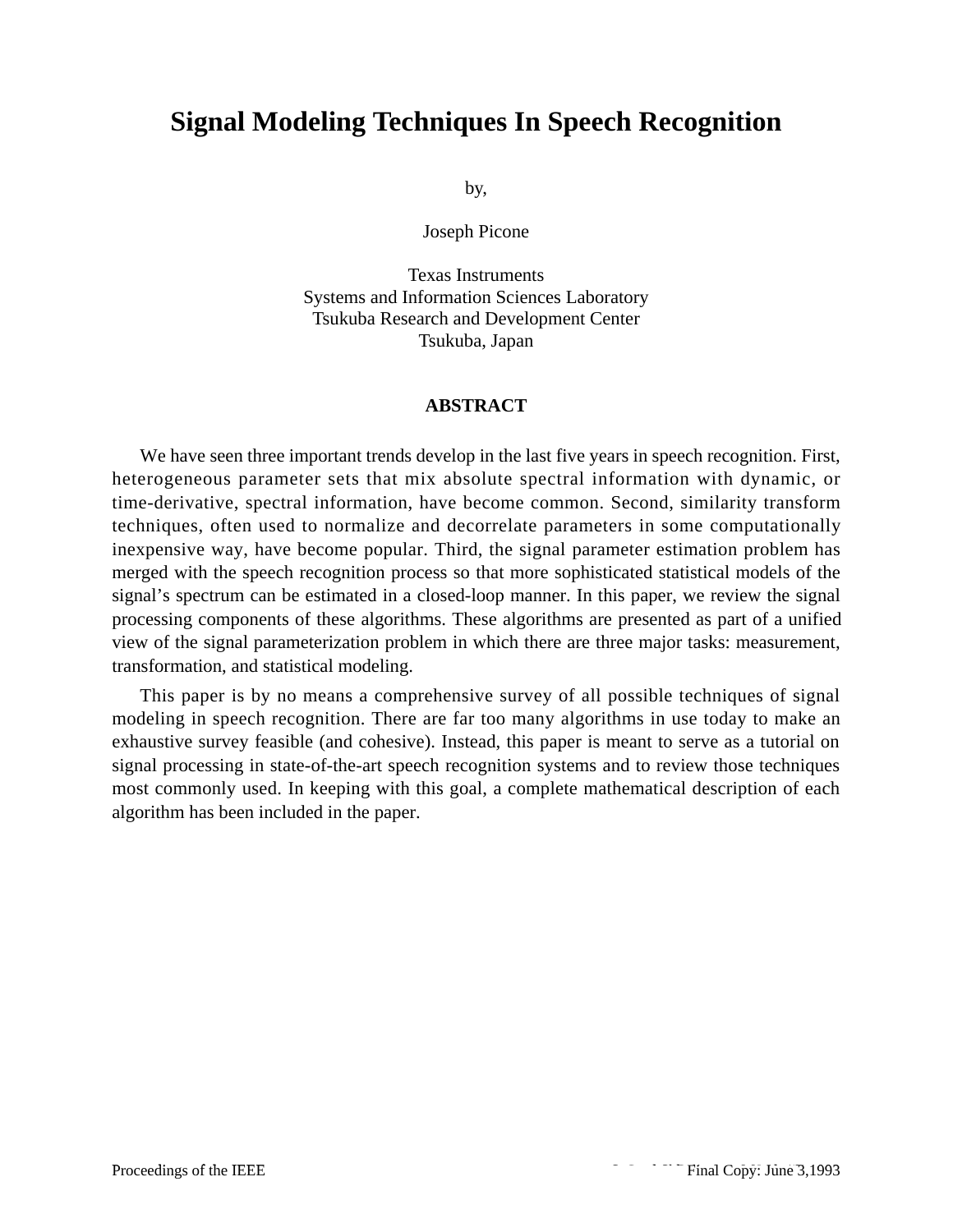# **Signal Modeling Techniques In Speech Recognition**

by,

Joseph Picone

Texas Instruments Systems and Information Sciences Laboratory Tsukuba Research and Development Center Tsukuba, Japan

### **ABSTRACT**

We have seen three important trends develop in the last five years in speech recognition. First, heterogeneous parameter sets that mix absolute spectral information with dynamic, or time-derivative, spectral information, have become common. Second, similarity transform techniques, often used to normalize and decorrelate parameters in some computationally inexpensive way, have become popular. Third, the signal parameter estimation problem has merged with the speech recognition process so that more sophisticated statistical models of the signal's spectrum can be estimated in a closed-loop manner. In this paper, we review the signal processing components of these algorithms. These algorithms are presented as part of a unified view of the signal parameterization problem in which there are three major tasks: measurement, transformation, and statistical modeling.

This paper is by no means a comprehensive survey of all possible techniques of signal modeling in speech recognition. There are far too many algorithms in use today to make an exhaustive survey feasible (and cohesive). Instead, this paper is meant to serve as a tutorial on signal processing in state-of-the-art speech recognition systems and to review those techniques most commonly used. In keeping with this goal, a complete mathematical description of each algorithm has been included in the paper.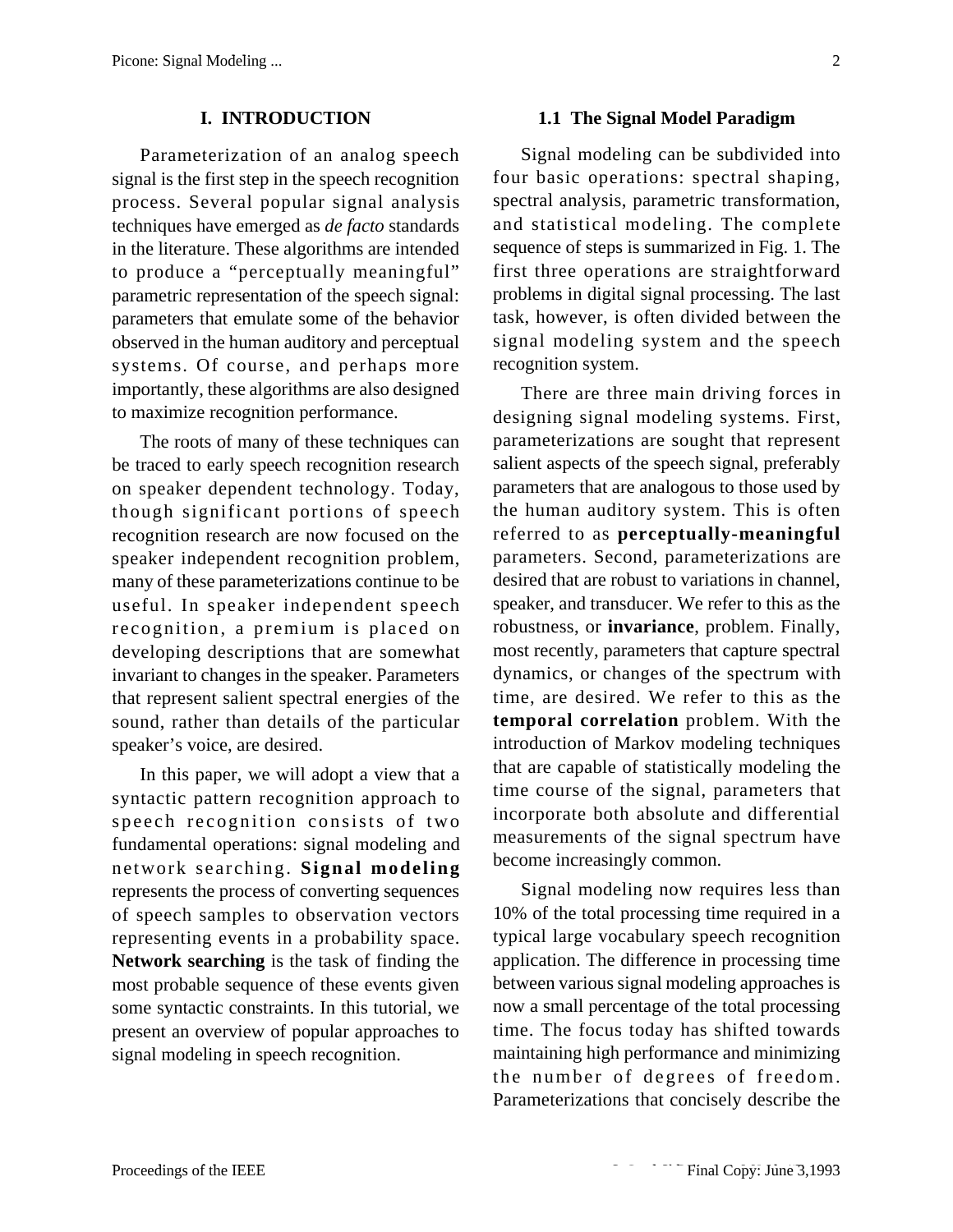### **I. INTRODUCTION**

Parameterization of an analog speech signal is the first step in the speech recognition process. Several popular signal analysis techniques have emerged as *de facto* standards in the literature. These algorithms are intended to produce a "perceptually meaningful" parametric representation of the speech signal: parameters that emulate some of the behavior observed in the human auditory and perceptual systems. Of course, and perhaps more importantly, these algorithms are also designed to maximize recognition performance.

The roots of many of these techniques can be traced to early speech recognition research on speaker dependent technology. Today, though significant portions of speech recognition research are now focused on the speaker independent recognition problem, many of these parameterizations continue to be useful. In speaker independent speech recognition, a premium is placed on developing descriptions that are somewhat invariant to changes in the speaker. Parameters that represent salient spectral energies of the sound, rather than details of the particular speaker's voice, are desired.

In this paper, we will adopt a view that a syntactic pattern recognition approach to speech recognition consists of two fundamental operations: signal modeling and network searching. **Signal modeling** represents the process of converting sequences of speech samples to observation vectors representing events in a probability space. **Network searching** is the task of finding the most probable sequence of these events given some syntactic constraints. In this tutorial, we present an overview of popular approaches to signal modeling in speech recognition.

#### **1.1 The Signal Model Paradigm**

Signal modeling can be subdivided into four basic operations: spectral shaping, spectral analysis, parametric transformation, and statistical modeling. The complete sequence of steps is summarized in Fig. 1. The first three operations are straightforward problems in digital signal processing. The last task, however, is often divided between the signal modeling system and the speech recognition system.

There are three main driving forces in designing signal modeling systems. First, parameterizations are sought that represent salient aspects of the speech signal, preferably parameters that are analogous to those used by the human auditory system. This is often referred to as **perceptually-meaningful** parameters. Second, parameterizations are desired that are robust to variations in channel, speaker, and transducer. We refer to this as the robustness, or **invariance**, problem. Finally, most recently, parameters that capture spectral dynamics, or changes of the spectrum with time, are desired. We refer to this as the **temporal correlation** problem. With the introduction of Markov modeling techniques that are capable of statistically modeling the time course of the signal, parameters that incorporate both absolute and differential measurements of the signal spectrum have become increasingly common.

Signal modeling now requires less than 10% of the total processing time required in a typical large vocabulary speech recognition application. The difference in processing time between various signal modeling approaches is now a small percentage of the total processing time. The focus today has shifted towards maintaining high performance and minimizing the number of degrees of freedom. Parameterizations that concisely describe the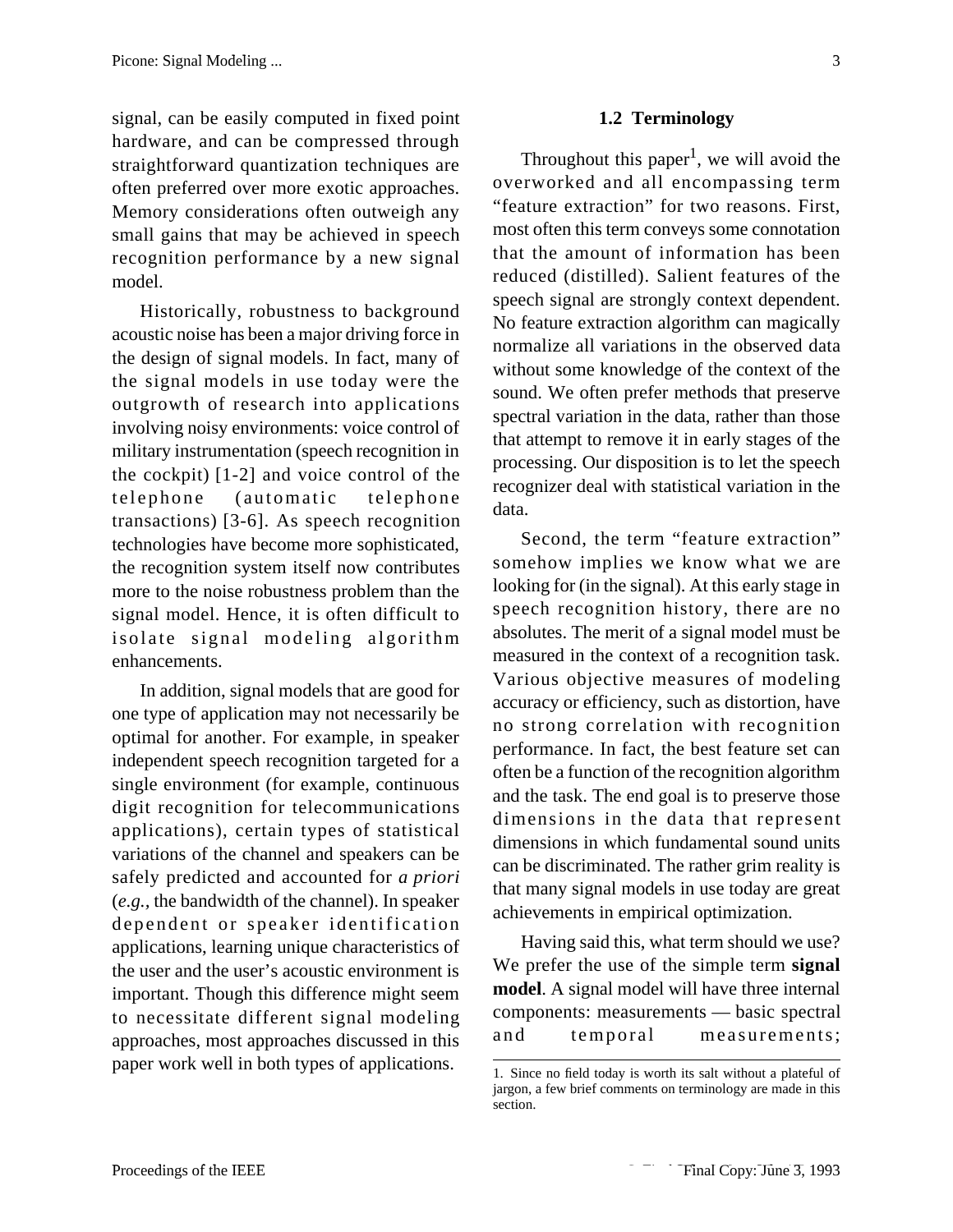hardware, and can be compressed through straightforward quantization techniques are often preferred over more exotic approaches. Memory considerations often outweigh any small gains that may be achieved in speech recognition performance by a new signal model.

Historically, robustness to background acoustic noise has been a major driving force in the design of signal models. In fact, many of the signal models in use today were the outgrowth of research into applications involving noisy environments: voice control of military instrumentation (speech recognition in the cockpit) [1-2] and voice control of the telephone (automatic telephone transactions) [3-6]. As speech recognition technologies have become more sophisticated, the recognition system itself now contributes more to the noise robustness problem than the signal model. Hence, it is often difficult to isolate signal modeling algorithm enhancements.

In addition, signal models that are good for one type of application may not necessarily be optimal for another. For example, in speaker independent speech recognition targeted for a single environment (for example, continuous digit recognition for telecommunications applications), certain types of statistical variations of the channel and speakers can be safely predicted and accounted for *a priori* (*e.g.,* the bandwidth of the channel). In speaker dependent or speaker identification applications, learning unique characteristics of the user and the user's acoustic environment is important. Though this difference might seem to necessitate different signal modeling approaches, most approaches discussed in this paper work well in both types of applications.

#### **1.2 Terminology**

Throughout this paper<sup>1</sup>, we will avoid the overworked and all encompassing term "feature extraction" for two reasons. First, most often this term conveys some connotation that the amount of information has been reduced (distilled). Salient features of the speech signal are strongly context dependent. No feature extraction algorithm can magically normalize all variations in the observed data without some knowledge of the context of the sound. We often prefer methods that preserve spectral variation in the data, rather than those that attempt to remove it in early stages of the processing. Our disposition is to let the speech recognizer deal with statistical variation in the data.

I.2 Termhology<br>
Signal, can be easily computed in fixed point. Throughout this paper, we will avoid the<br>Antifeurovard quantization techniques are<br>
for the most of the professor of the computed in special and the computed Second, the term "feature extraction" somehow implies we know what we are looking for (in the signal). At this early stage in speech recognition history, there are no absolutes. The merit of a signal model must be measured in the context of a recognition task. Various objective measures of modeling accuracy or efficiency, such as distortion, have no strong correlation with recognition performance. In fact, the best feature set can often be a function of the recognition algorithm and the task. The end goal is to preserve those dimensions in the data that represent dimensions in which fundamental sound units can be discriminated. The rather grim reality is that many signal models in use today are great achievements in empirical optimization.

Having said this, what term should we use? We prefer the use of the simple term **signal model**. A signal model will have three internal components: measurements — basic spectral and temporal measurements;

<sup>1.</sup> Since no field today is worth its salt without a plateful of jargon, a few brief comments on terminology are made in this section.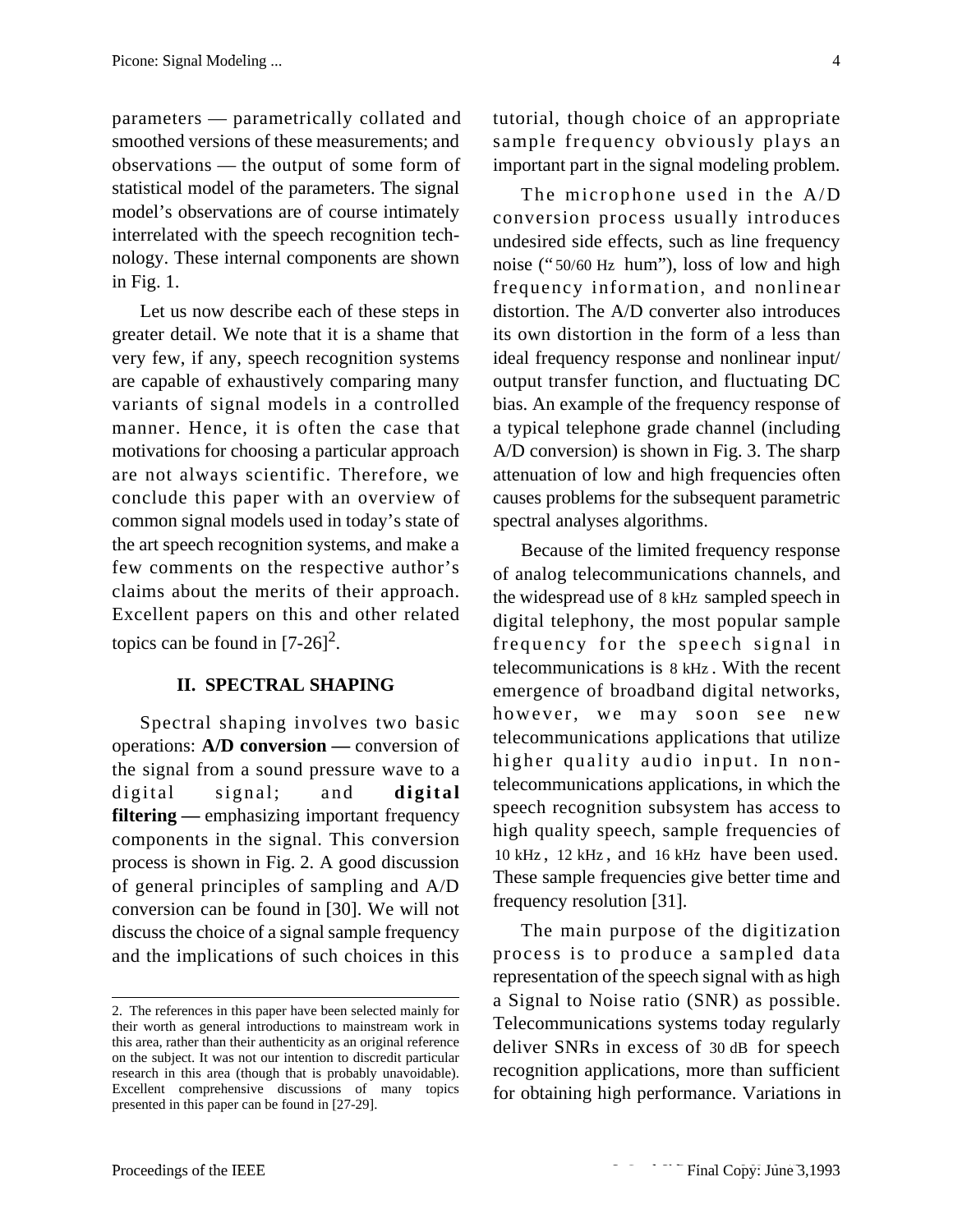parameters — parametrically collated and smoothed versions of these measurements; and observations — the output of some form of statistical model of the parameters. The signal model's observations are of course intimately interrelated with the speech recognition technology. These internal components are shown in Fig. 1.

Let us now describe each of these steps in greater detail. We note that it is a shame that very few, if any, speech recognition systems are capable of exhaustively comparing many variants of signal models in a controlled manner. Hence, it is often the case that motivations for choosing a particular approach are not always scientific. Therefore, we conclude this paper with an overview of common signal models used in today's state of the art speech recognition systems, and make a few comments on the respective author's claims about the merits of their approach. Excellent papers on this and other related topics can be found in  $[7-26]^2$ .

# **II. SPECTRAL SHAPING**

Spectral shaping involves two basic operations: **A/D conversion —** conversion of the signal from a sound pressure wave to a digital signal; and **digital filtering** — emphasizing important frequency components in the signal. This conversion process is shown in Fig. 2. A good discussion of general principles of sampling and A/D conversion can be found in [30]. We will not discuss the choice of a signal sample frequency and the implications of such choices in this

tutorial, though choice of an appropriate sample frequency obviously plays an important part in the signal modeling problem.

The microphone used in the A/D conversion process usually introduces undesired side effects, such as line frequency noise ("50/60 Hz hum"), loss of low and high frequency information, and nonlinear distortion. The A/D converter also introduces its own distortion in the form of a less than ideal frequency response and nonlinear input/ output transfer function, and fluctuating DC bias. An example of the frequency response of a typical telephone grade channel (including A/D conversion) is shown in Fig. 3. The sharp attenuation of low and high frequencies often causes problems for the subsequent parametric spectral analyses algorithms.

Because of the limited frequency response of analog telecommunications channels, and the widespread use of 8 kHz sampled speech in digital telephony, the most popular sample frequency for the speech signal in telecommunications is 8 kHz. With the recent emergence of broadband digital networks, however, we may soon see new telecommunications applications that utilize higher quality audio input. In nontelecommunications applications, in which the speech recognition subsystem has access to high quality speech, sample frequencies of 10 kHz, 12 kHz, and 16 kHz have been used. These sample frequencies give better time and frequency resolution [31].

The main purpose of the digitization process is to produce a sampled data representation of the speech signal with as high a Signal to Noise ratio (SNR) as possible. Telecommunications systems today regularly deliver SNRs in excess of 30 dB for speech recognition applications, more than sufficient for obtaining high performance. Variations in

<sup>2.</sup> The references in this paper have been selected mainly for their worth as general introductions to mainstream work in this area, rather than their authenticity as an original reference on the subject. It was not our intention to discredit particular research in this area (though that is probably unavoidable). Excellent comprehensive discussions of many topics presented in this paper can be found in [27-29].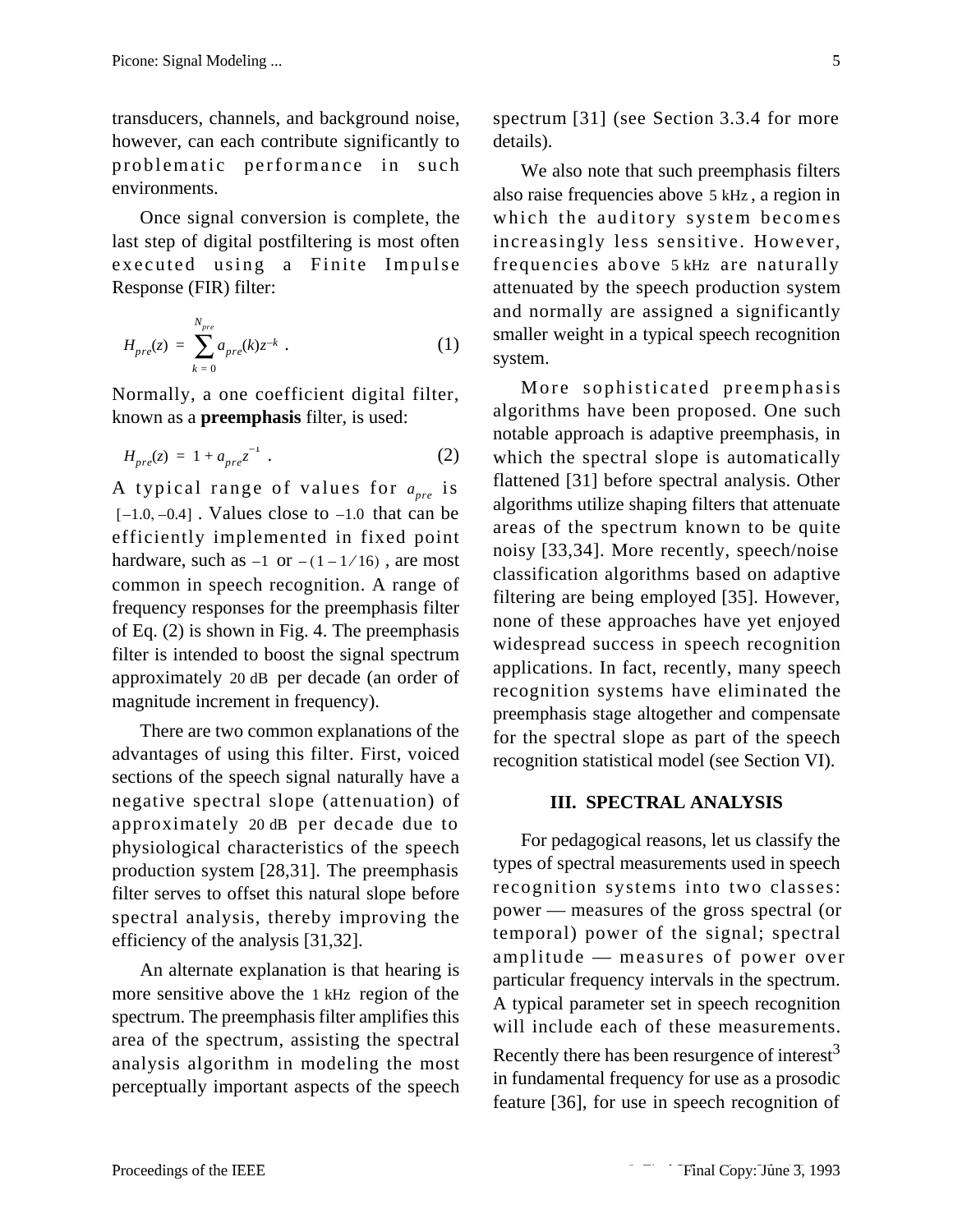however, can each contribute significantly to problematic performance in such environments.

Once signal conversion is complete, the last step of digital postfiltering is most often executed using a Finite Impulse Response (FIR) filter:

$$
H_{pre}(z) = \sum_{k=0}^{N_{pre}} a_{pre}(k) z^{-k} . \tag{1}
$$

Normally, a one coefficient digital filter, known as a **preemphasis** filter, is used:

$$
H_{pre}(z) = 1 + a_{pre} z^{-1} . \tag{2}
$$

A typical range of values for  $a_{pre}$  is  $[-1.0, -0.4]$ . Values close to  $-1.0$  that can be efficiently implemented in fixed point hardware, such as  $-1$  or  $-(1 - 1/16)$ , are most common in speech recognition. A range of frequency responses for the preemphasis filter of Eq. (2) is shown in Fig. 4. The preemphasis filter is intended to boost the signal spectrum approximately 20 dB per decade (an order of magnitude increment in frequency).

There are two common explanations of the advantages of using this filter. First, voiced sections of the speech signal naturally have a negative spectral slope (attenuation) of approximately 20 dB per decade due to physiological characteristics of the speech production system [28,31]. The preemphasis filter serves to offset this natural slope before spectral analysis, thereby improving the efficiency of the analysis [31,32].

An alternate explanation is that hearing is more sensitive above the 1 kHz region of the spectrum. The preemphasis filter amplifies this area of the spectrum, assisting the spectral analysis algorithm in modeling the most perceptually important aspects of the speech spectrum [31] (see Section 3.3.4 for more details).

We also note that such preemphasis filters also raise frequencies above 5 kHz, a region in which the auditory system becomes increasingly less sensitive. However, frequencies above 5 kHz are naturally attenuated by the speech production system and normally are assigned a significantly smaller weight in a typical speech recognition system.

Itsualised interesting conditions and the specific section in the spectra submission of the spectra submission of the spectra submission of the spectra submission of the spectra submission of the state of the state propos More sophisticated preemphasis algorithms have been proposed. One such notable approach is adaptive preemphasis, in which the spectral slope is automatically flattened [31] before spectral analysis. Other algorithms utilize shaping filters that attenuate areas of the spectrum known to be quite noisy [33,34]. More recently, speech/noise classification algorithms based on adaptive filtering are being employed [35]. However, none of these approaches have yet enjoyed widespread success in speech recognition applications. In fact, recently, many speech recognition systems have eliminated the preemphasis stage altogether and compensate for the spectral slope as part of the speech recognition statistical model (see Section VI).

#### **III. SPECTRAL ANALYSIS**

For pedagogical reasons, let us classify the types of spectral measurements used in speech recognition systems into two classes: power — measures of the gross spectral (or temporal) power of the signal; spectral amplitude — measures of power over particular frequency intervals in the spectrum. A typical parameter set in speech recognition will include each of these measurements. Recently there has been resurgence of interest<sup>3</sup> in fundamental frequency for use as a prosodic feature [36], for use in speech recognition of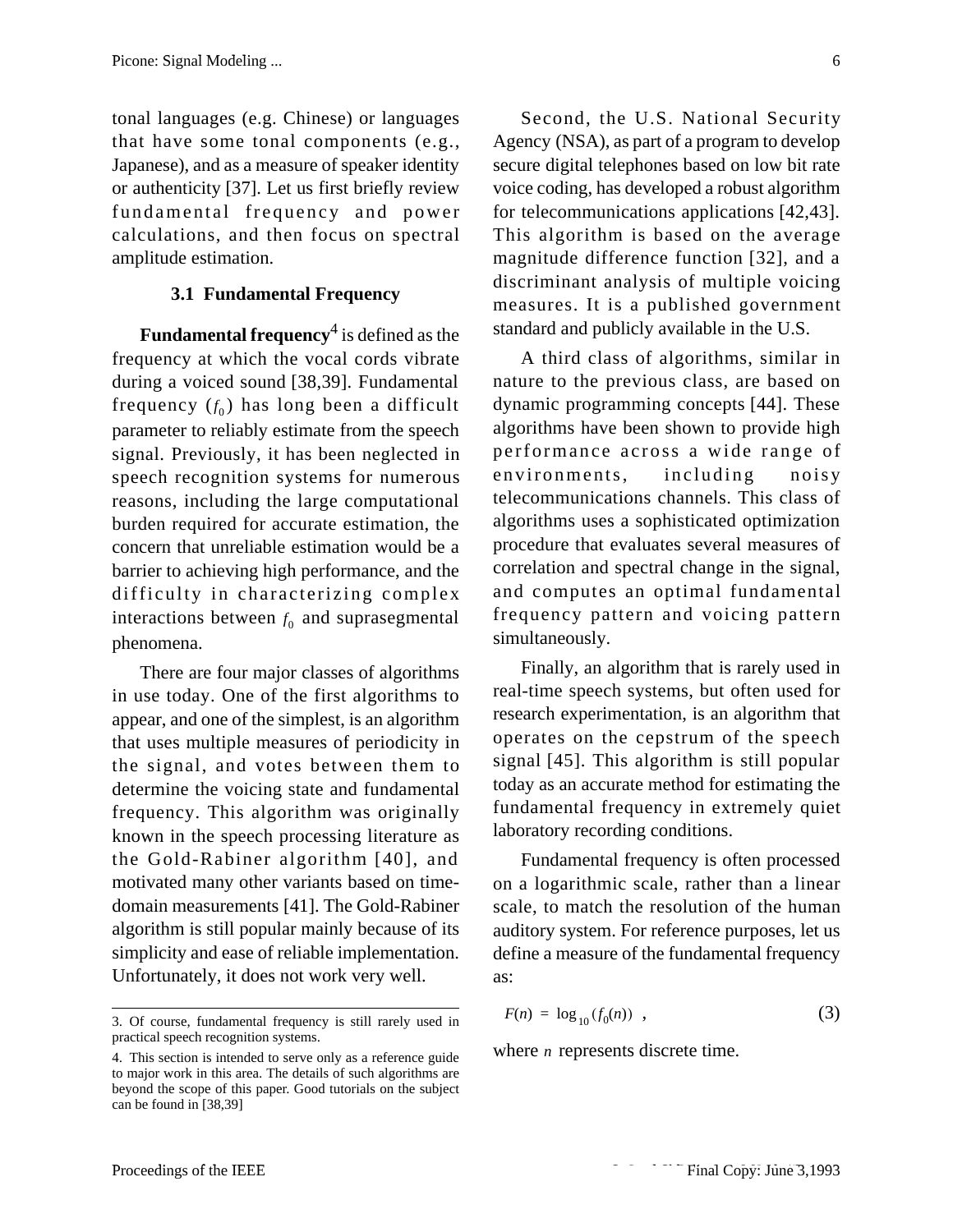tonal languages (e.g. Chinese) or languages that have some tonal components (e.g., Japanese), and as a measure of speaker identity or authenticity [37]. Let us first briefly review fundamental frequency and power calculations, and then focus on spectral amplitude estimation.

# **3.1 Fundamental Frequency**

**Fundamental frequency<sup>4</sup>** is defined as the frequency at which the vocal cords vibrate during a voiced sound [38,39]. Fundamental frequency  $(f_0)$  has long been a difficult parameter to reliably estimate from the speech signal. Previously, it has been neglected in speech recognition systems for numerous reasons, including the large computational burden required for accurate estimation, the concern that unreliable estimation would be a barrier to achieving high performance, and the difficulty in characterizing complex interactions between  $f_0$  and suprasegmental phenomena.

There are four major classes of algorithms in use today. One of the first algorithms to appear, and one of the simplest, is an algorithm that uses multiple measures of periodicity in the signal, and votes between them to determine the voicing state and fundamental frequency. This algorithm was originally known in the speech processing literature as the Gold-Rabiner algorithm [40], and motivated many other variants based on timedomain measurements [41]. The Gold-Rabiner algorithm is still popular mainly because of its simplicity and ease of reliable implementation. Unfortunately, it does not work very well.

Second, the U.S. National Security Agency (NSA), as part of a program to develop secure digital telephones based on low bit rate voice coding, has developed a robust algorithm for telecommunications applications [42,43]. This algorithm is based on the average magnitude difference function [32], and a discriminant analysis of multiple voicing measures. It is a published government standard and publicly available in the U.S.

A third class of algorithms, similar in nature to the previous class, are based on dynamic programming concepts [44]. These algorithms have been shown to provide high performance across a wide range of environments, including noisy telecommunications channels. This class of algorithms uses a sophisticated optimization procedure that evaluates several measures of correlation and spectral change in the signal, and computes an optimal fundamental frequency pattern and voicing pattern simultaneously.

Finally, an algorithm that is rarely used in real-time speech systems, but often used for research experimentation, is an algorithm that operates on the cepstrum of the speech signal [45]. This algorithm is still popular today as an accurate method for estimating the fundamental frequency in extremely quiet laboratory recording conditions.

Fundamental frequency is often processed on a logarithmic scale, rather than a linear scale, to match the resolution of the human auditory system. For reference purposes, let us define a measure of the fundamental frequency as:

$$
F(n) = \log_{10}(f_0(n)) \quad , \tag{3}
$$

where *n* represents discrete time.

<sup>3.</sup> Of course, fundamental frequency is still rarely used in practical speech recognition systems.

<sup>4.</sup> This section is intended to serve only as a reference guide to major work in this area. The details of such algorithms are beyond the scope of this paper. Good tutorials on the subject can be found in [38,39]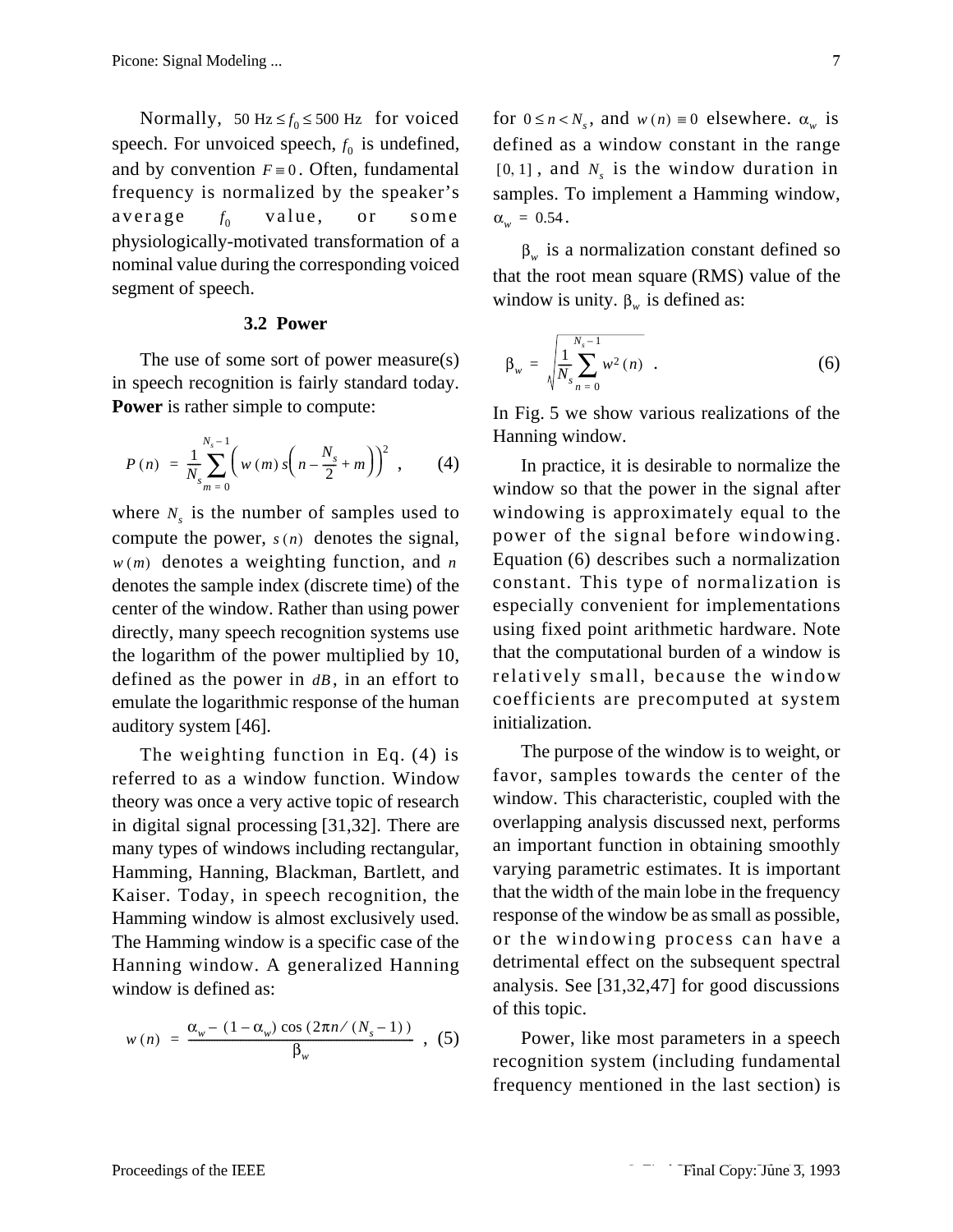speech. For unvoiced speech,  $f_0$  is undefined, and by convention  $F \equiv 0$ . Often, fundamental frequency is normalized by the speaker's average  $f_0$  value, or some physiologically-motivated transformation of a nominal value during the corresponding voiced segment of speech. Normally, 50 Hz  $\leq f_0 \leq 500$  Hz for voiced  $f_0$ 

#### **3.2 Power**

The use of some sort of power measure(s) in speech recognition is fairly standard today. **Power** is rather simple to compute:

$$
P(n) = \frac{1}{N_s} \sum_{m=0}^{N_s-1} \left( w(m) s\left(n - \frac{N_s}{2} + m\right) \right)^2 , \qquad (4)
$$

where  $N_s$  is the number of samples used to compute the power,  $s(n)$  denotes the signal,  $w(m)$  denotes a weighting function, and *n* denotes the sample index (discrete time) of the center of the window. Rather than using power directly, many speech recognition systems use the logarithm of the power multiplied by 10, defined as the power in  $dB$ , in an effort to emulate the logarithmic response of the human auditory system [46].

The weighting function in Eq. (4) is referred to as a window function. Window theory was once a very active topic of research in digital signal processing [31,32]. There are many types of windows including rectangular, Hamming, Hanning, Blackman, Bartlett, and Kaiser. Today, in speech recognition, the Hamming window is almost exclusively used. The Hamming window is a specific case of the Hanning window. A generalized Hanning window is defined as:

$$
w(n) = \frac{\alpha_w - (1 - \alpha_w) \cos(2\pi n / (N_s - 1))}{\beta_w} , \quad (5)
$$

for  $0 \le n < N_s$ , and  $w(n) \equiv 0$  elsewhere.  $\alpha_w$  is defined as a window constant in the range  $[0, 1]$ , and  $N_s$  is the window duration in samples. To implement a Hamming window,  $\alpha_w^{} = 0.54$ .

 is a normalization constant defined so β*w* that the root mean square (RMS) value of the window is unity.  $\beta_w$  is defined as:

$$
\beta_{w} = \sqrt{\frac{1}{N_{s}} \sum_{n=0}^{N_{s}-1} w^{2}(n)} \quad . \tag{6}
$$

In Fig. 5 we show various realizations of the Hanning window.

Normally, so that for the second is the second of the second in the second in the second of the second in the supergeneous  $\alpha$ , is and  $\alpha$  is the window constant in the range purency is normalized by the speaker's sampl In practice, it is desirable to normalize the window so that the power in the signal after windowing is approximately equal to the power of the signal before windowing. Equation (6) describes such a normalization constant. This type of normalization is especially convenient for implementations using fixed point arithmetic hardware. Note that the computational burden of a window is relatively small, because the window coefficients are precomputed at system initialization.

The purpose of the window is to weight, or favor, samples towards the center of the window. This characteristic, coupled with the overlapping analysis discussed next, performs an important function in obtaining smoothly varying parametric estimates. It is important that the width of the main lobe in the frequency response of the window be as small as possible, or the windowing process can have a detrimental effect on the subsequent spectral analysis. See [31,32,47] for good discussions of this topic.

Power, like most parameters in a speech recognition system (including fundamental frequency mentioned in the last section) is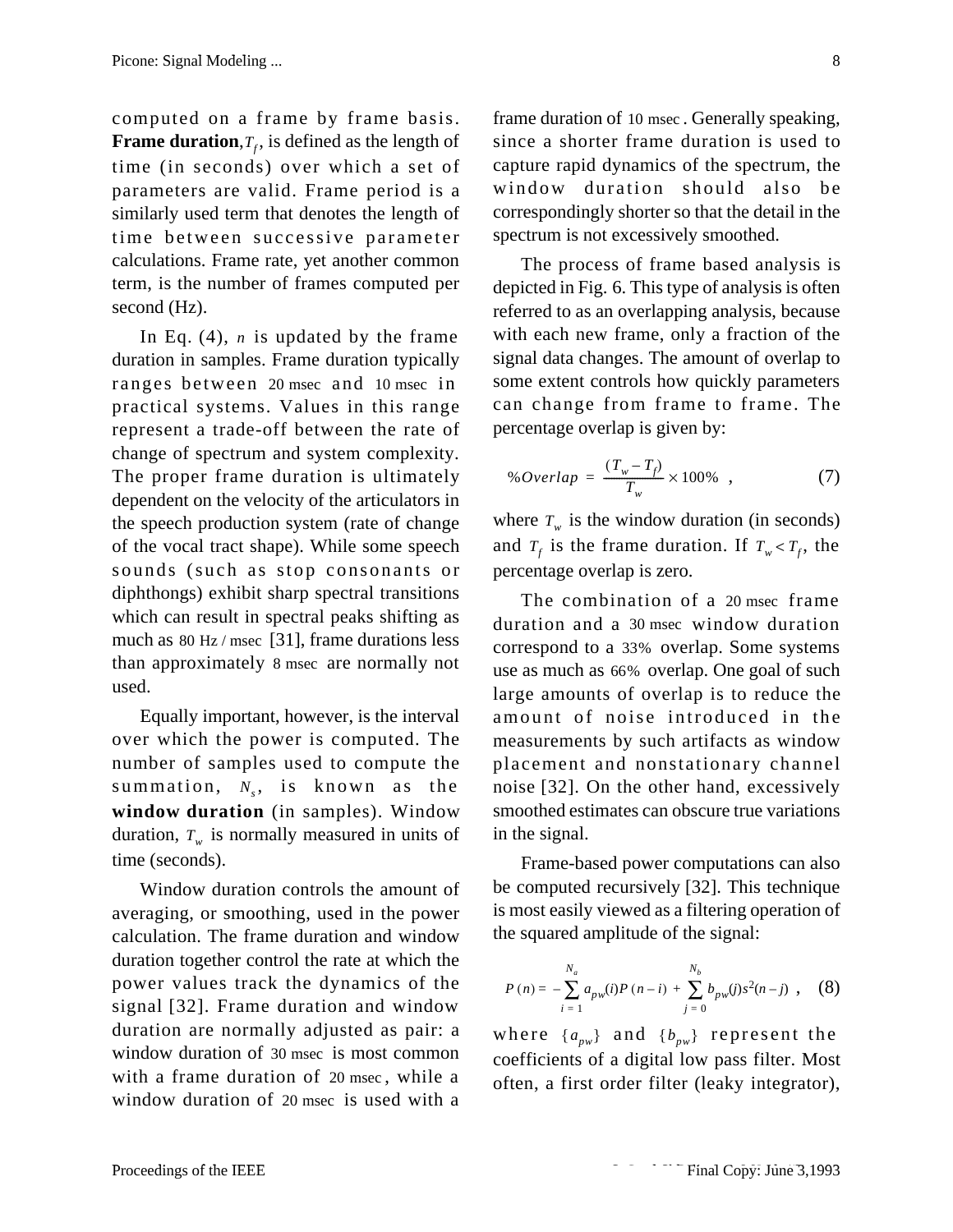computed on a frame by frame basis. **Frame duration**,  $T_f$ , is defined as the length of time (in seconds) over which a set of parameters are valid. Frame period is a similarly used term that denotes the length of time between successive parameter calculations. Frame rate, yet another common term, is the number of frames computed per second (Hz).

In Eq.  $(4)$ , *n* is updated by the frame duration in samples. Frame duration typically ranges between 20 msec and 10 msec in practical systems. Values in this range represent a trade-off between the rate of change of spectrum and system complexity. The proper frame duration is ultimately dependent on the velocity of the articulators in the speech production system (rate of change of the vocal tract shape). While some speech sounds (such as stop consonants or diphthongs) exhibit sharp spectral transitions which can result in spectral peaks shifting as much as 80 Hz / msec [31], frame durations less than approximately 8 msec are normally not used.

Equally important, however, is the interval over which the power is computed. The number of samples used to compute the summation,  $N_s$ , is known as the **window duration** (in samples). Window duration,  $T_w$  is normally measured in units of time (seconds).

Window duration controls the amount of averaging, or smoothing, used in the power calculation. The frame duration and window duration together control the rate at which the power values track the dynamics of the signal [32]. Frame duration and window duration are normally adjusted as pair: a window duration of 30 msec is most common with a frame duration of 20 msec, while a window duration of 20 msec is used with a

frame duration of 10 msec. Generally speaking, since a shorter frame duration is used to capture rapid dynamics of the spectrum, the window duration should also be correspondingly shorter so that the detail in the spectrum is not excessively smoothed.

The process of frame based analysis is depicted in Fig. 6. This type of analysis is often referred to as an overlapping analysis, because with each new frame, only a fraction of the signal data changes. The amount of overlap to some extent controls how quickly parameters can change from frame to frame. The percentage overlap is given by:

$$
\% \text{Overlap} = \frac{(T_w - T_f)}{T_w} \times 100\% \quad , \tag{7}
$$

where  $T_w$  is the window duration (in seconds) and  $T_f$  is the frame duration. If  $T_w < T_f$ , the percentage overlap is zero.

The combination of a 20 msec frame duration and a 30 msec window duration correspond to a 33% overlap. Some systems use as much as 66% overlap. One goal of such large amounts of overlap is to reduce the amount of noise introduced in the measurements by such artifacts as window placement and nonstationary channel noise [32]. On the other hand, excessively smoothed estimates can obscure true variations in the signal.

Frame-based power computations can also be computed recursively [32]. This technique is most easily viewed as a filtering operation of the squared amplitude of the signal:

$$
P(n) = -\sum_{i=1}^{N_a} a_{pw}(i)P(n-i) + \sum_{j=0}^{N_b} b_{pw}(j)s^2(n-j) , \quad (8)
$$

where  $\{a_{pw}\}\$  and  $\{b_{pw}\}\$  represent the coefficients of a digital low pass filter. Most often, a first order filter (leaky integrator),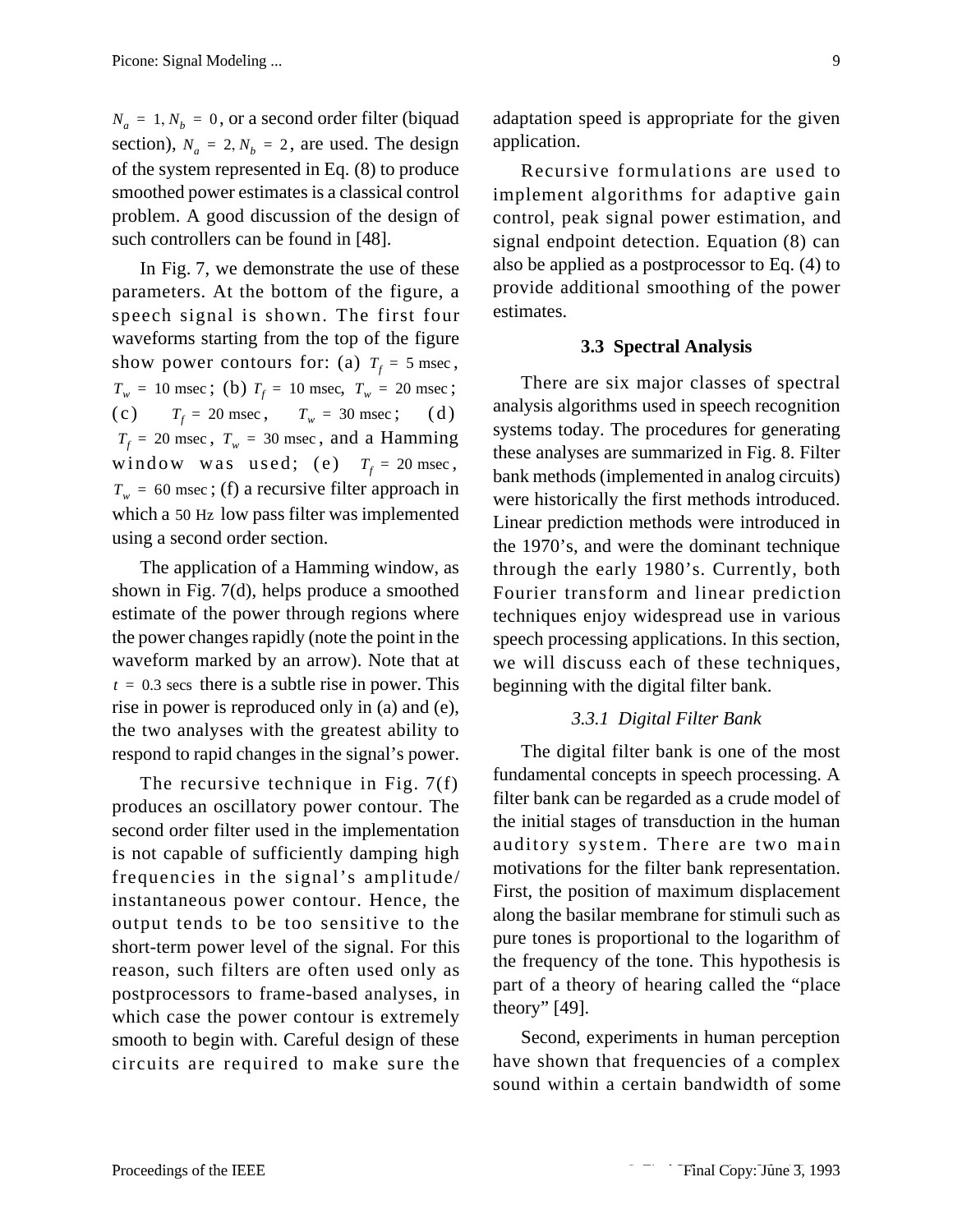section),  $N_a = 2, N_b = 2$ , are used. The design of the system represented in Eq. (8) to produce smoothed power estimates is a classical control problem. A good discussion of the design of such controllers can be found in [48].  $N_a = 1, N_b = 0$ , or a second order filter (biquad

In Fig. 7, we demonstrate the use of these parameters. At the bottom of the figure, a speech signal is shown. The first four waveforms starting from the top of the figure show power contours for: (a)  $T_f = 5$  msec,  $T_w = 10$  msec; (b)  $T_f = 10$  msec,  $T_w = 20$  msec; (c)  $T_f = 20 \text{ msec}$ ,  $T_w = 30 \text{ msec}$ ; (d)  $T_f = 20$  msec,  $T_w = 30$  msec, and a Hamming window was used; (e)  $T_f = 20$  msec,  $T_w = 60$  msec; (f) a recursive filter approach in which a 50 Hz low pass filter was implemented using a second order section.

The application of a Hamming window, as shown in Fig. 7(d), helps produce a smoothed estimate of the power through regions where the power changes rapidly (note the point in the waveform marked by an arrow). Note that at  $t = 0.3$  secs there is a subtle rise in power. This rise in power is reproduced only in (a) and (e), the two analyses with the greatest ability to respond to rapid changes in the signal's power.

The recursive technique in Fig. 7(f) produces an oscillatory power contour. The second order filter used in the implementation is not capable of sufficiently damping high frequencies in the signal's amplitude/ instantaneous power contour. Hence, the output tends to be too sensitive to the short-term power level of the signal. For this reason, such filters are often used only as postprocessors to frame-based analyses, in which case the power contour is extremely smooth to begin with. Careful design of these circuits are required to make sure the

adaptation speed is appropriate for the given application.

Recursive formulations are used to implement algorithms for adaptive gain control, peak signal power estimation, and signal endpoint detection. Equation (8) can also be applied as a postprocessor to Eq. (4) to provide additional smoothing of the power estimates.

### **3.3 Spectral Analysis**

or a second order filter (biquad datapation spectrossion) and the given<br>properties of the given application. The given application for the given<br>erestimates in  $D_4(8)$  propolation second or the design order in the<br>presen There are six major classes of spectral analysis algorithms used in speech recognition systems today. The procedures for generating these analyses are summarized in Fig. 8. Filter bank methods (implemented in analog circuits) were historically the first methods introduced. Linear prediction methods were introduced in the 1970's, and were the dominant technique through the early 1980's. Currently, both Fourier transform and linear prediction techniques enjoy widespread use in various speech processing applications. In this section, we will discuss each of these techniques, beginning with the digital filter bank.

# *3.3.1 Digital Filter Bank*

The digital filter bank is one of the most fundamental concepts in speech processing. A filter bank can be regarded as a crude model of the initial stages of transduction in the human auditory system. There are two main motivations for the filter bank representation. First, the position of maximum displacement along the basilar membrane for stimuli such as pure tones is proportional to the logarithm of the frequency of the tone. This hypothesis is part of a theory of hearing called the "place theory" [49].

Second, experiments in human perception have shown that frequencies of a complex sound within a certain bandwidth of some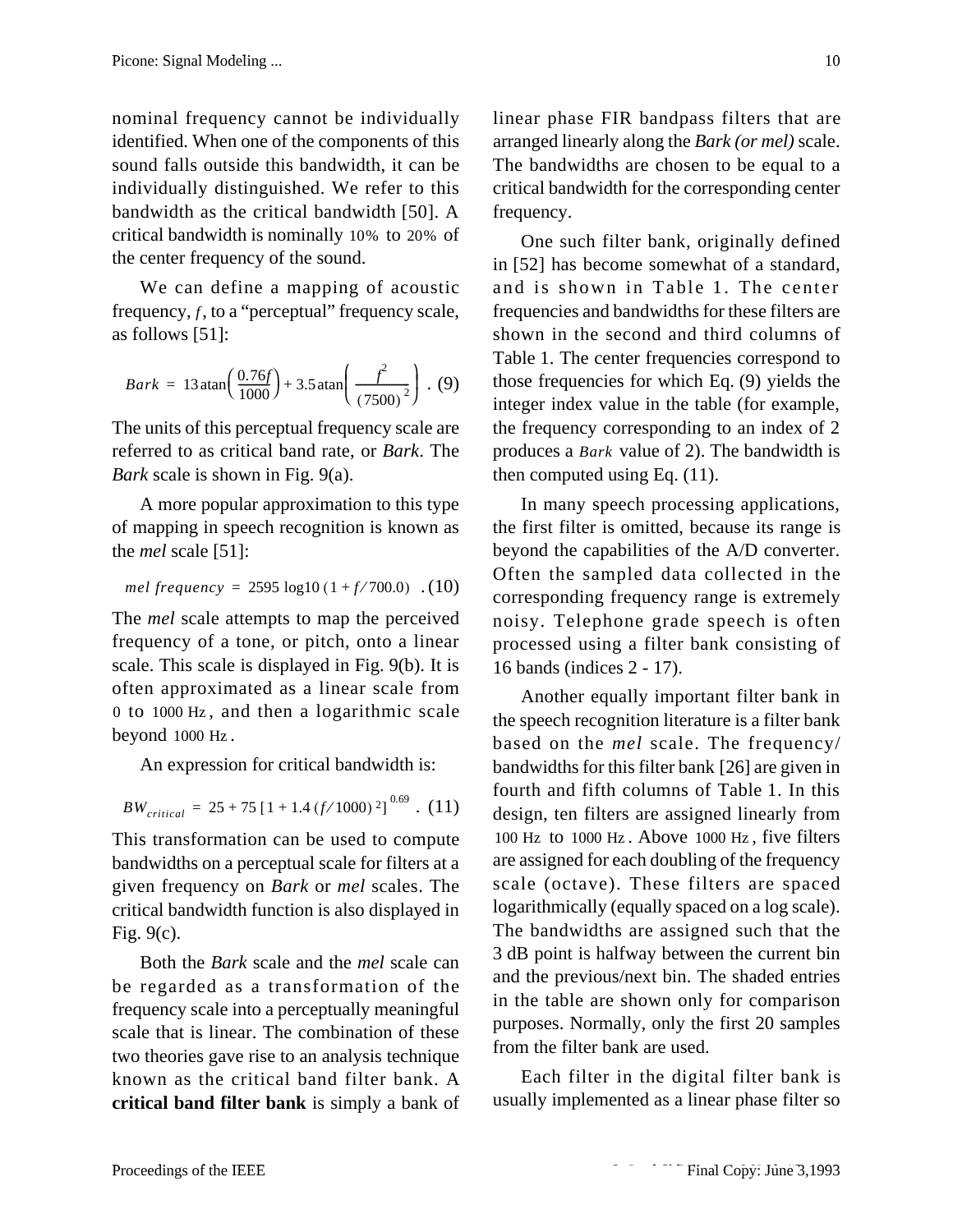nominal frequency cannot be individually identified. When one of the components of this sound falls outside this bandwidth, it can be individually distinguished. We refer to this bandwidth as the critical bandwidth [50]. A critical bandwidth is nominally 10% to 20% of the center frequency of the sound.

We can define a mapping of acoustic frequency, f, to a "perceptual" frequency scale, as follows [51]:

$$
Bark = 13 \operatorname{atan}\left(\frac{0.76f}{1000}\right) + 3.5 \operatorname{atan}\left(\frac{f^2}{(7500)^2}\right). (9)
$$

The units of this perceptual frequency scale are referred to as critical band rate, or *Bark*. The *Bark* scale is shown in Fig. 9(a).

A more popular approximation to this type of mapping in speech recognition is known as the *mel* scale [51]:

$$
mel frequency = 2595 \log 10 (1 + f/700.0) \quad . (10)
$$

The *mel* scale attempts to map the perceived frequency of a tone, or pitch, onto a linear scale. This scale is displayed in Fig. 9(b). It is often approximated as a linear scale from 0 to 1000 Hz, and then a logarithmic scale beyond 1000 Hz.

An expression for critical bandwidth is:

$$
BW_{critical} = 25 + 75 \left[ 1 + 1.4 \left( f / 1000 \right)^2 \right]^{0.69} . (11)
$$

This transformation can be used to compute bandwidths on a perceptual scale for filters at a given frequency on *Bark* or *mel* scales. The critical bandwidth function is also displayed in Fig. 9(c).

Both the *Bark* scale and the *mel* scale can be regarded as a transformation of the frequency scale into a perceptually meaningful scale that is linear. The combination of these two theories gave rise to an analysis technique known as the critical band filter bank. A **critical band filter bank** is simply a bank of linear phase FIR bandpass filters that are arranged linearly along the *Bark (or mel)* scale. The bandwidths are chosen to be equal to a critical bandwidth for the corresponding center frequency.

One such filter bank, originally defined in [52] has become somewhat of a standard, and is shown in Table 1. The center frequencies and bandwidths for these filters are shown in the second and third columns of Table 1. The center frequencies correspond to those frequencies for which Eq. (9) yields the integer index value in the table (for example, the frequency corresponding to an index of 2 produces a *Bark* value of 2). The bandwidth is then computed using Eq. (11).

In many speech processing applications, the first filter is omitted, because its range is beyond the capabilities of the A/D converter. Often the sampled data collected in the corresponding frequency range is extremely noisy. Telephone grade speech is often processed using a filter bank consisting of 16 bands (indices 2 - 17).

Another equally important filter bank in the speech recognition literature is a filter bank based on the *mel* scale. The frequency/ bandwidths for this filter bank [26] are given in fourth and fifth columns of Table 1. In this design, ten filters are assigned linearly from 100 Hz to 1000 Hz. Above 1000 Hz, five filters are assigned for each doubling of the frequency scale (octave). These filters are spaced logarithmically (equally spaced on a log scale). The bandwidths are assigned such that the 3 dB point is halfway between the current bin and the previous/next bin. The shaded entries in the table are shown only for comparison purposes. Normally, only the first 20 samples from the filter bank are used.

Each filter in the digital filter bank is usually implemented as a linear phase filter so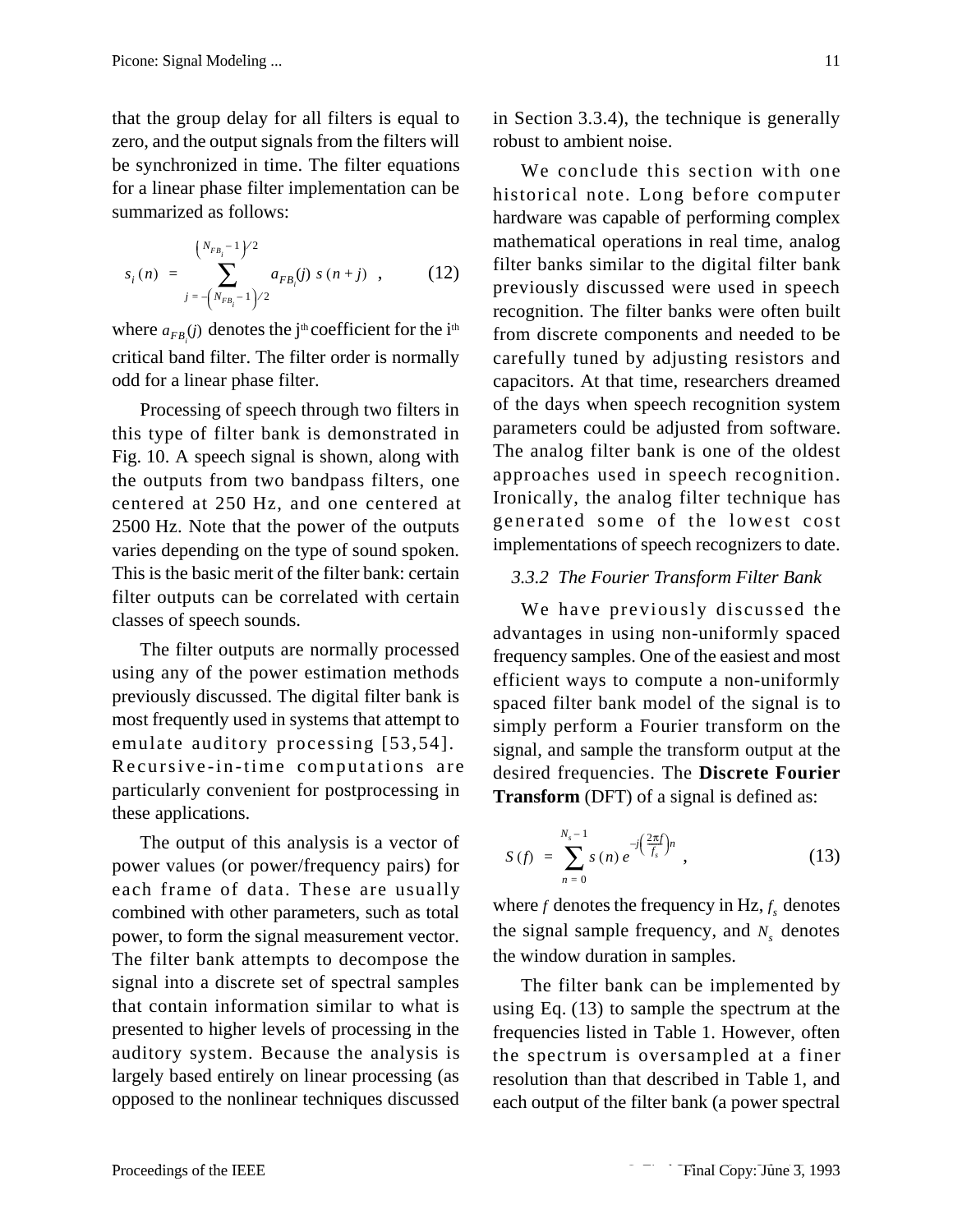zero, and the output signals from the filters will be synchronized in time. The filter equations for a linear phase filter implementation can be summarized as follows:

$$
s_i(n) = \sum_{j = -\binom{N_{FB_i} - 1}{2}}^{\binom{N_{FB_i} - 1}{2}} a_{FB_i}(j) \, s(n + j) \quad , \tag{12}
$$

where  $a_{FB_i}(j)$  denotes the j<sup>th</sup> coefficient for the i<sup>th</sup> critical band filter. The filter order is normally odd for a linear phase filter.

Processing of speech through two filters in this type of filter bank is demonstrated in Fig. 10. A speech signal is shown, along with the outputs from two bandpass filters, one centered at 250 Hz, and one centered at 2500 Hz. Note that the power of the outputs varies depending on the type of sound spoken. This is the basic merit of the filter bank: certain filter outputs can be correlated with certain classes of speech sounds.

The filter outputs are normally processed using any of the power estimation methods previously discussed. The digital filter bank is most frequently used in systems that attempt to emulate auditory processing [53,54]. Recursive-in-time computations are particularly convenient for postprocessing in these applications.

The output of this analysis is a vector of power values (or power/frequency pairs) for each frame of data. These are usually combined with other parameters, such as total power, to form the signal measurement vector. The filter bank attempts to decompose the signal into a discrete set of spectral samples that contain information similar to what is presented to higher levels of processing in the auditory system. Because the analysis is largely based entirely on linear processing (as opposed to the nonlinear techniques discussed

in Section 3.3.4), the technique is generally robust to ambient noise.

The Richard one of the lowest experimental and the experimental Consumer is equal control. The interversion of the second Submission in the experimental control interversion in the final Copy and the second this second th We conclude this section with one historical note. Long before computer hardware was capable of performing complex mathematical operations in real time, analog filter banks similar to the digital filter bank previously discussed were used in speech recognition. The filter banks were often built from discrete components and needed to be carefully tuned by adjusting resistors and capacitors. At that time, researchers dreamed of the days when speech recognition system parameters could be adjusted from software. The analog filter bank is one of the oldest approaches used in speech recognition. Ironically, the analog filter technique has generated some of the lowest cost implementations of speech recognizers to date.

#### *3.3.2 The Fourier Transform Filter Bank*

We have previously discussed the advantages in using non-uniformly spaced frequency samples. One of the easiest and most efficient ways to compute a non-uniformly spaced filter bank model of the signal is to simply perform a Fourier transform on the signal, and sample the transform output at the desired frequencies. The **Discrete Fourier Transform** (DFT) of a signal is defined as:

$$
S(f) = \sum_{n=0}^{N_s-1} s(n) e^{-j\left(\frac{2\pi f}{f_s}\right)n} , \qquad (13)
$$

where  $f$  denotes the frequency in Hz,  $f_s$  denotes the signal sample frequency, and  $N<sub>s</sub>$  denotes the window duration in samples.

The filter bank can be implemented by using Eq. (13) to sample the spectrum at the frequencies listed in Table 1. However, often the spectrum is oversampled at a finer resolution than that described in Table 1, and each output of the filter bank (a power spectral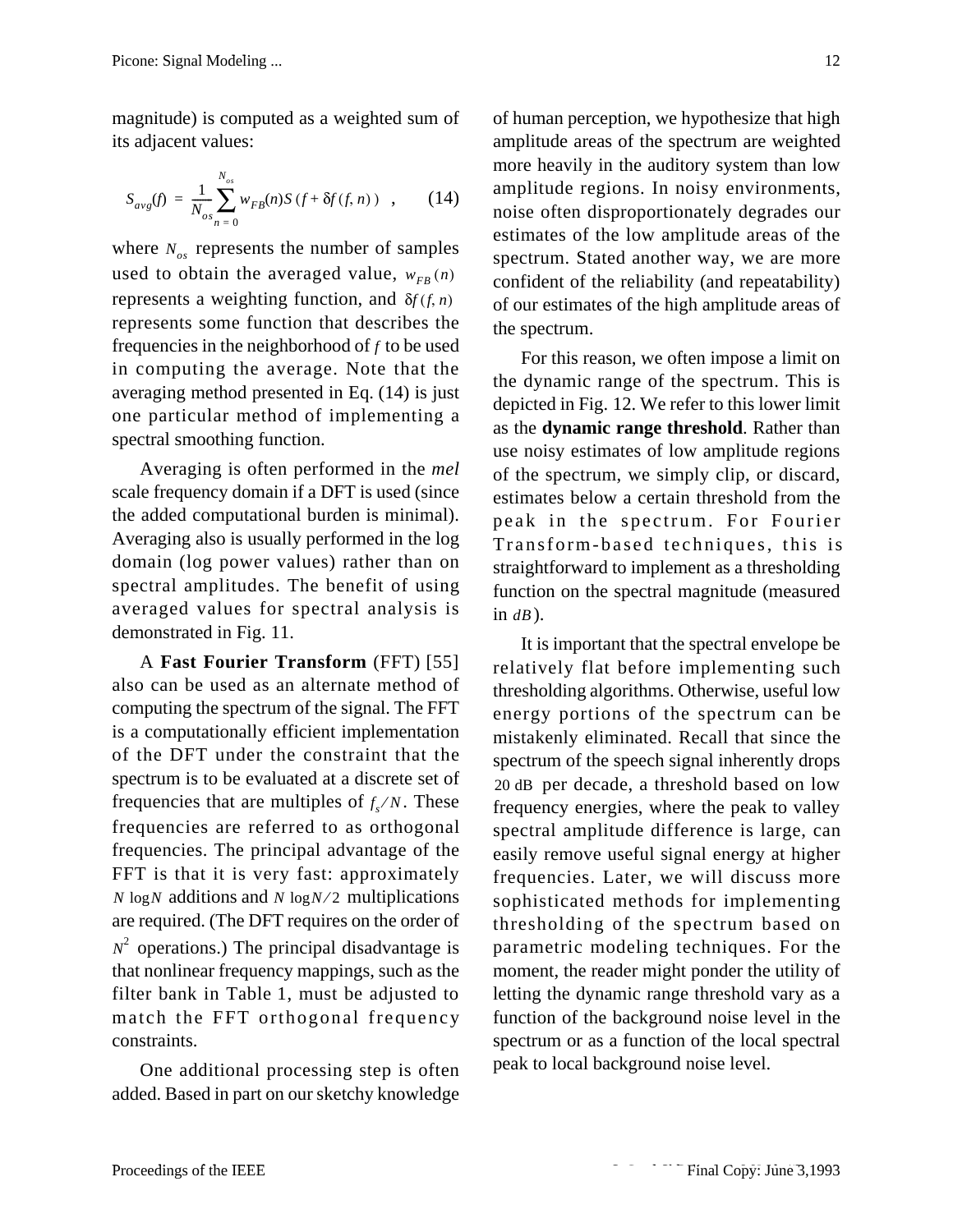magnitude) is computed as a weighted sum of its adjacent values:

$$
S_{avg}(f) = \frac{1}{N_{os}} \sum_{n=0}^{N_{os}} w_{FB}(n) S(f + \delta f(f, n)) , \qquad (14)
$$

where  $N_{os}$  represents the number of samples used to obtain the averaged value,  $w_{FB}(n)$ represents a weighting function, and  $\delta f(f, n)$ represents some function that describes the frequencies in the neighborhood of  $f$  to be used in computing the average. Note that the averaging method presented in Eq. (14) is just one particular method of implementing a spectral smoothing function.

Averaging is often performed in the *mel* scale frequency domain if a DFT is used (since the added computational burden is minimal). Averaging also is usually performed in the log domain (log power values) rather than on spectral amplitudes. The benefit of using averaged values for spectral analysis is demonstrated in Fig. 11.

A **Fast Fourier Transform** (FFT) [55] also can be used as an alternate method of computing the spectrum of the signal. The FFT is a computationally efficient implementation of the DFT under the constraint that the spectrum is to be evaluated at a discrete set of frequencies that are multiples of  $f_s/N$ . These frequencies are referred to as orthogonal frequencies. The principal advantage of the FFT is that it is very fast: approximately  $N \log N$  additions and  $N \log N/2$  multiplications are required. (The DFT requires on the order of  $N^2$  operations.) The principal disadvantage is that nonlinear frequency mappings, such as the filter bank in Table 1, must be adjusted to match the FFT orthogonal frequency constraints.

One additional processing step is often added. Based in part on our sketchy knowledge of human perception, we hypothesize that high amplitude areas of the spectrum are weighted more heavily in the auditory system than low amplitude regions. In noisy environments, noise often disproportionately degrades our estimates of the low amplitude areas of the spectrum. Stated another way, we are more confident of the reliability (and repeatability) of our estimates of the high amplitude areas of the spectrum.

For this reason, we often impose a limit on the dynamic range of the spectrum. This is depicted in Fig. 12. We refer to this lower limit as the **dynamic range threshold**. Rather than use noisy estimates of low amplitude regions of the spectrum, we simply clip, or discard, estimates below a certain threshold from the peak in the spectrum. For Fourier Transform-based techniques, this is straightforward to implement as a thresholding function on the spectral magnitude (measured  $\sin$  *dB*).

It is important that the spectral envelope be relatively flat before implementing such thresholding algorithms. Otherwise, useful low energy portions of the spectrum can be mistakenly eliminated. Recall that since the spectrum of the speech signal inherently drops 20 dB per decade, a threshold based on low frequency energies, where the peak to valley spectral amplitude difference is large, can easily remove useful signal energy at higher frequencies. Later, we will discuss more sophisticated methods for implementing thresholding of the spectrum based on parametric modeling techniques. For the moment, the reader might ponder the utility of letting the dynamic range threshold vary as a function of the background noise level in the spectrum or as a function of the local spectral peak to local background noise level.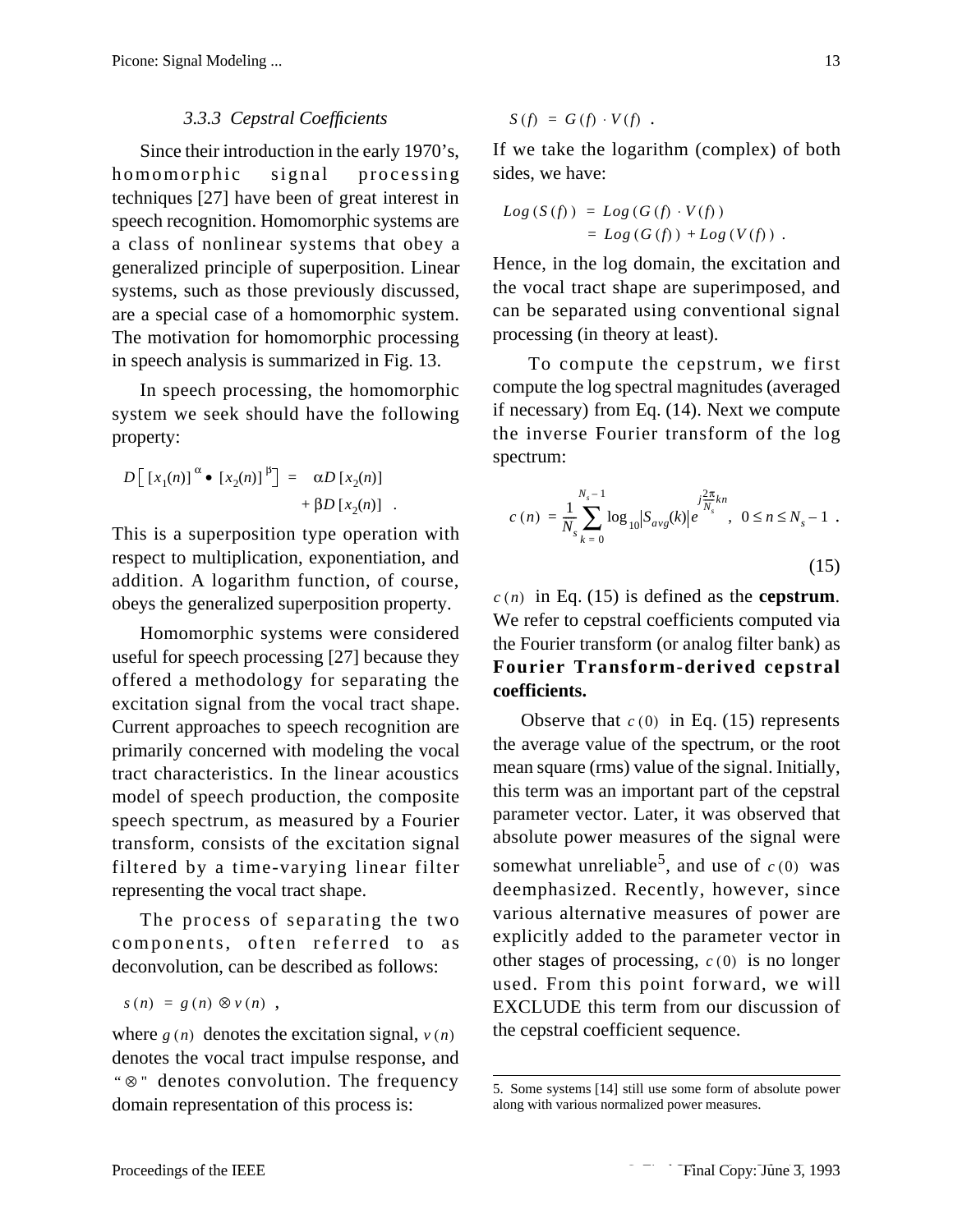Since their introduction in the early 1970's, homomorphic signal processing techniques [27] have been of great interest in speech recognition. Homomorphic systems are a class of nonlinear systems that obey a generalized principle of superposition. Linear systems, such as those previously discussed, are a special case of a homomorphic system. The motivation for homomorphic processing in speech analysis is summarized in Fig. 13.

In speech processing, the homomorphic system we seek should have the following property:

$$
D\Big[\left[x_1(n)\right]^{\alpha} \bullet \left[x_2(n)\right]^{\beta}\Big] = \alpha D\left[x_2(n)\right] + \beta D\left[x_2(n)\right] \ .
$$

This is a superposition type operation with respect to multiplication, exponentiation, and addition. A logarithm function, of course, obeys the generalized superposition property.

Homomorphic systems were considered useful for speech processing [27] because they offered a methodology for separating the excitation signal from the vocal tract shape. Current approaches to speech recognition are primarily concerned with modeling the vocal tract characteristics. In the linear acoustics model of speech production, the composite speech spectrum, as measured by a Fourier transform, consists of the excitation signal filtered by a time-varying linear filter representing the vocal tract shape.

The process of separating the two components, often referred to as deconvolution, can be described as follows:

$$
s(n) = g(n) \otimes v(n) ,
$$

where  $g(n)$  denotes the excitation signal,  $v(n)$ denotes the vocal tract impulse response, and " ⊗" denotes convolution. The frequency domain representation of this process is:

$$
S(f) = G(f) \cdot V(f)
$$

If we take the logarithm (complex) of both sides, we have:

.

$$
Log(S(f)) = Log(G(f) \cdot V(f))
$$
  
= Log(G(f)) + Log(V(f)) .

Hence, in the log domain, the excitation and the vocal tract shape are superimposed, and can be separated using conventional signal processing (in theory at least).

 To compute the cepstrum, we first compute the log spectral magnitudes (averaged if necessary) from Eq. (14). Next we compute the inverse Fourier transform of the log spectrum:

$$
c(n) = \frac{1}{N_s} \sum_{k=0}^{N_s - 1} \log_{10} |S_{avg}(k)| e^{\int \frac{j2\pi}{N_s} kn}, \quad 0 \le n \le N_s - 1.
$$
\n(15)

 $c(n)$  in Eq. (15) is defined as the **cepstrum**. We refer to cepstral coefficients computed via the Fourier transform (or analog filter bank) as **Fourier Transform-derived cepstral coefficients.**

3.3.3 Ceptral Coefficients<br>
2.3.3 Ceptral Coefficient and the existing of  $\theta$  of  $(0, 1)$ <br>
1.4.4.2.1993 IEEE Final Coefficient and the exist of the exist of the system of the system and  $I_{\text{reg}}(S(t)) = I_{\text{reg}}(S(t)) - I_{\text{reg}}(V$ Observe that  $c(0)$  in Eq. (15) represents the average value of the spectrum, or the root mean square (rms) value of the signal. Initially, this term was an important part of the cepstral parameter vector. Later, it was observed that absolute power measures of the signal were somewhat unreliable<sup>5</sup>, and use of  $c(0)$  was deemphasized. Recently, however, since various alternative measures of power are explicitly added to the parameter vector in other stages of processing,  $c(0)$  is no longer used. From this point forward, we will EXCLUDE this term from our discussion of the cepstral coefficient sequence.

<sup>5.</sup> Some systems [14] still use some form of absolute power along with various normalized power measures.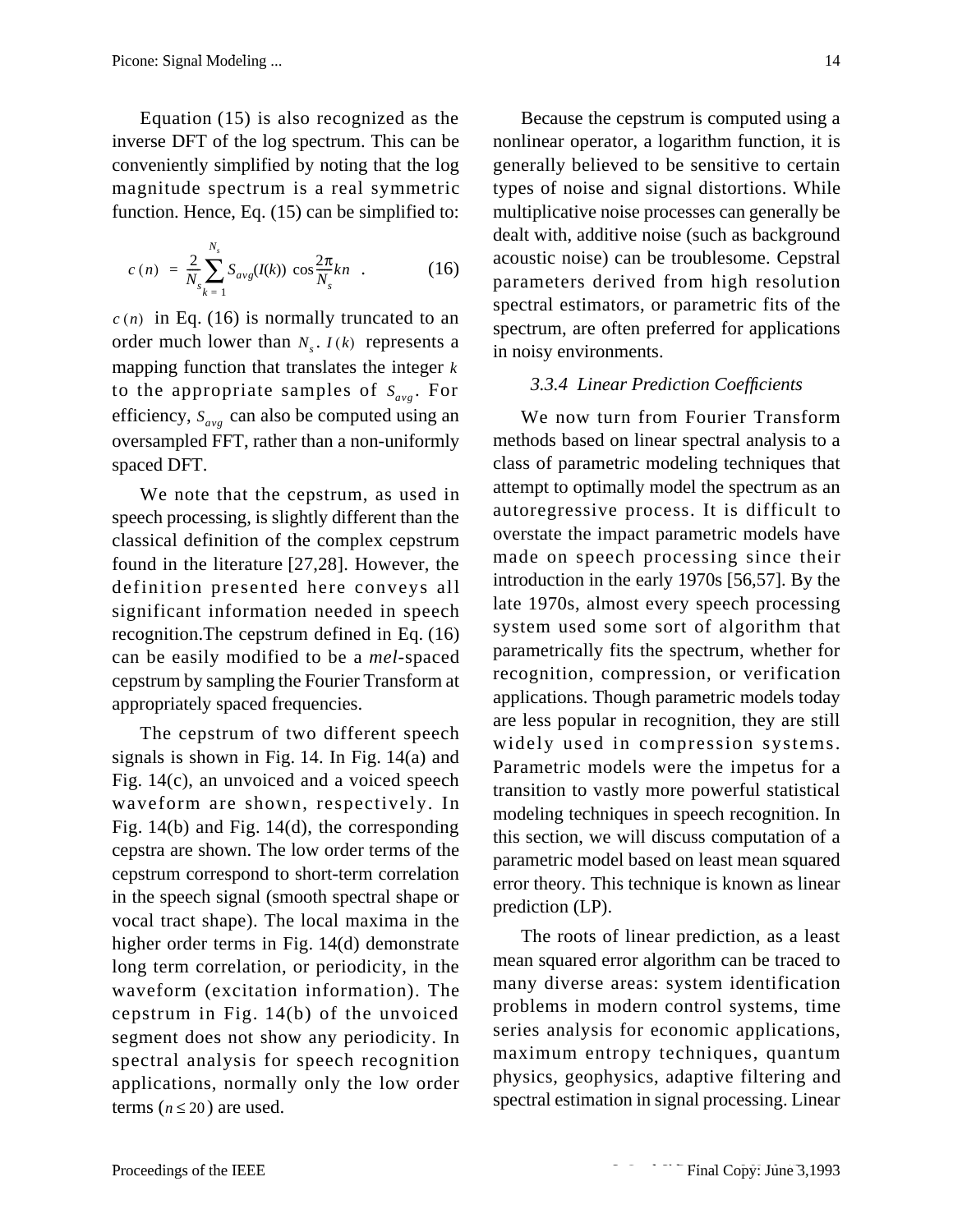Equation (15) is also recognized as the inverse DFT of the log spectrum. This can be conveniently simplified by noting that the log magnitude spectrum is a real symmetric function. Hence, Eq. (15) can be simplified to:

$$
c(n) = \frac{2}{N_s} \sum_{k=1}^{N_s} S_{avg}(I(k)) \cos \frac{2\pi}{N_s} kn \quad . \tag{16}
$$

 $c(n)$  in Eq. (16) is normally truncated to an order much lower than  $N_s$ .  $I(k)$  represents a mapping function that translates the integer *k* to the appropriate samples of  $S_{avg}$ . For efficiency,  $S_{avg}$  can also be computed using an oversampled FFT, rather than a non-uniformly spaced DFT.

We note that the cepstrum, as used in speech processing, is slightly different than the classical definition of the complex cepstrum found in the literature [27,28]. However, the definition presented here conveys all significant information needed in speech recognition.The cepstrum defined in Eq. (16) can be easily modified to be a *mel*-spaced cepstrum by sampling the Fourier Transform at appropriately spaced frequencies.

The cepstrum of two different speech signals is shown in Fig.  $14$ . In Fig.  $14(a)$  and Fig. 14(c), an unvoiced and a voiced speech waveform are shown, respectively. In Fig. 14(b) and Fig. 14(d), the corresponding cepstra are shown. The low order terms of the cepstrum correspond to short-term correlation in the speech signal (smooth spectral shape or vocal tract shape). The local maxima in the higher order terms in Fig. 14(d) demonstrate long term correlation, or periodicity, in the waveform (excitation information). The cepstrum in Fig. 14(b) of the unvoiced segment does not show any periodicity. In spectral analysis for speech recognition applications, normally only the low order terms  $(n \leq 20)$  are used.

Because the cepstrum is computed using a nonlinear operator, a logarithm function, it is generally believed to be sensitive to certain types of noise and signal distortions. While multiplicative noise processes can generally be dealt with, additive noise (such as background acoustic noise) can be troublesome. Cepstral parameters derived from high resolution spectral estimators, or parametric fits of the spectrum, are often preferred for applications in noisy environments.

### *3.3.4 Linear Prediction Coefficients*

We now turn from Fourier Transform methods based on linear spectral analysis to a class of parametric modeling techniques that attempt to optimally model the spectrum as an autoregressive process. It is difficult to overstate the impact parametric models have made on speech processing since their introduction in the early 1970s [56,57]. By the late 1970s, almost every speech processing system used some sort of algorithm that parametrically fits the spectrum, whether for recognition, compression, or verification applications. Though parametric models today are less popular in recognition, they are still widely used in compression systems. Parametric models were the impetus for a transition to vastly more powerful statistical modeling techniques in speech recognition. In this section, we will discuss computation of a parametric model based on least mean squared error theory. This technique is known as linear prediction (LP).

The roots of linear prediction, as a least mean squared error algorithm can be traced to many diverse areas: system identification problems in modern control systems, time series analysis for economic applications, maximum entropy techniques, quantum physics, geophysics, adaptive filtering and spectral estimation in signal processing. Linear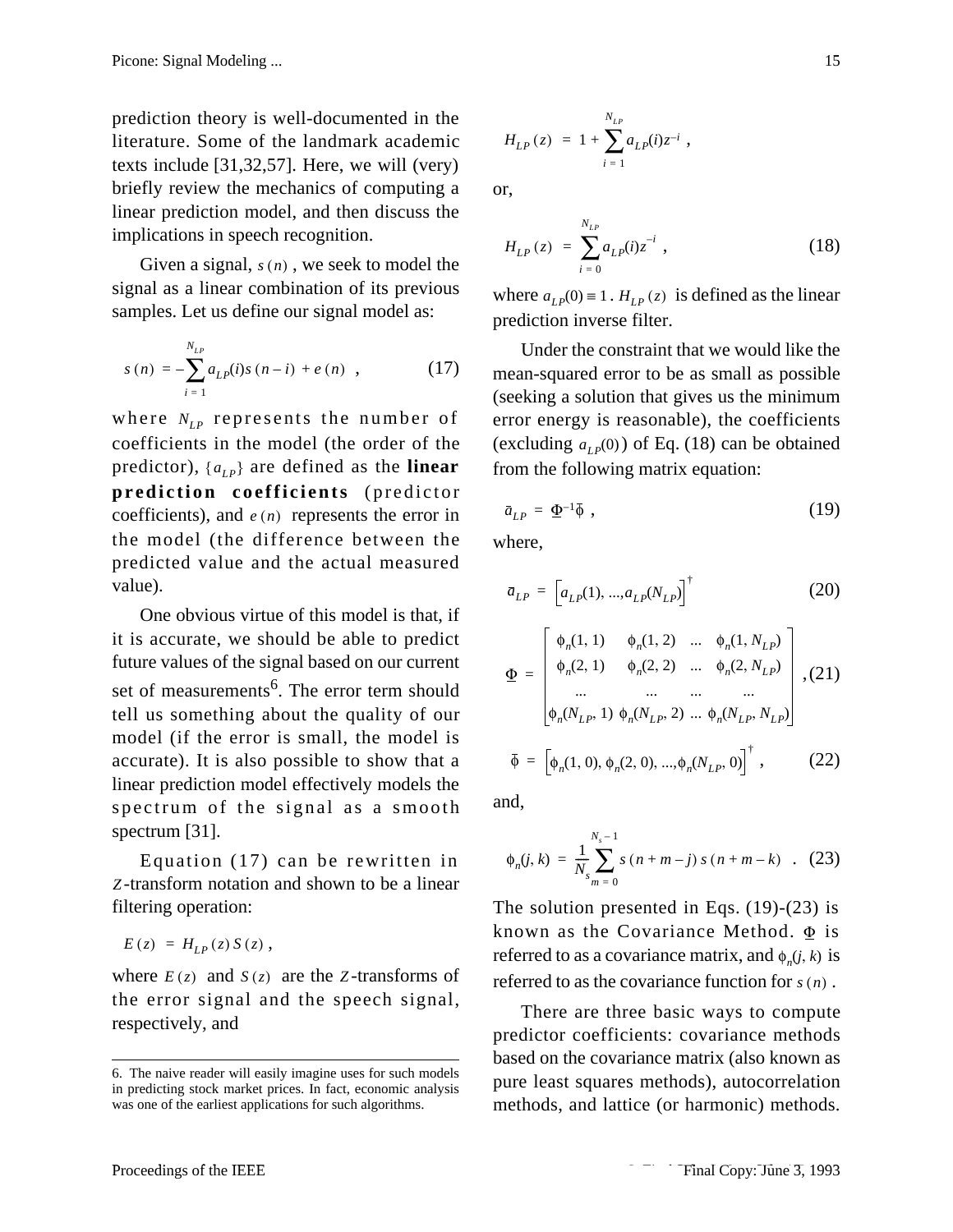literature. Some of the landmark academic texts include [31,32,57]. Here, we will (very) briefly review the mechanics of computing a linear prediction model, and then discuss the implications in speech recognition.

Given a signal,  $s(n)$ , we seek to model the signal as a linear combination of its previous samples. Let us define our signal model as:

$$
s(n) = -\sum_{i=1}^{N_{LP}} a_{LP}(i)s(n-i) + e(n) , \qquad (17)
$$

where  $N_{LP}$  represents the number of coefficients in the model (the order of the predictor),  $\{a_{LP}\}$  are defined as the **linear prediction coefficients** (predictor coefficients), and  $e(n)$  represents the error in the model (the difference between the predicted value and the actual measured value).

grediction theory is well-documented in the second in the second Submission and Submission:  $\epsilon_{1,1}$  (Second) F31, 23,293 IEEE was well leveral conducts and the speech is model, and then document precision and signal con One obvious virtue of this model is that, if it is accurate, we should be able to predict future values of the signal based on our current set of measurements<sup>6</sup>. The error term should tell us something about the quality of our model (if the error is small, the model is accurate). It is also possible to show that a linear prediction model effectively models the spectrum of the signal as a smooth spectrum [31].

Equation (17) can be rewritten in -transform notation and shown to be a linear *Z* filtering operation:

$$
E(z) = H_{LP}(z) S(z),
$$

where  $E(z)$  and  $S(z)$  are the *Z*-transforms of the error signal and the speech signal, respectively, and

$$
H_{LP}(z) = 1 + \sum_{i=1}^{N_{LP}} a_{LP}(i) z^{-i} ,
$$

or,

$$
H_{LP}(z) = \sum_{i=0}^{N_{LP}} a_{LP}(i) z^{-i} , \qquad (18)
$$

where  $a_{LP}(0) \equiv 1$ .  $H_{LP}(z)$  is defined as the linear prediction inverse filter.

Under the constraint that we would like the mean-squared error to be as small as possible (seeking a solution that gives us the minimum error energy is reasonable), the coefficients (excluding  $a_{LP}(0)$ ) of Eq. (18) can be obtained from the following matrix equation:

$$
\bar{a}_{LP} = \underline{\Phi}^{-1} \bar{\phi} \tag{19}
$$

where,

$$
\bar{a}_{LP} = \left[ a_{LP}(1), \dots, a_{LP}(N_{LP}) \right]^{\dagger} \tag{20}
$$

$$
\Phi = \begin{bmatrix}\n\phi_n(1, 1) & \phi_n(1, 2) & \dots & \phi_n(1, N_{LP}) \\
\phi_n(2, 1) & \phi_n(2, 2) & \dots & \phi_n(2, N_{LP}) \\
\vdots & \vdots & \ddots & \vdots \\
\phi_n(N_{LP}, 1) & \phi_n(N_{LP}, 2) & \dots & \phi_n(N_{LP}, N_{LP})\n\end{bmatrix}, (21)
$$
\n
$$
\overline{\Phi} = \begin{bmatrix}\n\phi_n(1, 0), \phi_n(2, 0), \dots, \phi_n(N_{LP}, 0)\n\end{bmatrix}^\dagger, \qquad (22)
$$

and,

$$
\phi_n(j,k) = \frac{1}{N_s} \sum_{m=0}^{N_s-1} s(n+m-j) s(n+m-k) \quad . \quad (23)
$$

The solution presented in Eqs. (19)-(23) is known as the Covariance Method.  $\Phi$  is referred to as a covariance matrix, and  $\phi_n(j, k)$  is referred to as the covariance function for  $s(n)$ .

There are three basic ways to compute predictor coefficients: covariance methods based on the covariance matrix (also known as pure least squares methods), autocorrelation methods, and lattice (or harmonic) methods.

<sup>6.</sup> The naive reader will easily imagine uses for such models in predicting stock market prices. In fact, economic analysis was one of the earliest applications for such algorithms.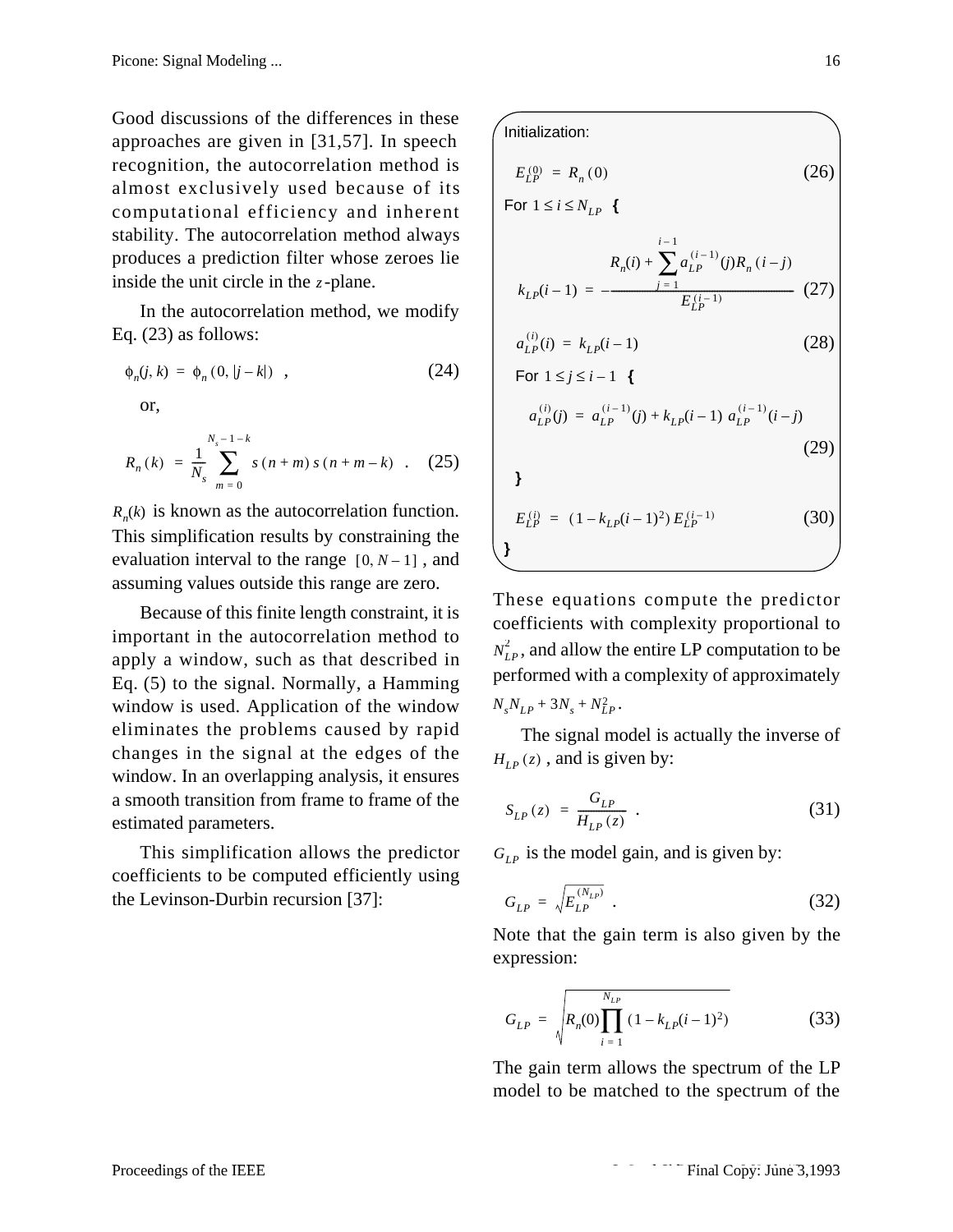Good discussions of the differences in these approaches are given in [31,57]. In speech recognition, the autocorrelation method is almost exclusively used because of its computational efficiency and inherent stability. The autocorrelation method always produces a prediction filter whose zeroes lie inside the unit circle in the  $z$ -plane.

In the autocorrelation method, we modify Eq. (23) as follows:

$$
\phi_n(j,k) = \phi_n(0,|j-k|) , \qquad (24)
$$

or,

$$
R_n(k) = \frac{1}{N_s} \sum_{m=0}^{N_s-1-k} s(n+m) s(n+m-k) \quad . \tag{25}
$$

 $R_n(k)$  is known as the autocorrelation function. This simplification results by constraining the evaluation interval to the range  $[0, N-1]$ , and assuming values outside this range are zero.

Because of this finite length constraint, it is important in the autocorrelation method to apply a window, such as that described in Eq. (5) to the signal. Normally, a Hamming window is used. Application of the window eliminates the problems caused by rapid changes in the signal at the edges of the window. In an overlapping analysis, it ensures a smooth transition from frame to frame of the estimated parameters.

This simplification allows the predictor coefficients to be computed efficiently using the Levinson-Durbin recursion [37]:

$$
\begin{cases}\n\text{Initialization:} \\
E_{LP}^{(0)} = R_n(0) & (26) \\
\text{For } 1 \le i \le N_{LP} \\
\qquad k_{LP}(i-1) = -\frac{i-1}{E_{LP}^{(i-1)}}(j)R_n(i-j) \\
a_{LP}^{(i)}(i) = k_{LP}(i-1) & (27) \\
\text{For } 1 \le j \le i-1 \\
a_{LP}^{(i)}(j) = a_{LP}^{(i-1)}(j) + k_{LP}(i-1) a_{LP}^{(i-1)}(i-j) \\
\qquad \qquad \text{for } 2 \le j \le i-1\n\end{cases}
$$
\n
$$
E_{LP}^{(i)}(j) = a_{LP}^{(i-1)}(j) + k_{LP}(i-1) a_{LP}^{(i-1)}(i-j) \tag{29}
$$
\n
$$
E_{LP}^{(i)} = (1 - k_{LP}(i-1)^2) E_{LP}^{(i-1)} \tag{30}
$$

These equations compute the predictor coefficients with complexity proportional to  $N_{LP}^2$ , and allow the entire LP computation to be performed with a complexity of approximately  $N_s N_{LP} + 3N_s + N_{LP}^2$ .

The signal model is actually the inverse of  $H_{LP}(z)$ , and is given by:

$$
S_{LP}(z) = \frac{G_{LP}}{H_{LP}(z)} \tag{31}
$$

 $G_{LP}$  is the model gain, and is given by:

$$
G_{LP} = \sqrt{E_{LP}^{(N_{LP})}} \tag{32}
$$

Note that the gain term is also given by the expression:

$$
G_{LP} = \sqrt{R_n(0) \prod_{i=1}^{N_{LP}} (1 - k_{LP}(i-1)^2)}
$$
(33)

The gain term allows the spectrum of the LP model to be matched to the spectrum of the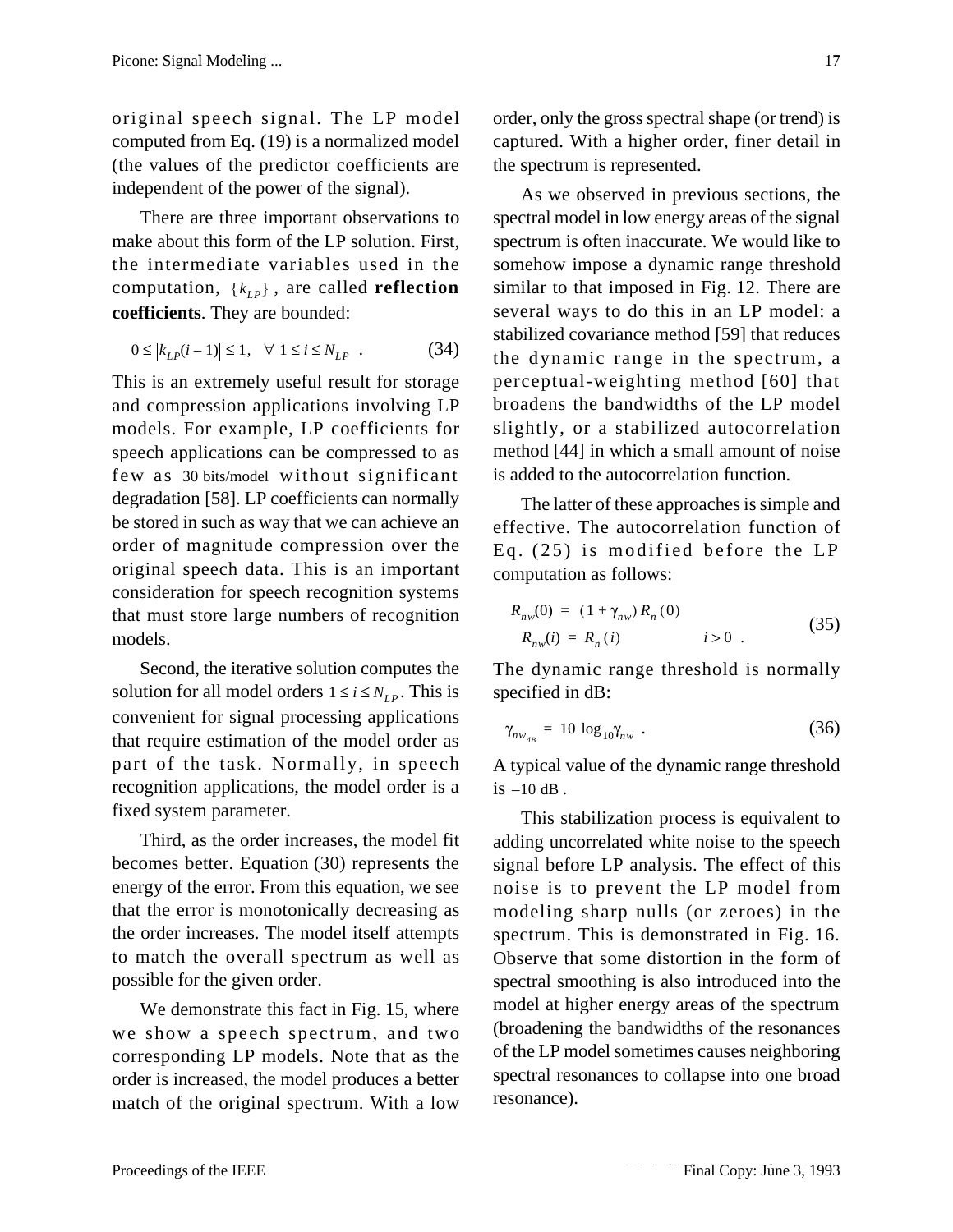computed from Eq. (19) is a normalized model (the values of the predictor coefficients are independent of the power of the signal).

There are three important observations to make about this form of the LP solution. First, the intermediate variables used in the computation,  $\{k_{LP}\}$ , are called **reflection coefficients**. They are bounded:

$$
0 \le |k_{LP}(i-1)| \le 1, \quad \forall \ 1 \le i \le N_{LP} \quad . \tag{34}
$$

This is an extremely useful result for storage and compression applications involving LP models. For example, LP coefficients for speech applications can be compressed to as few as 30 bits/model without significant degradation [58]. LP coefficients can normally be stored in such as way that we can achieve an order of magnitude compression over the original speech data. This is an important consideration for speech recognition systems that must store large numbers of recognition models.

Second, the iterative solution computes the solution for all model orders  $1 \le i \le N_{LP}$ . This is convenient for signal processing applications that require estimation of the model order as part of the task. Normally, in speech recognition applications, the model order is a fixed system parameter.

Third, as the order increases, the model fit becomes better. Equation (30) represents the energy of the error. From this equation, we see that the error is monotonically decreasing as the order increases. The model itself attempts to match the overall spectrum as well as possible for the given order.

We demonstrate this fact in Fig. 15, where we show a speech spectrum, and two corresponding LP models. Note that as the order is increased, the model produces a better match of the original spectrum. With a low order, only the gross spectral shape (or trend) is captured. With a higher order, finer detail in the spectrum is represented.

As we observed in previous sections, the spectral model in low energy areas of the signal spectrum is often inaccurate. We would like to somehow impose a dynamic range threshold similar to that imposed in Fig. 12. There are several ways to do this in an LP model: a stabilized covariance method [59] that reduces the dynamic range in the spectrum, a perceptual-weighting method [60] that broadens the bandwidths of the LP model slightly, or a stabilized autocorrelation method [44] in which a small amount of noise is added to the autocorrelation function.

The latter of these approaches is simple and effective. The autocorrelation function of Eq. (25) is modified before the LP computation as follows:

$$
R_{nw}(0) = (1 + \gamma_{nw}) R_n(0)
$$
  
\n
$$
R_{nw}(i) = R_n(i)
$$
  $i > 0$ . (35)

The dynamic range threshold is normally specified in dB:

$$
\gamma_{n w_{dB}} = 10 \log_{10} \gamma_{n w} \tag{36}
$$

A typical value of the dynamic range threshold  $is -10$  dB.

Criginal speech signal. The LP model oder, only the goos special shape (or tend) is the power of the product one finding the subsection is represented.<br>
The action is the special information to special information to spec This stabilization process is equivalent to adding uncorrelated white noise to the speech signal before LP analysis. The effect of this noise is to prevent the LP model from modeling sharp nulls (or zeroes) in the spectrum. This is demonstrated in Fig. 16. Observe that some distortion in the form of spectral smoothing is also introduced into the model at higher energy areas of the spectrum (broadening the bandwidths of the resonances of the LP model sometimes causes neighboring spectral resonances to collapse into one broad resonance).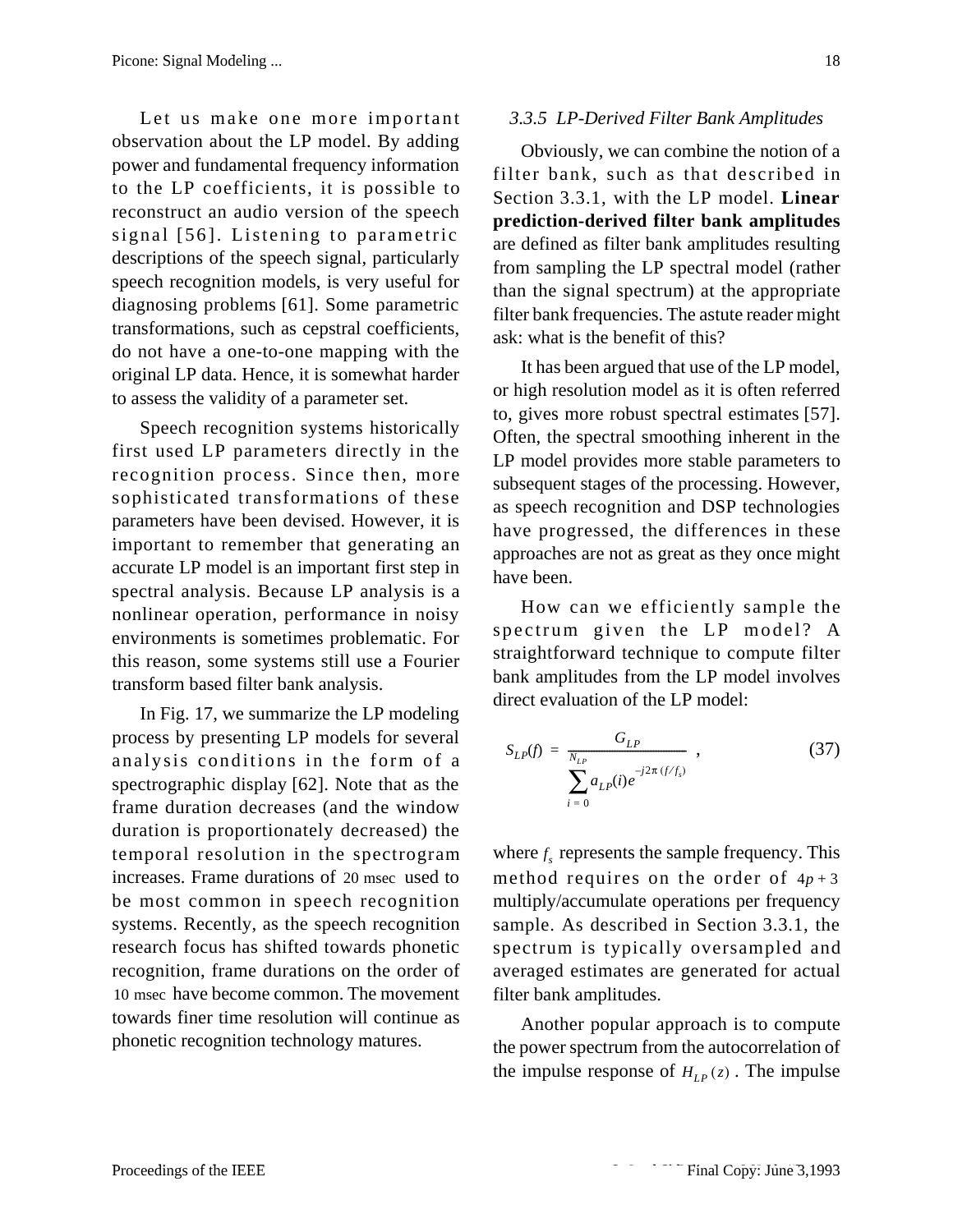Let us make one more important observation about the LP model. By adding power and fundamental frequency information to the LP coefficients, it is possible to reconstruct an audio version of the speech signal [56]. Listening to parametric descriptions of the speech signal, particularly speech recognition models, is very useful for diagnosing problems [61]. Some parametric transformations, such as cepstral coefficients, do not have a one-to-one mapping with the original LP data. Hence, it is somewhat harder to assess the validity of a parameter set.

Speech recognition systems historically first used LP parameters directly in the recognition process. Since then, more sophisticated transformations of these parameters have been devised. However, it is important to remember that generating an accurate LP model is an important first step in spectral analysis. Because LP analysis is a nonlinear operation, performance in noisy environments is sometimes problematic. For this reason, some systems still use a Fourier transform based filter bank analysis.

In Fig. 17, we summarize the LP modeling process by presenting LP models for several analysis conditions in the form of a spectrographic display [62]. Note that as the frame duration decreases (and the window duration is proportionately decreased) the temporal resolution in the spectrogram increases. Frame durations of 20 msec used to be most common in speech recognition systems. Recently, as the speech recognition research focus has shifted towards phonetic recognition, frame durations on the order of 10 msec have become common. The movement towards finer time resolution will continue as phonetic recognition technology matures.

# *3.3.5 LP-Derived Filter Bank Amplitudes*

Obviously, we can combine the notion of a filter bank, such as that described in Section 3.3.1, with the LP model. **Linear prediction-derived filter bank amplitudes** are defined as filter bank amplitudes resulting from sampling the LP spectral model (rather than the signal spectrum) at the appropriate filter bank frequencies. The astute reader might ask: what is the benefit of this?

It has been argued that use of the LP model, or high resolution model as it is often referred to, gives more robust spectral estimates [57]. Often, the spectral smoothing inherent in the LP model provides more stable parameters to subsequent stages of the processing. However, as speech recognition and DSP technologies have progressed, the differences in these approaches are not as great as they once might have been.

How can we efficiently sample the spectrum given the LP model? A straightforward technique to compute filter bank amplitudes from the LP model involves direct evaluation of the LP model:

$$
S_{LP}(f) = \frac{G_{LP}}{\sum_{i=0}^{N_{LP}} a_{LP}(i)e^{-j2\pi (f/f_s)}} ,
$$
 (37)

where  $f_s$  represents the sample frequency. This method requires on the order of  $4p+3$ multiply/accumulate operations per frequency sample. As described in Section 3.3.1, the spectrum is typically oversampled and averaged estimates are generated for actual filter bank amplitudes.

Another popular approach is to compute the power spectrum from the autocorrelation of the impulse response of  $H_{LP}(z)$ . The impulse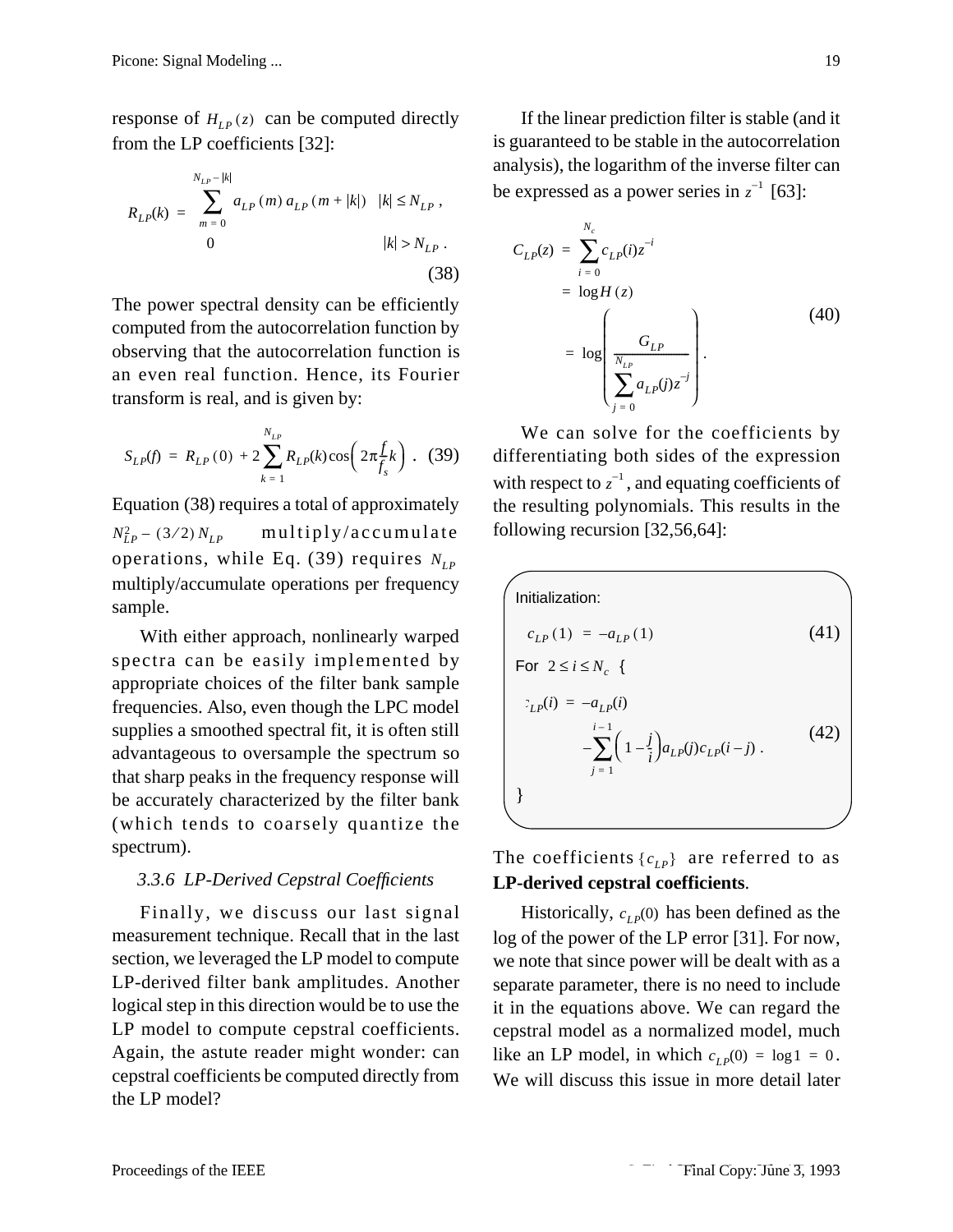from the LP coefficients [32]: response of  $H_{LP}(z)$  can be computed directly

$$
R_{LP}(k) = \sum_{m=0}^{N_{LP}-|k|} a_{LP}(m) a_{LP}(m+|k|) |k| \le N_{LP},
$$
  
0 |k| > N\_{LP}. (38)

The power spectral density can be efficiently computed from the autocorrelation function by observing that the autocorrelation function is an even real function. Hence, its Fourier transform is real, and is given by:

$$
S_{LP}(f) = R_{LP}(0) + 2 \sum_{k=1}^{N_{LP}} R_{LP}(k) \cos \left( 2 \pi \frac{f}{f_s} k \right) . \quad (39)
$$

Equation (38) requires a total of approximately multiply/accumulate operations, while Eq. (39) requires *NLP* multiply/accumulate operations per frequency sample.  $N_{LP}^2 - (3/2) N_{LP}$ 

With either approach, nonlinearly warped spectra can be easily implemented by appropriate choices of the filter bank sample frequencies. Also, even though the LPC model supplies a smoothed spectral fit, it is often still advantageous to oversample the spectrum so that sharp peaks in the frequency response will be accurately characterized by the filter bank (which tends to coarsely quantize the spectrum).

### *3.3.6 LP-Derived Cepstral Coefficients*

Finally, we discuss our last signal measurement technique. Recall that in the last section, we leveraged the LP model to compute LP-derived filter bank amplitudes. Another logical step in this direction would be to use the LP model to compute cepstral coefficients. Again, the astute reader might wonder: can cepstral coefficients be computed directly from the LP model?

If the linear prediction filter is stable (and it is guaranteed to be stable in the autocorrelation analysis), the logarithm of the inverse filter can be expressed as a power series in  $z^{-1}$  [63]:

$$
C_{LP}(z) = \sum_{i=0}^{N_c} c_{LP}(i) z^{-i}
$$
  
= log $H(z)$   
= log $\left(\frac{G_{LP}}{\sum_{j=0}^{N_{LP}} a_{LP}(j) z^{-j}}\right)$ . (40)

We can solve for the coefficients by differentiating both sides of the expression with respect to  $z^{-1}$ , and equating coefficients of the resulting polynomials. This results in the following recursion [32,56,64]:

response of 
$$
H_{f,p}(z)
$$
 can be computed directly  
\nfrom the LP coefficients [32]:  
\n
$$
R_{Lp}(k) = \sum_{m=0}^{N_{f,p}-|1|} a_{f,p}(m) a_{f,p}(m+|k|) |k| \leq N_{f,p},
$$
\nandlysis), the logarithm of the inverse filter can  
\n
$$
R_{Lp}(k) = \sum_{m=0}^{N} a_{f,p}(m) a_{f,p}(m+|k|) |k| \leq N_{f,p},
$$
\n
$$
= \sum_{j=0}^{N} c_{f,p}(j) z^i
$$
\nThe power spectral density can be efficiently  
\ncomputed from the autocorrelation function by  
\nobserving that the autocorrelation function is  
\ntransform is real, and is given by:  
\n
$$
S_{f,p}(j) = R_{f,p}(0) + 2 \sum_{k=1}^{N} R_{f,p}(k) \cos \left( 2\pi \frac{f}{f_k} k \right).
$$
\n(39) differentiating both sides of the expression  
\nEquation (38) requires a total of approximately  
\nthe resulting point sides of the expression  
\nEquation (38) requires a total of approximately  
\nthe resulting both sides of the expression  
\nEquation (38) requires a total of approximately  
\nthe resulting point sides of the expression  
\nthe resulting acceleration; while Eq. (39) requires  $N_{Lp}$   
\nwith either approach, nonlinearly wrapped  
\nsphere choices. Also, even though the LPC model  
\nsuppplied as anoothed spectral fit, it is often still  
\nadvantagesous to oversample the spectrum so  
\nthe accuracy response will  
\nthe accuracy in the frequency response will  
\nthe accuracy in the frequency response with respect to x<sup>-1</sup>, and equating coefficients of  
\nrepresents a horizontal fit, it is often still  
\nadvantagesous to oversample the spectrum so  
\n
$$
S,3,6
$$
 LP-*Period Cepstral Coefficients*  
\nWe find the rank  
\nfunction tends to coarsely quantize the  
\nspectrum).  
\n
$$
S,3,6
$$
 LP-*Period Cepstral Coefficients*  
\n
$$
S,3,6
$$
 LP-*Period Cepstral Coefficients*  
\n
$$
S,3,6
$$
 LP-*Period Cepstral Coefficients*  
\n
$$
S,3,6
$$
 LP-*Period Cepstral Coefficients*  
\n
$$
S,3,6
$$
 LP-*Period Cepstral Coefficients*  
\n
$$

$$

The coefficients  $\{c_{LP}\}$  are referred to as **LP-derived cepstral coefficients**.

Historically,  $c_{LP}(0)$  has been defined as the log of the power of the LP error [31]. For now, we note that since power will be dealt with as a separate parameter, there is no need to include it in the equations above. We can regard the cepstral model as a normalized model, much like an LP model, in which  $c_{LP}(0) = \log 1 = 0$ . We will discuss this issue in more detail later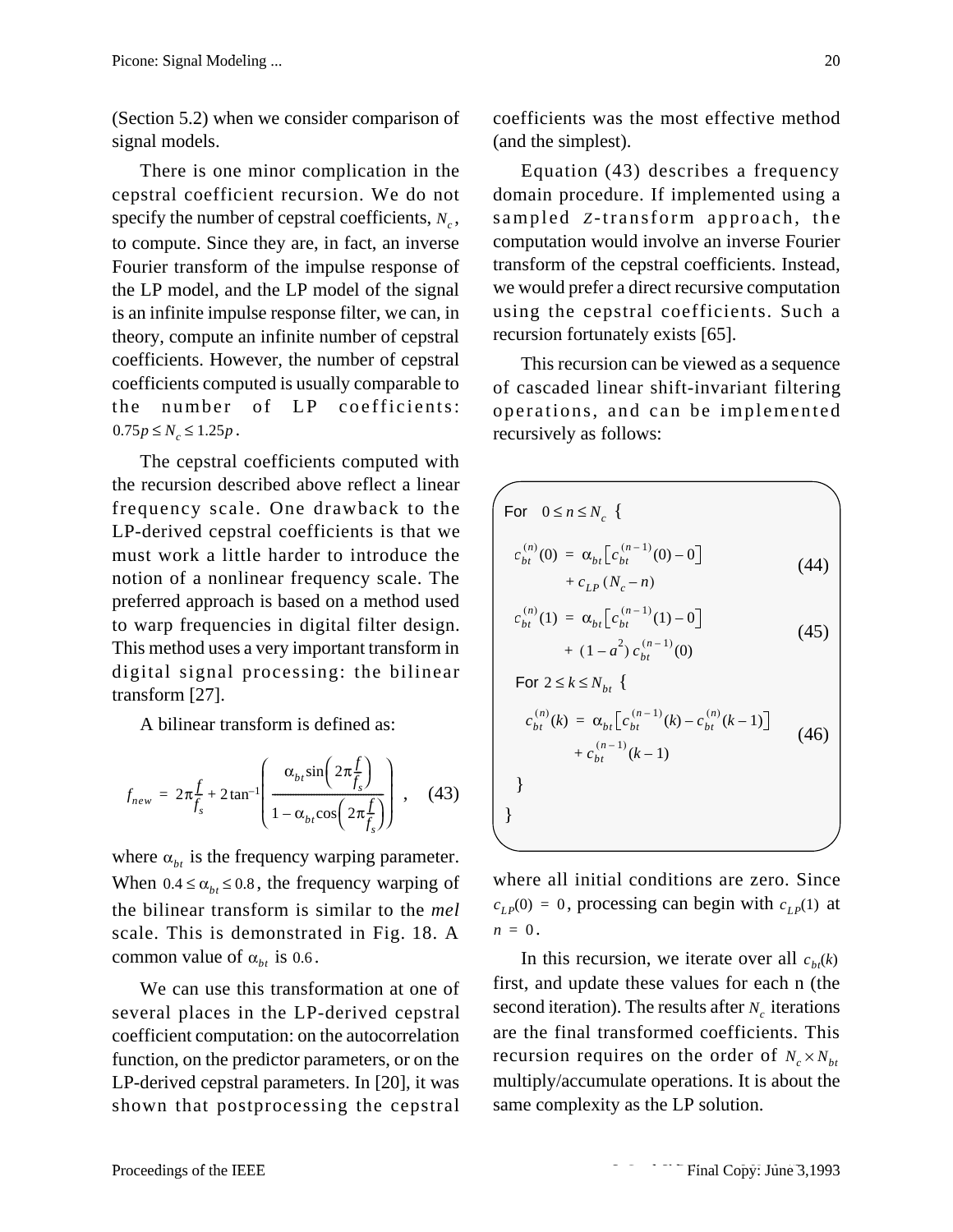(Section 5.2) when we consider comparison of signal models.

There is one minor complication in the cepstral coefficient recursion. We do not specify the number of cepstral coefficients,  $N_c$ , to compute. Since they are, in fact, an inverse Fourier transform of the impulse response of the LP model, and the LP model of the signal is an infinite impulse response filter, we can, in theory, compute an infinite number of cepstral coefficients. However, the number of cepstral coefficients computed is usually comparable to the number of LP coefficients:  $0.75p \le N_c \le 1.25p$ .

The cepstral coefficients computed with the recursion described above reflect a linear frequency scale. One drawback to the LP-derived cepstral coefficients is that we must work a little harder to introduce the notion of a nonlinear frequency scale. The preferred approach is based on a method used to warp frequencies in digital filter design. This method uses a very important transform in digital signal processing: the bilinear transform [27].

A bilinear transform is defined as:

$$
f_{new} = 2\pi \frac{f}{f_s} + 2 \tan^{-1} \left( \frac{\alpha_{bt} \sin \left( 2\pi \frac{f}{f_s} \right)}{1 - \alpha_{bt} \cos \left( 2\pi \frac{f}{f_s} \right)} \right) , \quad (43)
$$

where  $\alpha_{bt}$  is the frequency warping parameter. When  $0.4 \le \alpha_{bt} \le 0.8$ , the frequency warping of the bilinear transform is similar to the *mel* scale. This is demonstrated in Fig. 18. A common value of  $\alpha_{bt}$  is 0.6.

We can use this transformation at one of several places in the LP-derived cepstral coefficient computation: on the autocorrelation function, on the predictor parameters, or on the LP-derived cepstral parameters. In [20], it was shown that postprocessing the cepstral

coefficients was the most effective method (and the simplest).

Equation (43) describes a frequency domain procedure. If implemented using a sampled Z-transform approach, the computation would involve an inverse Fourier transform of the cepstral coefficients. Instead, we would prefer a direct recursive computation using the cepstral coefficients. Such a recursion fortunately exists [65].

This recursion can be viewed as a sequence of cascaded linear shift-invariant filtering operations, and can be implemented recursively as follows:

For 
$$
0 \le n \le N_c
$$
 {  
\n
$$
c_{bt}^{(n)}(0) = \alpha_{bt} \left[ c_{bt}^{(n-1)}(0) - 0 \right]
$$
\n
$$
+ c_{LP}(N_c - n)
$$
\n(44)

$$
c_{bt}^{(n)}(1) = \alpha_{bt} \left[ c_{bt}^{(n-1)}(1) - 0 \right] + (1 - a^2) c_{bt}^{(n-1)}(0)
$$
 (45)

For 
$$
2 \le k \le N_{bt}
$$
 {  
\n
$$
c_{bt}^{(n)}(k) = \alpha_{bt} \left[ c_{bt}^{(n-1)}(k) - c_{bt}^{(n)}(k-1) \right] + c_{bt}^{(n-1)}(k-1)
$$
\n
$$
+ 1
$$
\n
$$
\tag{46}
$$

where all initial conditions are zero. Since  $c_{LP}(0) = 0$ , processing can begin with  $c_{LP}(1)$  at  $n = 0$ .

}

In this recursion, we iterate over all  $c_{bt}(k)$ first, and update these values for each n (the second iteration). The results after  $N_c$  iterations are the final transformed coefficients. This recursion requires on the order of  $N_c \times N_{bt}$ multiply/accumulate operations. It is about the same complexity as the LP solution.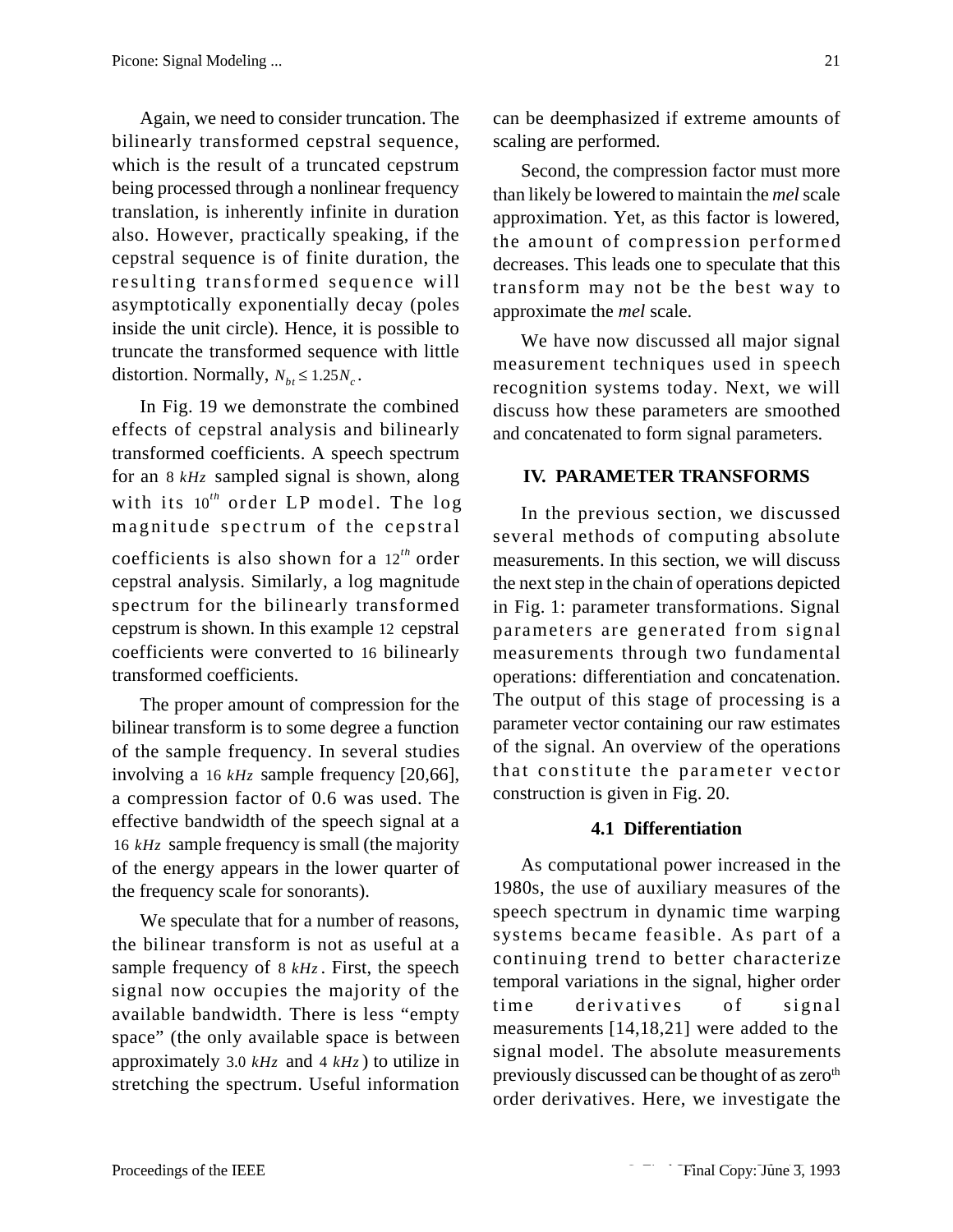Again, we need to consider truncation. The bilinearly transformed cepstral sequence, which is the result of a truncated cepstrum being processed through a nonlinear frequency translation, is inherently infinite in duration also. However, practically speaking, if the cepstral sequence is of finite duration, the resulting transformed sequence will asymptotically exponentially decay (poles inside the unit circle). Hence, it is possible to truncate the transformed sequence with little distortion. Normally,  $N_{bt} \le 1.25 N_c$ .

In Fig. 19 we demonstrate the combined effects of cepstral analysis and bilinearly transformed coefficients. A speech spectrum for an 8 kHz sampled signal is shown, along with its  $10^{th}$  order LP model. The log magnitude spectrum of the cepstral coefficients is also shown for a  $12^{th}$  order cepstral analysis. Similarly, a log magnitude spectrum for the bilinearly transformed cepstrum is shown. In this example 12 cepstral coefficients were converted to 16 bilinearly transformed coefficients.

The proper amount of compression for the bilinear transform is to some degree a function of the sample frequency. In several studies involving a 16  $kHz$  sample frequency [20,66], a compression factor of 0.6 was used. The effective bandwidth of the speech signal at a 16 kHz sample frequency is small (the majority of the energy appears in the lower quarter of the frequency scale for sonorants).

We speculate that for a number of reasons, the bilinear transform is not as useful at a sample frequency of 8 kHz. First, the speech signal now occupies the majority of the available bandwidth. There is less "empty space" (the only available space is between approximately 3.0  $kHz$  and 4  $kHz$ ) to utilize in stretching the spectrum. Useful information scaling are performed.

Second, the compression factor must more than likely be lowered to maintain the *mel*scale approximation. Yet, as this factor is lowered, the amount of compression performed decreases. This leads one to speculate that this transform may not be the best way to approximate the *mel* scale.

We have now discussed all major signal measurement techniques used in speech recognition systems today. Next, we will discuss how these parameters are smoothed and concatenated to form signal parameters.

#### **IV. PARAMETER TRANSFORMS**

Submission: The care of deemphasized if extreme amounts of<br>solomod cepstral sequence, scaling are performed. Submission factor mass more<br>stated a curaced cepstral<br>in a moreover the compression factor mass more<br>through a no In the previous section, we discussed several methods of computing absolute measurements. In this section, we will discuss the next step in the chain of operations depicted in Fig. 1: parameter transformations. Signal parameters are generated from signal measurements through two fundamental operations: differentiation and concatenation. The output of this stage of processing is a parameter vector containing our raw estimates of the signal. An overview of the operations that constitute the parameter vector construction is given in Fig. 20.

#### **4.1 Differentiation**

As computational power increased in the 1980s, the use of auxiliary measures of the speech spectrum in dynamic time warping systems became feasible. As part of a continuing trend to better characterize temporal variations in the signal, higher order time derivatives of signal measurements [14,18,21] were added to the signal model. The absolute measurements previously discussed can be thought of as zero<sup>th</sup> order derivatives. Here, we investigate the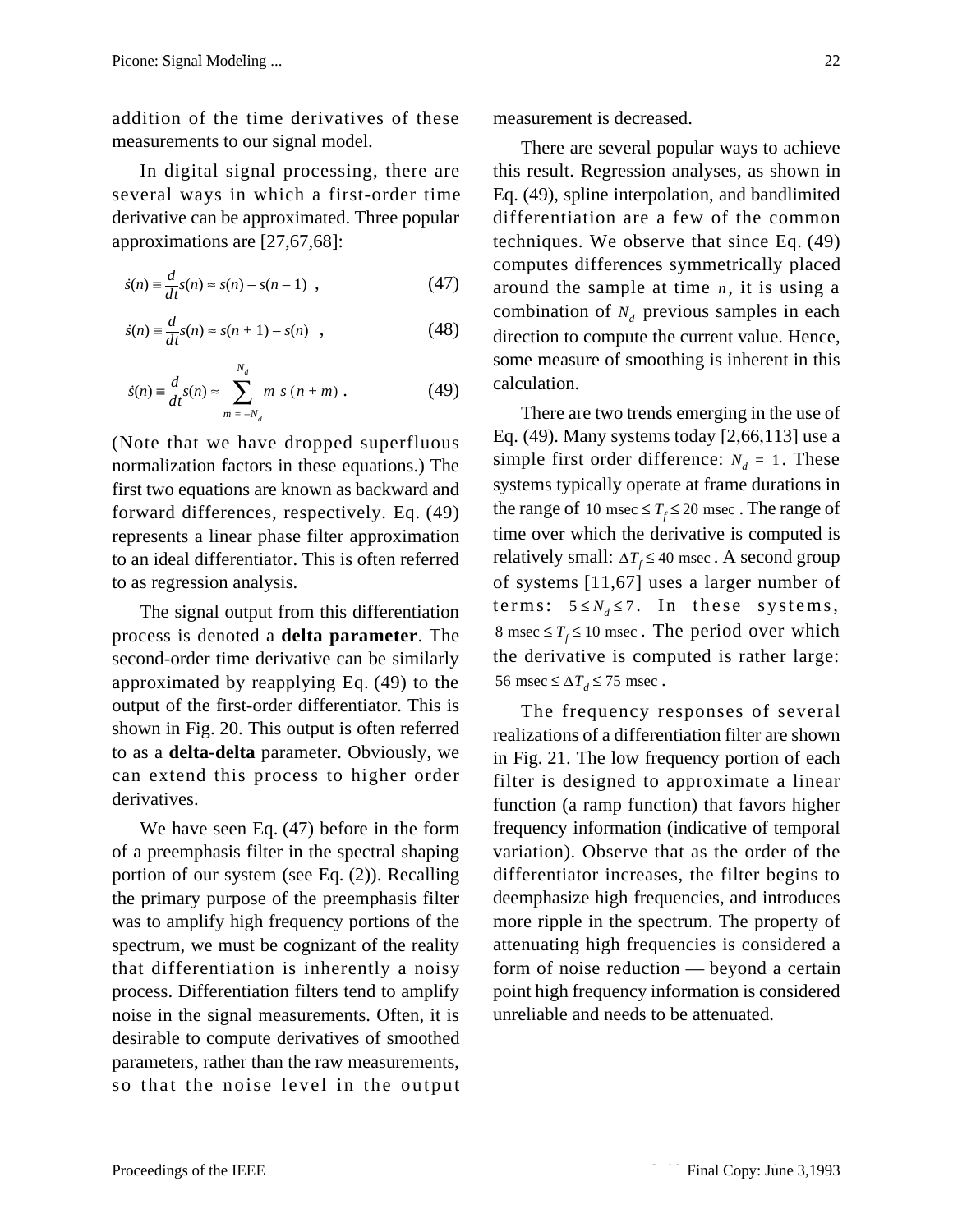addition of the time derivatives of these measurements to our signal model.

In digital signal processing, there are several ways in which a first-order time derivative can be approximated. Three popular approximations are [27,67,68]:

$$
\dot{s}(n) \equiv \frac{d}{dt}s(n) \approx s(n) - s(n-1) , \qquad (47)
$$

$$
\dot{s}(n) \equiv \frac{d}{dt}s(n) \approx s(n+1) - s(n) \quad , \tag{48}
$$

$$
\dot{s}(n) \equiv \frac{d}{dt} s(n) \approx \sum_{m = -N_d}^{N_d} m \ s(n + m) \ . \tag{49}
$$

(Note that we have dropped superfluous normalization factors in these equations.) The first two equations are known as backward and forward differences, respectively. Eq. (49) represents a linear phase filter approximation to an ideal differentiator. This is often referred to as regression analysis.

The signal output from this differentiation process is denoted a **delta parameter**. The second-order time derivative can be similarly approximated by reapplying Eq. (49) to the output of the first-order differentiator. This is shown in Fig. 20. This output is often referred to as a **delta-delta** parameter. Obviously, we can extend this process to higher order derivatives.

We have seen Eq. (47) before in the form of a preemphasis filter in the spectral shaping portion of our system (see Eq. (2)). Recalling the primary purpose of the preemphasis filter was to amplify high frequency portions of the spectrum, we must be cognizant of the reality that differentiation is inherently a noisy process. Differentiation filters tend to amplify noise in the signal measurements. Often, it is desirable to compute derivatives of smoothed parameters, rather than the raw measurements, so that the noise level in the output measurement is decreased.

There are several popular ways to achieve this result. Regression analyses, as shown in Eq. (49), spline interpolation, and bandlimited differentiation are a few of the common techniques. We observe that since Eq. (49) computes differences symmetrically placed around the sample at time  $n$ , it is using a combination of  $N_d$  previous samples in each direction to compute the current value. Hence, some measure of smoothing is inherent in this calculation.

There are two trends emerging in the use of Eq. (49). Many systems today [2,66,113] use a simple first order difference:  $N_d = 1$ . These systems typically operate at frame durations in the range of 10 msec  $\leq T_f \leq 20$  msec. The range of time over which the derivative is computed is relatively small:  $\Delta T_f \leq 40$  msec. A second group of systems [11,67] uses a larger number of terms:  $5 \le N_d \le 7$ . In these systems, 8 msec  $\leq T_f \leq 10$  msec. The period over which the derivative is computed is rather large: 56 msec ≤  $\Delta T_d$  ≤ 75 msec.

The frequency responses of several realizations of a differentiation filter are shown in Fig. 21. The low frequency portion of each filter is designed to approximate a linear function (a ramp function) that favors higher frequency information (indicative of temporal variation). Observe that as the order of the differentiator increases, the filter begins to deemphasize high frequencies, and introduces more ripple in the spectrum. The property of attenuating high frequencies is considered a form of noise reduction — beyond a certain point high frequency information is considered unreliable and needs to be attenuated.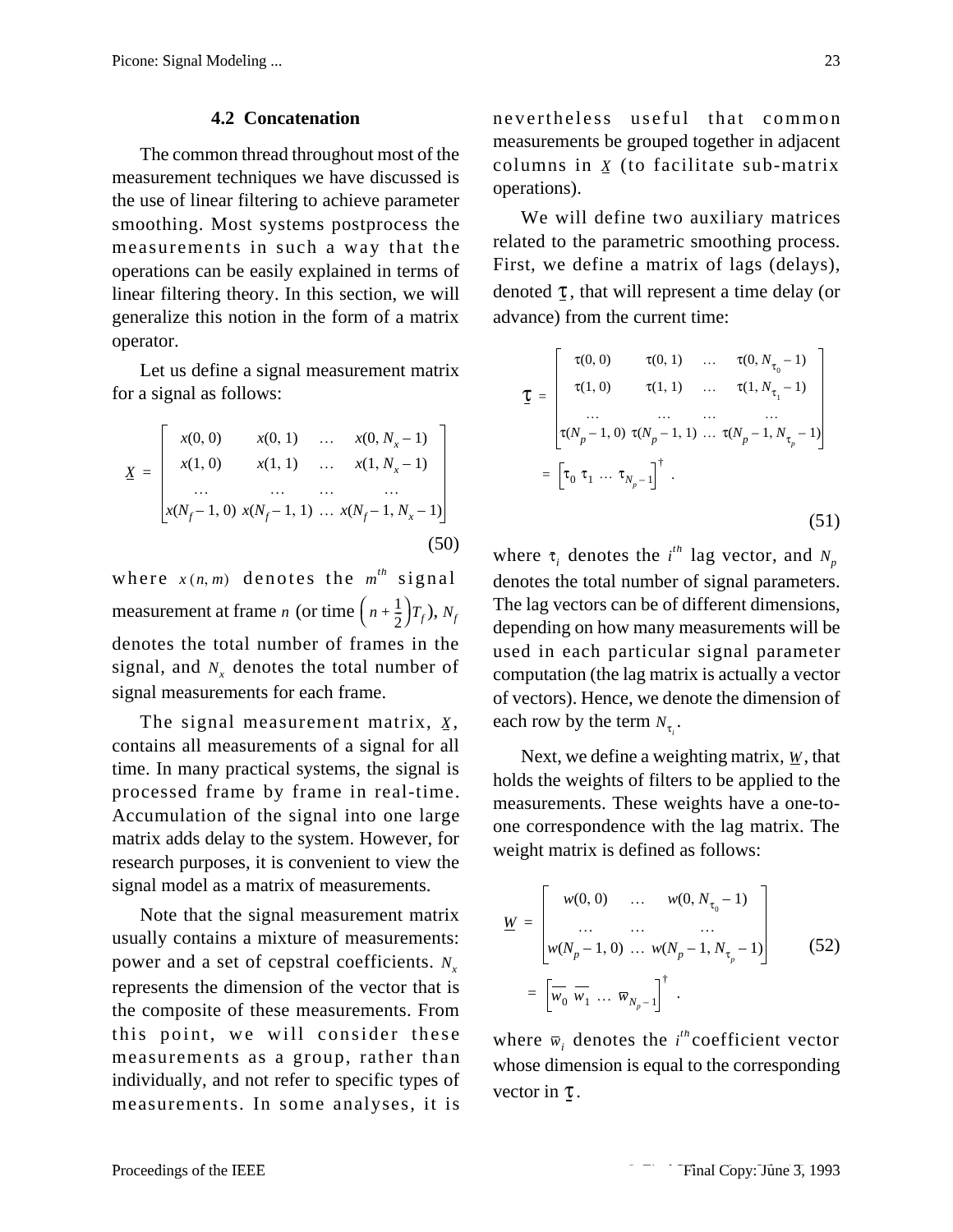The common thread throughout most of the measurement techniques we have discussed is the use of linear filtering to achieve parameter smoothing. Most systems postprocess the measurements in such a way that the operations can be easily explained in terms of linear filtering theory. In this section, we will generalize this notion in the form of a matrix operator.

Let us define a signal measurement matrix for a signal as follows:

$$
\underline{X} = \begin{bmatrix} x(0,0) & x(0,1) & \dots & x(0,N_x-1) \\ x(1,0) & x(1,1) & \dots & x(1,N_x-1) \\ \dots & \dots & \dots & \dots \\ x(N_f-1,0) & x(N_f-1,1) & \dots & x(N_f-1,N_x-1) \end{bmatrix}
$$
(50)

where  $x(n, m)$  denotes the  $m^{th}$  signal measurement at frame *n* (or time  $\left(n + \frac{1}{2}\right)T_f$ ),  $N_f$ denotes the total number of frames in the signal, and  $N_x$  denotes the total number of signal measurements for each frame.

The signal measurement matrix,  $\underline{x}$ , contains all measurements of a signal for all time. In many practical systems, the signal is processed frame by frame in real-time. Accumulation of the signal into one large matrix adds delay to the system. However, for research purposes, it is convenient to view the signal model as a matrix of measurements.

Note that the signal measurement matrix usually contains a mixture of measurements: power and a set of cepstral coefficients.  $N_x$ represents the dimension of the vector that is the composite of these measurements. From this point, we will consider these measurements as a group, rather than individually, and not refer to specific types of measurements. In some analyses, it is nevertheless useful that common measurements be grouped together in adjacent columns in X (to facilitate sub-matrix operations).

We will define two auxiliary matrices related to the parametric smoothing process. First, we define a matrix of lags (delays), denoted  $I$ , that will represent a time delay (or advance) from the current time:

$$
\mathbf{\underline{\tau}} = \begin{bmatrix} \tau(0,0) & \tau(0,1) & \dots & \tau(0,N_{\tau_0}-1) \\ \tau(1,0) & \tau(1,1) & \dots & \tau(1,N_{\tau_1}-1) \\ \dots & \dots & \dots & \dots \\ \tau(N_p-1,0) & \tau(N_p-1,1) & \dots & \tau(N_p-1,N_{\tau_p}-1) \end{bmatrix}
$$

$$
= \begin{bmatrix} \tau_0 & \tau_1 & \dots & \tau_{N_p-1} \end{bmatrix}^{\dagger} .
$$
 (51)

**42. Concatenation**<br> **Exercise in the system of the measurements** be grouped together in adjacent<br>
non-linear techniques we have discussed is continuous in  $\chi$  (to facilitate sub-matrix<br>
techniques we have discussed is o where  $\tau_i$  denotes the *i*<sup>th</sup> lag vector, and  $N_p$ denotes the total number of signal parameters. The lag vectors can be of different dimensions, depending on how many measurements will be used in each particular signal parameter computation (the lag matrix is actually a vector of vectors). Hence, we denote the dimension of each row by the term  $N_{\tau_i}$ .

Next, we define a weighting matrix,  $\underline{W}$ , that holds the weights of filters to be applied to the measurements. These weights have a one-toone correspondence with the lag matrix. The weight matrix is defined as follows:

$$
\underline{W} = \begin{bmatrix} w(0, 0) & \dots & w(0, N_{\tau_0} - 1) \\ \dots & \dots & \dots \\ w(N_p - 1, 0) & \dots & w(N_p - 1, N_{\tau_p} - 1) \end{bmatrix}
$$
(52)  

$$
= \begin{bmatrix} \overline{w_0} & \overline{w_1} & \dots & \overline{w_{N_p - 1}} \end{bmatrix}^{\dagger}.
$$

where  $\bar{w}_i$  denotes the *i*<sup>th</sup> coefficient vector whose dimension is equal to the corresponding vector in  $\underline{\tau}$ .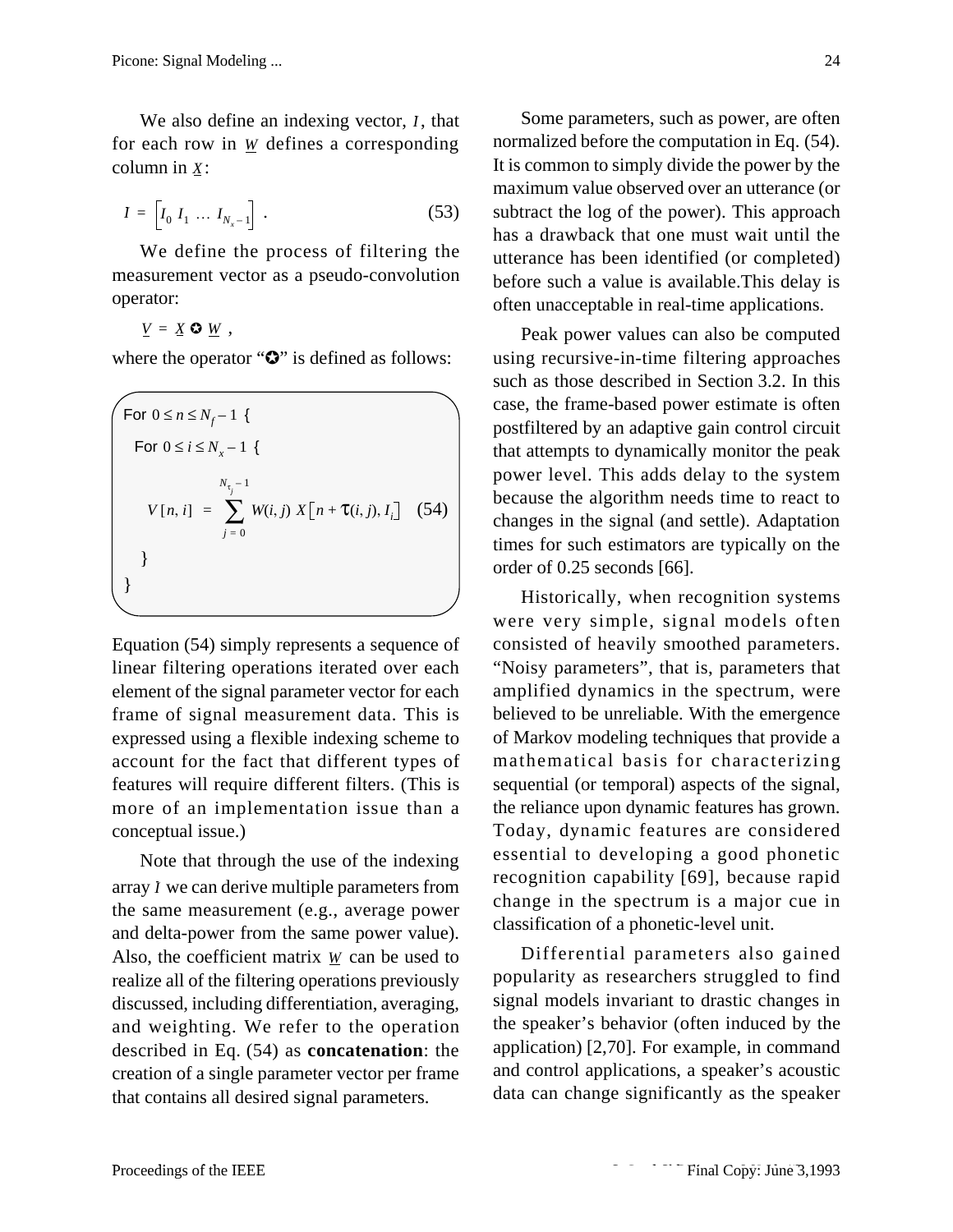We also define an indexing vector, *, that* for each row in  $\underline{W}$  defines a corresponding column in  $\underline{X}$ :

$$
I = \left[ I_0 \, I_1 \, \dots \, I_{N_x - 1} \right] \,. \tag{53}
$$

We define the process of filtering the measurement vector as a pseudo-convolution operator:

$$
\underline{V} = \underline{X} \bullet \underline{W} ,
$$

where the operator " $\mathbf{Q}$ " is defined as follows:

For  $0 \le n \le N_f - 1$  { For  $0 \le i \le N_{x} - 1$  {  $V[n, i] = \sum W(i, j) X[n + \tau(i, j), I_{i}]$  (54) } } *j* = 0  $N_{\tau_j}-1$ <sup>=</sup> ∑

Equation (54) simply represents a sequence of linear filtering operations iterated over each element of the signal parameter vector for each frame of signal measurement data. This is expressed using a flexible indexing scheme to account for the fact that different types of features will require different filters. (This is more of an implementation issue than a conceptual issue.)

Note that through the use of the indexing array *I* we can derive multiple parameters from the same measurement (e.g., average power and delta-power from the same power value). Also, the coefficient matrix  $\mathbf{W}$  can be used to realize all of the filtering operations previously discussed, including differentiation, averaging, and weighting. We refer to the operation described in Eq. (54) as **concatenation**: the creation of a single parameter vector per frame that contains all desired signal parameters.

Some parameters, such as power, are often normalized before the computation in Eq. (54). It is common to simply divide the power by the maximum value observed over an utterance (or subtract the log of the power). This approach has a drawback that one must wait until the utterance has been identified (or completed) before such a value is available.This delay is often unacceptable in real-time applications.

Peak power values can also be computed using recursive-in-time filtering approaches such as those described in Section 3.2. In this case, the frame-based power estimate is often postfiltered by an adaptive gain control circuit that attempts to dynamically monitor the peak power level. This adds delay to the system because the algorithm needs time to react to changes in the signal (and settle). Adaptation times for such estimators are typically on the order of 0.25 seconds [66].

Historically, when recognition systems were very simple, signal models often consisted of heavily smoothed parameters. "Noisy parameters", that is, parameters that amplified dynamics in the spectrum, were believed to be unreliable. With the emergence of Markov modeling techniques that provide a mathematical basis for characterizing sequential (or temporal) aspects of the signal, the reliance upon dynamic features has grown. Today, dynamic features are considered essential to developing a good phonetic recognition capability [69], because rapid change in the spectrum is a major cue in classification of a phonetic-level unit.

Differential parameters also gained popularity as researchers struggled to find signal models invariant to drastic changes in the speaker's behavior (often induced by the application) [2,70]. For example, in command and control applications, a speaker's acoustic data can change significantly as the speaker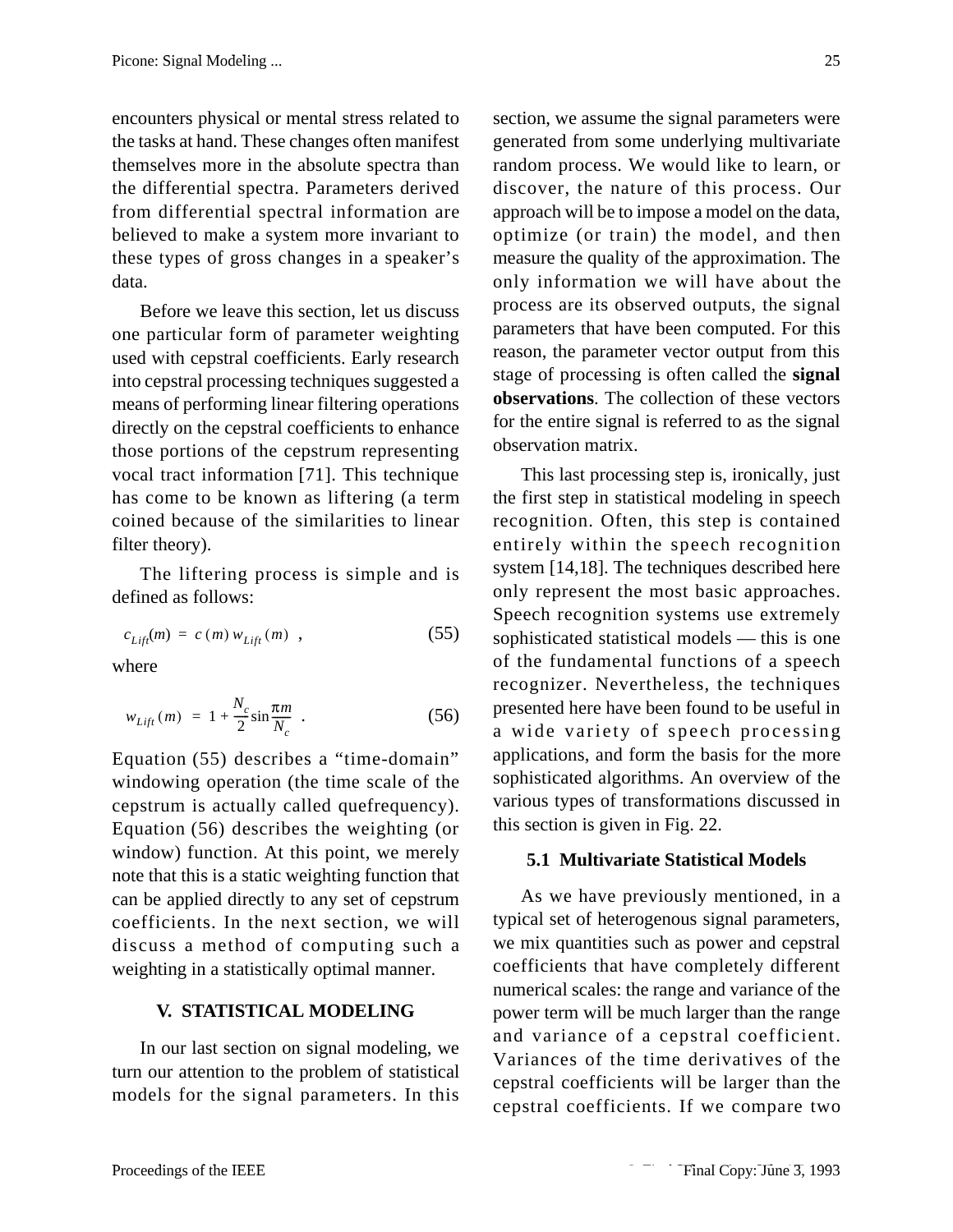the tasks at hand. These changes often manifest themselves more in the absolute spectra than the differential spectra. Parameters derived from differential spectral information are believed to make a system more invariant to these types of gross changes in a speaker's data.

Before we leave this section, let us discuss one particular form of parameter weighting used with cepstral coefficients. Early research into cepstral processing techniques suggested a means of performing linear filtering operations directly on the cepstral coefficients to enhance those portions of the cepstrum representing vocal tract information [71]. This technique has come to be known as liftering (a term coined because of the similarities to linear filter theory).

The liftering process is simple and is defined as follows:

$$
c_{Lift}(m) = c(m) w_{Lift}(m) , \qquad (55)
$$

where

$$
w_{Lift}(m) = 1 + \frac{N_c}{2} \sin \frac{\pi m}{N_c} \tag{56}
$$

Equation (55) describes a "time-domain" windowing operation (the time scale of the cepstrum is actually called quefrequency). Equation (56) describes the weighting (or window) function. At this point, we merely note that this is a static weighting function that can be applied directly to any set of cepstrum coefficients. In the next section, we will discuss a method of computing such a weighting in a statistically optimal manner.

# **V. STATISTICAL MODELING**

In our last section on signal modeling, we turn our attention to the problem of statistical models for the signal parameters. In this

section, we assume the signal parameters were generated from some underlying multivariate random process. We would like to learn, or discover, the nature of this process. Our approach will be to impose a model on the data, optimize (or train) the model, and then measure the quality of the approximation. The only information we will have about the process are its observed outputs, the signal parameters that have been computed. For this reason, the parameter vector output from this stage of processing is often called the **signal observations**. The collection of these vectors for the entire signal is referred to as the signal observation matrix.

encounters physical or menal stress related to second, we assume the signal parameters were the calibulate percent in the about a general control in the calibulate percent in the about a particular from the differential sp This last processing step is, ironically, just the first step in statistical modeling in speech recognition. Often, this step is contained entirely within the speech recognition system [14,18]. The techniques described here only represent the most basic approaches. Speech recognition systems use extremely sophisticated statistical models — this is one of the fundamental functions of a speech recognizer. Nevertheless, the techniques presented here have been found to be useful in a wide variety of speech processing applications, and form the basis for the more sophisticated algorithms. An overview of the various types of transformations discussed in this section is given in Fig. 22.

#### **5.1 Multivariate Statistical Models**

As we have previously mentioned, in a typical set of heterogenous signal parameters, we mix quantities such as power and cepstral coefficients that have completely different numerical scales: the range and variance of the power term will be much larger than the range and variance of a cepstral coefficient. Variances of the time derivatives of the cepstral coefficients will be larger than the cepstral coefficients. If we compare two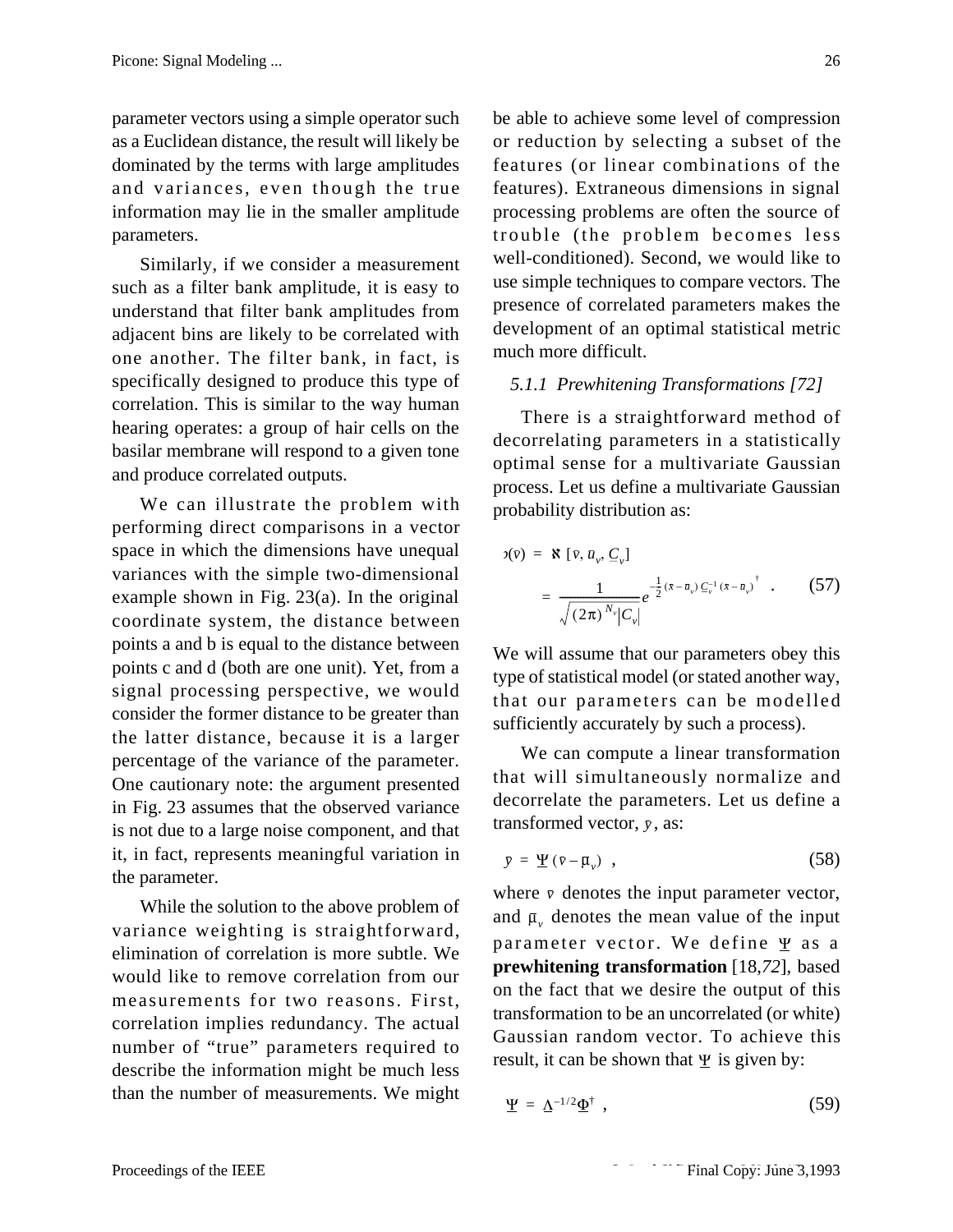parameter vectors using a simple operator such as a Euclidean distance, the result will likely be dominated by the terms with large amplitudes and variances, even though the true information may lie in the smaller amplitude parameters.

Similarly, if we consider a measurement such as a filter bank amplitude, it is easy to understand that filter bank amplitudes from adjacent bins are likely to be correlated with one another. The filter bank, in fact, is specifically designed to produce this type of correlation. This is similar to the way human hearing operates: a group of hair cells on the basilar membrane will respond to a given tone and produce correlated outputs.

We can illustrate the problem with performing direct comparisons in a vector space in which the dimensions have unequal variances with the simple two-dimensional example shown in Fig. 23(a). In the original coordinate system, the distance between points a and b is equal to the distance between points c and d (both are one unit). Yet, from a signal processing perspective, we would consider the former distance to be greater than the latter distance, because it is a larger percentage of the variance of the parameter. One cautionary note: the argument presented in Fig. 23 assumes that the observed variance is not due to a large noise component, and that it, in fact, represents meaningful variation in the parameter.

While the solution to the above problem of variance weighting is straightforward, elimination of correlation is more subtle. We would like to remove correlation from our measurements for two reasons. First, correlation implies redundancy. The actual number of "true" parameters required to describe the information might be much less than the number of measurements. We might be able to achieve some level of compression or reduction by selecting a subset of the features (or linear combinations of the features). Extraneous dimensions in signal processing problems are often the source of trouble (the problem becomes less well-conditioned). Second, we would like to use simple techniques to compare vectors. The presence of correlated parameters makes the development of an optimal statistical metric much more difficult.

### *5.1.1 Prewhitening Transformations [72]*

There is a straightforward method of decorrelating parameters in a statistically optimal sense for a multivariate Gaussian process. Let us define a multivariate Gaussian probability distribution as:

$$
\rho(\bar{v}) = \mathbf{N} [\bar{v}, \bar{u}_{\nu}, \underline{C}_{\nu}]
$$
  
= 
$$
\frac{1}{\sqrt{(2\pi)^{N_{\nu}}|C_{\nu}|}} e^{-\frac{1}{2}(\bar{x} - \bar{u}_{\nu}) \underline{C}_{\nu}^{-1} (\bar{x} - \bar{u}_{\nu})^{\dagger}}.
$$
 (57)

We will assume that our parameters obey this type of statistical model (or stated another way, that our parameters can be modelled sufficiently accurately by such a process).

We can compute a linear transformation that will simultaneously normalize and decorrelate the parameters. Let us define a transformed vector,  $\bar{y}$ , as:

$$
\bar{y} = \underline{\Psi} \left( \bar{v} - \bar{\mu}_v \right) , \qquad (58)
$$

where  $\bar{v}$  denotes the input parameter vector, and  $\bar{\mu}$ <sub>v</sub> denotes the mean value of the input parameter vector. We define  $\underline{\Psi}$  as a **prewhitening transformation** [18,*72*], based on the fact that we desire the output of this transformation to be an uncorrelated (or white) Gaussian random vector. To achieve this result, it can be shown that  $\Psi$  is given by:

$$
\underline{\Psi} = \underline{\Lambda}^{-1/2} \underline{\Phi}^{\dagger} \tag{59}
$$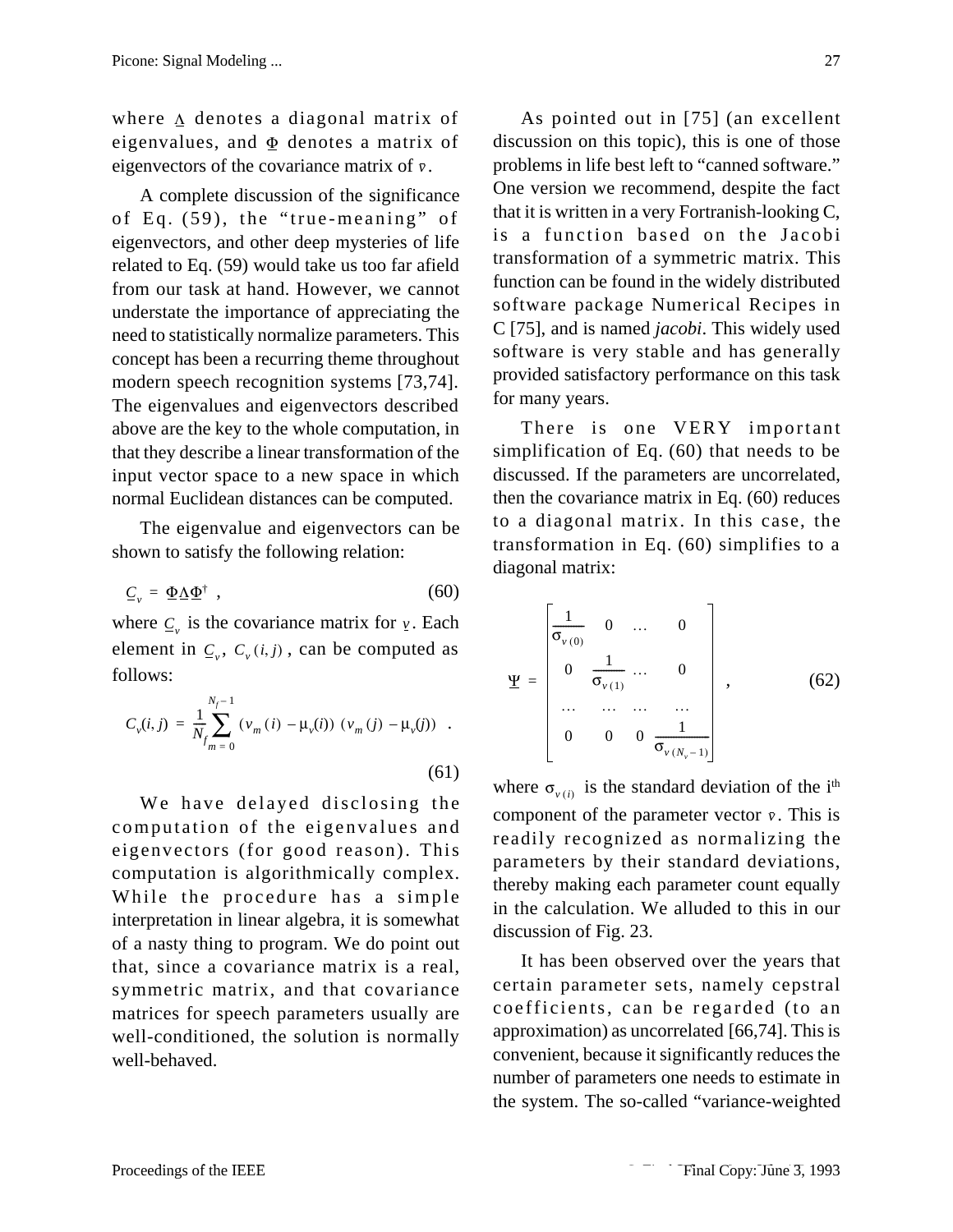eigenvalues, and  $\Phi$  denotes a matrix of eigenvectors of the covariance matrix of  $\bar{v}$ . where  $\Delta$  denotes a diagonal matrix of

Where a denotes a diagonal matrix of the second submission of the second submission of the example of the second submission of the separature of the conduction of the separature of the conduction of the separature of the A complete discussion of the significance of Eq. (59), the "true-meaning" of eigenvectors, and other deep mysteries of life related to Eq. (59) would take us too far afield from our task at hand. However, we cannot understate the importance of appreciating the need to statistically normalize parameters. This concept has been a recurring theme throughout modern speech recognition systems [73,74]. The eigenvalues and eigenvectors described above are the key to the whole computation, in that they describe a linear transformation of the input vector space to a new space in which normal Euclidean distances can be computed.

The eigenvalue and eigenvectors can be shown to satisfy the following relation:

$$
\underline{C}_v = \underline{\Phi} \underline{\Lambda} \underline{\Phi}^\dagger \quad , \tag{60}
$$

where  $C_v$  is the covariance matrix for  $v$ . Each element in  $C_v$ ,  $C_v(i, j)$ , can be computed as follows:

$$
C_{\nu}(i,j) = \frac{1}{N_f} \sum_{m=0}^{N_f - 1} \left( v_m(i) - \mu_{\nu}(i) \right) \left( v_m(j) - \mu_{\nu}(j) \right) .
$$
\n(61)

We have delayed disclosing the computation of the eigenvalues and eigenvectors (for good reason). This computation is algorithmically complex. While the procedure has a simple interpretation in linear algebra, it is somewhat of a nasty thing to program. We do point out that, since a covariance matrix is a real, symmetric matrix, and that covariance matrices for speech parameters usually are well-conditioned, the solution is normally well-behaved.

As pointed out in [75] (an excellent discussion on this topic), this is one of those problems in life best left to "canned software." One version we recommend, despite the fact that it is written in a very Fortranish-looking C, is a function based on the Jacobi transformation of a symmetric matrix. This function can be found in the widely distributed software package Numerical Recipes in C [75], and is named *jacobi*. This widely used software is very stable and has generally provided satisfactory performance on this task for many years.

There is one VERY important simplification of Eq. (60) that needs to be discussed. If the parameters are uncorrelated, then the covariance matrix in Eq. (60) reduces to a diagonal matrix. In this case, the transformation in Eq. (60) simplifies to a diagonal matrix:

$$
\underline{\Psi} = \begin{bmatrix} \frac{1}{\sigma_{v(0)}} & 0 & \dots & 0 \\ 0 & \frac{1}{\sigma_{v(1)}} & \dots & 0 \\ \dots & \dots & \dots & \dots \\ 0 & 0 & 0 & \frac{1}{\sigma_{v(N_v-1)}} \end{bmatrix},
$$
(62)

where  $\sigma_{v(i)}$  is the standard deviation of the i<sup>th</sup> component of the parameter vector  $\bar{v}$ . This is readily recognized as normalizing the parameters by their standard deviations, thereby making each parameter count equally in the calculation. We alluded to this in our discussion of Fig. 23.

It has been observed over the years that certain parameter sets, namely cepstral coefficients, can be regarded (to an approximation) as uncorrelated [66,74]. This is convenient, because it significantly reduces the number of parameters one needs to estimate in the system. The so-called "variance-weighted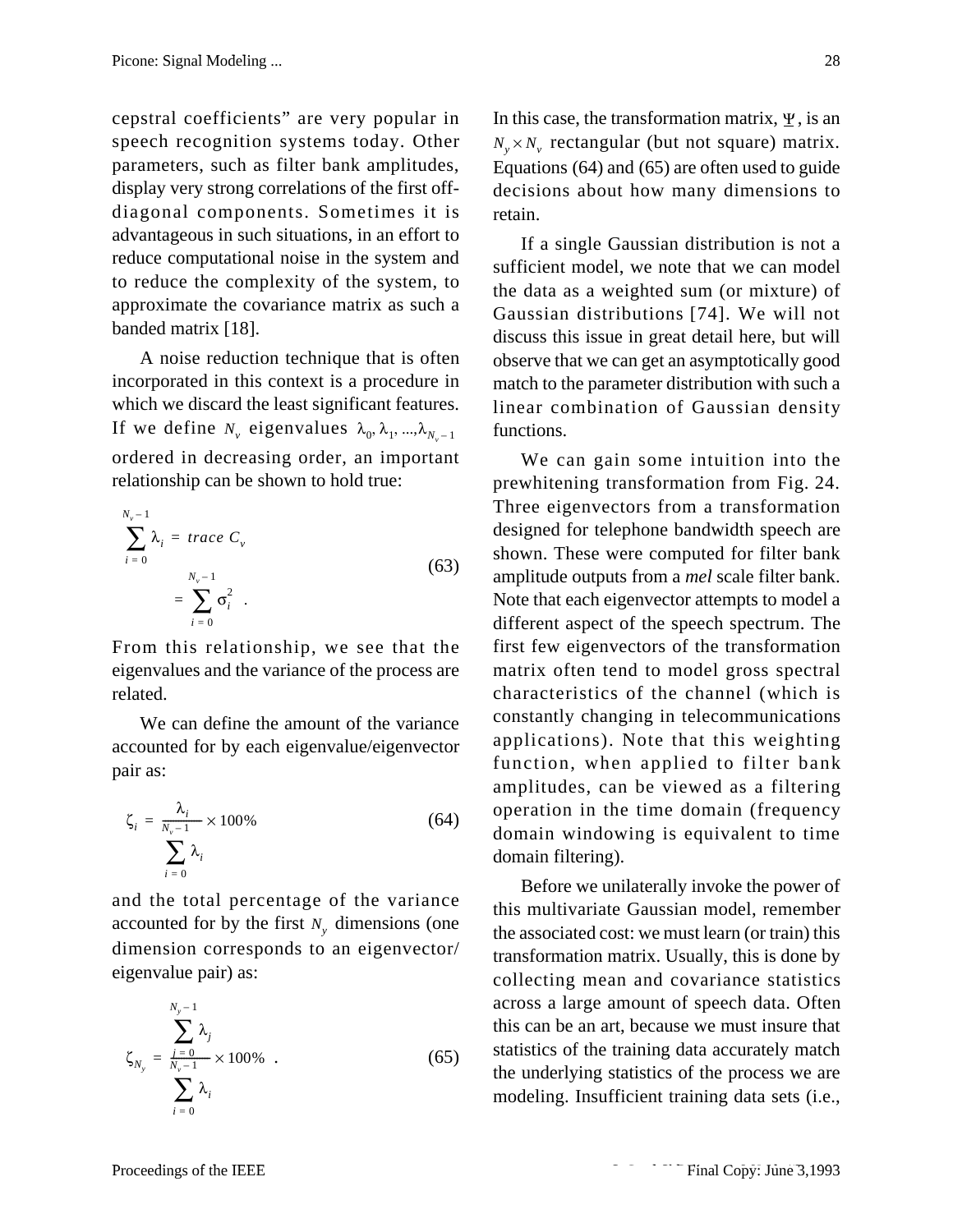cepstral coefficients" are very popular in speech recognition systems today. Other parameters, such as filter bank amplitudes, display very strong correlations of the first offdiagonal components. Sometimes it is advantageous in such situations, in an effort to reduce computational noise in the system and to reduce the complexity of the system, to approximate the covariance matrix as such a banded matrix [18].

A noise reduction technique that is often incorporated in this context is a procedure in which we discard the least significant features. If we define  $N_v$  eigenvalues  $\lambda_0, \lambda_1, ..., \lambda_{N_v-1}$ ordered in decreasing order, an important relationship can be shown to hold true:

$$
\sum_{i=0}^{N_{\nu}-1} \lambda_i = \text{trace } C_{\nu}
$$
  
= 
$$
\sum_{i=0}^{N_{\nu}-1} \sigma_i^2
$$
 (63)

From this relationship, we see that the eigenvalues and the variance of the process are related.

We can define the amount of the variance accounted for by each eigenvalue/eigenvector pair as:

$$
\zeta_i = \frac{\lambda_i}{\sum_{i=0}^{N_v - 1} x_i} \times 100\%
$$
\n(64)

and the total percentage of the variance accounted for by the first  $N<sub>y</sub>$  dimensions (one dimension corresponds to an eigenvector/ eigenvalue pair) as:

$$
\zeta_{N_y} = \frac{\sum_{i=0}^{N_y - 1} \lambda_i}{\sum_{i=0}^{N_y - 1} \times 100\%} \tag{65}
$$

In this case, the transformation matrix,  $\Psi$ , is an  $N_y \times N_y$  rectangular (but not square) matrix. Equations (64) and (65) are often used to guide decisions about how many dimensions to retain.

If a single Gaussian distribution is not a sufficient model, we note that we can model the data as a weighted sum (or mixture) of Gaussian distributions [74]. We will not discuss this issue in great detail here, but will observe that we can get an asymptotically good match to the parameter distribution with such a linear combination of Gaussian density functions.

We can gain some intuition into the prewhitening transformation from Fig. 24. Three eigenvectors from a transformation designed for telephone bandwidth speech are shown. These were computed for filter bank amplitude outputs from a *mel* scale filter bank. Note that each eigenvector attempts to model a different aspect of the speech spectrum. The first few eigenvectors of the transformation matrix often tend to model gross spectral characteristics of the channel (which is constantly changing in telecommunications applications). Note that this weighting function, when applied to filter bank amplitudes, can be viewed as a filtering operation in the time domain (frequency domain windowing is equivalent to time domain filtering).

Before we unilaterally invoke the power of this multivariate Gaussian model, remember the associated cost: we must learn (or train) this transformation matrix. Usually, this is done by collecting mean and covariance statistics across a large amount of speech data. Often this can be an art, because we must insure that statistics of the training data accurately match the underlying statistics of the process we are modeling. Insufficient training data sets (i.e.,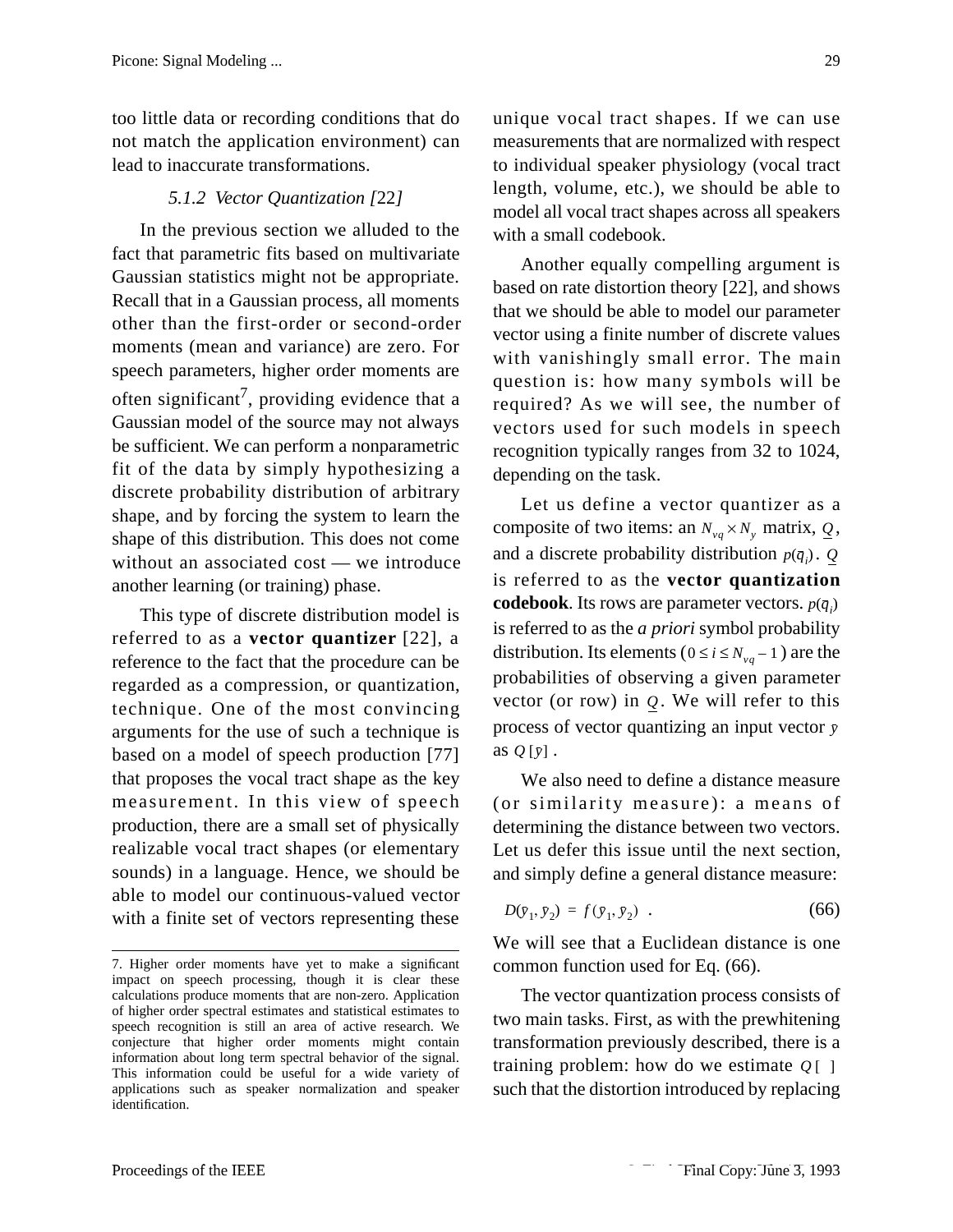not match the application environment) can lead to inaccurate transformations.

### *5.1.2 Vector Quantization [*22*]*

IFE data or recording conditions that do unique vocal tract shapes. If we can use<br>be considerably that do unit allows the predictions of the international center physiology (vocal text in<br>the method in a small conditions t In the previous section we alluded to the fact that parametric fits based on multivariate Gaussian statistics might not be appropriate. Recall that in a Gaussian process, all moments other than the first-order or second-order moments (mean and variance) are zero. For speech parameters, higher order moments are often significant<sup>7</sup>, providing evidence that a Gaussian model of the source may not always be sufficient. We can perform a nonparametric fit of the data by simply hypothesizing a discrete probability distribution of arbitrary shape, and by forcing the system to learn the shape of this distribution. This does not come without an associated cost — we introduce another learning (or training) phase.

This type of discrete distribution model is referred to as a **vector quantizer** [22], a reference to the fact that the procedure can be regarded as a compression, or quantization, technique. One of the most convincing arguments for the use of such a technique is based on a model of speech production [77] that proposes the vocal tract shape as the key measurement. In this view of speech production, there are a small set of physically realizable vocal tract shapes (or elementary sounds) in a language. Hence, we should be able to model our continuous-valued vector with a finite set of vectors representing these

unique vocal tract shapes. If we can use measurements that are normalized with respect to individual speaker physiology (vocal tract length, volume, etc.), we should be able to model all vocal tract shapes across all speakers with a small codebook.

Another equally compelling argument is based on rate distortion theory [22], and shows that we should be able to model our parameter vector using a finite number of discrete values with vanishingly small error. The main question is: how many symbols will be required? As we will see, the number of vectors used for such models in speech recognition typically ranges from 32 to 1024, depending on the task.

Let us define a vector quantizer as a composite of two items: an  $N_{vq} \times N_y$  matrix,  $Q$ , and a discrete probability distribution  $p(\bar{q}_i)$ .  $\underline{Q}$ is referred to as the **vector quantization codebook**. Its rows are parameter vectors.  $p(\bar{q}_i)$ is referred to as the *a priori* symbol probability distribution. Its elements ( $0 \le i \le N_{vq} - 1$ ) are the probabilities of observing a given parameter vector (or row) in  $Q$ . We will refer to this process of vector quantizing an input vector *y* as  $Q[\bar{y}]$ .

We also need to define a distance measure (or similarity measure): a means of determining the distance between two vectors. Let us defer this issue until the next section, and simply define a general distance measure:

$$
D(\bar{y}_1, \bar{y}_2) = f(\bar{y}_1, \bar{y}_2) . \tag{66}
$$

We will see that a Euclidean distance is one common function used for Eq. (66).

The vector quantization process consists of two main tasks. First, as with the prewhitening transformation previously described, there is a training problem: how do we estimate *Q* [ ]such that the distortion introduced by replacing

<sup>7.</sup> Higher order moments have yet to make a significant impact on speech processing, though it is clear these calculations produce moments that are non-zero. Application of higher order spectral estimates and statistical estimates to speech recognition is still an area of active research. We conjecture that higher order moments might contain information about long term spectral behavior of the signal. This information could be useful for a wide variety of applications such as speaker normalization and speaker identification.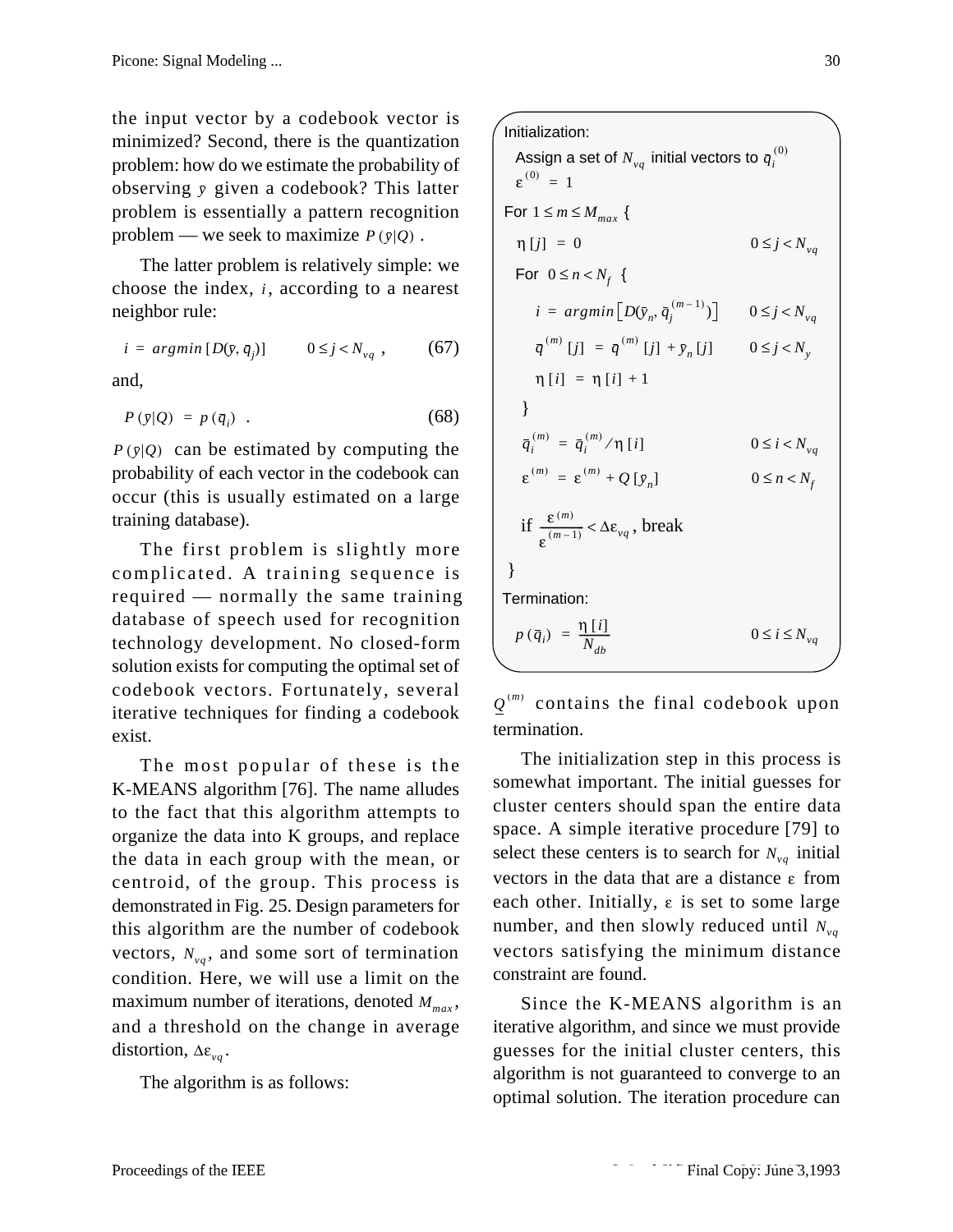the input vector by a codebook vector is minimized? Second, there is the quantization problem: how do we estimate the probability of observing y given a codebook? This latter problem is essentially a pattern recognition problem — we seek to maximize  $P(\bar{y}|Q)$ .

The latter problem is relatively simple: we choose the index, *i*, according to a nearest neighbor rule:

$$
i = argmin [D(\bar{y}, \bar{q}_j)] \qquad 0 \le j < N_{vq} \,, \tag{67}
$$

and,

$$
P(\bar{y}|Q) = p(\bar{q}_i) . \qquad (68)
$$

 $P(\bar{y}|Q)$  can be estimated by computing the probability of each vector in the codebook can occur (this is usually estimated on a large training database).

The first problem is slightly more complicated. A training sequence is required — normally the same training database of speech used for recognition technology development. No closed-form solution exists for computing the optimal set of codebook vectors. Fortunately, several iterative techniques for finding a codebook exist.

The most popular of these is the K-MEANS algorithm [76]. The name alludes to the fact that this algorithm attempts to organize the data into K groups, and replace the data in each group with the mean, or centroid, of the group. This process is demonstrated in Fig. 25. Design parameters for this algorithm are the number of codebook vectors,  $N_{vq}$ , and some sort of termination condition. Here, we will use a limit on the maximum number of iterations, denoted  $M_{max}$ , and a threshold on the change in average distortion,  $\Delta \varepsilon_{vq}$ .

The algorithm is as follows:

Initialization:

\nAssign a set of 
$$
N_{vq}
$$
 initial vectors to  $\bar{q}_i^{(0)}$ 

\n $\varepsilon^{(0)} = 1$ 

\nFor  $1 \leq m \leq M_{max}$  {

\n $\eta[j] = 0$ 

\nFor  $0 \leq n < N_f$  {

\n $i = argmin[D(\bar{y}_n, \bar{q}_j^{(m-1)})]$ 

\n $0 \leq j < N_{vq}$ 

\n $\bar{q}^{(m)}[j] = \bar{q}^{(m)}[j] + \bar{y}_n[j]$ 

\n $0 \leq j < N_y$ 

\n $\eta[i] = \eta[i] + 1$ 

\n}

\n $\bar{q}_i^{(m)} = \bar{q}_i^{(m)}/\eta[i]$ 

\n $0 \leq i < N_{vq}$ 

\n $\varepsilon^{(m)} = \varepsilon^{(m)} + Q[\bar{y}_n]$ 

\n $0 \leq n < N_f$ 

\nif  $\frac{\varepsilon^{(m)}}{\varepsilon^{(m-1)}} < \Delta \varepsilon_{vq}$ , break

\n}

\nTermination:

\n $p(\bar{q}_i) = \frac{\eta[i]}{N_{db}}$ 

\n0  $\leq i \leq N_{vq}$ 

 $Q^{(m)}$  contains the final codebook upon termination.

The initialization step in this process is somewhat important. The initial guesses for cluster centers should span the entire data space. A simple iterative procedure [79] to select these centers is to search for  $N_{vq}$  initial vectors in the data that are a distance  $\varepsilon$  from each other. Initially,  $\varepsilon$  is set to some large number, and then slowly reduced until  $N_{vq}$ vectors satisfying the minimum distance constraint are found.

Since the K-MEANS algorithm is an iterative algorithm, and since we must provide guesses for the initial cluster centers, this algorithm is not guaranteed to converge to an optimal solution. The iteration procedure can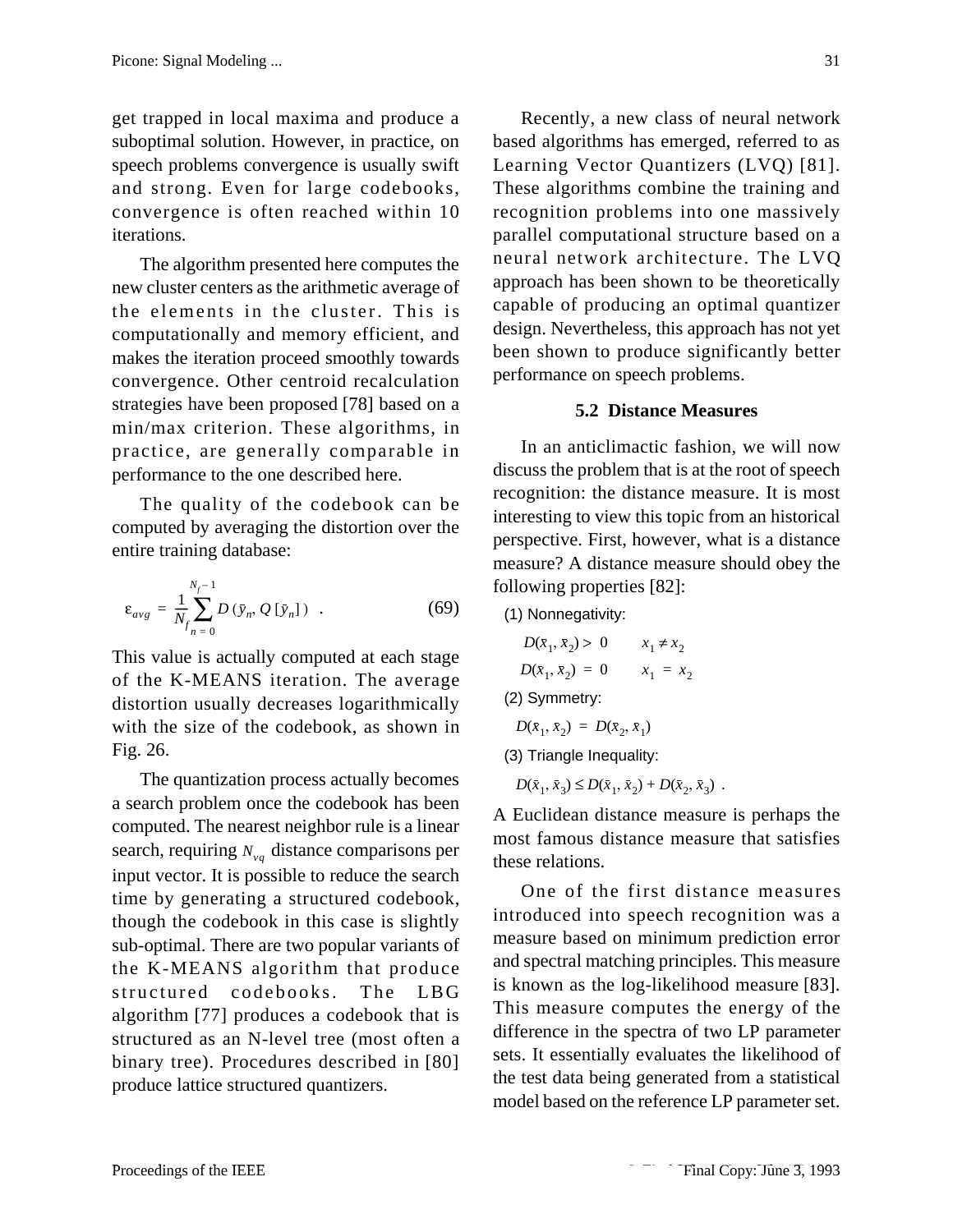suboptimal solution. However, in practice, on speech problems convergence is usually swift and strong. Even for large codebooks, convergence is often reached within 10 iterations.

The algorithm presented here computes the new cluster centers as the arithmetic average of the elements in the cluster. This is computationally and memory efficient, and makes the iteration proceed smoothly towards convergence. Other centroid recalculation strategies have been proposed [78] based on a min/max criterion. These algorithms, in practice, are generally comparable in performance to the one described here.

The quality of the codebook can be computed by averaging the distortion over the entire training database:

$$
\varepsilon_{avg} = \frac{1}{N_f} \sum_{n=0}^{N_f - 1} D(\bar{y}_n, Q[\bar{y}_n]) . \tag{69}
$$

This value is actually computed at each stage of the K-MEANS iteration. The average distortion usually decreases logarithmically with the size of the codebook, as shown in Fig. 26.

get trapped in coal maxima and produce a<br>
Recordly, a new class of neural entworce, in practice is only swell Learning Vector Quantizers (LVQ) [81,1993]<br>
and algorithms has energed, referred to as and strong, two for the The quantization process actually becomes a search problem once the codebook has been computed. The nearest neighbor rule is a linear search, requiring  $N_{vq}$  distance comparisons per input vector. It is possible to reduce the search time by generating a structured codebook, though the codebook in this case is slightly sub-optimal. There are two popular variants of the K-MEANS algorithm that produce structured codebooks. The LBG algorithm [77] produces a codebook that is structured as an N-level tree (most often a binary tree). Procedures described in [80] produce lattice structured quantizers.

Recently, a new class of neural network based algorithms has emerged, referred to as Learning Vector Quantizers (LVQ) [81]. These algorithms combine the training and recognition problems into one massively parallel computational structure based on a neural network architecture. The LVQ approach has been shown to be theoretically capable of producing an optimal quantizer design. Nevertheless, this approach has not yet been shown to produce significantly better performance on speech problems.

# **5.2 Distance Measures**

In an anticlimactic fashion, we will now discuss the problem that is at the root of speech recognition: the distance measure. It is most interesting to view this topic from an historical perspective. First, however, what is a distance measure? A distance measure should obey the following properties [82]:

(1) Nonnegativity:

$$
D(\bar{x}_1, \bar{x}_2) > 0 \qquad x_1 \neq x_2
$$
  

$$
D(\bar{x}_1, \bar{x}_2) = 0 \qquad x_1 = x_2
$$

(2) Symmetry:

$$
D(\bar{x}_1, \bar{x}_2) = D(\bar{x}_2, \bar{x}_1)
$$

(3) Triangle Inequality:

 $D(\bar{x}_1, \bar{x}_3) \leq D(\bar{x}_1, \bar{x}_2) + D(\bar{x}_2, \bar{x}_3)$ .

A Euclidean distance measure is perhaps the most famous distance measure that satisfies these relations.

One of the first distance measures introduced into speech recognition was a measure based on minimum prediction error and spectral matching principles. This measure is known as the log-likelihood measure [83]. This measure computes the energy of the difference in the spectra of two LP parameter sets. It essentially evaluates the likelihood of the test data being generated from a statistical model based on the reference LP parameter set.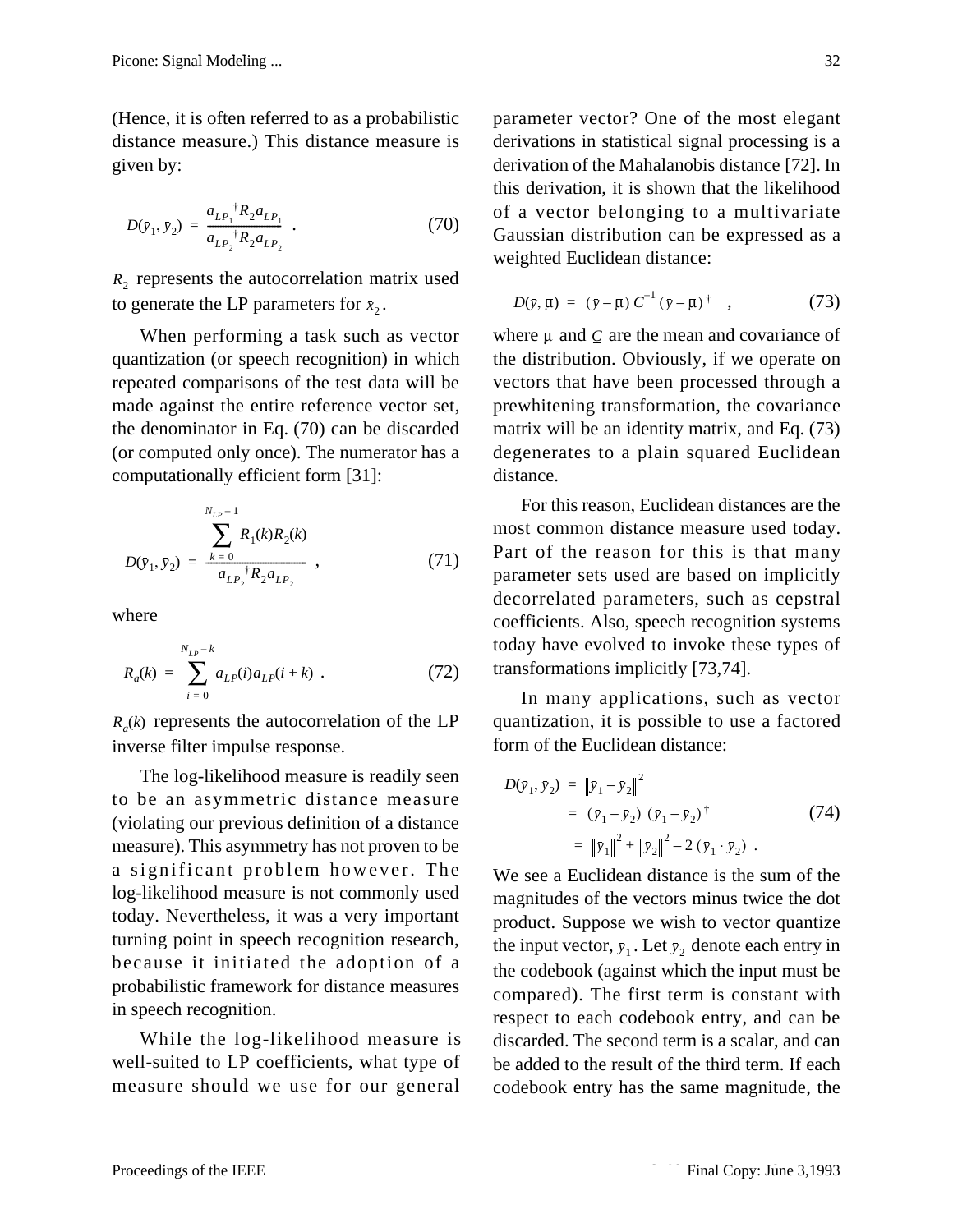(Hence, it is often referred to as a probabilistic distance measure.) This distance measure is given by:

$$
D(\bar{y}_1, \bar{y}_2) = \frac{a_{LP_1}{}^{\dagger} R_2 a_{LP_1}}{a_{LP_2}{}^{\dagger} R_2 a_{LP_2}} \tag{70}
$$

 $R<sub>2</sub>$  represents the autocorrelation matrix used to generate the LP parameters for  $\bar{x}_2$ .

When performing a task such as vector quantization (or speech recognition) in which repeated comparisons of the test data will be made against the entire reference vector set, the denominator in Eq. (70) can be discarded (or computed only once). The numerator has a computationally efficient form [31]:

$$
D(\bar{y}_1, \bar{y}_2) = \frac{\sum_{k=0}^{N_{LP}-1} R_1(k) R_2(k)}{a_{LP_2}^{\dagger} R_2 a_{LP_2}} , \qquad (71)
$$

where

$$
R_a(k) = \sum_{i=0}^{N_{LP}-k} a_{LP}(i)a_{LP}(i+k) . \qquad (72)
$$

 $R_a(k)$  represents the autocorrelation of the LP inverse filter impulse response.

The log-likelihood measure is readily seen to be an asymmetric distance measure (violating our previous definition of a distance measure). This asymmetry has not proven to be a significant problem however. The log-likelihood measure is not commonly used today. Nevertheless, it was a very important turning point in speech recognition research, because it initiated the adoption of a probabilistic framework for distance measures in speech recognition.

While the log-likelihood measure is well-suited to LP coefficients, what type of measure should we use for our general parameter vector? One of the most elegant derivations in statistical signal processing is a derivation of the Mahalanobis distance [72]. In this derivation, it is shown that the likelihood of a vector belonging to a multivariate Gaussian distribution can be expressed as a weighted Euclidean distance:

$$
D(\bar{y}, \bar{\mu}) = (\bar{y} - \bar{\mu}) \, \underline{C}^{-1} \, (\bar{y} - \bar{\mu})^{\dagger} \quad , \tag{73}
$$

where  $\mu$  and  $\sigma$  are the mean and covariance of the distribution. Obviously, if we operate on vectors that have been processed through a prewhitening transformation, the covariance matrix will be an identity matrix, and Eq. (73) degenerates to a plain squared Euclidean distance.

For this reason, Euclidean distances are the most common distance measure used today. Part of the reason for this is that many parameter sets used are based on implicitly decorrelated parameters, such as cepstral coefficients. Also, speech recognition systems today have evolved to invoke these types of transformations implicitly [73,74].

In many applications, such as vector quantization, it is possible to use a factored form of the Euclidean distance:

$$
D(\bar{y}_1, \bar{y}_2) = ||\bar{y}_1 - \bar{y}_2||^2
$$
  
=  $(\bar{y}_1 - \bar{y}_2) (\bar{y}_1 - \bar{y}_2)^{\dagger}$  (74)  
=  $||\bar{y}_1||^2 + ||\bar{y}_2||^2 - 2 (\bar{y}_1 \cdot \bar{y}_2)$ .

We see a Euclidean distance is the sum of the magnitudes of the vectors minus twice the dot product. Suppose we wish to vector quantize the input vector,  $\bar{y}_1$ . Let  $\bar{y}_2$  denote each entry in the codebook (against which the input must be compared). The first term is constant with respect to each codebook entry, and can be discarded. The second term is a scalar, and can be added to the result of the third term. If each codebook entry has the same magnitude, the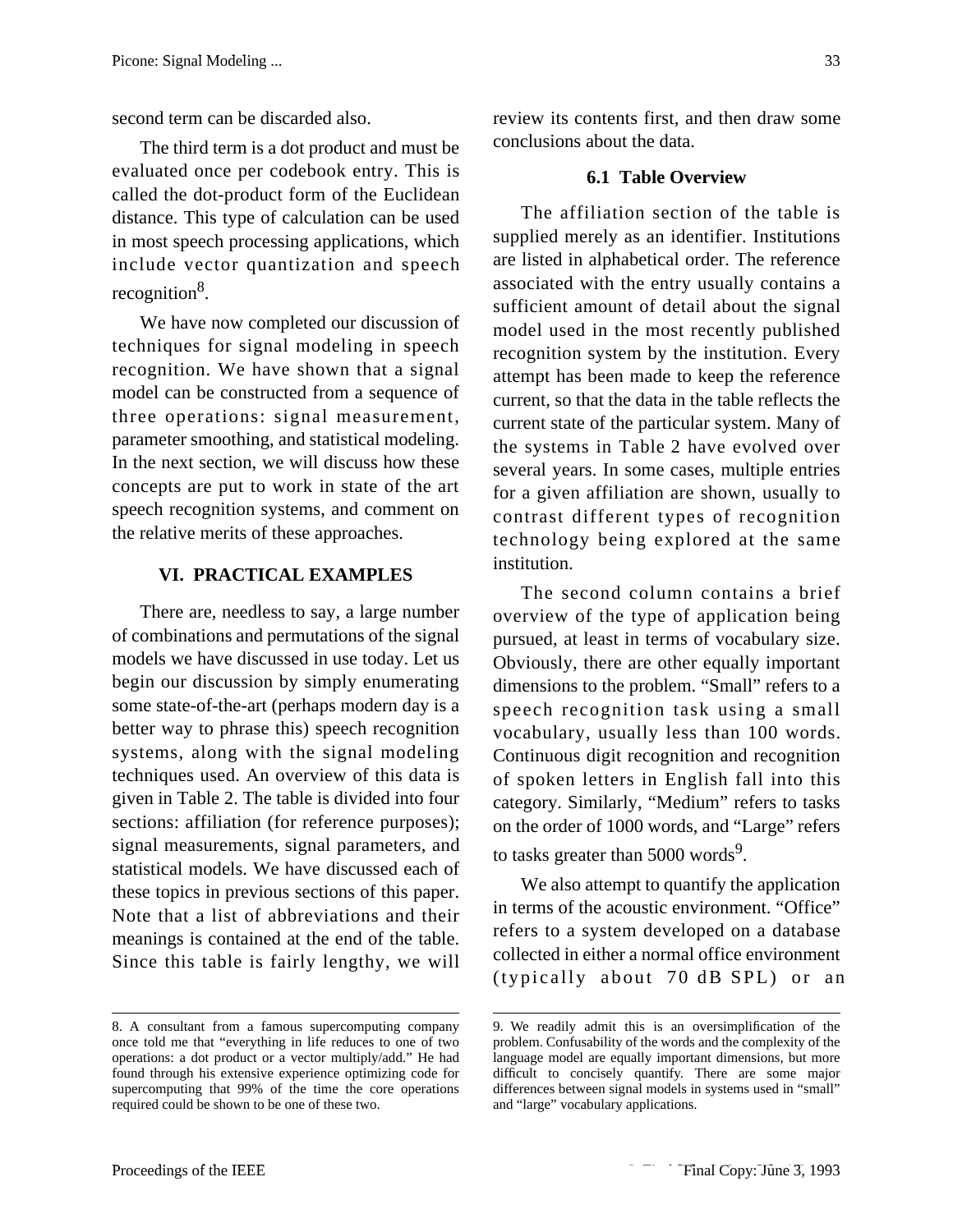The third term is a dot product and must be evaluated once per codebook entry. This is called the dot-product form of the Euclidean distance. This type of calculation can be used in most speech processing applications, which include vector quantization and speech recognition<sup>8</sup>.

We have now completed our discussion of techniques for signal modeling in speech recognition. We have shown that a signal model can be constructed from a sequence of three operations: signal measurement, parameter smoothing, and statistical modeling. In the next section, we will discuss how these concepts are put to work in state of the art speech recognition systems, and comment on the relative merits of these approaches.

# **VI. PRACTICAL EXAMPLES**

Second term can be discuss to the standard also. The second term can be discussed in the standard one per condomination of the standard one per condomination. This per of the condomination of the standard one per condomina There are, needless to say, a large number of combinations and permutations of the signal models we have discussed in use today. Let us begin our discussion by simply enumerating some state-of-the-art (perhaps modern day is a better way to phrase this) speech recognition systems, along with the signal modeling techniques used. An overview of this data is given in Table 2. The table is divided into four sections: affiliation (for reference purposes); signal measurements, signal parameters, and statistical models. We have discussed each of these topics in previous sections of this paper. Note that a list of abbreviations and their meanings is contained at the end of the table. Since this table is fairly lengthy, we will

review its contents first, and then draw some conclusions about the data.

#### **6.1 Table Overview**

The affiliation section of the table is supplied merely as an identifier. Institutions are listed in alphabetical order. The reference associated with the entry usually contains a sufficient amount of detail about the signal model used in the most recently published recognition system by the institution. Every attempt has been made to keep the reference current, so that the data in the table reflects the current state of the particular system. Many of the systems in Table 2 have evolved over several years. In some cases, multiple entries for a given affiliation are shown, usually to contrast different types of recognition technology being explored at the same institution.

The second column contains a brief overview of the type of application being pursued, at least in terms of vocabulary size. Obviously, there are other equally important dimensions to the problem. "Small" refers to a speech recognition task using a small vocabulary, usually less than 100 words. Continuous digit recognition and recognition of spoken letters in English fall into this category. Similarly, "Medium" refers to tasks on the order of 1000 words, and "Large" refers to tasks greater than  $5000$  words<sup>9</sup>.

We also attempt to quantify the application in terms of the acoustic environment. "Office" refers to a system developed on a database collected in either a normal office environment (typically about 70 dB SPL) or an

<sup>8.</sup> A consultant from a famous supercomputing company once told me that "everything in life reduces to one of two operations: a dot product or a vector multiply/add." He had found through his extensive experience optimizing code for supercomputing that 99% of the time the core operations required could be shown to be one of these two.

<sup>9.</sup> We readily admit this is an oversimplification of the problem. Confusability of the words and the complexity of the language model are equally important dimensions, but more difficult to concisely quantify. There are some major differences between signal models in systems used in "small" and "large" vocabulary applications.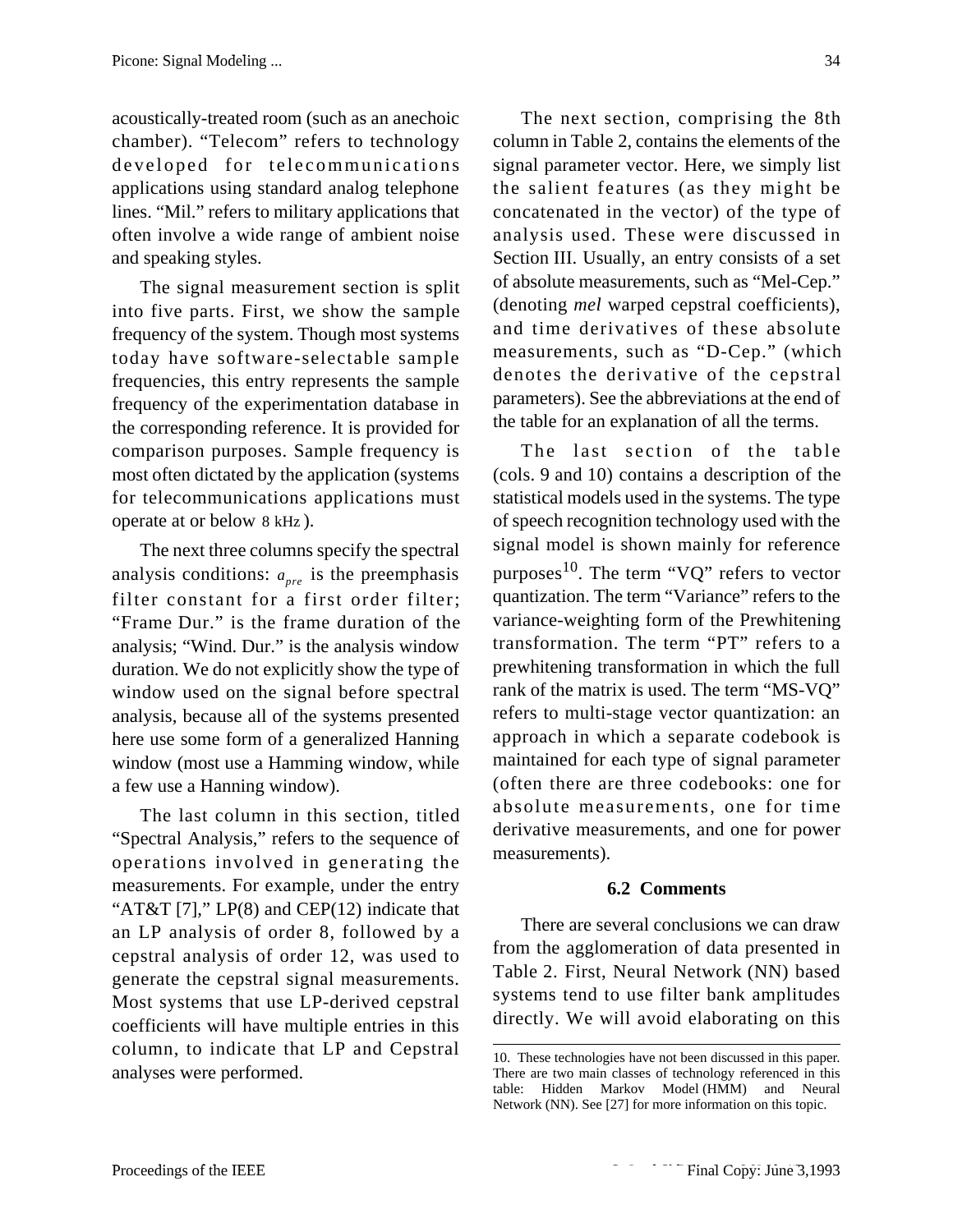acoustically-treated room (such as an anechoic chamber). "Telecom" refers to technology developed for telecommunications applications using standard analog telephone lines. "Mil." refers to military applications that often involve a wide range of ambient noise and speaking styles.

The signal measurement section is split into five parts. First, we show the sample frequency of the system. Though most systems today have software-selectable sample frequencies, this entry represents the sample frequency of the experimentation database in the corresponding reference. It is provided for comparison purposes. Sample frequency is most often dictated by the application (systems for telecommunications applications must operate at or below 8 kHz).

The next three columns specify the spectral analysis conditions:  $a_{pre}$  is the preemphasis filter constant for a first order filter; "Frame Dur." is the frame duration of the analysis; "Wind. Dur." is the analysis window duration. We do not explicitly show the type of window used on the signal before spectral analysis, because all of the systems presented here use some form of a generalized Hanning window (most use a Hamming window, while a few use a Hanning window).

The last column in this section, titled "Spectral Analysis," refers to the sequence of operations involved in generating the measurements. For example, under the entry "AT&T  $[7]$ ," LP $(8)$  and CEP $(12)$  indicate that an LP analysis of order 8, followed by a cepstral analysis of order 12, was used to generate the cepstral signal measurements. Most systems that use LP-derived cepstral coefficients will have multiple entries in this column, to indicate that LP and Cepstral analyses were performed.

The next section, comprising the 8th column in Table 2, contains the elements of the signal parameter vector. Here, we simply list the salient features (as they might be concatenated in the vector) of the type of analysis used. These were discussed in Section III. Usually, an entry consists of a set of absolute measurements, such as "Mel-Cep." (denoting *mel* warped cepstral coefficients), and time derivatives of these absolute measurements, such as "D-Cep." (which denotes the derivative of the cepstral parameters). See the abbreviations at the end of the table for an explanation of all the terms.

The last section of the table (cols. 9 and 10) contains a description of the statistical models used in the systems. The type of speech recognition technology used with the signal model is shown mainly for reference purposes $^{10}$ . The term "VQ" refers to vector quantization. The term "Variance" refers to the variance-weighting form of the Prewhitening transformation. The term "PT" refers to a prewhitening transformation in which the full rank of the matrix is used. The term "MS-VQ" refers to multi-stage vector quantization: an approach in which a separate codebook is maintained for each type of signal parameter (often there are three codebooks: one for absolute measurements, one for time derivative measurements, and one for power measurements).

#### **6.2 Comments**

There are several conclusions we can draw from the agglomeration of data presented in Table 2. First, Neural Network (NN) based systems tend to use filter bank amplitudes directly. We will avoid elaborating on this

<sup>10.</sup> These technologies have not been discussed in this paper. There are two main classes of technology referenced in this table: Hidden Markov Model (HMM) and Neural Network (NN). See [27] for more information on this topic.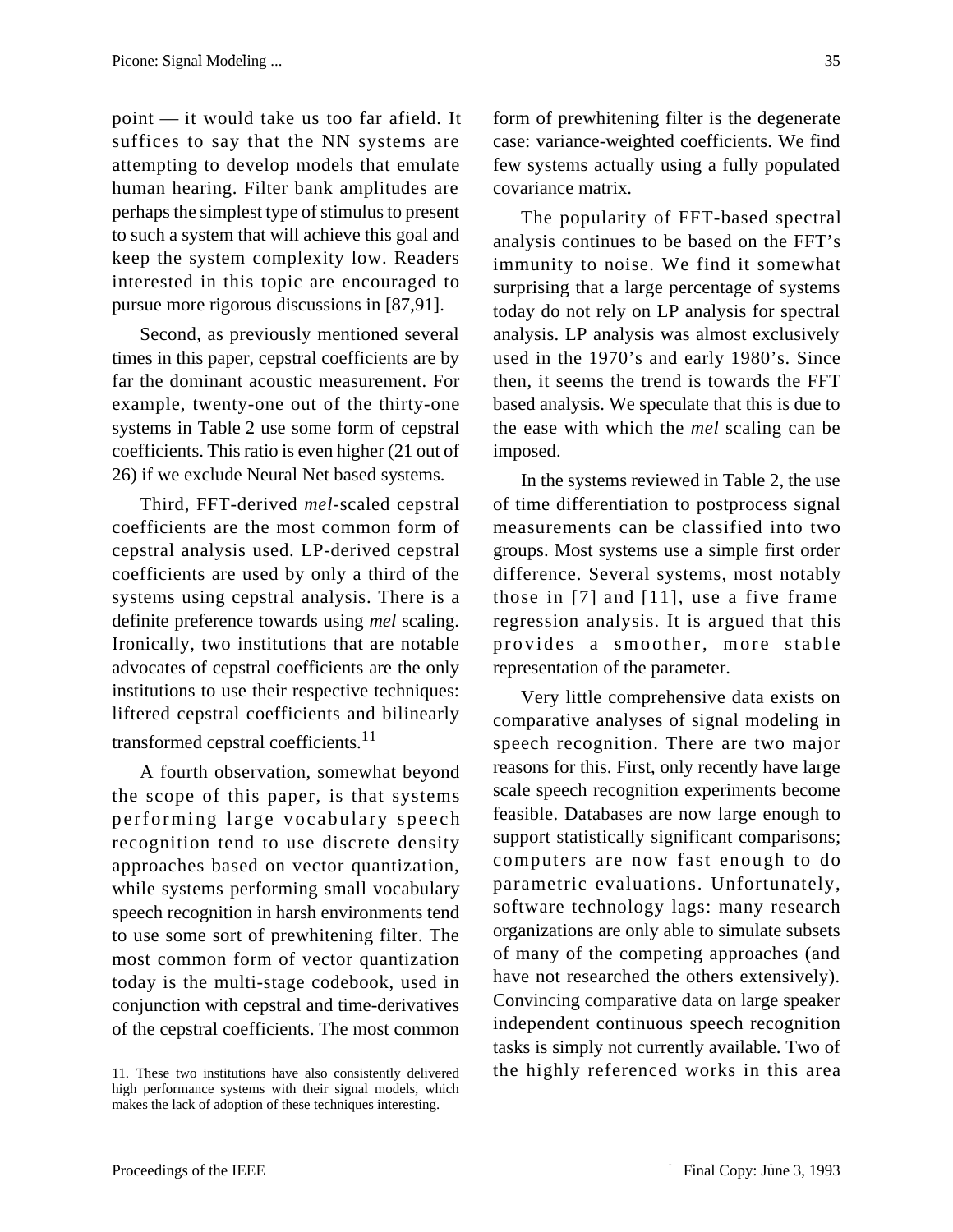suffices to say that the NN systems are attempting to develop models that emulate human hearing. Filter bank amplitudes are perhaps the simplest type of stimulus to present to such a system that will achieve this goal and keep the system complexity low. Readers interested in this topic are encouraged to pursue more rigorous discussions in [87,91].

Second, as previously mentioned several times in this paper, cepstral coefficients are by far the dominant acoustic measurement. For example, twenty-one out of the thirty-one systems in Table 2 use some form of cepstral coefficients. This ratio is even higher (21 out of 26) if we exclude Neural Net based systems.

Third, FFT-derived *mel*-scaled cepstral coefficients are the most common form of cepstral analysis used. LP-derived cepstral coefficients are used by only a third of the systems using cepstral analysis. There is a definite preference towards using *mel* scaling. Ironically, two institutions that are notable advocates of cepstral coefficients are the only institutions to use their respective techniques: liftered cepstral coefficients and bilinearly transformed cepstral coefficients.<sup>11</sup>

A fourth observation, somewhat beyond the scope of this paper, is that systems performing large vocabulary speech recognition tend to use discrete density approaches based on vector quantization, while systems performing small vocabulary speech recognition in harsh environments tend to use some sort of prewhitening filter. The most common form of vector quantization today is the multi-stage codebook, used in conjunction with cepstral and time-derivatives of the cepstral coefficients. The most common

11. These two institutions have also consistently delivered high performance systems with their signal models, which makes the lack of adoption of these techniques interesting.

form of prewhitening filter is the degenerate case: variance-weighted coefficients. We find few systems actually using a fully populated covariance matrix.

The popularity of FFT-based spectral analysis continues to be based on the FFT's immunity to noise. We find it somewhat surprising that a large percentage of systems today do not rely on LP analysis for spectral analysis. LP analysis was almost exclusively used in the 1970's and early 1980's. Since then, it seems the trend is towards the FFT based analysis. We speculate that this is due to the ease with which the *mel* scaling can be imposed.

In the systems reviewed in Table 2, the use of time differentiation to postprocess signal measurements can be classified into two groups. Most systems use a simple first order difference. Several systems, most notably those in [7] and [11], use a five frame regression analysis. It is argued that this provides a smoother, more stable representation of the parameter.

Digit — it would take us too far afield. It form of prevehiening filter is the degenerated points are not the systems are easier and the properties. We find human hearing, to develop models bala could us few systems actual Very little comprehensive data exists on comparative analyses of signal modeling in speech recognition. There are two major reasons for this. First, only recently have large scale speech recognition experiments become feasible. Databases are now large enough to support statistically significant comparisons; computers are now fast enough to do parametric evaluations. Unfortunately, software technology lags: many research organizations are only able to simulate subsets of many of the competing approaches (and have not researched the others extensively). Convincing comparative data on large speaker independent continuous speech recognition tasks is simply not currently available. Two of the highly referenced works in this area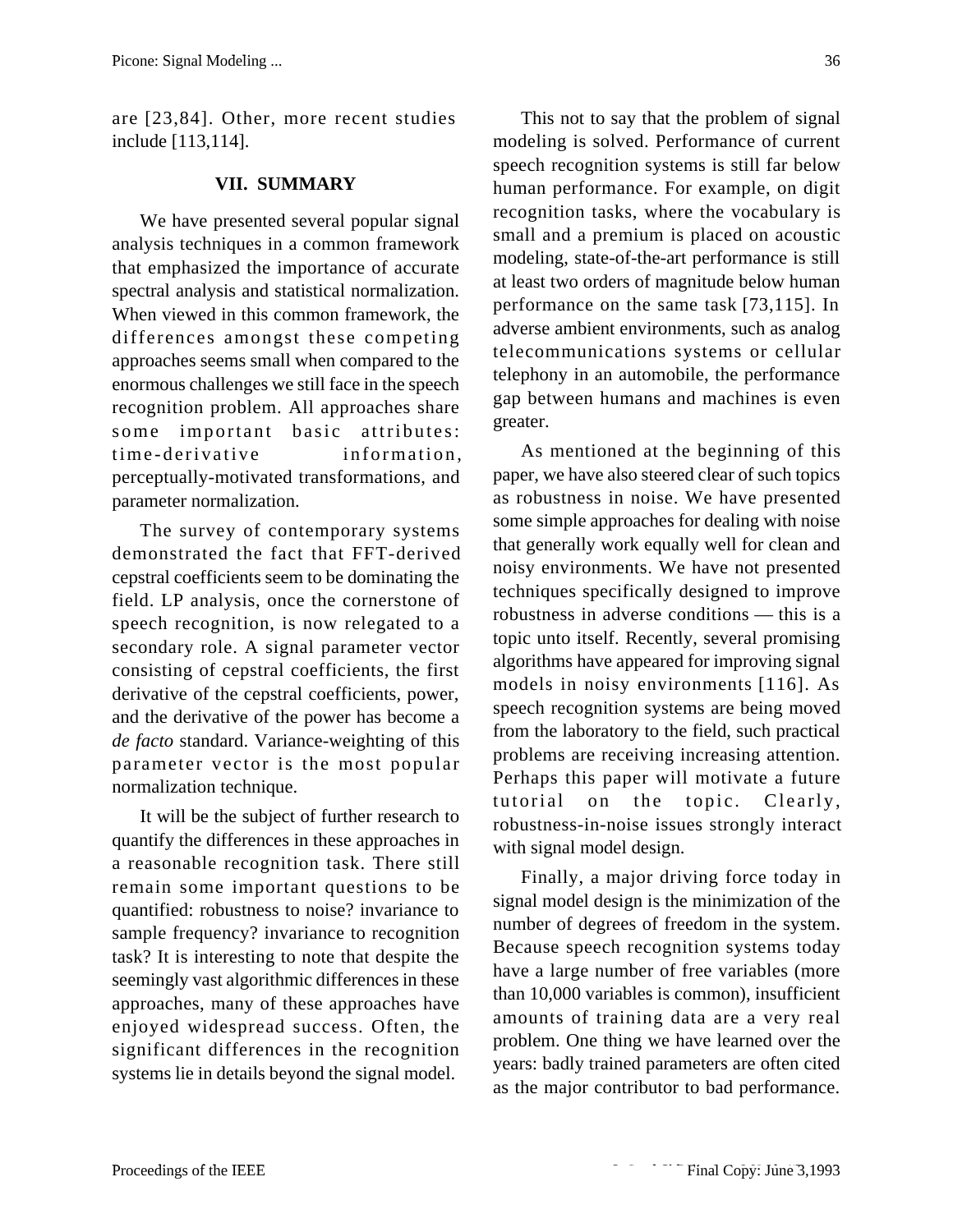are [23,84]. Other, more recent studies include [113,114].

# **VII. SUMMARY**

We have presented several popular signal analysis techniques in a common framework that emphasized the importance of accurate spectral analysis and statistical normalization. When viewed in this common framework, the differences amongst these competing approaches seems small when compared to the enormous challenges we still face in the speech recognition problem. All approaches share some important basic attributes: time-derivative information, perceptually-motivated transformations, and parameter normalization.

The survey of contemporary systems demonstrated the fact that FFT-derived cepstral coefficients seem to be dominating the field. LP analysis, once the cornerstone of speech recognition, is now relegated to a secondary role. A signal parameter vector consisting of cepstral coefficients, the first derivative of the cepstral coefficients, power, and the derivative of the power has become a *de facto* standard. Variance-weighting of this parameter vector is the most popular normalization technique.

It will be the subject of further research to quantify the differences in these approaches in a reasonable recognition task. There still remain some important questions to be quantified: robustness to noise? invariance to sample frequency? invariance to recognition task? It is interesting to note that despite the seemingly vast algorithmic differences in these approaches, many of these approaches have enjoyed widespread success. Often, the significant differences in the recognition systems lie in details beyond the signal model.

This not to say that the problem of signal modeling is solved. Performance of current speech recognition systems is still far below human performance. For example, on digit recognition tasks, where the vocabulary is small and a premium is placed on acoustic modeling, state-of-the-art performance is still at least two orders of magnitude below human performance on the same task [73,115]. In adverse ambient environments, such as analog telecommunications systems or cellular telephony in an automobile, the performance gap between humans and machines is even greater.

As mentioned at the beginning of this paper, we have also steered clear of such topics as robustness in noise. We have presented some simple approaches for dealing with noise that generally work equally well for clean and noisy environments. We have not presented techniques specifically designed to improve robustness in adverse conditions — this is a topic unto itself. Recently, several promising algorithms have appeared for improving signal models in noisy environments [116]. As speech recognition systems are being moved from the laboratory to the field, such practical problems are receiving increasing attention. Perhaps this paper will motivate a future tutorial on the topic. Clearly, robustness-in-noise issues strongly interact with signal model design.

Finally, a major driving force today in signal model design is the minimization of the number of degrees of freedom in the system. Because speech recognition systems today have a large number of free variables (more than 10,000 variables is common), insufficient amounts of training data are a very real problem. One thing we have learned over the years: badly trained parameters are often cited as the major contributor to bad performance.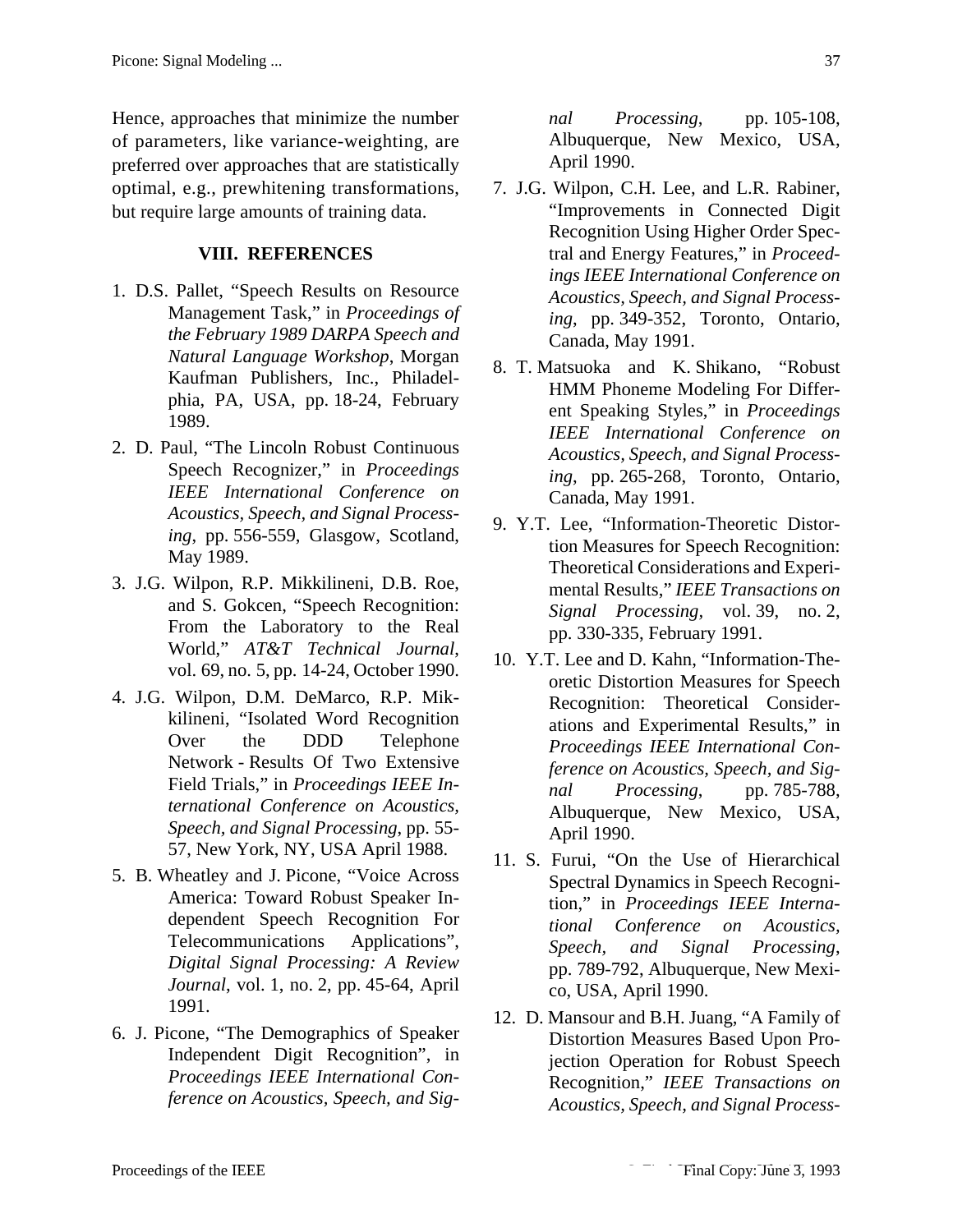of parameters, like variance-weighting, are preferred over approaches that are statistically optimal, e.g., prewhitening transformations, but require large amounts of training data.

### **VIII. REFERENCES**

- 1. D.S. Pallet, "Speech Results on Resource Management Task," in *Proceedings of the February 1989 DARPA Speech and Natural Language Workshop*, Morgan Kaufman Publishers, Inc., Philadelphia, PA, USA, pp. 18-24, February 1989.
- 2. D. Paul, "The Lincoln Robust Continuous Speech Recognizer," in *Proceedings IEEE International Conference on Acoustics, Speech, and Signal Processing*, pp. 556-559, Glasgow, Scotland, May 1989.
- 3. J.G. Wilpon, R.P. Mikkilineni, D.B. Roe, and S. Gokcen, "Speech Recognition: From the Laboratory to the Real World," *AT&T Technical Journal*, vol. 69, no. 5, pp. 14-24, October 1990.
- 4. J.G. Wilpon, D.M. DeMarco, R.P. Mikkilineni, "Isolated Word Recognition Over the DDD Telephone Network - Results Of Two Extensive Field Trials," in *Proceedings IEEE International Conference on Acoustics, Speech, and Signal Processing*, pp. 55- 57, New York, NY, USA April 1988.
- 5. B. Wheatley and J. Picone, "Voice Across America: Toward Robust Speaker Independent Speech Recognition For Telecommunications Applications", *Digital Signal Processing: A Review Journal*, vol. 1, no. 2, pp. 45-64, April 1991.
- 6. J. Picone, "The Demographics of Speaker Independent Digit Recognition", in *Proceedings IEEE International Conference on Acoustics, Speech, and Sig-*

*nal Processing*, pp. 105-108, Albuquerque, New Mexico, USA, April 1990.

- 7. J.G. Wilpon, C.H. Lee, and L.R. Rabiner, "Improvements in Connected Digit Recognition Using Higher Order Spectral and Energy Features," in *Proceedings IEEE International Conference on Acoustics, Speech, and Signal Processing*, pp. 349-352, Toronto, Ontario, Canada, May 1991.
- 8. T. Matsuoka and K. Shikano, "Robust HMM Phoneme Modeling For Different Speaking Styles," in *Proceedings IEEE International Conference on Acoustics, Speech, and Signal Processing*, pp. 265-268, Toronto, Ontario, Canada, May 1991.
- 9. Y.T. Lee, "Information-Theoretic Distortion Measures for Speech Recognition: Theoretical Considerations and Experimental Results," *IEEE Transactions on Signal Processing,* vol. 39, no. 2, pp. 330-335, February 1991.
- IEEE: (approaches that minimize he much and  $P$ . The number of the number of the number of approximation of approximation of approximation of the number of the number of the number of the number of the number of the numbe 10. Y.T. Lee and D. Kahn, "Information-Theoretic Distortion Measures for Speech Recognition: Theoretical Considerations and Experimental Results," in *Proceedings IEEE International Conference on Acoustics, Speech, and Signal Processing*, pp. 785-788, Albuquerque, New Mexico, USA, April 1990.
	- 11. S. Furui, "On the Use of Hierarchical Spectral Dynamics in Speech Recognition," in *Proceedings IEEE International Conference on Acoustics, Speech, and Signal Processing*, pp. 789-792, Albuquerque, New Mexico, USA, April 1990.
	- 12. D. Mansour and B.H. Juang, "A Family of Distortion Measures Based Upon Projection Operation for Robust Speech Recognition," *IEEE Transactions on Acoustics, Speech, and Signal Process-*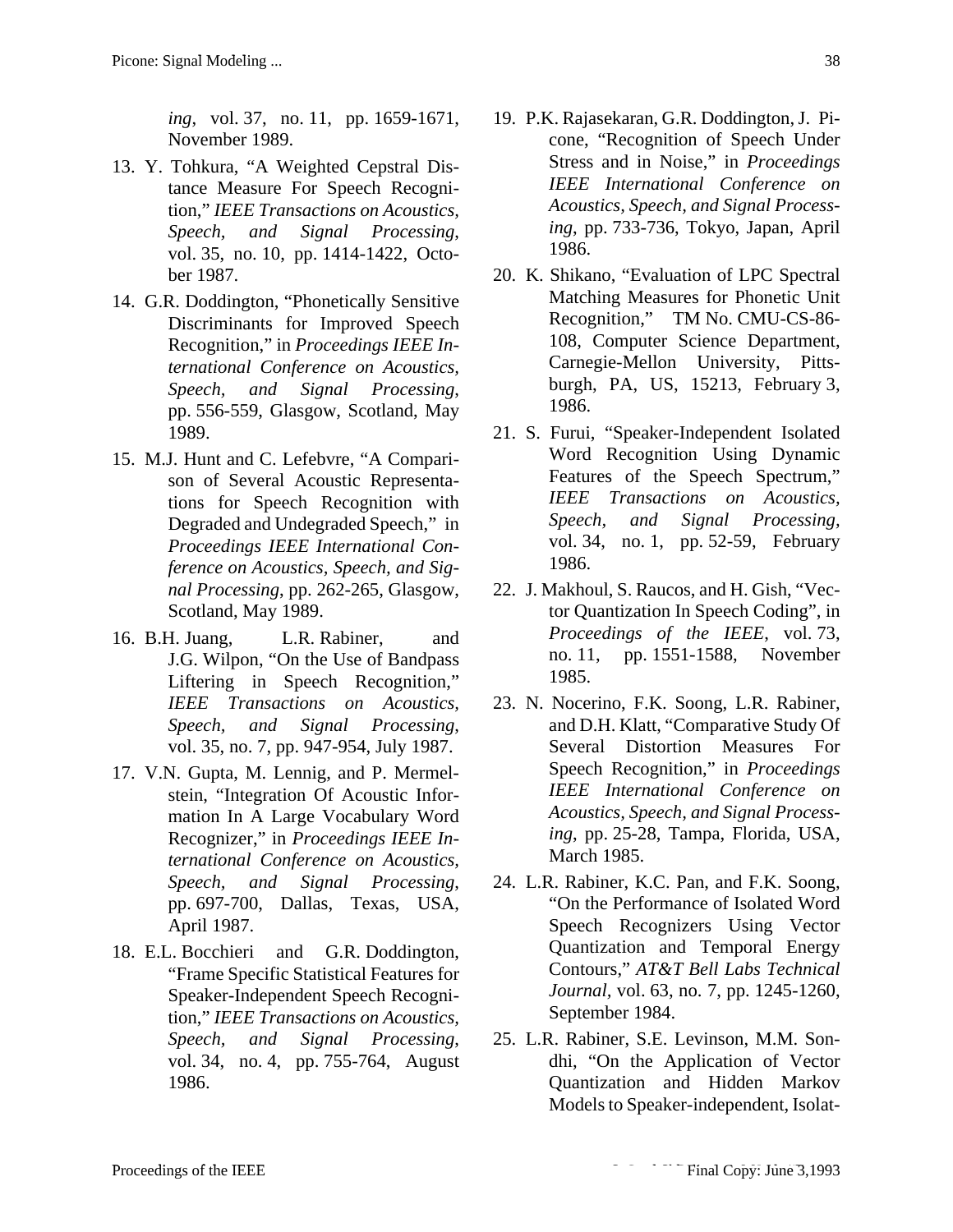*ing*, vol. 37, no. 11, pp. 1659-1671, November 1989.

- 13. Y. Tohkura, "A Weighted Cepstral Distance Measure For Speech Recognition," *IEEE Transactions on Acoustics, Speech, and Signal Processing*, vol. 35, no. 10, pp. 1414-1422, October 1987.
- 14. G.R. Doddington, "Phonetically Sensitive Discriminants for Improved Speech Recognition," in *Proceedings IEEE International Conference on Acoustics, Speech, and Signal Processing*, pp. 556-559, Glasgow, Scotland, May 1989.
- 15. M.J. Hunt and C. Lefebvre, "A Comparison of Several Acoustic Representations for Speech Recognition with Degraded and Undegraded Speech," in *Proceedings IEEE International Conference on Acoustics, Speech, and Signal Processing*, pp. 262-265, Glasgow, Scotland, May 1989.
- 16. B.H. Juang, L.R. Rabiner, and J.G. Wilpon, "On the Use of Bandpass Liftering in Speech Recognition," *IEEE Transactions on Acoustics, Speech, and Signal Processing*, vol. 35, no. 7, pp. 947-954, July 1987.
- 17. V.N. Gupta, M. Lennig, and P. Mermelstein, "Integration Of Acoustic Information In A Large Vocabulary Word Recognizer," in *Proceedings IEEE International Conference on Acoustics, Speech, and Signal Processing*, pp. 697-700, Dallas, Texas, USA, April 1987.
- 18. E.L. Bocchieri and G.R. Doddington, "Frame Specific Statistical Features for Speaker-Independent Speech Recognition," *IEEE Transactions on Acoustics, Speech, and Signal Processing*, vol. 34, no. 4, pp. 755-764, August 1986.
- 19. P.K. Rajasekaran, G.R. Doddington, J. Picone, "Recognition of Speech Under Stress and in Noise," in *Proceedings IEEE International Conference on Acoustics, Speech, and Signal Processing*, pp. 733-736, Tokyo, Japan, April 1986.
- 20. K. Shikano, "Evaluation of LPC Spectral Matching Measures for Phonetic Unit Recognition," TM No. CMU-CS-86- 108, Computer Science Department, Carnegie-Mellon University, Pittsburgh, PA, US, 15213, February 3, 1986.
- 21. S. Furui, "Speaker-Independent Isolated Word Recognition Using Dynamic Features of the Speech Spectrum," *IEEE Transactions on Acoustics, Speech, and Signal Processing,* vol. 34, no. 1, pp. 52-59, February 1986.
- 22. J. Makhoul, S. Raucos, and H. Gish, "Vector Quantization In Speech Coding", in *Proceedings of the IEEE*, vol. 73, no. 11, pp. 1551-1588, November 1985.
- 23. N. Nocerino, F.K. Soong, L.R. Rabiner, and D.H. Klatt, "Comparative Study Of Several Distortion Measures For Speech Recognition," in *Proceedings IEEE International Conference on Acoustics, Speech, and Signal Processing*, pp. 25-28, Tampa, Florida, USA, March 1985.
- 24. L.R. Rabiner, K.C. Pan, and F.K. Soong, "On the Performance of Isolated Word Speech Recognizers Using Vector Quantization and Temporal Energy Contours," *AT&T Bell Labs Technical Journal,* vol. 63, no. 7, pp. 1245-1260, September 1984.
- 25. L.R. Rabiner, S.E. Levinson, M.M. Sondhi, "On the Application of Vector Quantization and Hidden Markov Models to Speaker-independent, Isolat-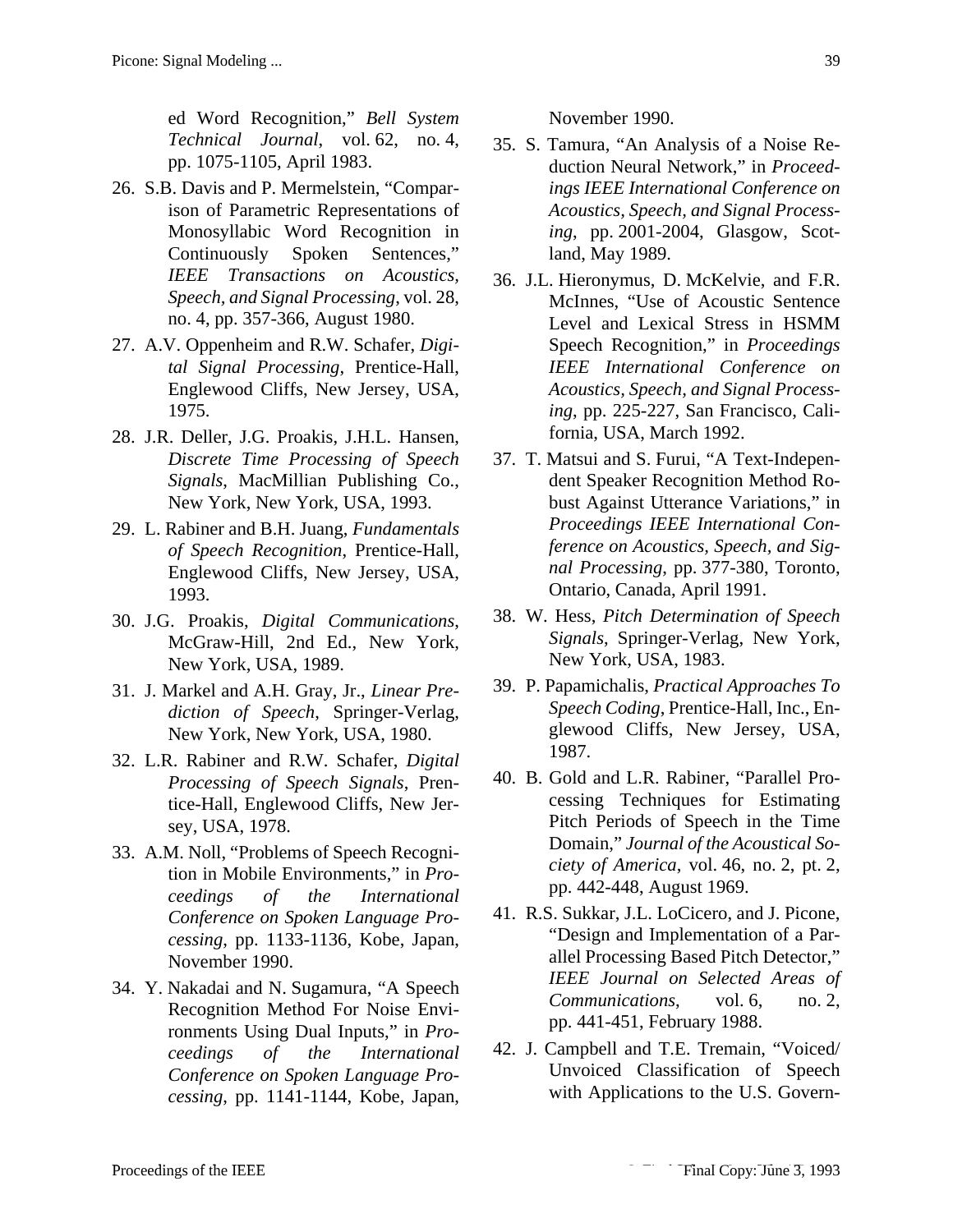*Technical Journal*, vol. 62, no. 4, pp. 1075-1105, April 1983.

- 26. S.B. Davis and P. Mermelstein, "Comparison of Parametric Representations of Monosyllabic Word Recognition in Continuously Spoken Sentences," *IEEE Transactions on Acoustics, Speech, and Signal Processing*, vol. 28, no. 4, pp. 357-366, August 1980.
- 27. A.V. Oppenheim and R.W. Schafer, *Digital Signal Processing*, Prentice-Hall, Englewood Cliffs, New Jersey, USA, 1975.
- 28. J.R. Deller, J.G. Proakis, J.H.L. Hansen, *Discrete Time Processing of Speech Signals*, MacMillian Publishing Co., New York, New York, USA, 1993.
- 29. L. Rabiner and B.H. Juang, *Fundamentals of Speech Recognition*, Prentice-Hall, Englewood Cliffs, New Jersey, USA, 1993.
- 30. J.G. Proakis, *Digital Communications*, McGraw-Hill, 2nd Ed., New York, New York, USA, 1989.
- 31. J. Markel and A.H. Gray, Jr., *Linear Prediction of Speech*, Springer-Verlag, New York, New York, USA, 1980.
- 32. L.R. Rabiner and R.W. Schafer, *Digital Processing of Speech Signals*, Prentice-Hall, Englewood Cliffs, New Jersey, USA, 1978.
- 33. A.M. Noll, "Problems of Speech Recognition in Mobile Environments," in *Proceedings of the International Conference on Spoken Language Processing*, pp. 1133-1136, Kobe, Japan, November 1990.
- 34. Y. Nakadai and N. Sugamura, "A Speech Recognition Method For Noise Environments Using Dual Inputs," in *Proceedings of the International Conference on Spoken Language Processing*, pp. 1141-1144, Kobe, Japan,

November 1990.

- 35. S. Tamura, "An Analysis of a Noise Reduction Neural Network," in *Proceedings IEEE International Conference on Acoustics, Speech, and Signal Processing*, pp. 2001-2004, Glasgow, Scotland, May 1989.
- IF System (Recognition: Bell System 1990, 1993,<br>
Trebution IIS System (1990, 1993), 1993, 1993, 1993, 1993, 1993, 1993, 1993, 1993, 1993, 1993, 1993, 1993, 1993, 1993, 1993, 1993, 1993, 1993, 1993, 1993, 1993, 1993, 1993, 36. J.L. Hieronymus, D. McKelvie, and F.R. McInnes, "Use of Acoustic Sentence Level and Lexical Stress in HSMM Speech Recognition," in *Proceedings IEEE International Conference on Acoustics, Speech, and Signal Processing*, pp. 225-227, San Francisco, California, USA, March 1992.
	- 37. T. Matsui and S. Furui, "A Text-Independent Speaker Recognition Method Robust Against Utterance Variations," in *Proceedings IEEE International Conference on Acoustics, Speech, and Signal Processing*, pp. 377-380, Toronto, Ontario, Canada, April 1991.
	- 38. W. Hess, *Pitch Determination of Speech Signals*, Springer-Verlag, New York, New York, USA, 1983.
	- 39. P. Papamichalis, *Practical Approaches To Speech Coding*, Prentice-Hall, Inc., Englewood Cliffs, New Jersey, USA, 1987.
	- 40. B. Gold and L.R. Rabiner, "Parallel Processing Techniques for Estimating Pitch Periods of Speech in the Time Domain," *Journal of the Acoustical Society of America*, vol. 46, no. 2, pt. 2, pp. 442-448, August 1969.
	- 41. R.S. Sukkar, J.L. LoCicero, and J. Picone, "Design and Implementation of a Parallel Processing Based Pitch Detector," *IEEE Journal on Selected Areas of Communications*, vol. 6, no. 2, pp. 441-451, February 1988.
	- 42. J. Campbell and T.E. Tremain, "Voiced/ Unvoiced Classification of Speech with Applications to the U.S. Govern-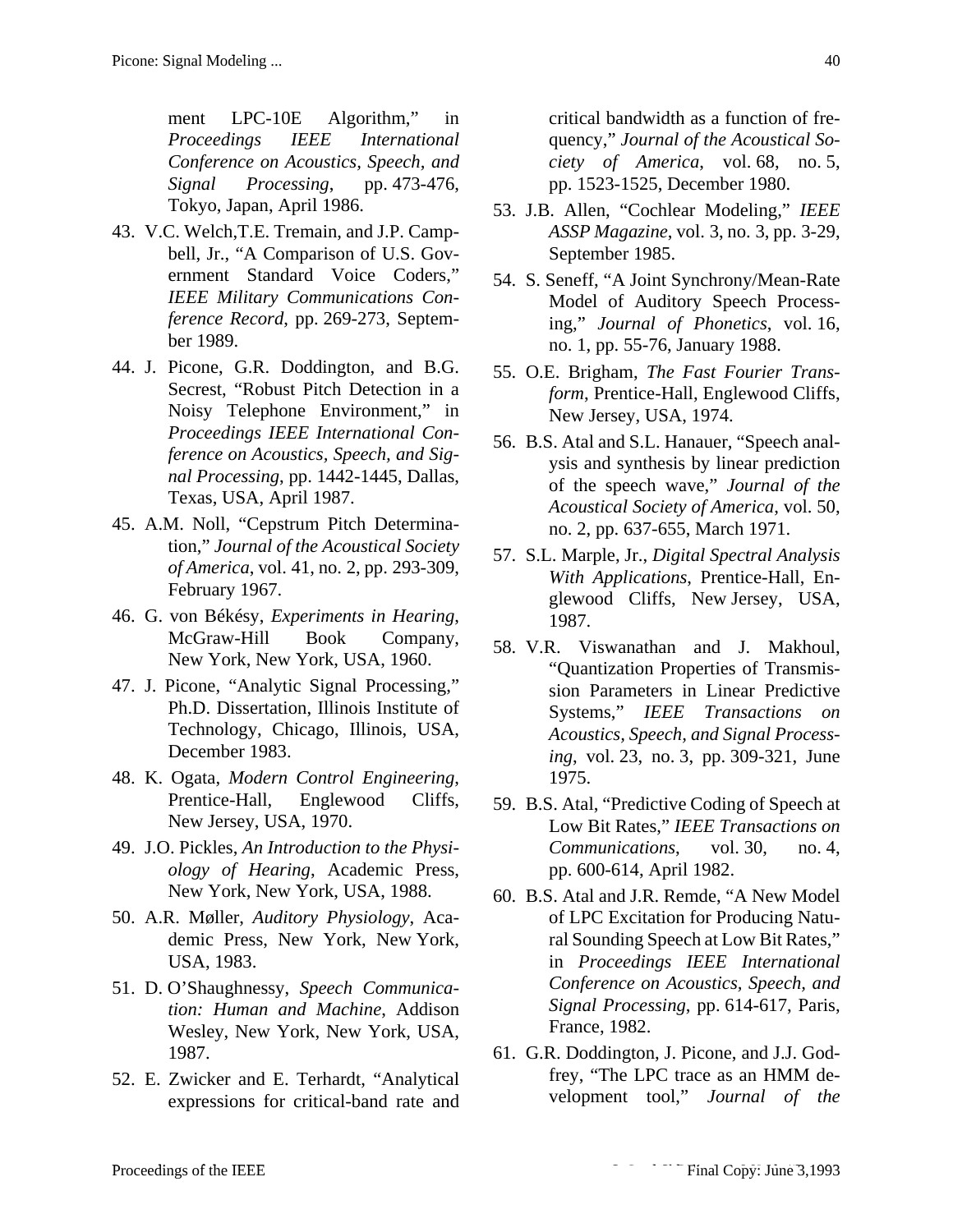ment LPC-10E Algorithm," in *Proceedings IEEE International Conference on Acoustics, Speech, and Signal Processing*, pp. 473-476, Tokyo, Japan, April 1986.

- 43. V.C. Welch,T.E. Tremain, and J.P. Campbell, Jr., "A Comparison of U.S. Government Standard Voice Coders," *IEEE Military Communications Conference Record*, pp. 269-273, September 1989.
- 44. J. Picone, G.R. Doddington, and B.G. Secrest, "Robust Pitch Detection in a Noisy Telephone Environment," in *Proceedings IEEE International Conference on Acoustics, Speech, and Signal Processing*, pp. 1442-1445, Dallas, Texas, USA, April 1987.
- 45. A.M. Noll, "Cepstrum Pitch Determination," *Journal of the Acoustical Society of America*, vol. 41, no. 2, pp. 293-309, February 1967.
- 46. G. von Békésy, *Experiments in Hearing*, McGraw-Hill Book Company, New York, New York, USA, 1960.
- 47. J. Picone, "Analytic Signal Processing," Ph.D. Dissertation, Illinois Institute of Technology, Chicago, Illinois, USA, December 1983.
- 48. K. Ogata, *Modern Control Engineering*, Prentice-Hall, Englewood Cliffs, New Jersey, USA, 1970.
- 49. J.O. Pickles, *An Introduction to the Physiology of Hearing*, Academic Press, New York, New York, USA, 1988.
- 50. A.R. Møller, *Auditory Physiology*, Academic Press, New York, New York, USA, 1983.
- 51. D. O'Shaughnessy, *Speech Communication: Human and Machine*, Addison Wesley, New York, New York, USA, 1987.
- 52. E. Zwicker and E. Terhardt, "Analytical expressions for critical-band rate and

critical bandwidth as a function of frequency," *Journal of the Acoustical Society of America*, vol. 68, no. 5, pp. 1523-1525, December 1980.

- 53. J.B. Allen, "Cochlear Modeling," *IEEE ASSP Magazine*, vol. 3, no. 3, pp. 3-29, September 1985.
- 54. S. Seneff, "A Joint Synchrony/Mean-Rate Model of Auditory Speech Processing," *Journal of Phonetics*, vol. 16, no. 1, pp. 55-76, January 1988.
- 55. O.E. Brigham, *The Fast Fourier Transform*, Prentice-Hall, Englewood Cliffs, New Jersey, USA, 1974.
- 56. B.S. Atal and S.L. Hanauer, "Speech analysis and synthesis by linear prediction of the speech wave," *Journal of the Acoustical Society of America*, vol. 50, no. 2, pp. 637-655, March 1971.
- 57. S.L. Marple, Jr., *Digital Spectral Analysis With Applications*, Prentice-Hall, Englewood Cliffs, New Jersey, USA, 1987.
- 58. V.R. Viswanathan and J. Makhoul, "Quantization Properties of Transmission Parameters in Linear Predictive Systems," *IEEE Transactions on Acoustics, Speech, and Signal Processing*, vol. 23, no. 3, pp. 309-321, June 1975.
- 59. B.S. Atal, "Predictive Coding of Speech at Low Bit Rates," *IEEE Transactions on Communications*, vol. 30, no. 4, pp. 600-614, April 1982.
- 60. B.S. Atal and J.R. Remde, "A New Model of LPC Excitation for Producing Natural Sounding Speech at Low Bit Rates," in *Proceedings IEEE International Conference on Acoustics, Speech, and Signal Processing*, pp. 614-617, Paris, France, 1982.
- 61. G.R. Doddington, J. Picone, and J.J. Godfrey, "The LPC trace as an HMM development tool," *Journal of the*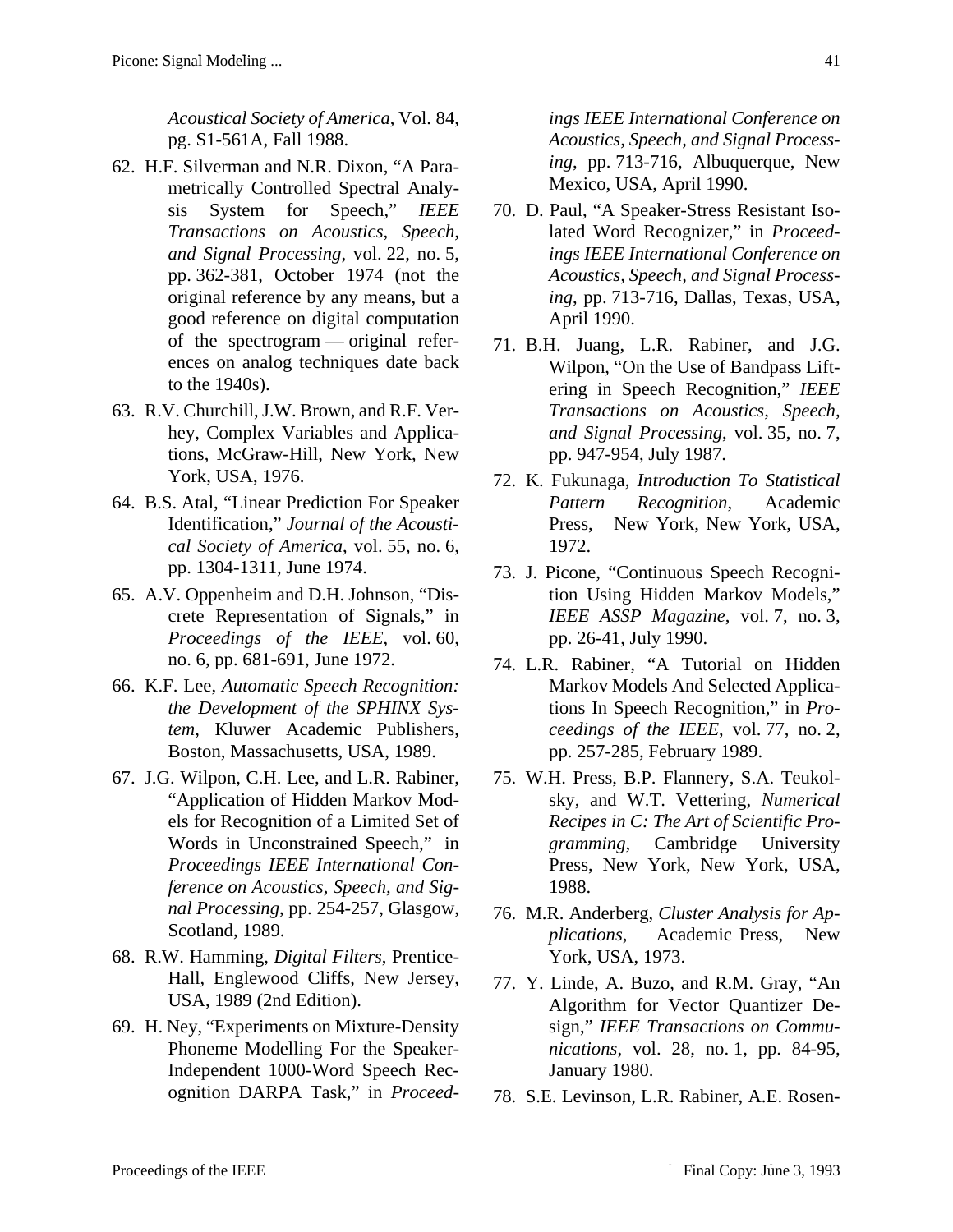pg. S1-561A, Fall 1988.

- Acoustical Society of America, Vol. 84, image IEEE International Conference on Submission: Submission: A Bureau and N.R. Disor, "A Bureau and N.R. Disor, "A Bureau and N.R. Disor, "A Bureau and N.R. Disor, "A Submission of 62. H.F. Silverman and N.R. Dixon, "A Parametrically Controlled Spectral Analysis System for Speech," *IEEE Transactions on Acoustics, Speech, and Signal Processing*, vol. 22, no. 5, pp. 362-381, October 1974 (not the original reference by any means, but a good reference on digital computation of the spectrogram — original references on analog techniques date back to the 1940s).
- 63. R.V. Churchill, J.W. Brown, and R.F. Verhey, Complex Variables and Applications, McGraw-Hill, New York, New York, USA, 1976.
- 64. B.S. Atal, "Linear Prediction For Speaker Identification," *Journal of the Acoustical Society of America*, vol. 55, no. 6, pp. 1304-1311, June 1974.
- 65. A.V. Oppenheim and D.H. Johnson, "Discrete Representation of Signals," in *Proceedings of the IEEE*, vol. 60, no. 6, pp. 681-691, June 1972.
- 66. K.F. Lee, *Automatic Speech Recognition: the Development of the SPHINX System*, Kluwer Academic Publishers, Boston, Massachusetts, USA, 1989.
- 67. J.G. Wilpon, C.H. Lee, and L.R. Rabiner, "Application of Hidden Markov Models for Recognition of a Limited Set of Words in Unconstrained Speech," in *Proceedings IEEE International Conference on Acoustics, Speech, and Signal Processing*, pp. 254-257, Glasgow, Scotland, 1989.
- 68. R.W. Hamming, *Digital Filters*, Prentice-Hall, Englewood Cliffs, New Jersey, USA, 1989 (2nd Edition).
- 69. H. Ney, "Experiments on Mixture-Density Phoneme Modelling For the Speaker-Independent 1000-Word Speech Recognition DARPA Task," in *Proceed-*

*ings IEEE International Conference on Acoustics, Speech, and Signal Processing*, pp. 713-716, Albuquerque, New Mexico, USA, April 1990.

- 70. D. Paul, "A Speaker-Stress Resistant Isolated Word Recognizer," in *Proceedings IEEE International Conference on Acoustics, Speech, and Signal Processing*, pp. 713-716, Dallas, Texas, USA, April 1990.
- 71. B.H. Juang, L.R. Rabiner, and J.G. Wilpon, "On the Use of Bandpass Liftering in Speech Recognition," *IEEE Transactions on Acoustics, Speech, and Signal Processing*, vol. 35, no. 7, pp. 947-954, July 1987.
- 72. K. Fukunaga, *Introduction To Statistical Pattern Recognition*, Academic Press, New York, New York, USA, 1972.
- 73. J. Picone, "Continuous Speech Recognition Using Hidden Markov Models," *IEEE ASSP Magazine*, vol. 7, no. 3, pp. 26-41, July 1990.
- 74. L.R. Rabiner, "A Tutorial on Hidden Markov Models And Selected Applications In Speech Recognition," in *Proceedings of the IEEE*, vol. 77, no. 2, pp. 257-285, February 1989.
- 75. W.H. Press, B.P. Flannery, S.A. Teukolsky, and W.T. Vettering, *Numerical Recipes in C: The Art of Scientific Programming*, Cambridge University Press, New York, New York, USA, 1988.
- 76. M.R. Anderberg, *Cluster Analysis for Applications*, Academic Press, New York, USA, 1973.
- 77. Y. Linde, A. Buzo, and R.M. Gray, "An Algorithm for Vector Quantizer Design," *IEEE Transactions on Communications*, vol. 28, no. 1, pp. 84-95, January 1980.
- 78. S.E. Levinson, L.R. Rabiner, A.E. Rosen-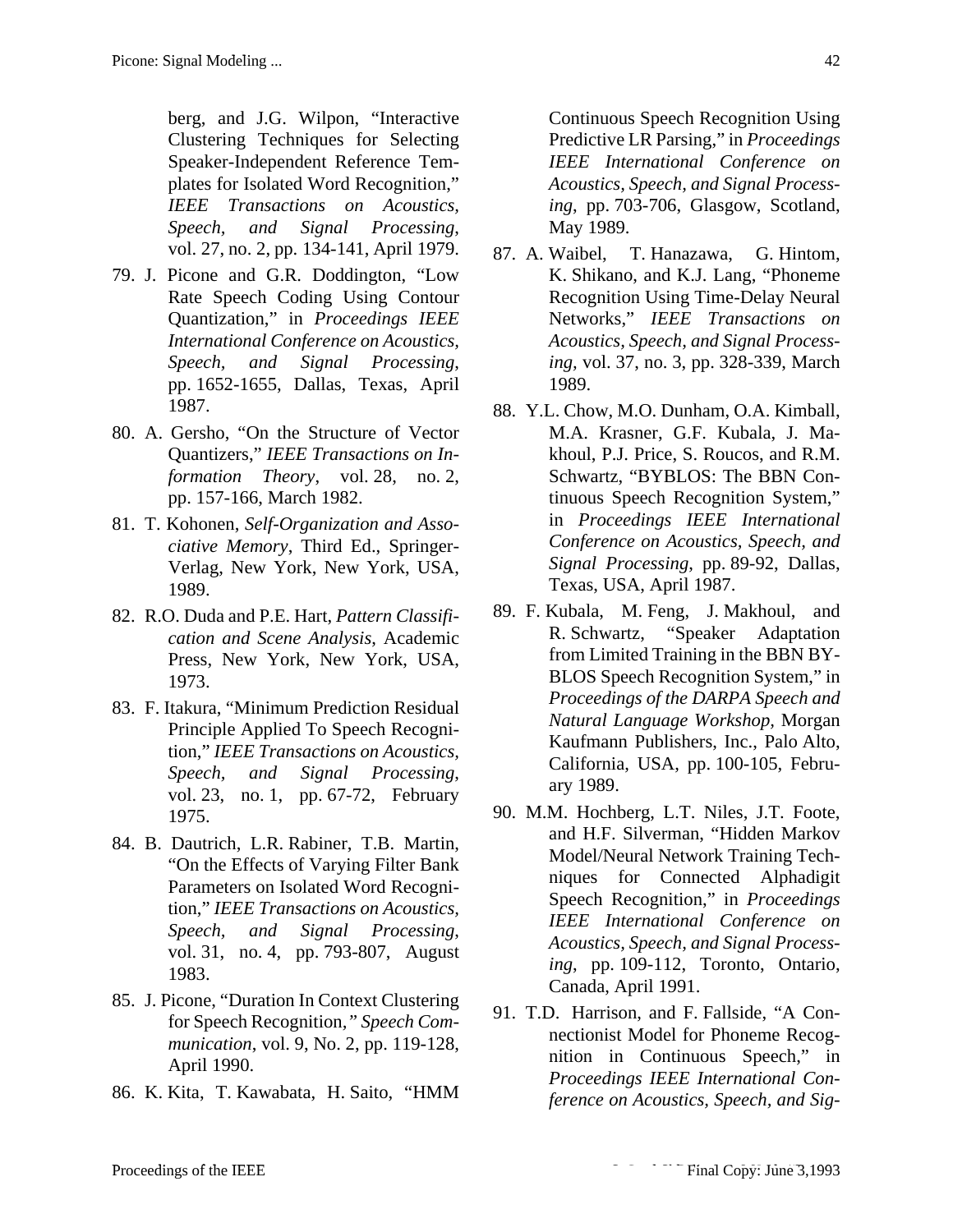berg, and J.G. Wilpon, "Interactive Clustering Techniques for Selecting Speaker-Independent Reference Templates for Isolated Word Recognition," *IEEE Transactions on Acoustics, Speech, and Signal Processing*, vol. 27, no. 2, pp. 134-141, April 1979.

- 79. J. Picone and G.R. Doddington, "Low Rate Speech Coding Using Contour Quantization," in *Proceedings IEEE International Conference on Acoustics, Speech, and Signal Processing*, pp. 1652-1655, Dallas, Texas, April 1987.
- 80. A. Gersho, "On the Structure of Vector Quantizers," *IEEE Transactions on Information Theory*, vol. 28, no. 2, pp. 157-166, March 1982.
- 81. T. Kohonen, *Self-Organization and Associative Memory*, Third Ed., Springer-Verlag, New York, New York, USA, 1989.
- 82. R.O. Duda and P.E. Hart, *Pattern Classification and Scene Analysis*, Academic Press, New York, New York, USA, 1973.
- 83. F. Itakura, "Minimum Prediction Residual Principle Applied To Speech Recognition," *IEEE Transactions on Acoustics, Speech, and Signal Processing*, vol. 23, no. 1, pp. 67-72, February 1975.
- 84. B. Dautrich, L.R. Rabiner, T.B. Martin, "On the Effects of Varying Filter Bank Parameters on Isolated Word Recognition," *IEEE Transactions on Acoustics, Speech, and Signal Processing*, vol. 31, no. 4, pp. 793-807, August 1983.
- 85. J. Picone, "Duration In Context Clustering for Speech Recognition*," Speech Communication*, vol. 9, No. 2, pp. 119-128, April 1990.
- 86. K. Kita, T. Kawabata, H. Saito, "HMM

Continuous Speech Recognition Using Predictive LR Parsing," in *Proceedings IEEE International Conference on Acoustics, Speech, and Signal Processing*, pp. 703-706, Glasgow, Scotland, May 1989.

- 87. A. Waibel, T. Hanazawa, G. Hintom, K. Shikano, and K.J. Lang, "Phoneme Recognition Using Time-Delay Neural Networks," *IEEE Transactions on Acoustics, Speech, and Signal Processing,* vol. 37, no. 3, pp. 328-339, March 1989.
- 88. Y.L. Chow, M.O. Dunham, O.A. Kimball, M.A. Krasner, G.F. Kubala, J. Makhoul, P.J. Price, S. Roucos, and R.M. Schwartz, "BYBLOS: The BBN Continuous Speech Recognition System," in *Proceedings IEEE International Conference on Acoustics, Speech, and Signal Processing*, pp. 89-92, Dallas, Texas, USA, April 1987.
- 89. F. Kubala, M. Feng, J. Makhoul, and R. Schwartz, "Speaker Adaptation from Limited Training in the BBN BY-BLOS Speech Recognition System," in *Proceedings of the DARPA Speech and Natural Language Workshop,* Morgan Kaufmann Publishers, Inc., Palo Alto, California, USA, pp. 100-105, February 1989.
- 90. M.M. Hochberg, L.T. Niles, J.T. Foote, and H.F. Silverman, "Hidden Markov Model/Neural Network Training Techniques for Connected Alphadigit Speech Recognition," in *Proceedings IEEE International Conference on Acoustics, Speech, and Signal Processing*, pp. 109-112, Toronto, Ontario, Canada, April 1991.
- 91. T.D. Harrison, and F. Fallside, "A Connectionist Model for Phoneme Recognition in Continuous Speech," in *Proceedings IEEE International Conference on Acoustics, Speech, and Sig-*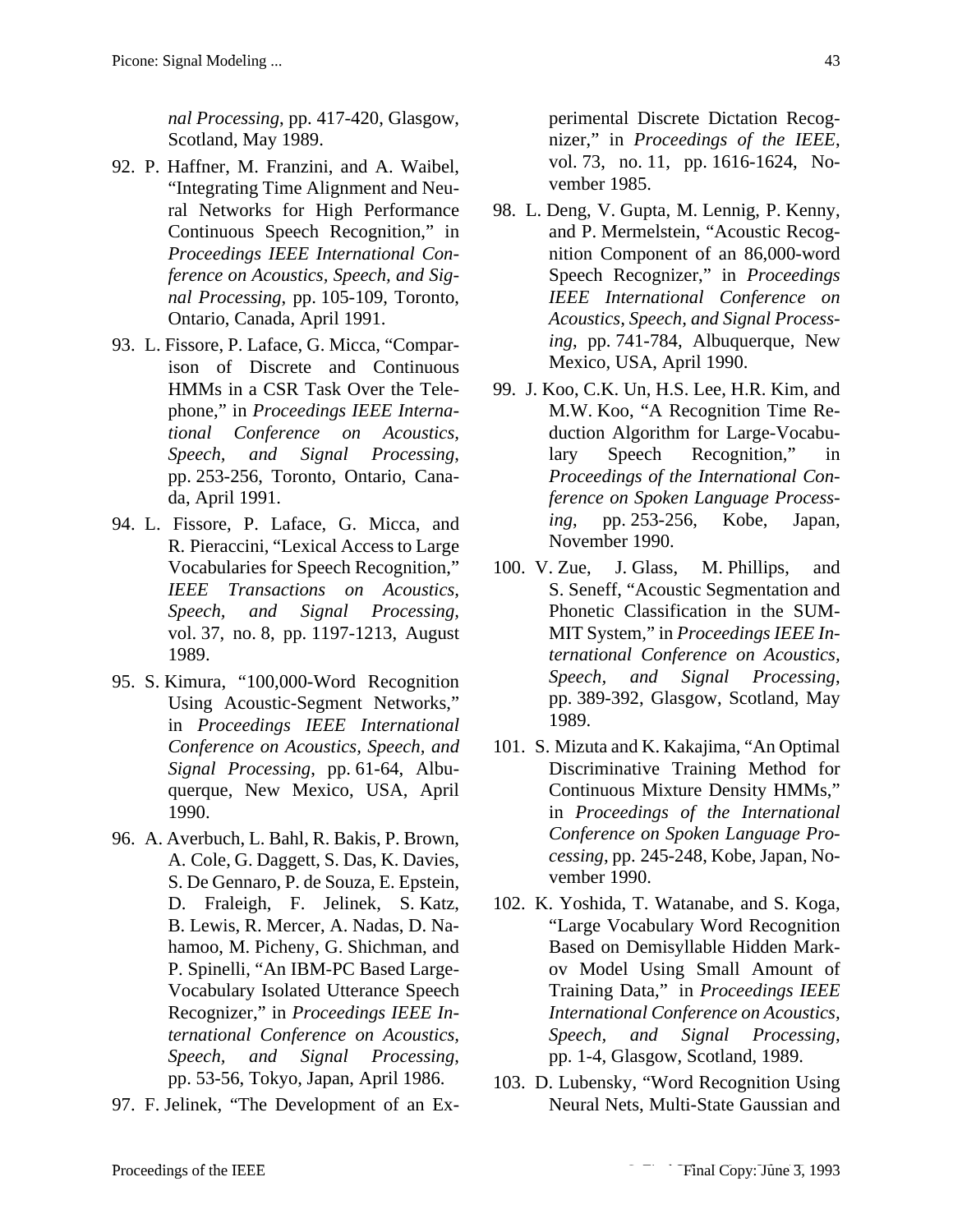Scotland, May 1989.

- 92. P. Haffner, M. Franzini, and A. Waibel, "Integrating Time Alignment and Neural Networks for High Performance Continuous Speech Recognition," in *Proceedings IEEE International Conference on Acoustics, Speech, and Signal Processing*, pp. 105-109, Toronto, Ontario, Canada, April 1991.
- 93. L. Fissore, P. Laface, G. Micca, "Comparison of Discrete and Continuous HMMs in a CSR Task Over the Telephone," in *Proceedings IEEE International Conference on Acoustics, Speech, and Signal Processing*, pp. 253-256, Toronto, Ontario, Canada, April 1991.
- 94. L. Fissore, P. Laface, G. Micca, and R. Pieraccini, "Lexical Access to Large Vocabularies for Speech Recognition," *IEEE Transactions on Acoustics, Speech, and Signal Processing,* vol. 37, no. 8, pp. 1197-1213, August 1989.
- 95. S. Kimura, "100,000-Word Recognition Using Acoustic-Segment Networks," in *Proceedings IEEE International Conference on Acoustics, Speech, and Signal Processing*, pp. 61-64, Albuquerque, New Mexico, USA, April 1990.
- mal Processing, pp. 417-420, Glasgow,<br>
mizer," in Proceedings of the Hr-H,<br>
Haffre, M. Franchin, and A. Nuahel, voice 17, 18, 11, 1 pp. 1616-1624, No-<br>
Hafflem, M. Franchin, and A. Nuahel, voice V. Glasgow, Glasgow, Glasgo 96. A. Averbuch, L. Bahl, R. Bakis, P. Brown, A. Cole, G. Daggett, S. Das, K. Davies, S. De Gennaro, P. de Souza, E. Epstein, D. Fraleigh, F. Jelinek, S. Katz, B. Lewis, R. Mercer, A. Nadas, D. Nahamoo, M. Picheny, G. Shichman, and P. Spinelli, "An IBM-PC Based Large-Vocabulary Isolated Utterance Speech Recognizer," in *Proceedings IEEE International Conference on Acoustics, Speech, and Signal Processing*, pp. 53-56, Tokyo, Japan, April 1986.
- 97. F. Jelinek, "The Development of an Ex-

perimental Discrete Dictation Recognizer," in *Proceedings of the IEEE*, vol. 73, no. 11, pp. 1616-1624, November 1985.

- 98. L. Deng, V. Gupta, M. Lennig, P. Kenny, and P. Mermelstein, "Acoustic Recognition Component of an 86,000-word Speech Recognizer," in *Proceedings IEEE International Conference on Acoustics, Speech, and Signal Processing*, pp. 741-784, Albuquerque, New Mexico, USA, April 1990.
- 99. J. Koo, C.K. Un, H.S. Lee, H.R. Kim, and M.W. Koo, "A Recognition Time Reduction Algorithm for Large-Vocabulary Speech Recognition," in *Proceedings of the International Conference on Spoken Language Processing*, pp. 253-256, Kobe, Japan, November 1990.
- 100. V. Zue, J. Glass, M. Phillips, and S. Seneff, "Acoustic Segmentation and Phonetic Classification in the SUM-MIT System," in *Proceedings IEEE International Conference on Acoustics, Speech, and Signal Processing*, pp. 389-392, Glasgow, Scotland, May 1989.
- 101. S. Mizuta and K. Kakajima, "An Optimal Discriminative Training Method for Continuous Mixture Density HMMs," in *Proceedings of the International Conference on Spoken Language Processing*, pp. 245-248, Kobe, Japan, November 1990.
- 102. K. Yoshida, T. Watanabe, and S. Koga, "Large Vocabulary Word Recognition Based on Demisyllable Hidden Markov Model Using Small Amount of Training Data," in *Proceedings IEEE International Conference on Acoustics, Speech, and Signal Processing*, pp. 1-4, Glasgow, Scotland, 1989.
- 103. D. Lubensky, "Word Recognition Using Neural Nets, Multi-State Gaussian and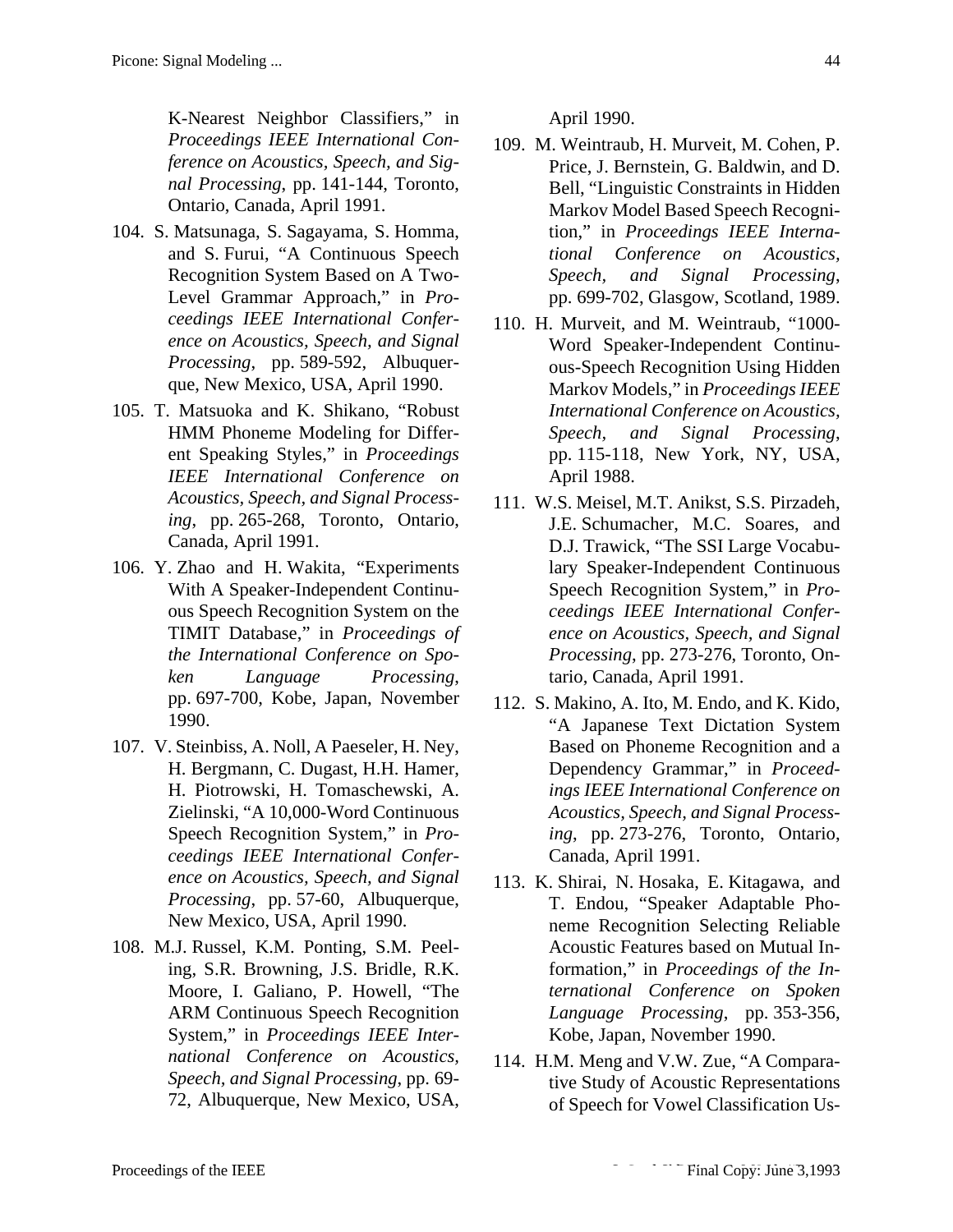K-Nearest Neighbor Classifiers," in *Proceedings IEEE International Conference on Acoustics, Speech, and Signal Processing*, pp. 141-144, Toronto, Ontario, Canada, April 1991.

- 104. S. Matsunaga, S. Sagayama, S. Homma, and S. Furui, "A Continuous Speech Recognition System Based on A Two-Level Grammar Approach," in *Proceedings IEEE International Conference on Acoustics, Speech, and Signal Processing*, pp. 589-592, Albuquerque, New Mexico, USA, April 1990.
- 105. T. Matsuoka and K. Shikano, "Robust HMM Phoneme Modeling for Different Speaking Styles," in *Proceedings IEEE International Conference on Acoustics, Speech, and Signal Processing*, pp. 265-268, Toronto, Ontario, Canada, April 1991.
- 106. Y. Zhao and H. Wakita, "Experiments With A Speaker-Independent Continuous Speech Recognition System on the TIMIT Database," in *Proceedings of the International Conference on Spoken Language Processing*, pp. 697-700, Kobe, Japan, November 1990.
- 107. V. Steinbiss, A. Noll, A Paeseler, H. Ney, H. Bergmann, C. Dugast, H.H. Hamer, H. Piotrowski, H. Tomaschewski, A. Zielinski, "A 10,000-Word Continuous Speech Recognition System," in *Proceedings IEEE International Conference on Acoustics, Speech, and Signal Processing*, pp. 57-60, Albuquerque, New Mexico, USA, April 1990.
- 108. M.J. Russel, K.M. Ponting, S.M. Peeling, S.R. Browning, J.S. Bridle, R.K. Moore, I. Galiano, P. Howell, "The ARM Continuous Speech Recognition System," in *Proceedings IEEE International Conference on Acoustics, Speech, and Signal Processing*, pp. 69- 72, Albuquerque, New Mexico, USA,

April 1990.

- 109. M. Weintraub, H. Murveit, M. Cohen, P. Price, J. Bernstein, G. Baldwin, and D. Bell, "Linguistic Constraints in Hidden Markov Model Based Speech Recognition," in *Proceedings IEEE International Conference on Acoustics, Speech, and Signal Processing*, pp. 699-702, Glasgow, Scotland, 1989.
- 110. H. Murveit, and M. Weintraub, "1000- Word Speaker-Independent Continuous-Speech Recognition Using Hidden Markov Models," in *Proceedings IEEE International Conference on Acoustics, Speech, and Signal Processing*, pp. 115-118, New York, NY, USA, April 1988.
- 111. W.S. Meisel, M.T. Anikst, S.S. Pirzadeh, J.E. Schumacher, M.C. Soares, and D.J. Trawick, "The SSI Large Vocabulary Speaker-Independent Continuous Speech Recognition System," in *Proceedings IEEE International Conference on Acoustics, Speech, and Signal Processing*, pp. 273-276, Toronto, Ontario, Canada, April 1991.
- 112. S. Makino, A. Ito, M. Endo, and K. Kido, "A Japanese Text Dictation System Based on Phoneme Recognition and a Dependency Grammar," in *Proceedings IEEE International Conference on Acoustics, Speech, and Signal Processing*, pp. 273-276, Toronto, Ontario, Canada, April 1991.
- 113. K. Shirai, N. Hosaka, E. Kitagawa, and T. Endou, "Speaker Adaptable Phoneme Recognition Selecting Reliable Acoustic Features based on Mutual Information," in *Proceedings of the International Conference on Spoken Language Processing*, pp. 353-356, Kobe, Japan, November 1990.
- 114. H.M. Meng and V.W. Zue, "A Comparative Study of Acoustic Representations of Speech for Vowel Classification Us-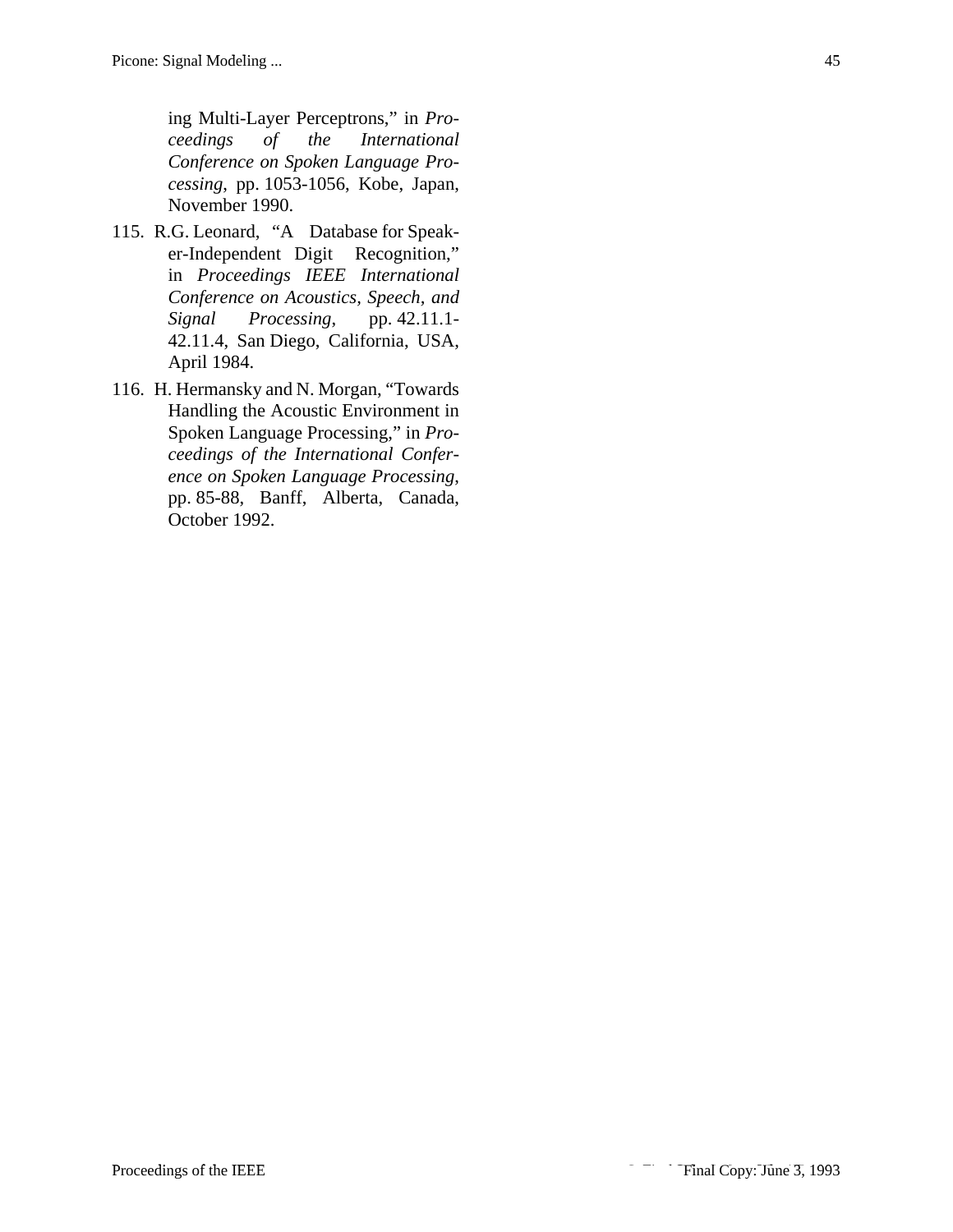*ceedings of the International Conference on Spoken Language Processing*, pp. 1053-1056, Kobe, Japan, November 1990.

- 115. R.G. Leonard, "A Database for Speaker-Independent Digit Recognition," in *Proceedings IEEE International Conference on Acoustics, Speech, and Signal Processing*, pp. 42.11.1- 42.11.4, San Diego, California, USA, April 1984.
- Imp Multi-Layer Perceptrons," in *Pro-*<br>needligs: of the International Conjetagre Pro-<br>costings pro-1053-1056, Kobe, Jupin,<br>November 999).<br>Costant Submission: June 3, 1993.<br>Consider 1999.<br>Cordinate The Technology IEEE Inte 116. H. Hermansky and N. Morgan, "Towards Handling the Acoustic Environment in Spoken Language Processing," in *Proceedings of the International Conference on Spoken Language Processing*, pp. 85-88, Banff, Alberta, Canada, October 1992.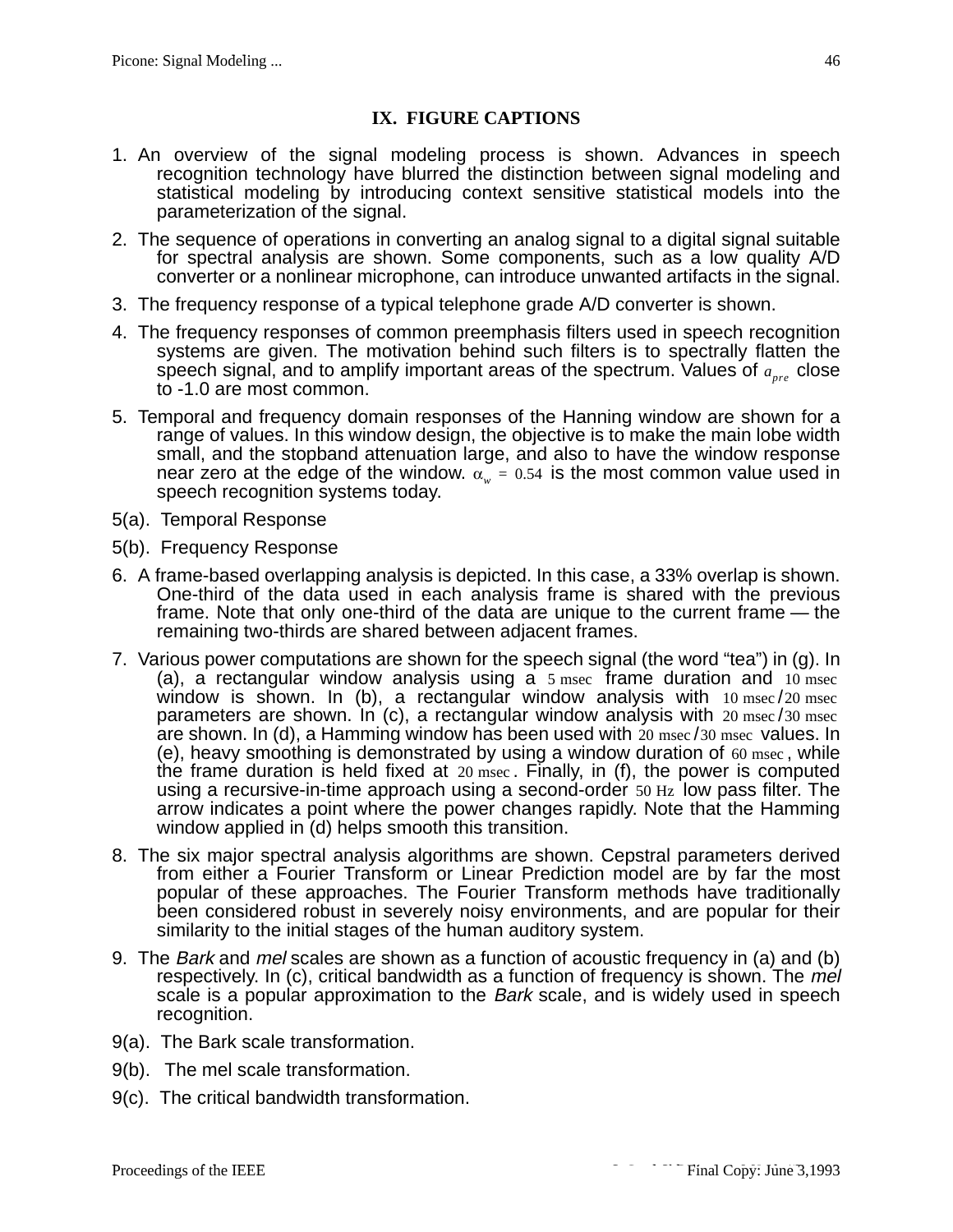### **IX. FIGURE CAPTIONS**

- 1. An overview of the signal modeling process is shown. Advances in speech recognition technology have blurred the distinction between signal modeling and statistical modeling by introducing context sensitive statistical models into the parameterization of the signal.
- 2. The sequence of operations in converting an analog signal to a digital signal suitable for spectral analysis are shown. Some components, such as a low quality A/D converter or a nonlinear microphone, can introduce unwanted artifacts in the signal.
- 3. The frequency response of a typical telephone grade A/D converter is shown.
- 4. The frequency responses of common preemphasis filters used in speech recognition systems are given. The motivation behind such filters is to spectrally flatten the speech signal, and to amplify important areas of the spectrum. Values of  $a_{pre}$  close to -1.0 are most common.
- 5. Temporal and frequency domain responses of the Hanning window are shown for a range of values. In this window design, the objective is to make the main lobe width small, and the stopband attenuation large, and also to have the window response near zero at the edge of the window.  $\alpha_{w}$  = 0.54 is the most common value used in speech recognition systems today.
- 5(a). Temporal Response
- 5(b). Frequency Response
- 6. A frame-based overlapping analysis is depicted. In this case, a 33% overlap is shown. One-third of the data used in each analysis frame is shared with the previous frame. Note that only one-third of the data are unique to the current frame — the remaining two-thirds are shared between adjacent frames.
- 7. Various power computations are shown for the speech signal (the word "tea") in (g). In (a), a rectangular window analysis using a  $5$  msec frame duration and  $10$  msec window is shown. In (b), a rectangular window analysis with  $10 \text{ msec}/20 \text{ msec}$ parameters are shown. In (c), a rectangular window analysis with  $20$  msec/30 msec are shown. In (d), a Hamming window has been used with  $20 \text{ msec}}/30 \text{ msec}$  values. In (e), heavy smoothing is demonstrated by using a window duration of  $60$  msec, while the frame duration is held fixed at  $20$  msec. Finally, in (f), the power is computed using a recursive-in-time approach using a second-order  $50$  Hz low pass filter. The arrow indicates a point where the power changes rapidly. Note that the Hamming window applied in (d) helps smooth this transition.
- 8. The six major spectral analysis algorithms are shown. Cepstral parameters derived from either a Fourier Transform or Linear Prediction model are by far the most popular of these approaches. The Fourier Transform methods have traditionally been considered robust in severely noisy environments, and are popular for their similarity to the initial stages of the human auditory system.
- 9. The Bark and mel scales are shown as a function of acoustic frequency in (a) and (b) respectively. In (c), critical bandwidth as a function of frequency is shown. The mel scale is a popular approximation to the *Bark* scale, and is widely used in speech recognition.
- 9(a). The Bark scale transformation.
- 9(b). The mel scale transformation.
- 9(c). The critical bandwidth transformation.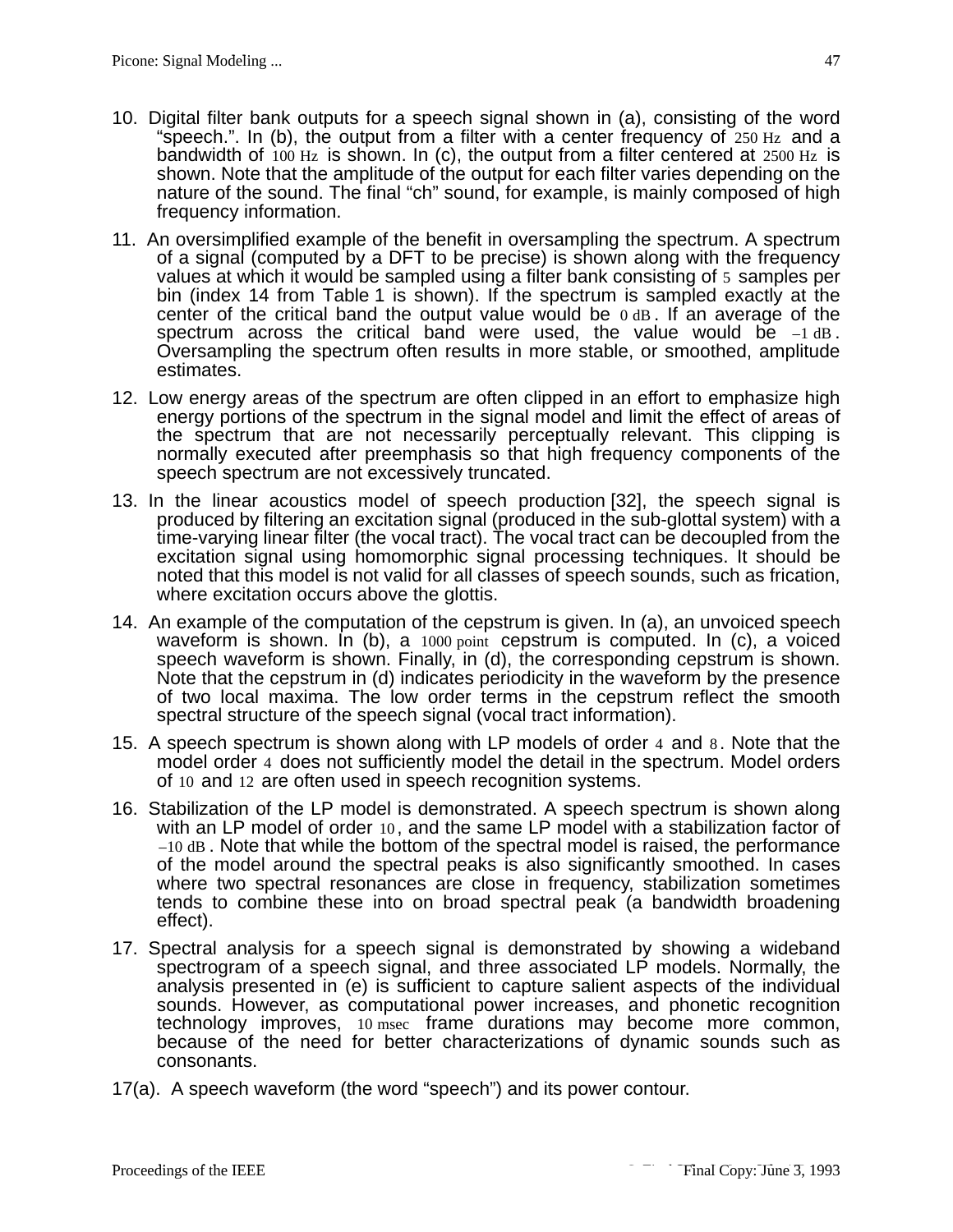- "speech.". In (b), the output from a filter with a center frequency of  $250$  Hz and a bandwidth of  $100$  Hz is shown. In (c), the output from a filter centered at  $2500$  Hz is shown. Note that the amplitude of the output for each filter varies depending on the nature of the sound. The final "ch" sound, for example, is mainly composed of high frequency information.
- 10. Digital filter bank outputs for a speech signal shown in (a), onesisting of the words<br>have a speech, in (b), the output from a filter with a center frequency of  $\gg$  is and a<br>shown-filter bank in second The final Cor) 11. An oversimplified example of the benefit in oversampling the spectrum. A spectrum of a signal (computed by a DFT to be precise) is shown along with the frequency values at which it would be sampled using a filter bank consisting of  $s$  samples per bin (index 14 from Table 1 is shown). If the spectrum is sampled exactly at the center of the critical band the output value would be  $0 dB$ . If an average of the spectrum across the critical band were used, the value would be  $-1$  dB. Oversampling the spectrum often results in more stable, or smoothed, amplitude estimates.
- 12. Low energy areas of the spectrum are often clipped in an effort to emphasize high energy portions of the spectrum in the signal model and limit the effect of areas of the spectrum that are not necessarily perceptually relevant. This clipping is normally executed after preemphasis so that high frequency components of the speech spectrum are not excessively truncated.
- 13. In the linear acoustics model of speech production [32], the speech signal is produced by filtering an excitation signal (produced in the sub-glottal system) with a time-varying linear filter (the vocal tract). The vocal tract can be decoupled from the excitation signal using homomorphic signal processing techniques. It should be noted that this model is not valid for all classes of speech sounds, such as frication, where excitation occurs above the glottis.
- 14. An example of the computation of the cepstrum is given. In (a), an unvoiced speech waveform is shown. In (b), a  $1000$  point cepstrum is computed. In (c), a voiced speech waveform is shown. Finally, in (d), the corresponding cepstrum is shown. Note that the cepstrum in (d) indicates periodicity in the waveform by the presence of two local maxima. The low order terms in the cepstrum reflect the smooth spectral structure of the speech signal (vocal tract information).
- 15. A speech spectrum is shown along with LP models of order 4 and 8. Note that the model order 4 does not sufficiently model the detail in the spectrum. Model orders of 10 and 12 are often used in speech recognition systems.
- 16. Stabilization of the LP model is demonstrated. A speech spectrum is shown along with an LP model of order 10, and the same LP model with a stabilization factor of -10 dB. Note that while the bottom of the spectral model is raised, the performance of the model around the spectral peaks is also significantly smoothed. In cases where two spectral resonances are close in frequency, stabilization sometimes tends to combine these into on broad spectral peak (a bandwidth broadening effect).
- 17. Spectral analysis for a speech signal is demonstrated by showing a wideband spectrogram of a speech signal, and three associated LP models. Normally, the analysis presented in (e) is sufficient to capture salient aspects of the individual sounds. However, as computational power increases, and phonetic recognition technology improves, 10 msec frame durations may become more common, because of the need for better characterizations of dynamic sounds such as consonants.
- 17(a). A speech waveform (the word "speech") and its power contour.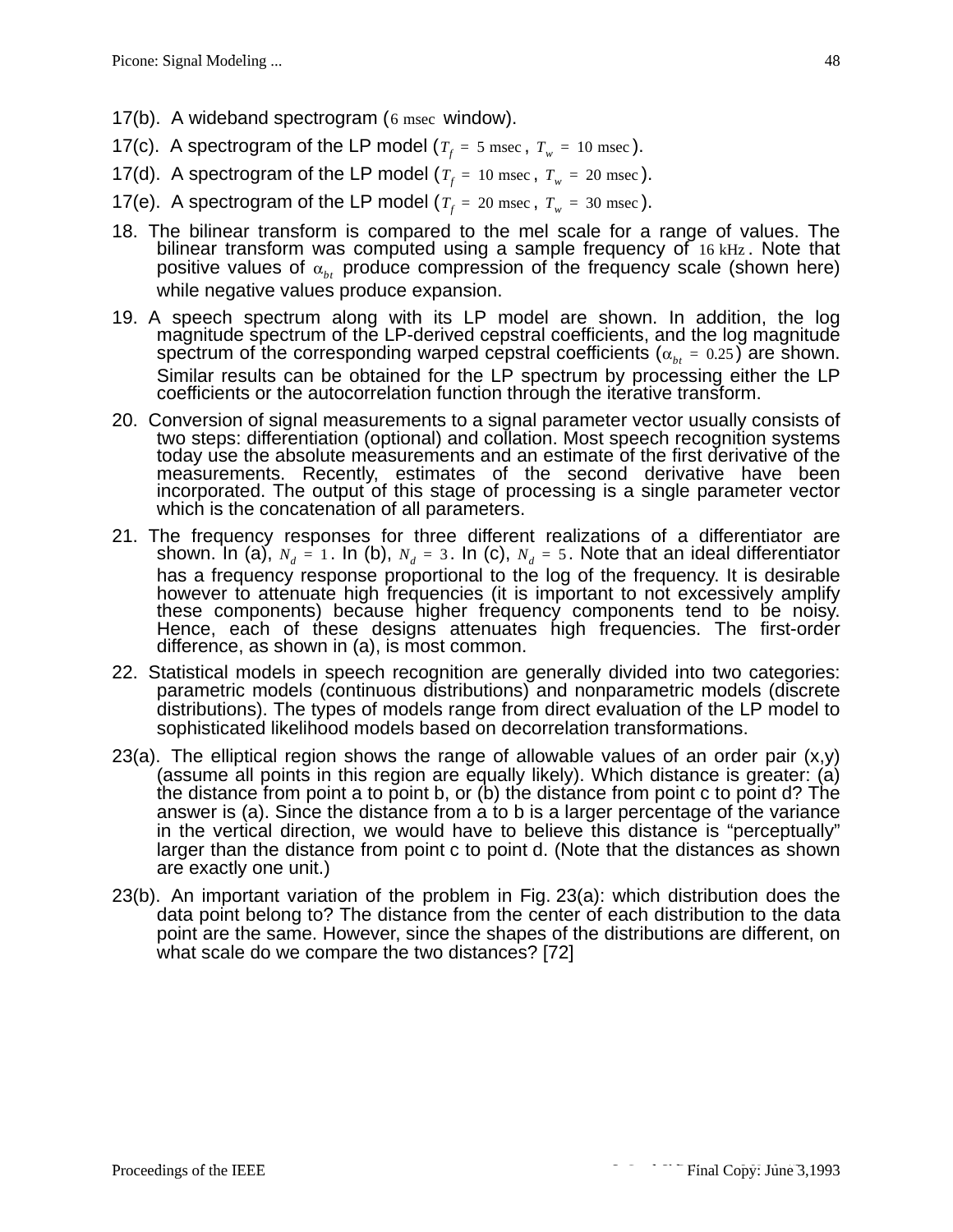- 17(b). A wideband spectrogram ( $6$  msec window).
- 17(c). A spectrogram of the LP model ( $T_f = 5$  msec,  $T_w = 10$  msec).
- 17(d). A spectrogram of the LP model ( $T_f = 10$  msec,  $T_w = 20$  msec).
- 17(e). A spectrogram of the LP model ( $T_f$  = 20 msec,  $T_w$  = 30 msec).
- 18. The bilinear transform is compared to the mel scale for a range of values. The bilinear transform was computed using a sample frequency of  $16$  kHz. Note that positive values of  $\alpha_{_{bt}}$  produce compression of the frequency scale (shown here) while negative values produce expansion.
- 19. A speech spectrum along with its LP model are shown. In addition, the log magnitude spectrum of the LP-derived cepstral coefficients, and the log magnitude spectrum of the corresponding warped cepstral coefficients  $(\alpha_{_{bt}} = 0.25)$  are shown. Similar results can be obtained for the LP spectrum by processing either the LP coefficients or the autocorrelation function through the iterative transform.
- 20. Conversion of signal measurements to a signal parameter vector usually consists of two steps: differentiation (optional) and collation. Most speech recognition systems today use the absolute measurements and an estimate of the first derivative of the measurements. Recently, estimates of the second derivative have been incorporated. The output of this stage of processing is a single parameter vector which is the concatenation of all parameters.
- 21. The frequency responses for three different realizations of a differentiator are shown. In (a),  $N_d = 1$ . In (b),  $N_d = 3$ . In (c),  $N_d = 5$ . Note that an ideal differentiator has a frequency response proportional to the log of the frequency. It is desirable however to attenuate high frequencies (it is important to not excessively amplify these components) because higher frequency components tend to be noisy. Hence, each of these designs attenuates high frequencies. The first-order difference, as shown in (a), is most common.
- 22. Statistical models in speech recognition are generally divided into two categories: parametric models (continuous distributions) and nonparametric models (discrete distributions). The types of models range from direct evaluation of the LP model to sophisticated likelihood models based on decorrelation transformations.
- 23(a). The elliptical region shows the range of allowable values of an order pair (x,y) (assume all points in this region are equally likely). Which distance is greater: (a) the distance from point a to point b, or (b) the distance from point c to point d? The answer is (a). Since the distance from a to b is a larger percentage of the variance in the vertical direction, we would have to believe this distance is "perceptually" larger than the distance from point c to point d. (Note that the distances as shown are exactly one unit.)
- 23(b). An important variation of the problem in Fig. 23(a): which distribution does the data point belong to? The distance from the center of each distribution to the data point are the same. However, since the shapes of the distributions are different, on what scale do we compare the two distances? [72]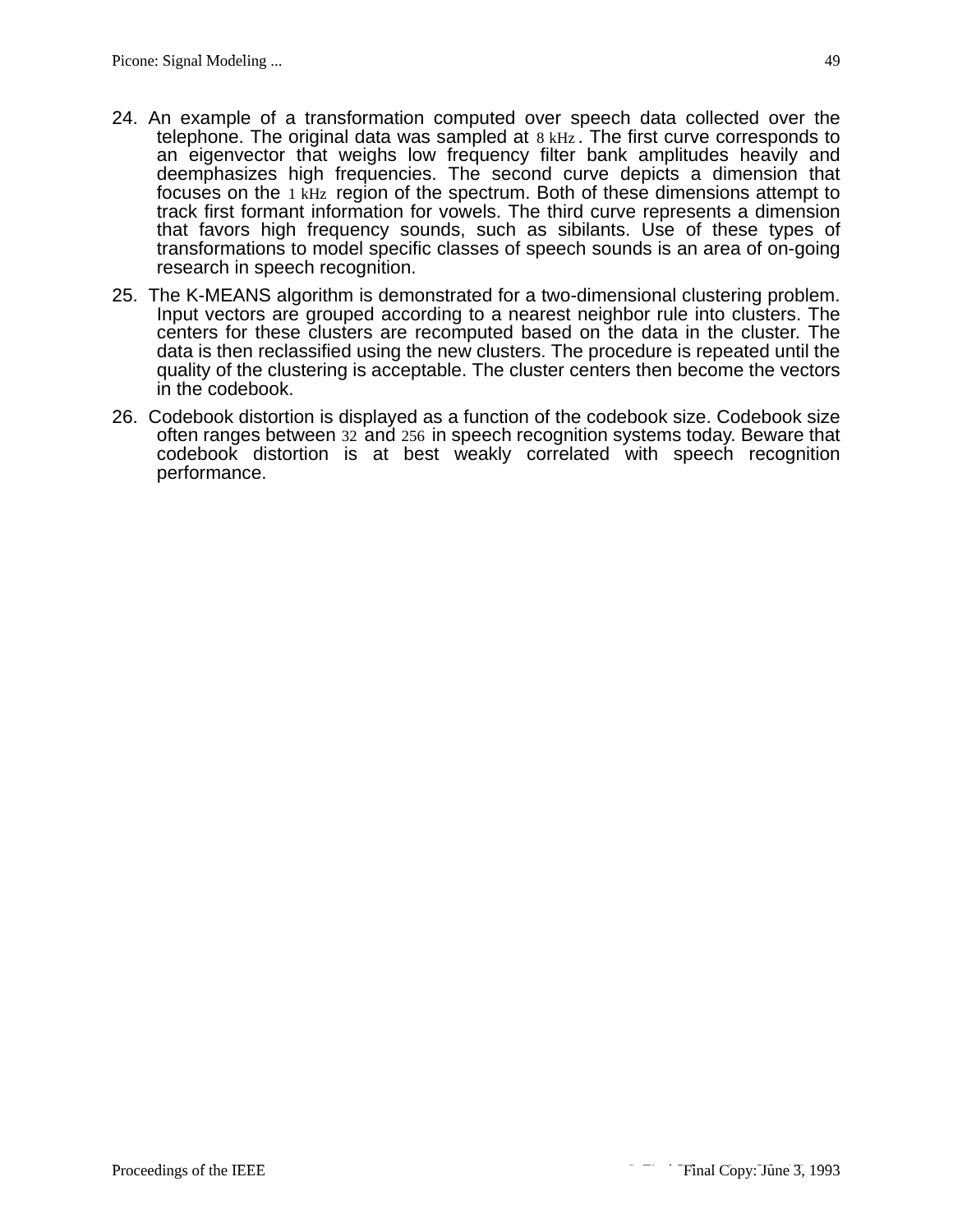- 24. An example of a transformation computed over speech data collected over the state condensation of the condensation computed over the may the computed over the computed over the may the may the may the may the may the m telephone. The original data was sampled at  $8$  kHz. The first curve corresponds to an eigenvector that weighs low frequency filter bank amplitudes heavily and deemphasizes high frequencies. The second curve depicts a dimension that focuses on the  $1$  kHz region of the spectrum. Both of these dimensions attempt to track first formant information for vowels. The third curve represents a dimension that favors high frequency sounds, such as sibilants. Use of these types of transformations to model specific classes of speech sounds is an area of on-going research in speech recognition.
- 25. The K-MEANS algorithm is demonstrated for a two-dimensional clustering problem. Input vectors are grouped according to a nearest neighbor rule into clusters. The centers for these clusters are recomputed based on the data in the cluster. The data is then reclassified using the new clusters. The procedure is repeated until the quality of the clustering is acceptable. The cluster centers then become the vectors in the codebook.
- 26. Codebook distortion is displayed as a function of the codebook size. Codebook size often ranges between  $32$  and  $256$  in speech recognition systems today. Beware that codebook distortion is at best weakly correlated with speech recognition performance.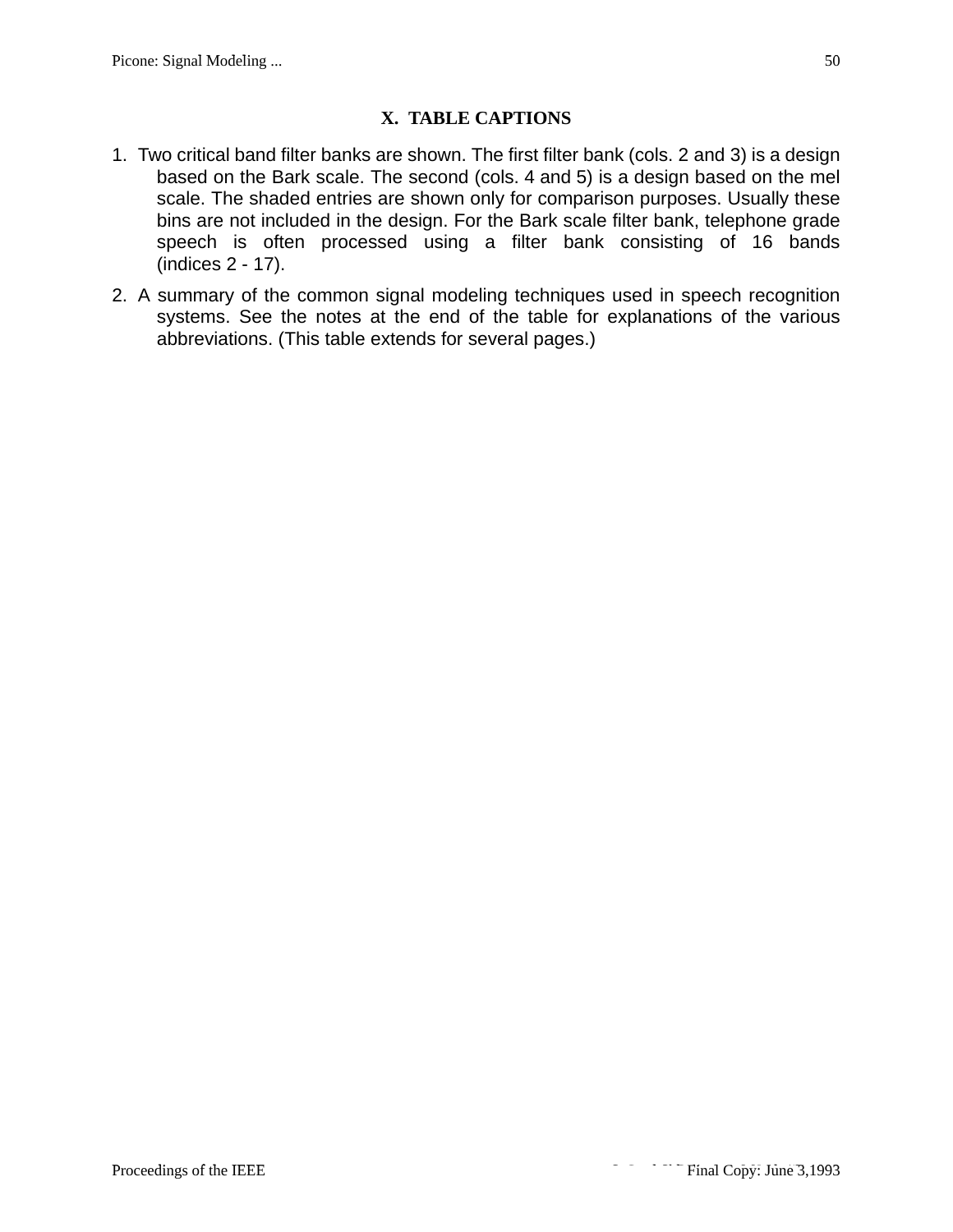### **X. TABLE CAPTIONS**

- 1. Two critical band filter banks are shown. The first filter bank (cols. 2 and 3) is a design based on the Bark scale. The second (cols. 4 and 5) is a design based on the mel scale. The shaded entries are shown only for comparison purposes. Usually these bins are not included in the design. For the Bark scale filter bank, telephone grade speech is often processed using a filter bank consisting of 16 bands (indices 2 - 17).
- 2. A summary of the common signal modeling techniques used in speech recognition systems. See the notes at the end of the table for explanations of the various abbreviations. (This table extends for several pages.)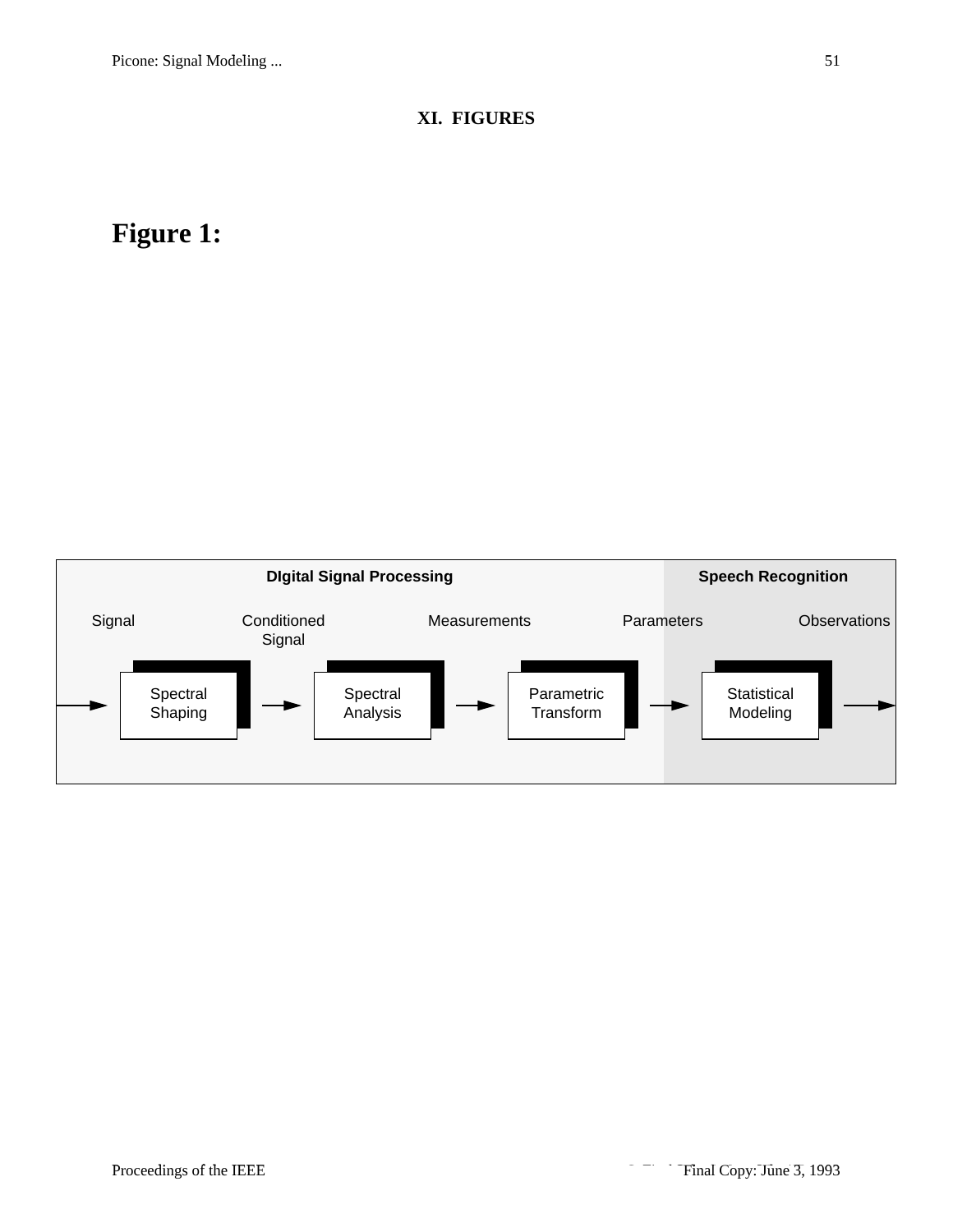## **Figure 1:**

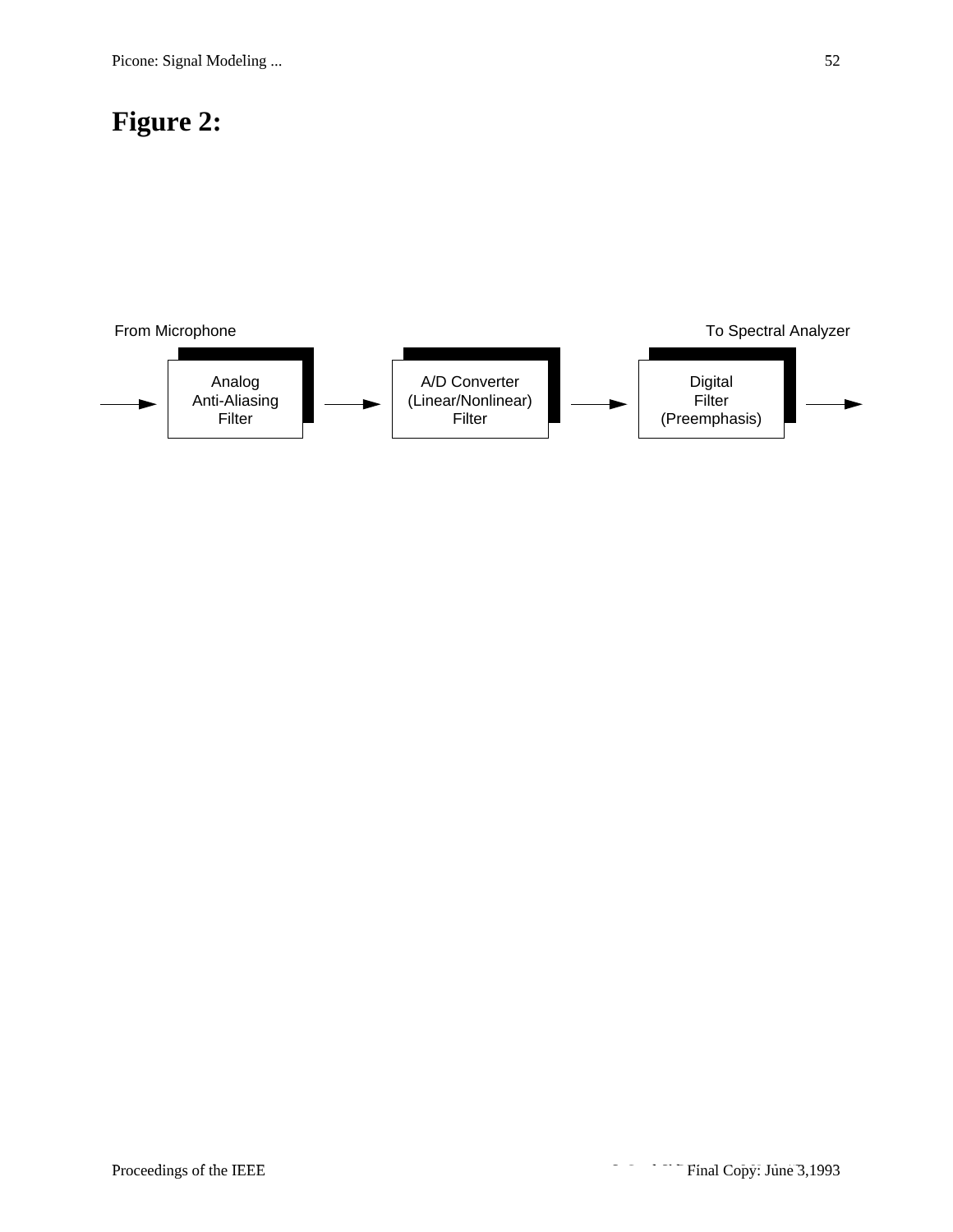# **Figure 2:**

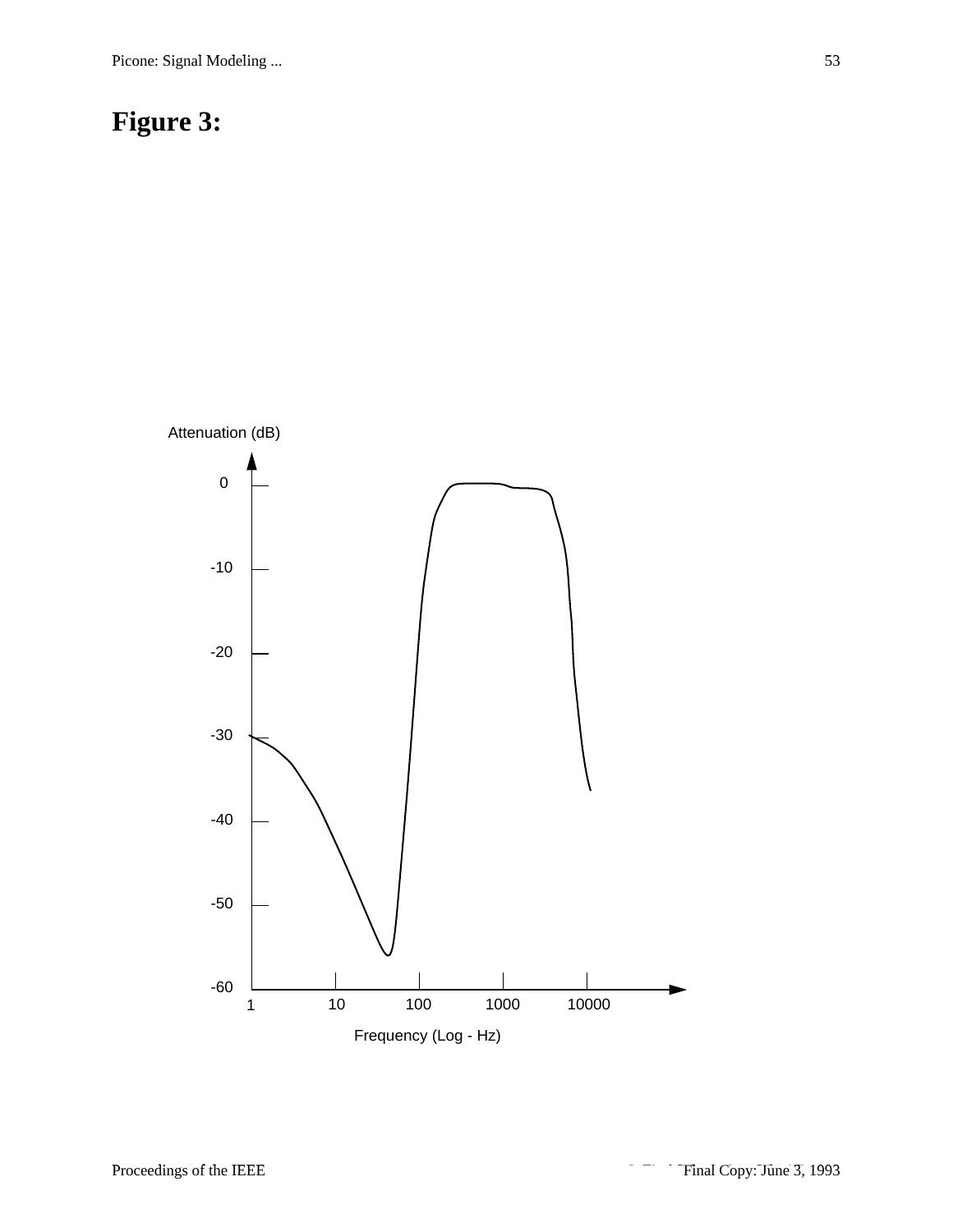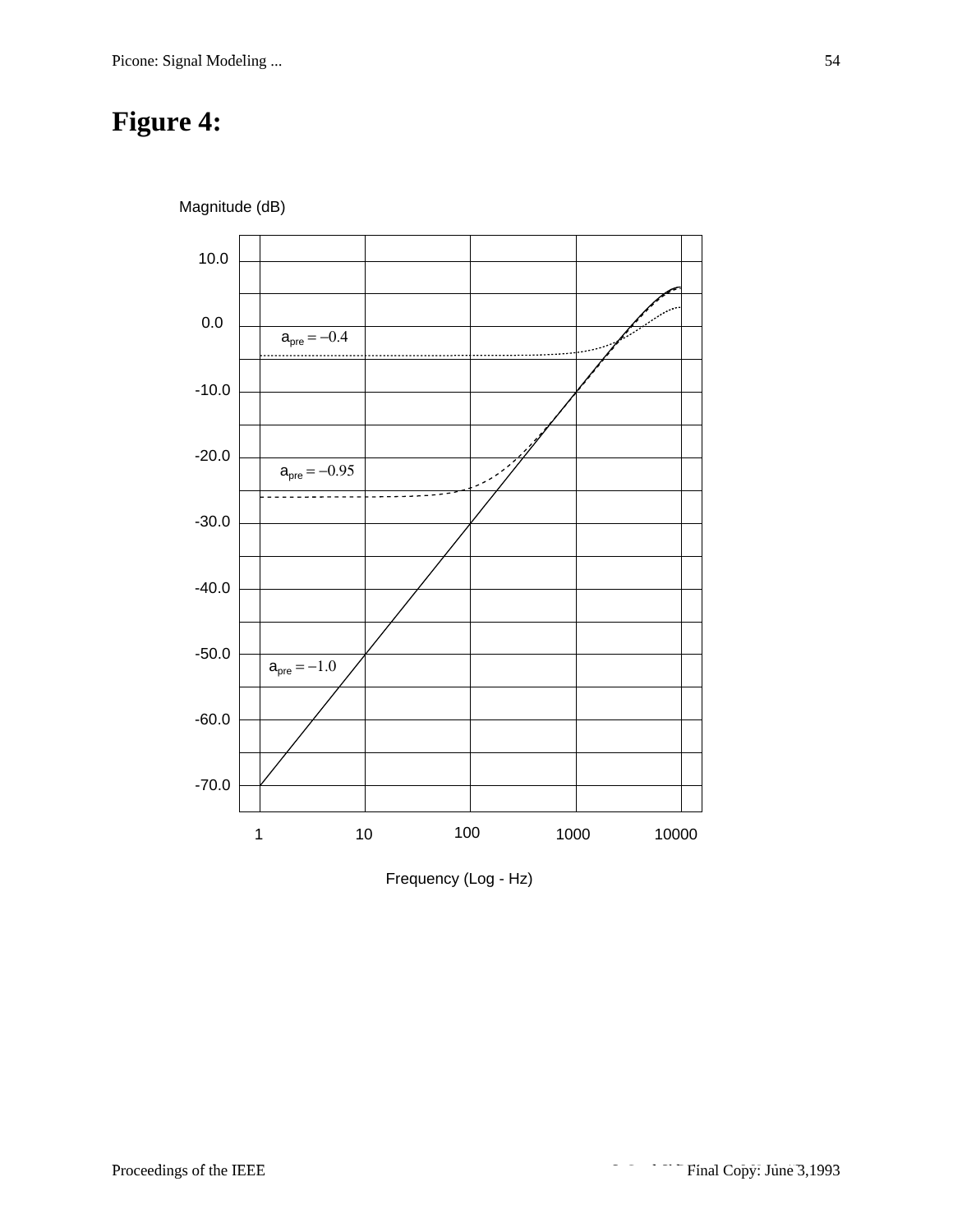# **Figure 4:**



Magnitude (dB)

Frequency (Log - Hz)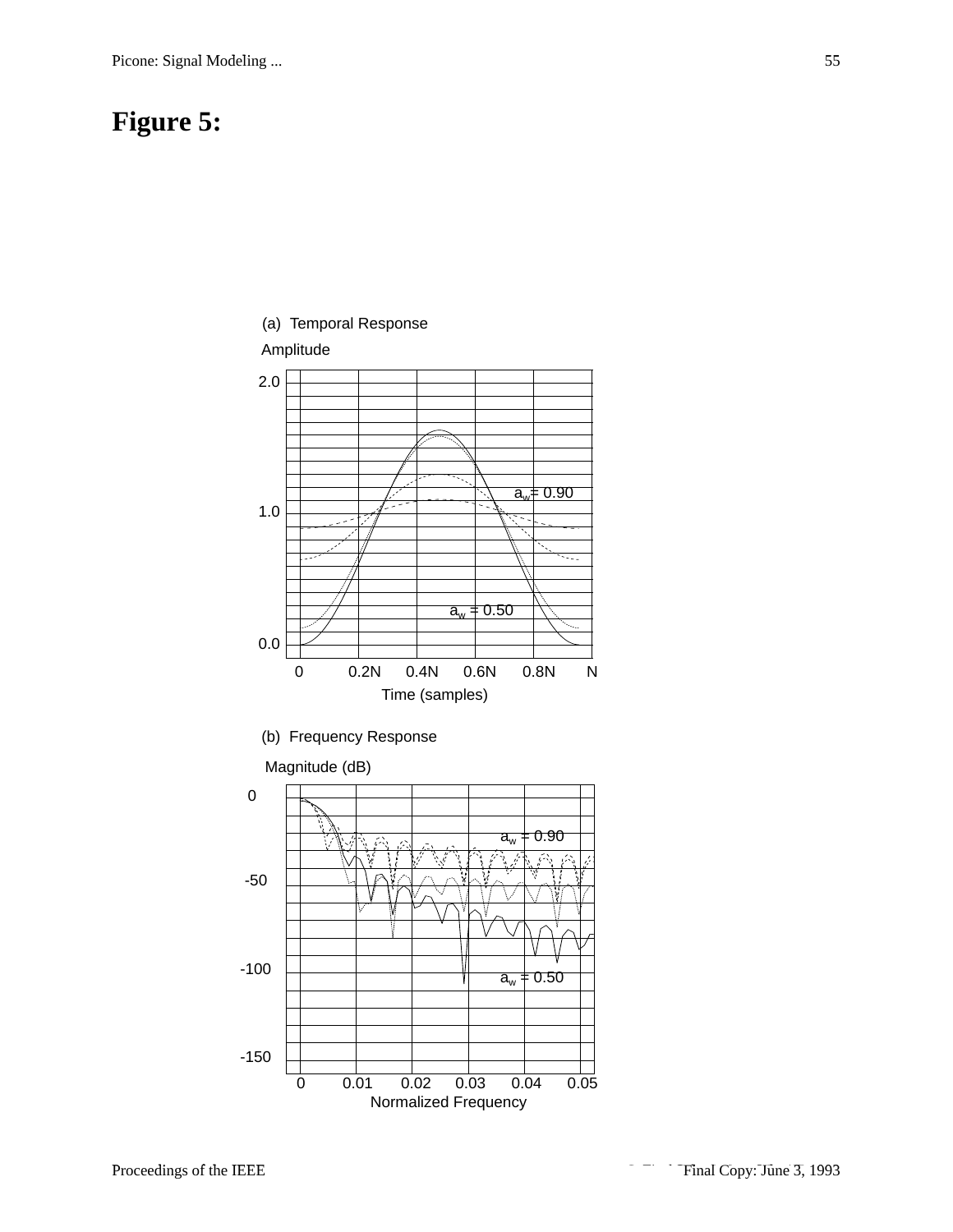### (a) Temporal Response



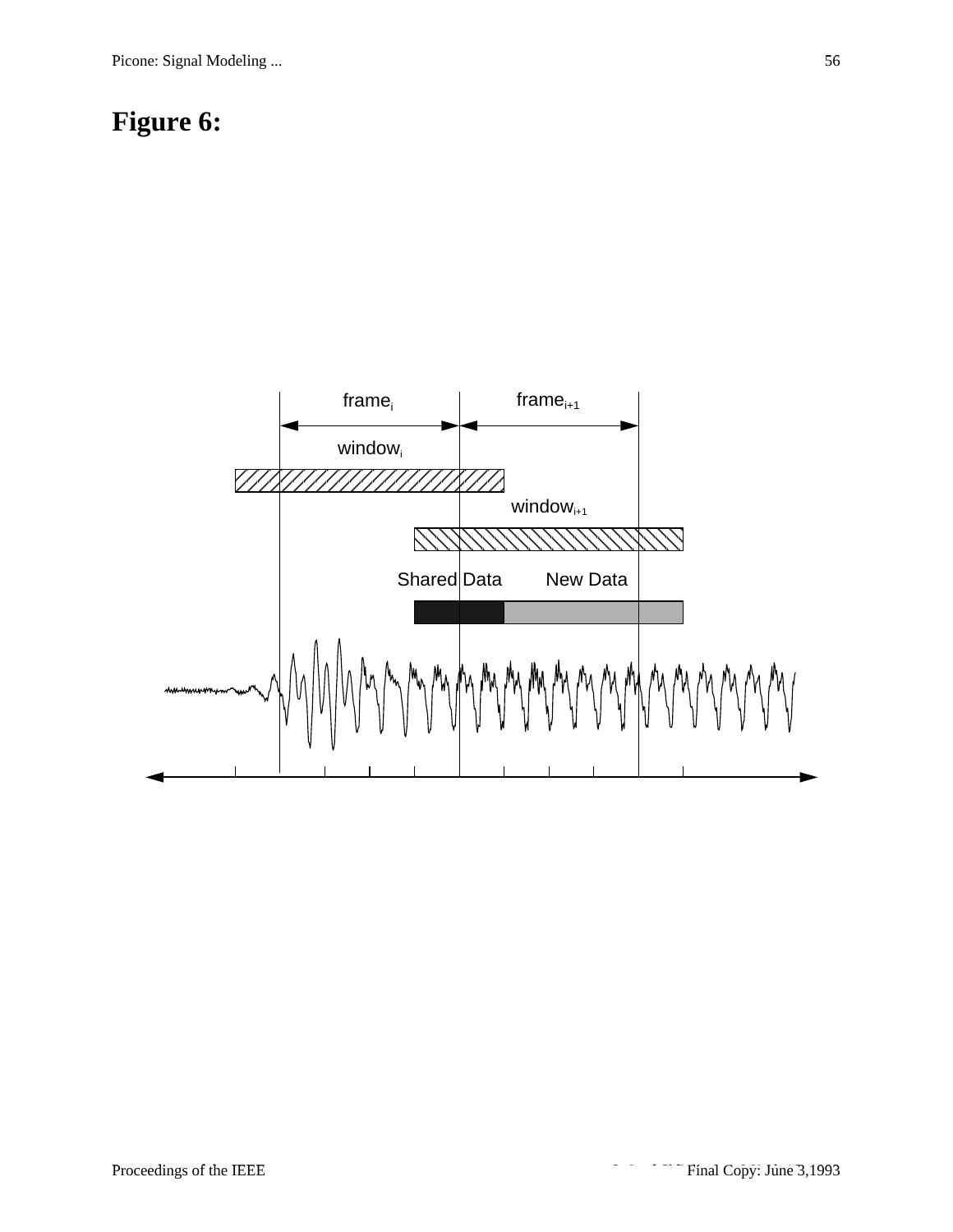# **Figure 6:**

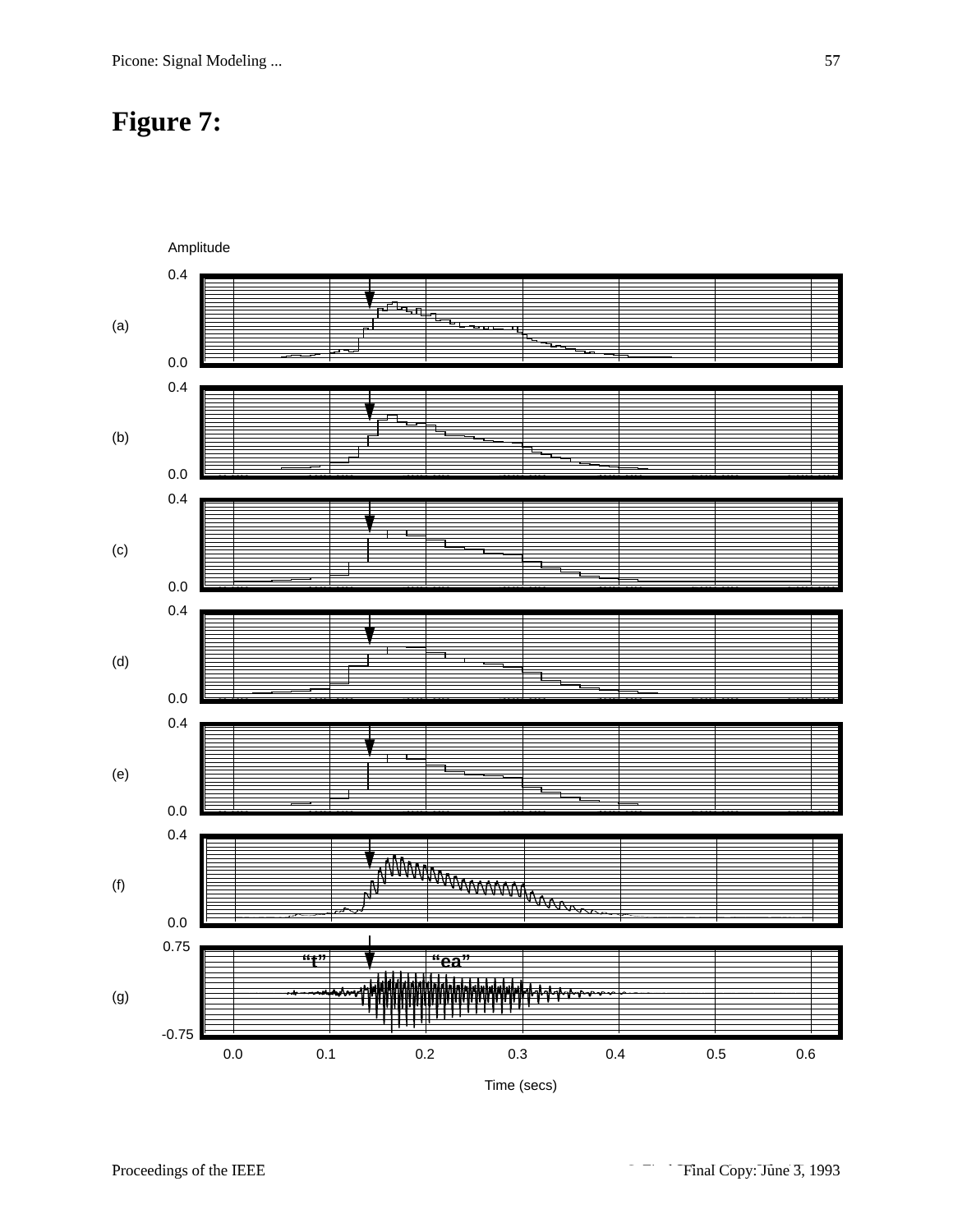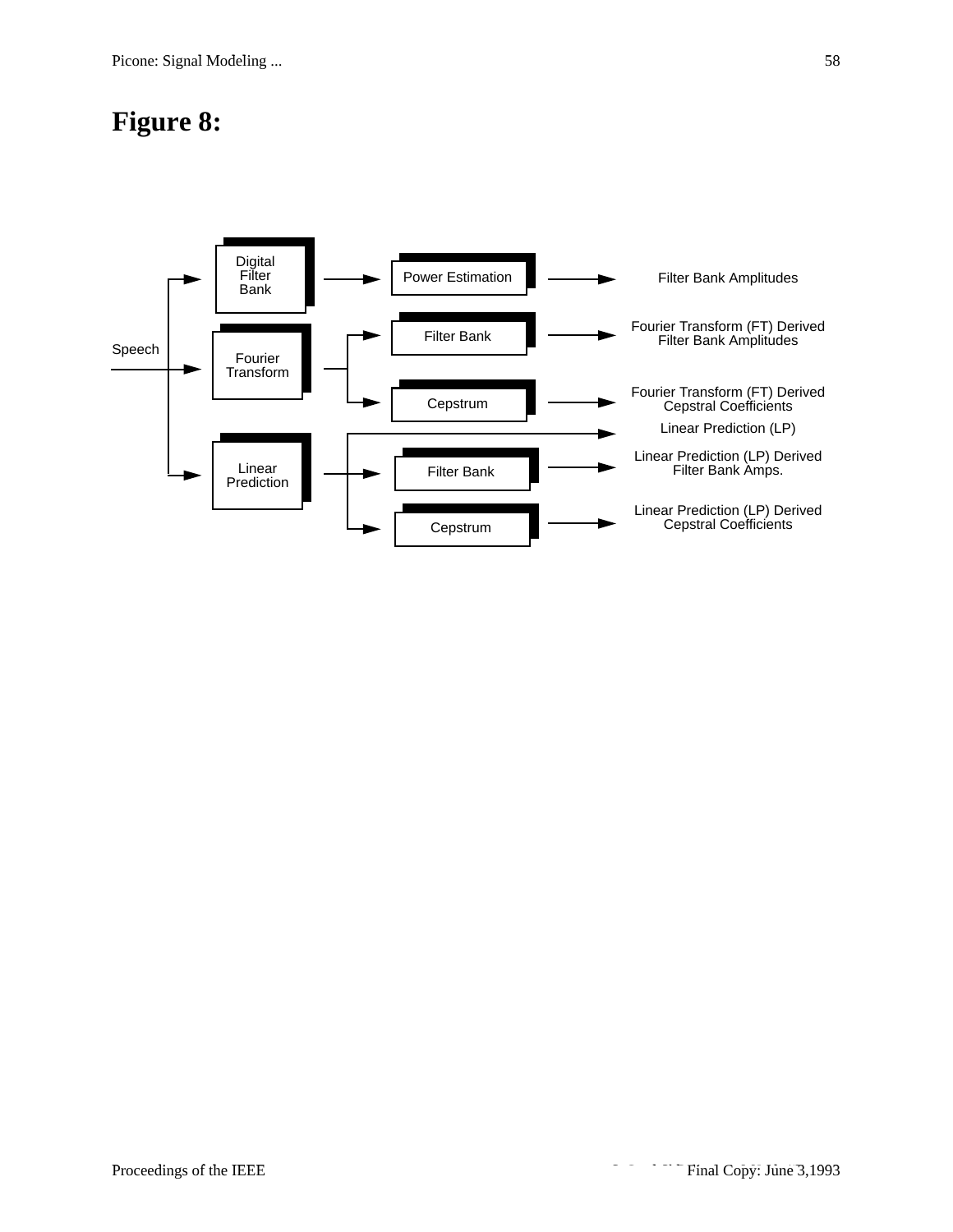# **Figure 8:**

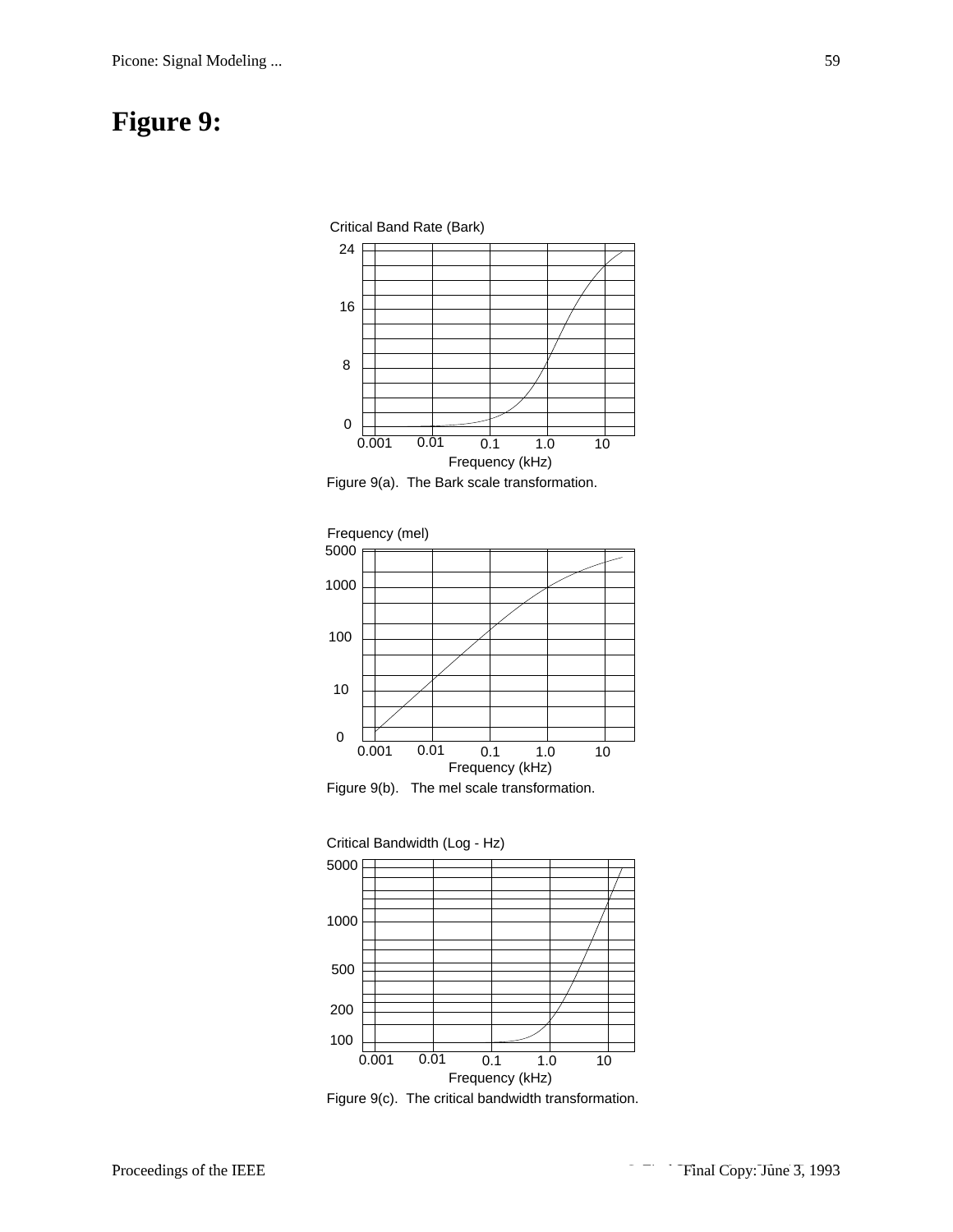









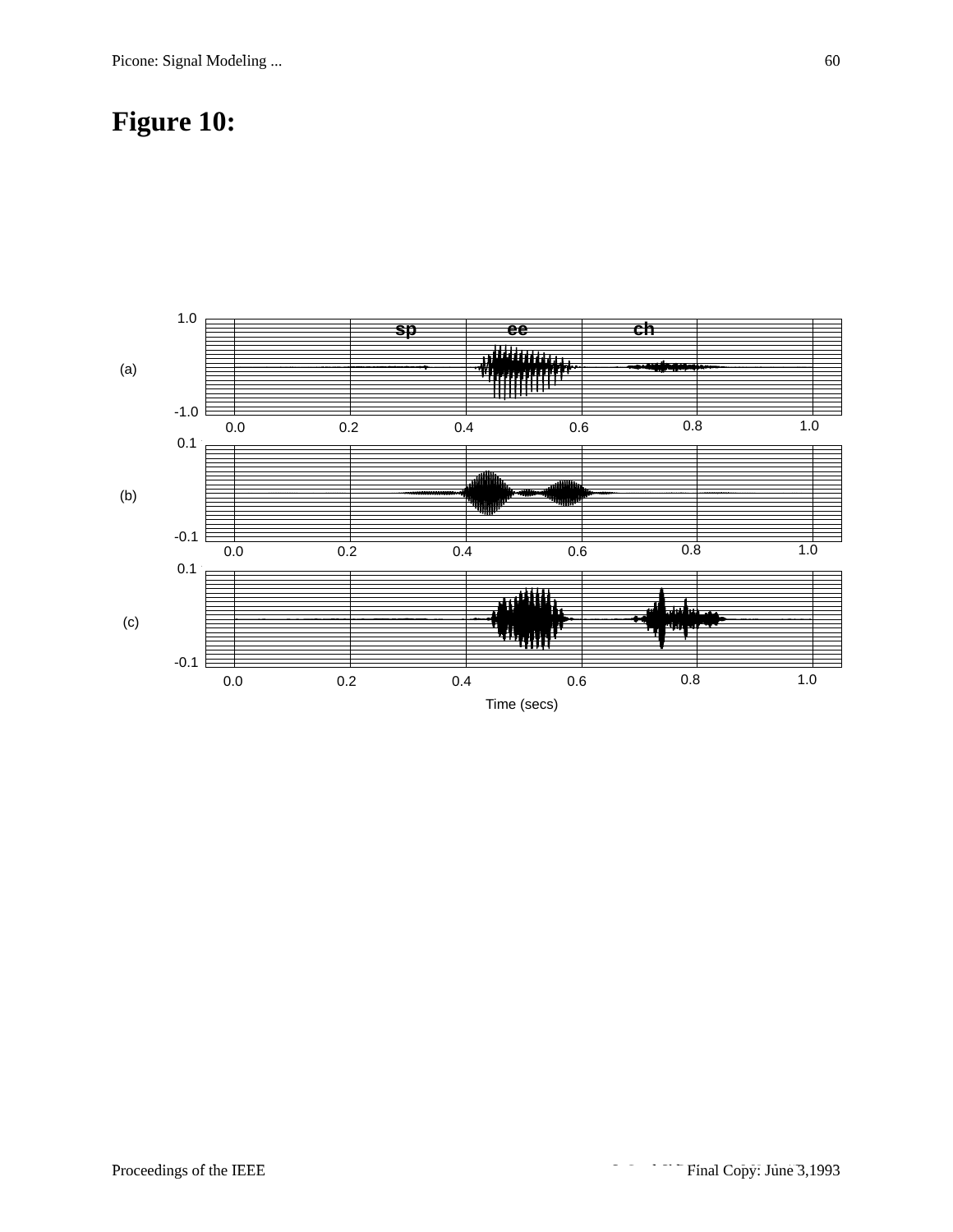# **Figure 10:**

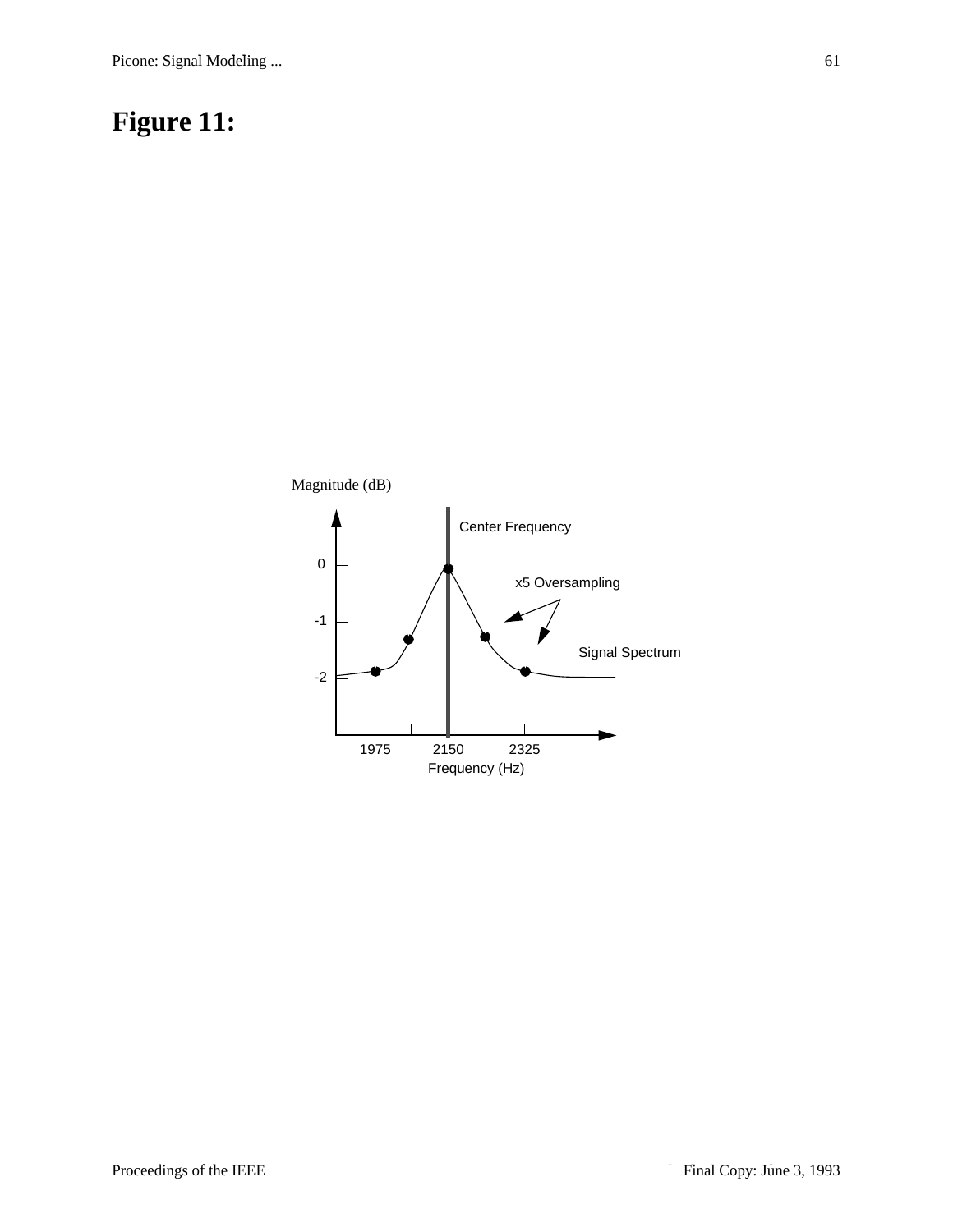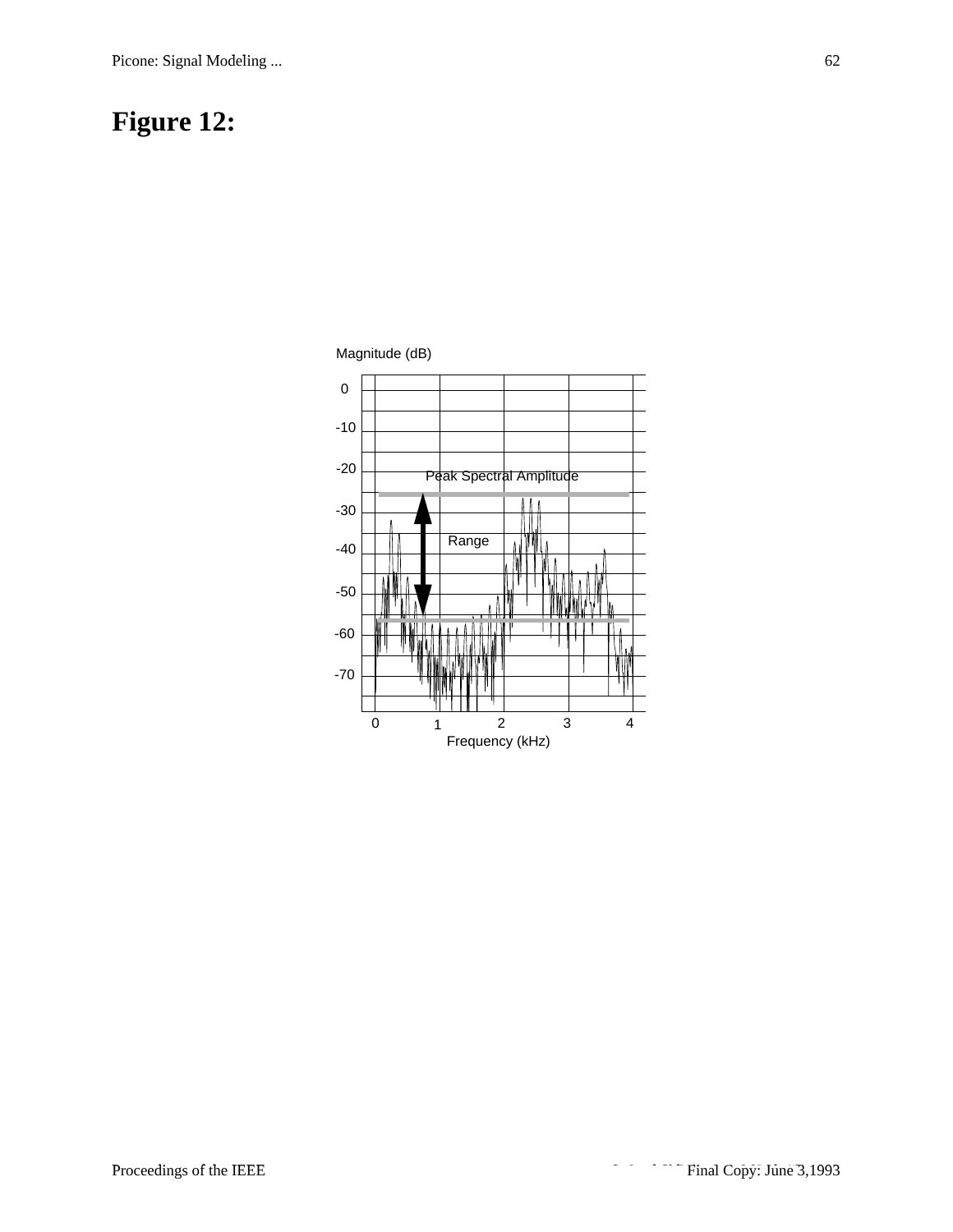# **Figure 12:**

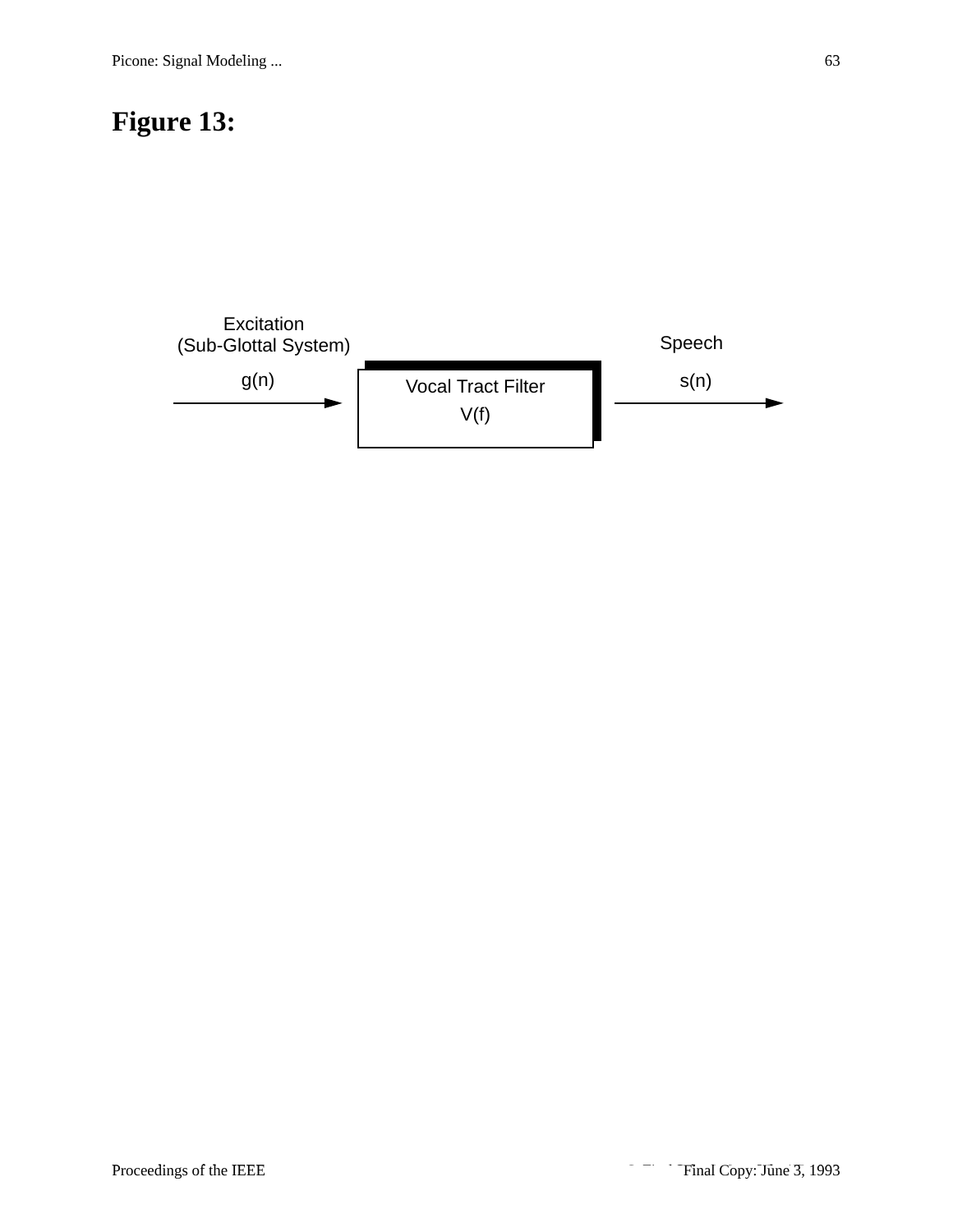# **Figure 13:**

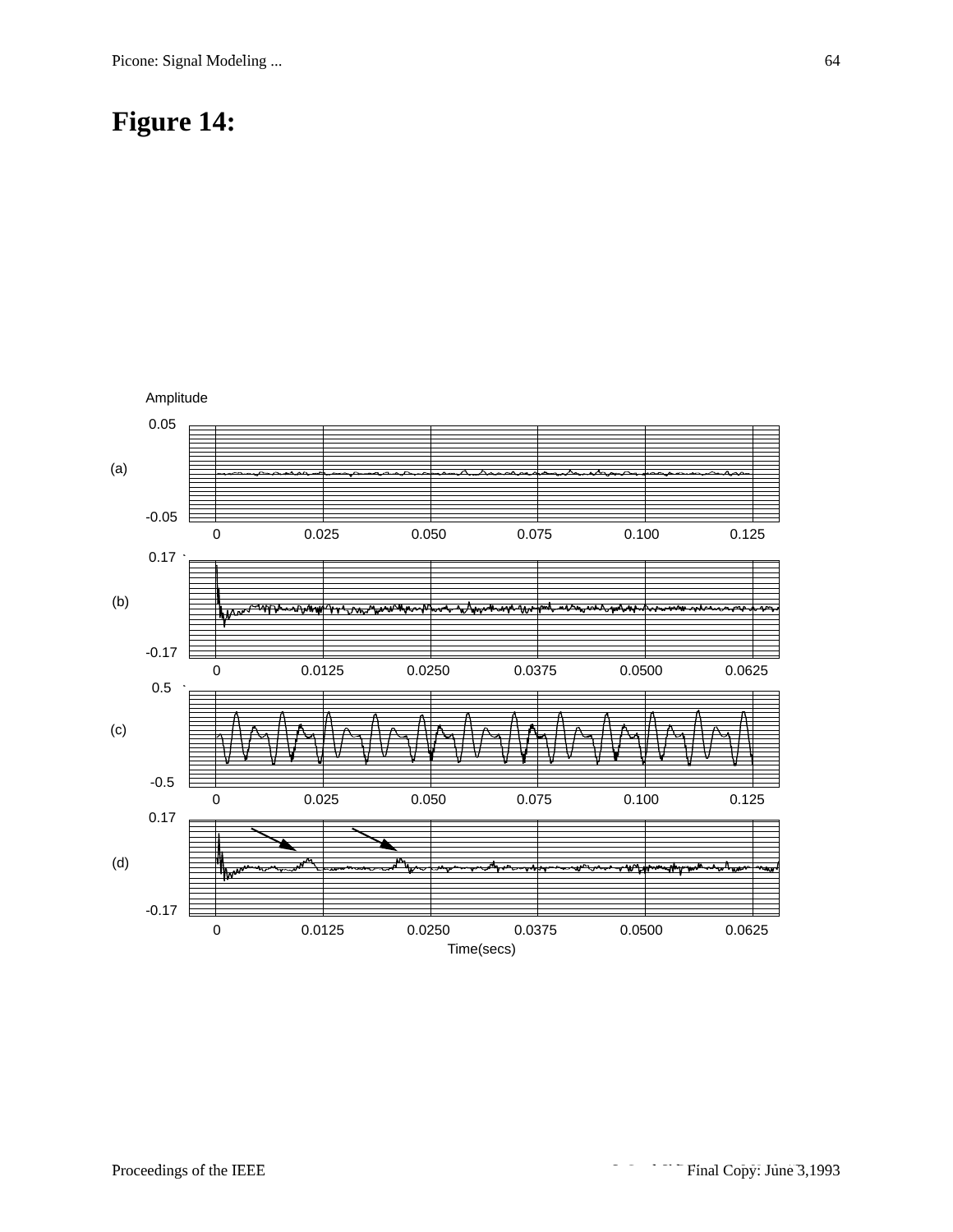## **Figure 14:**

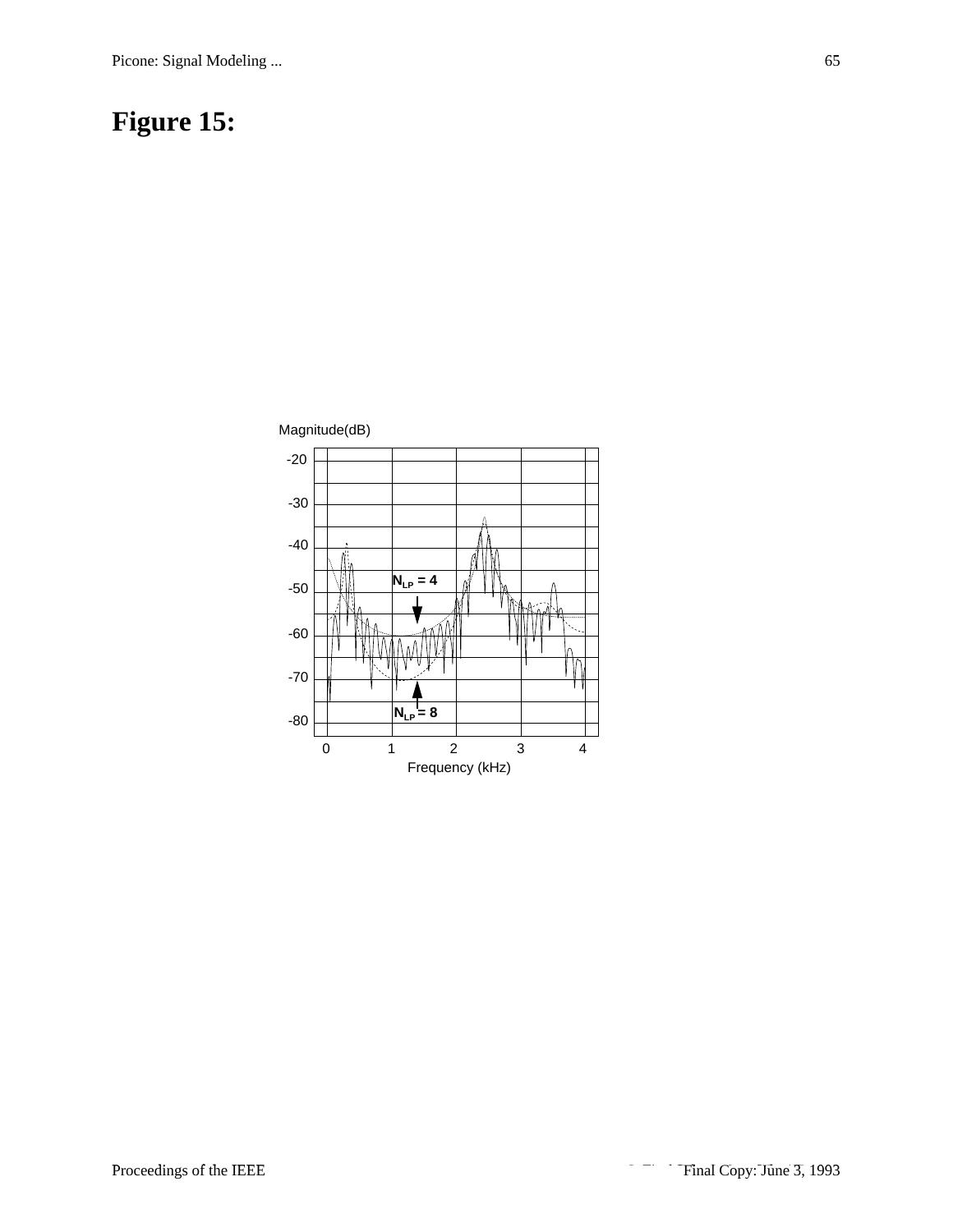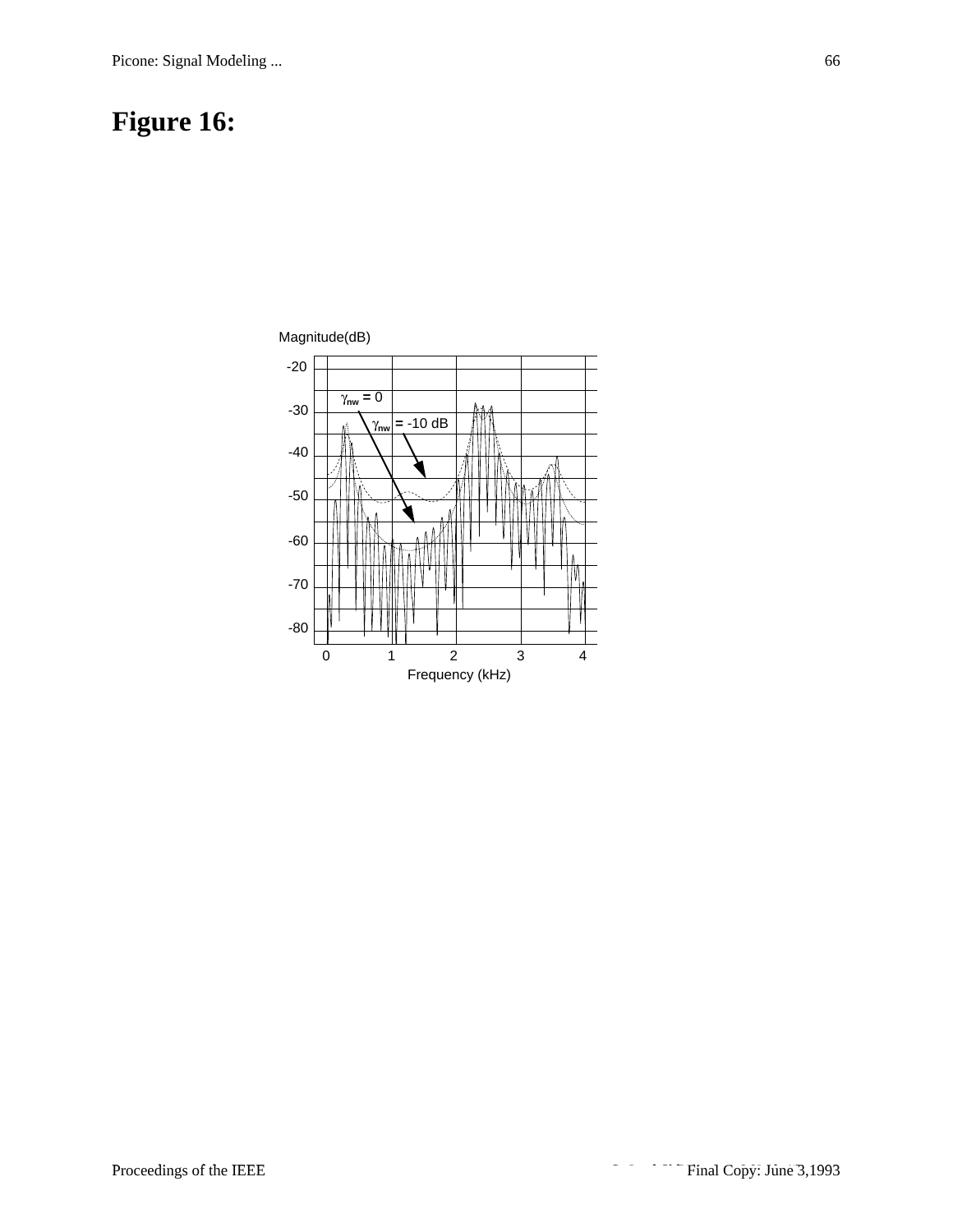# **Figure 16:**



Magnitude(dB)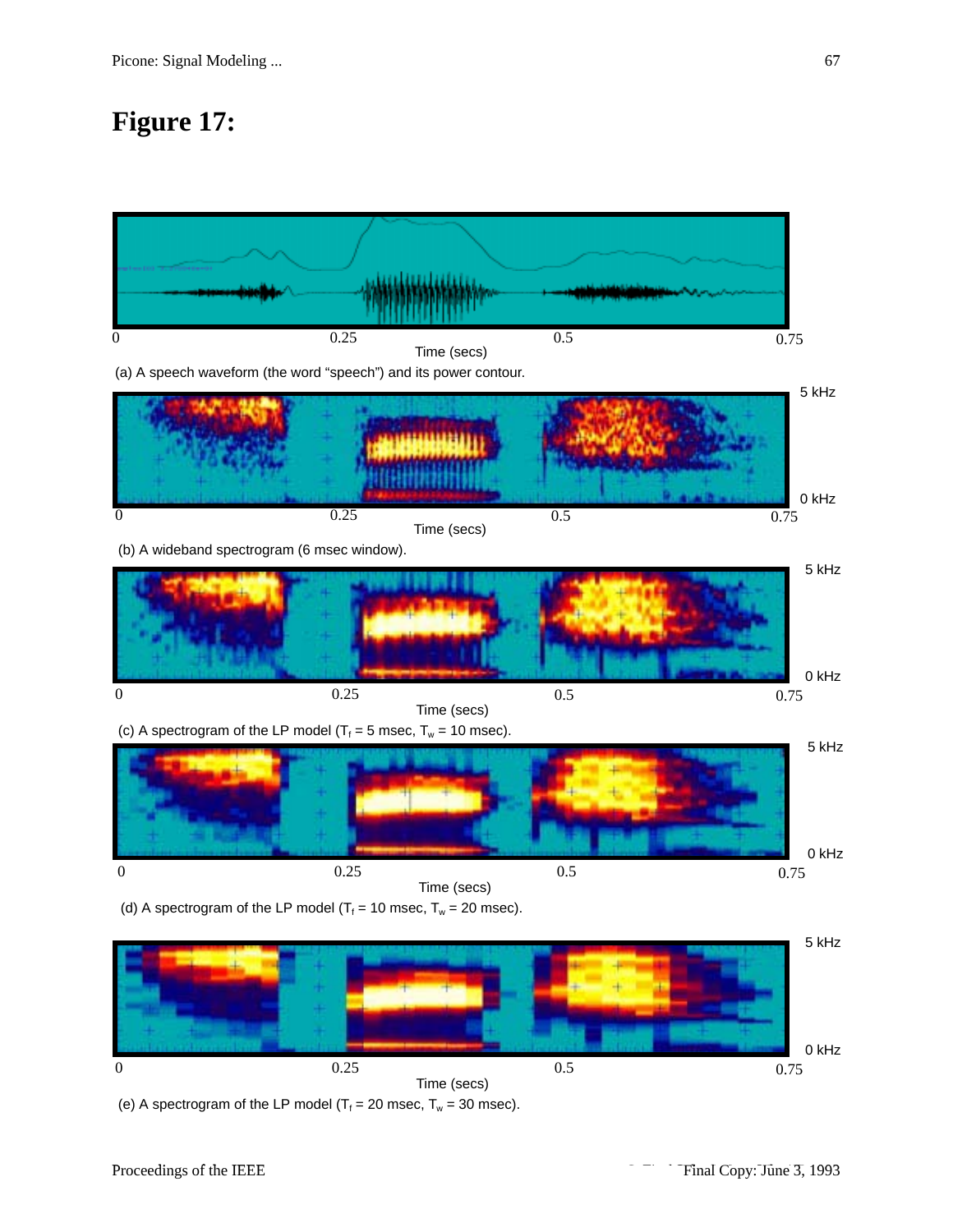



(e) A spectrogram of the LP model ( $T_f$  = 20 msec,  $T_w$  = 30 msec).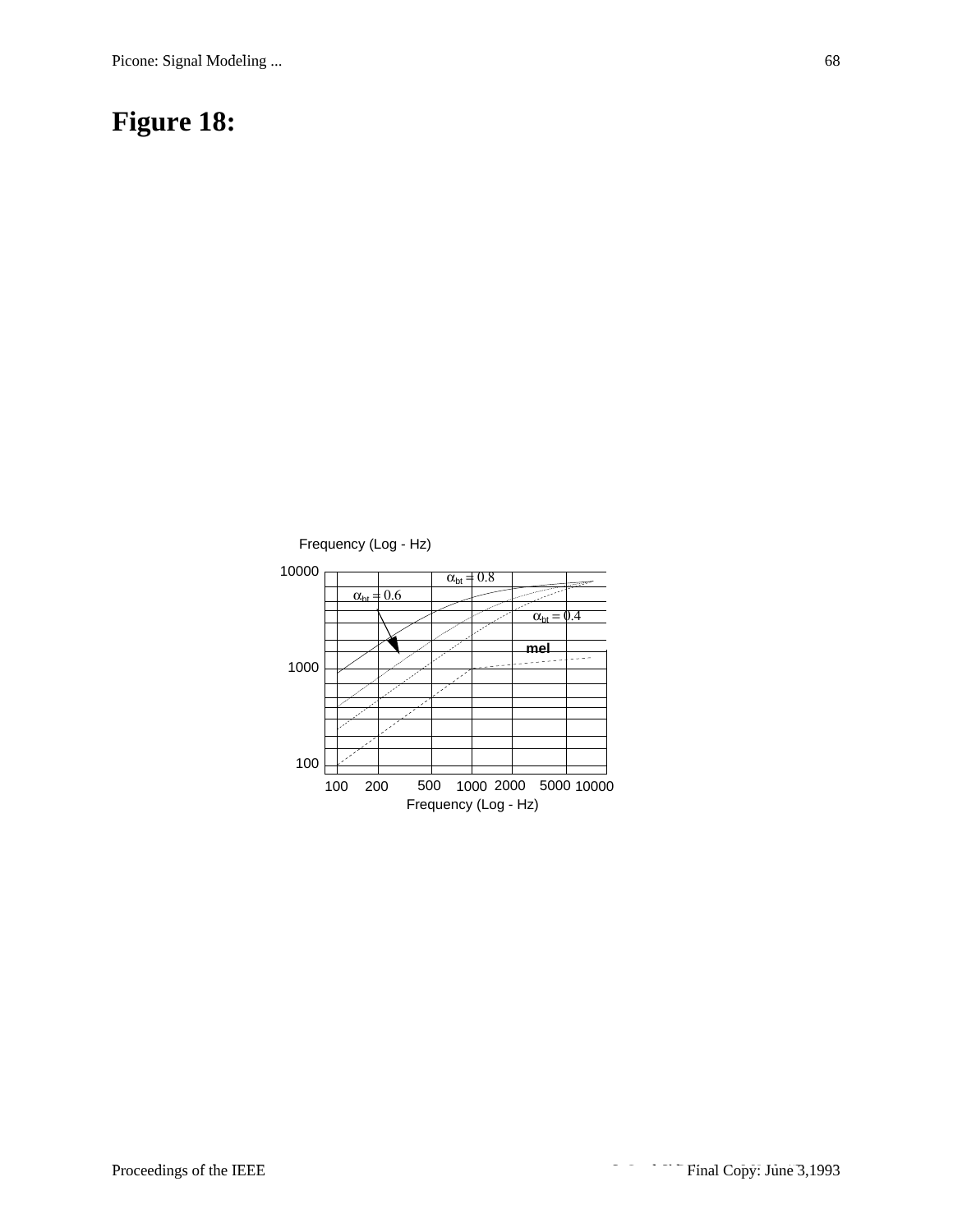# **Figure 18:**

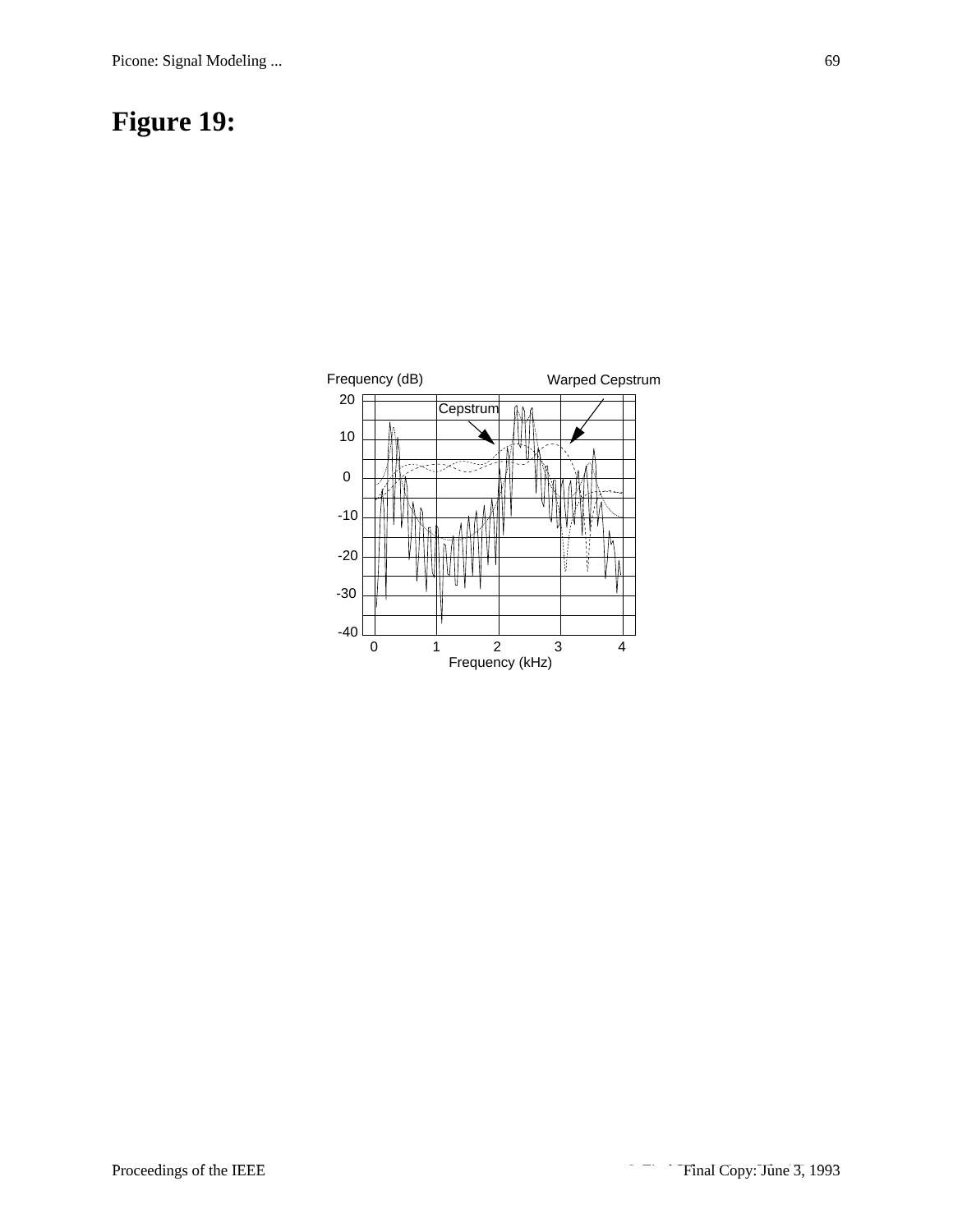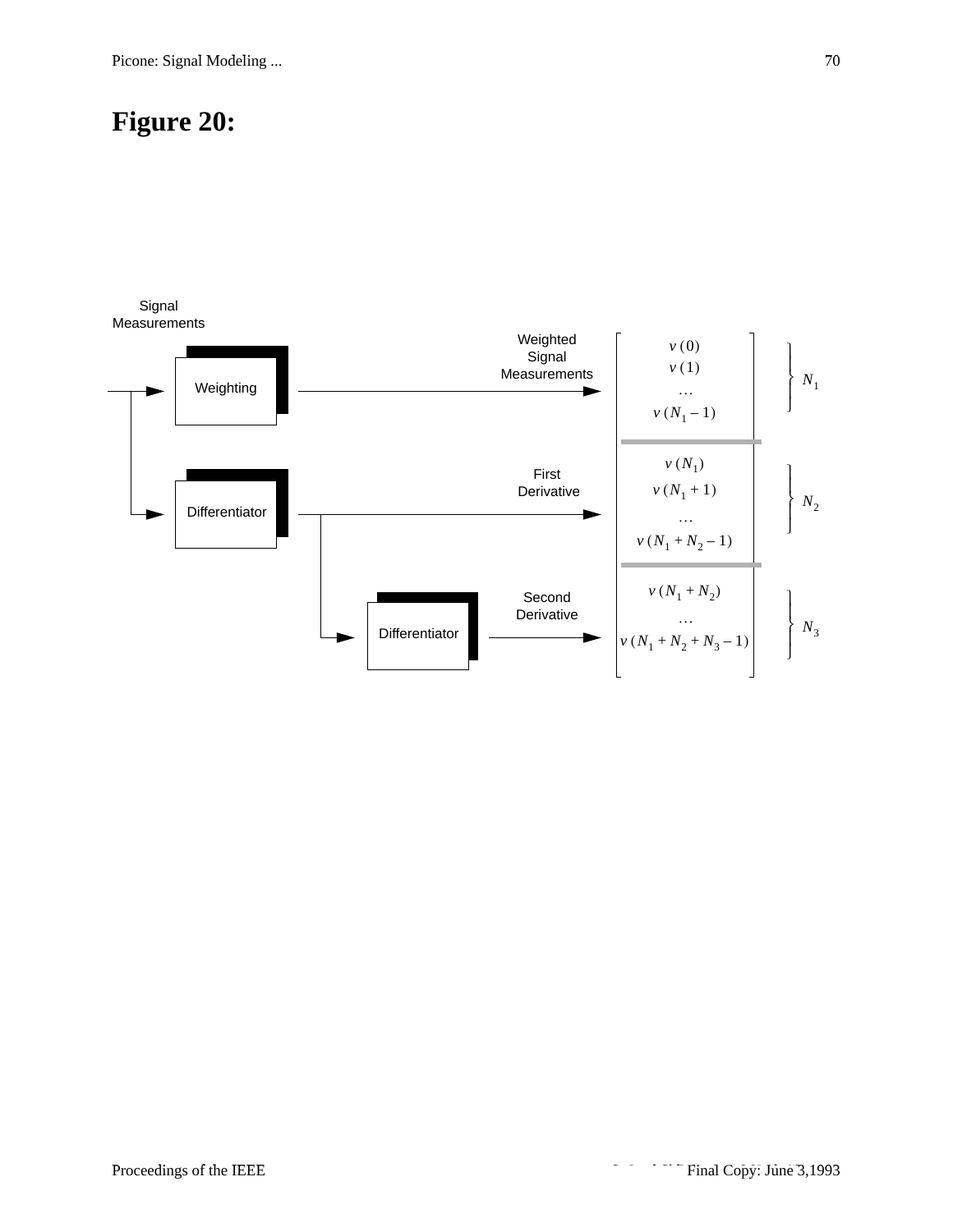# **Figure 20:**

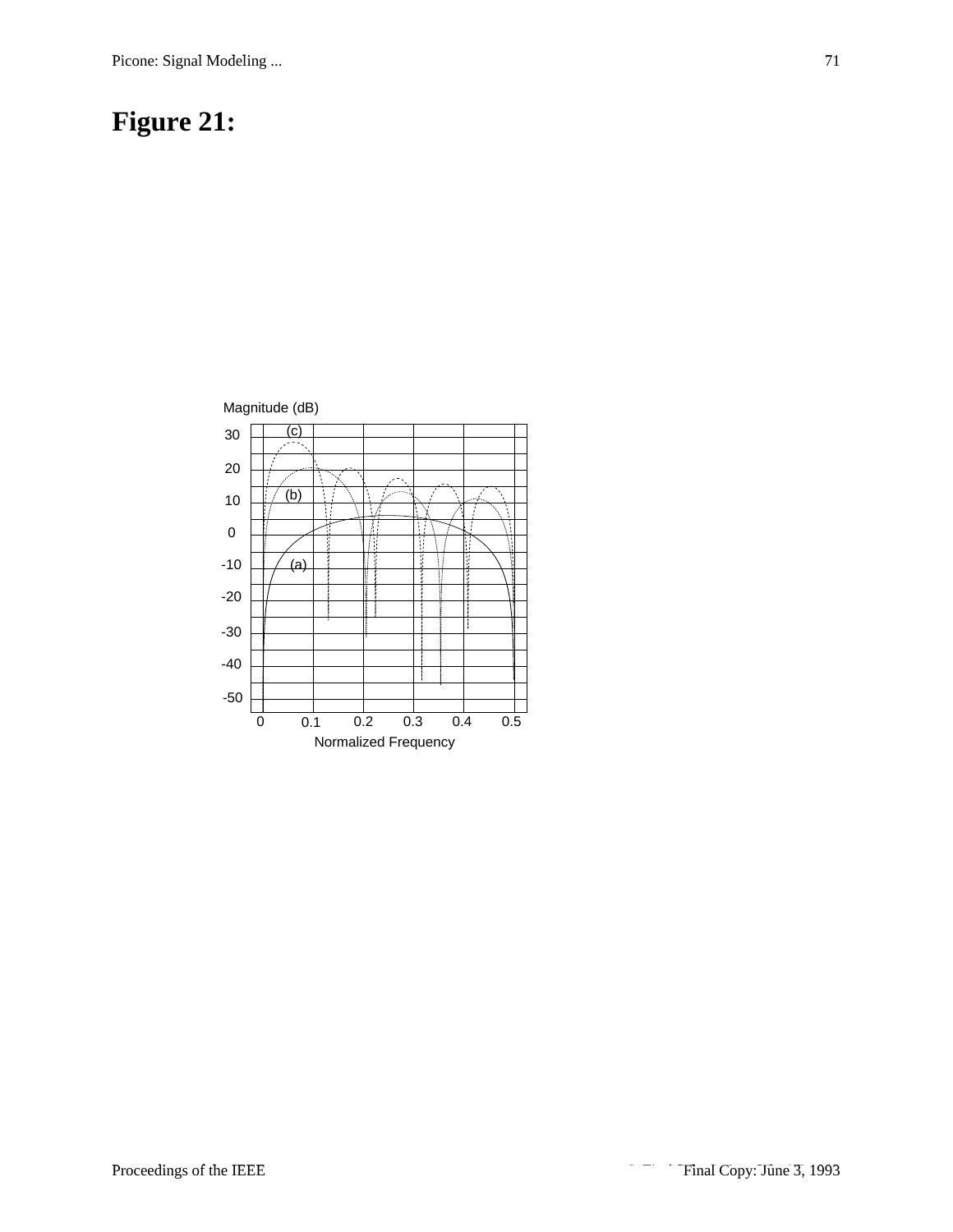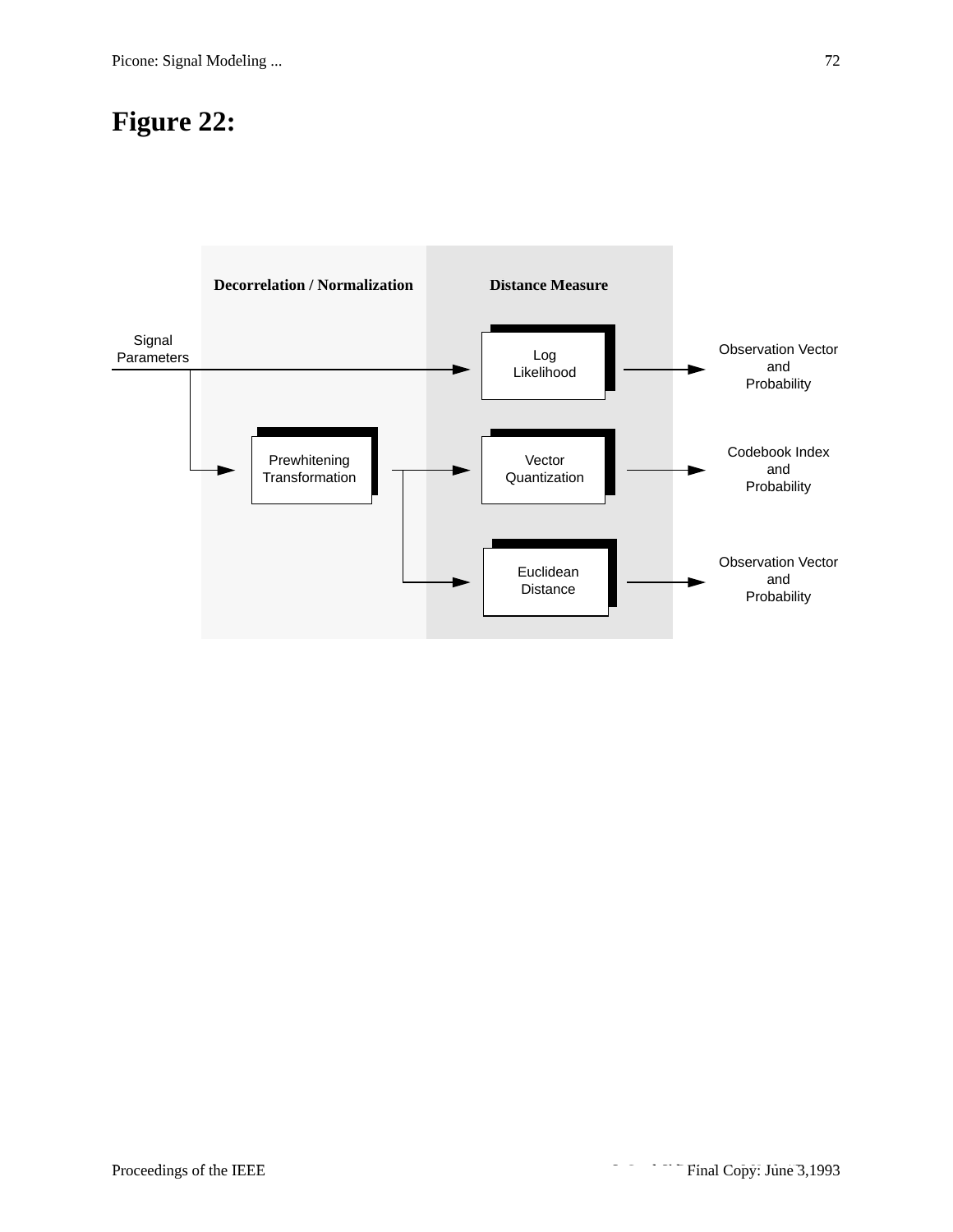# **Figure 22:**

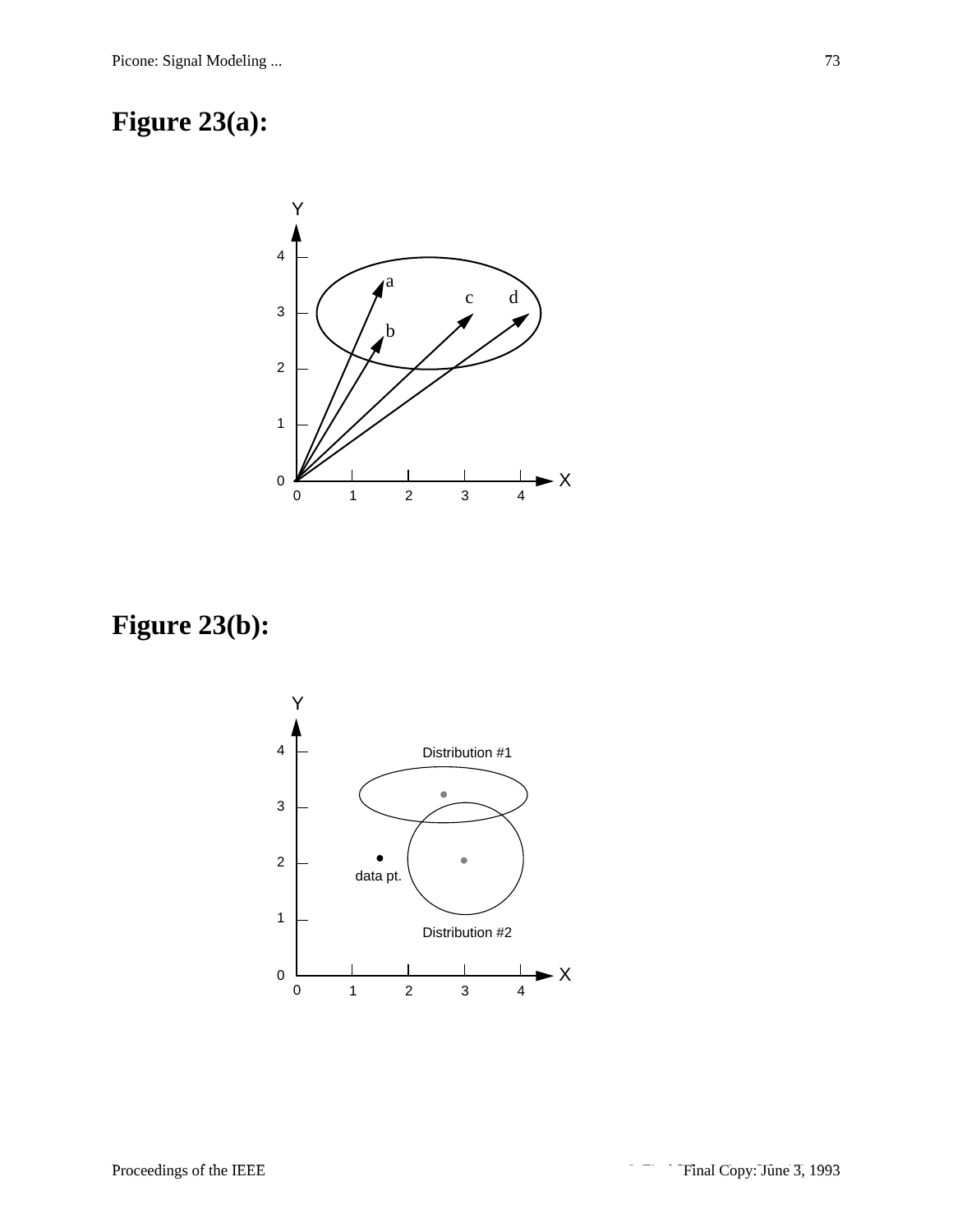

**Figure 23(b):**

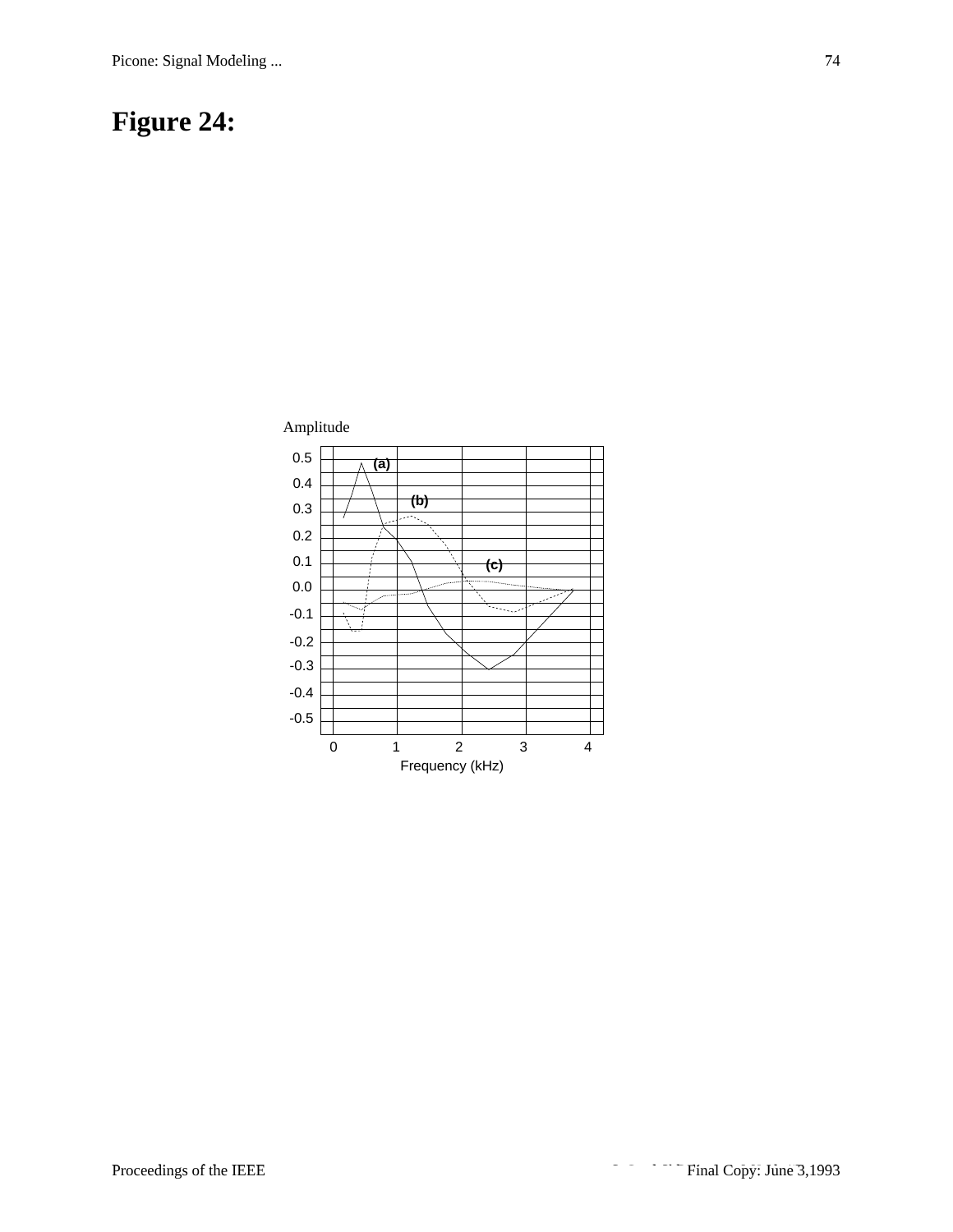# **Figure 24:**

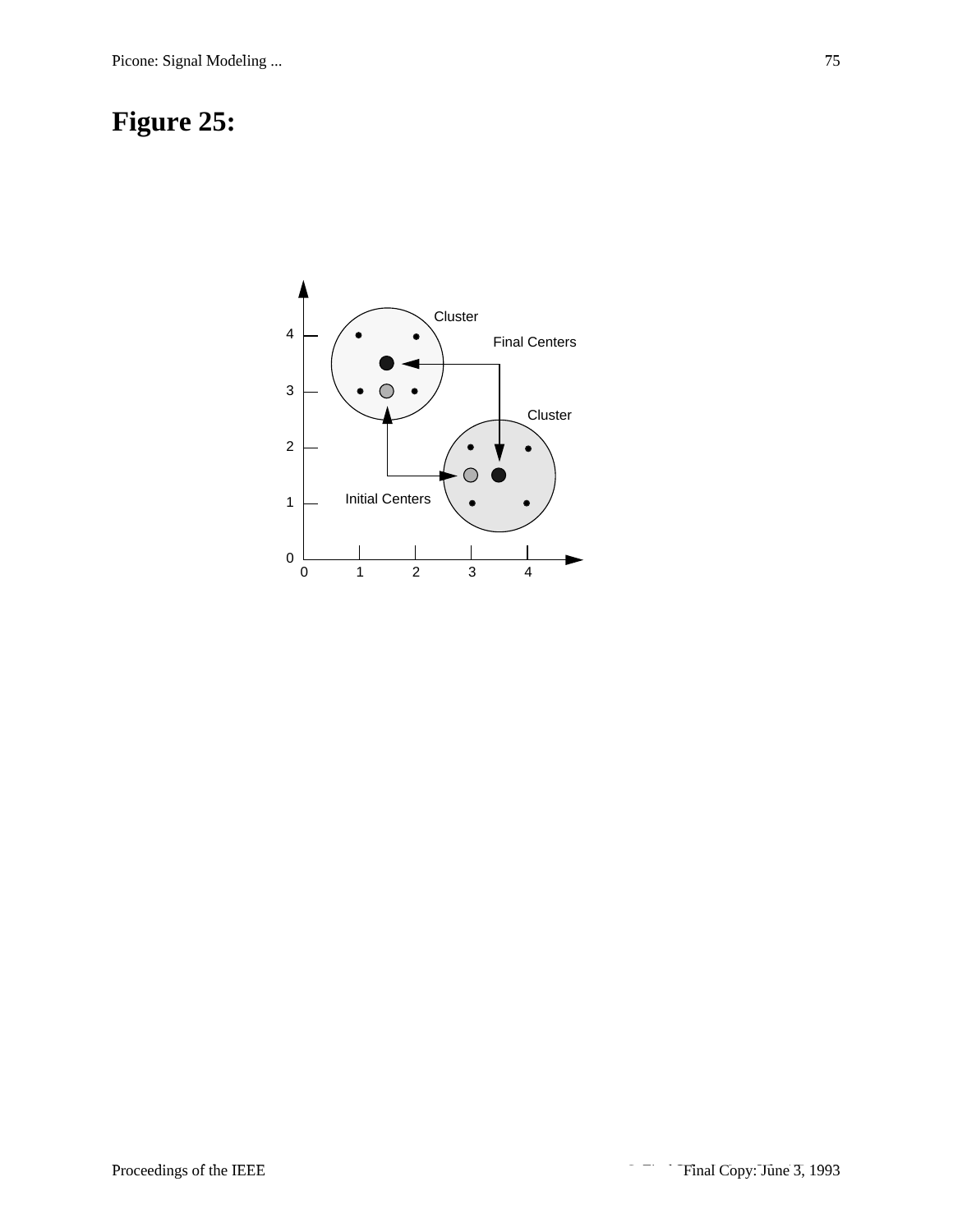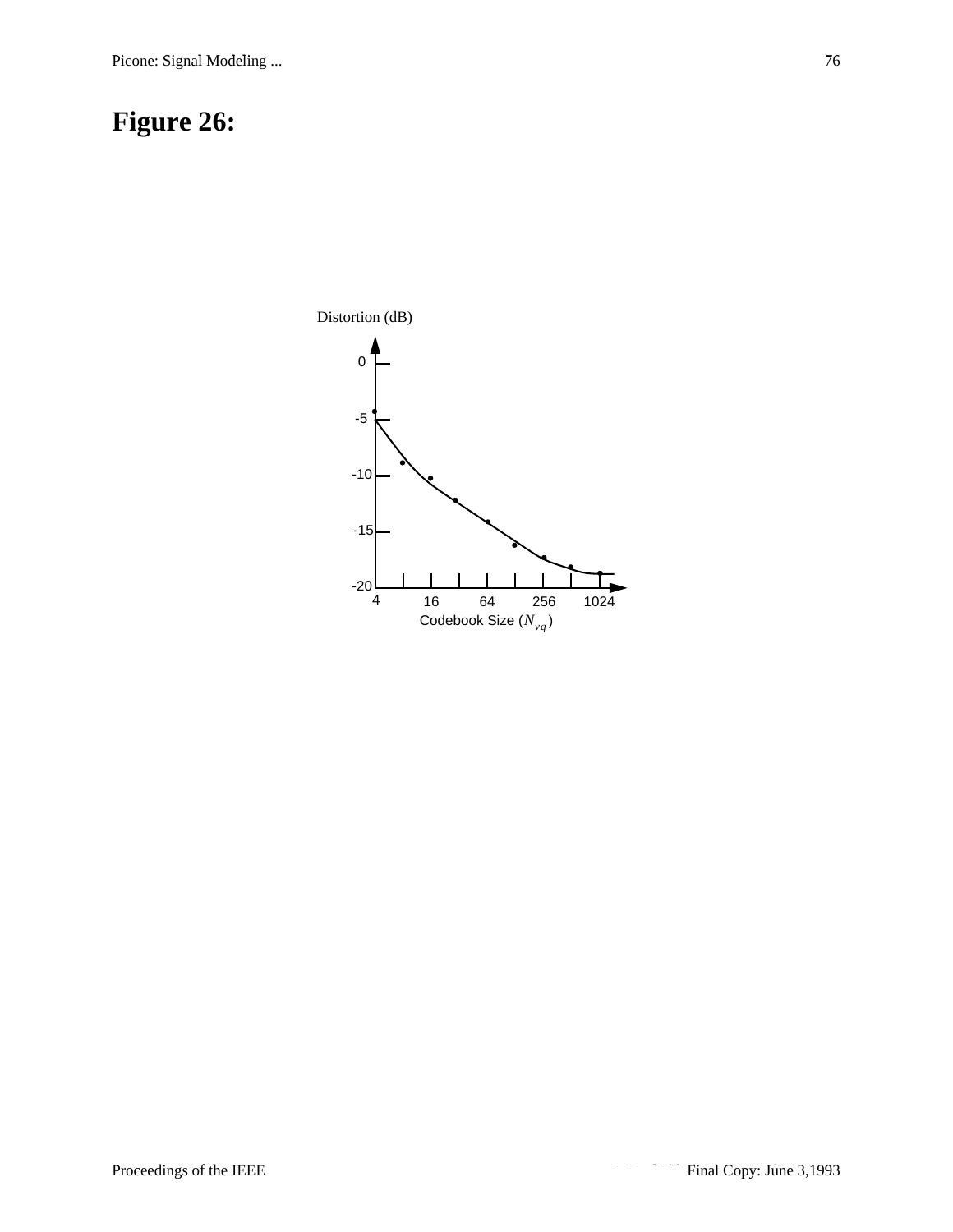# **Figure 26:**

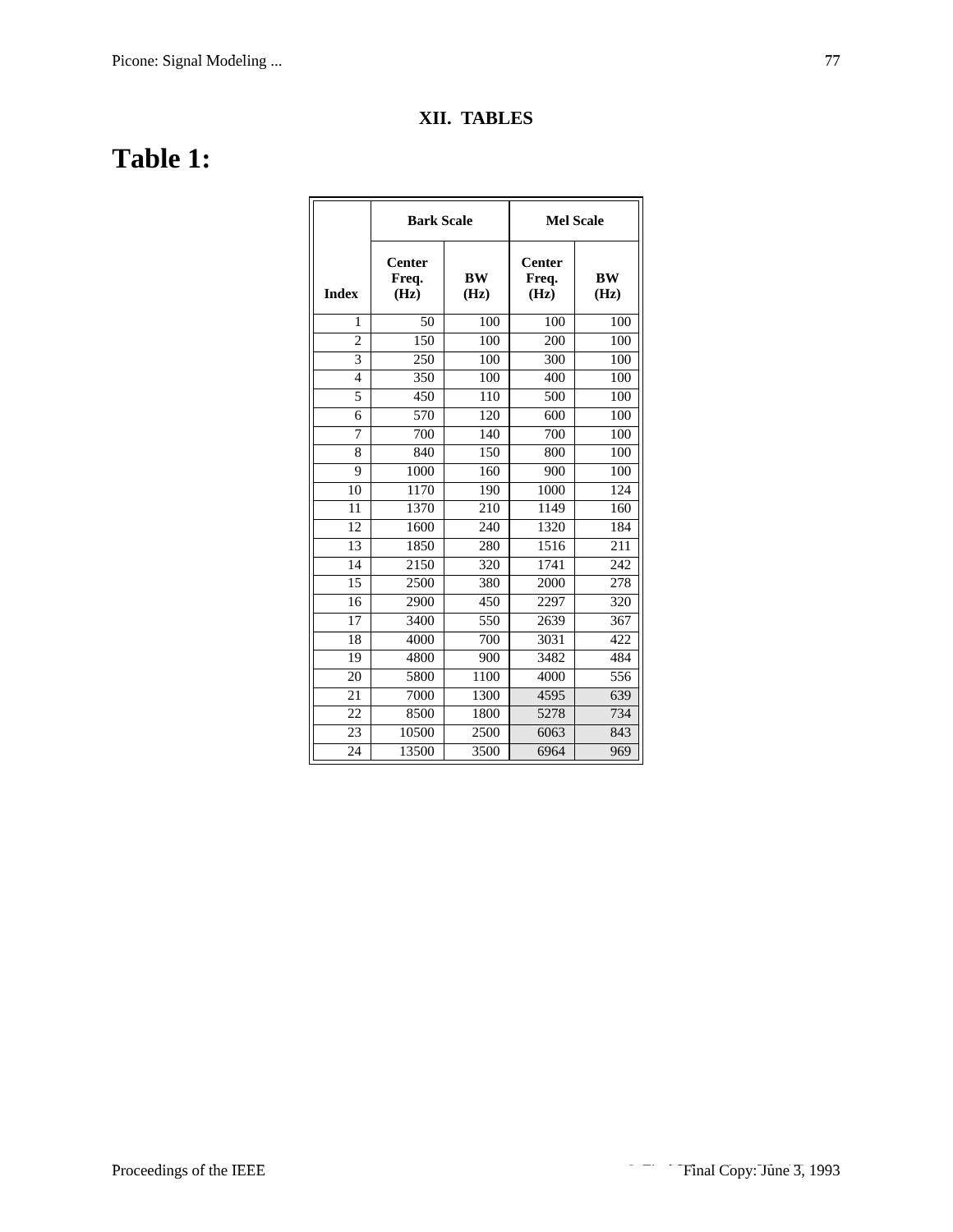### **Table 1:**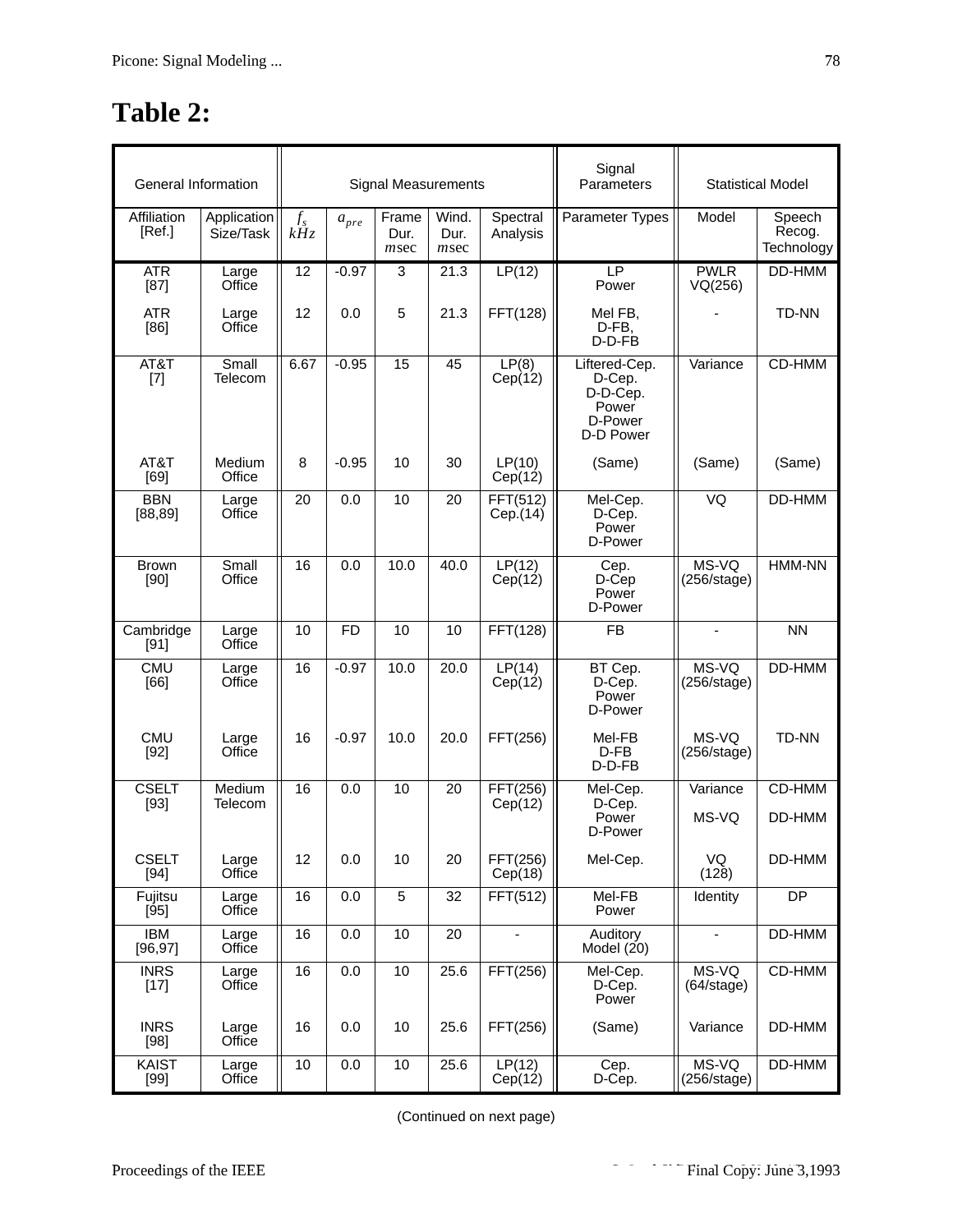# **Table 2:**

| General Information    |                          |                        |           | Signal Measurements   |                          |                      | Signal<br>Parameters                                                 | <b>Statistical Model</b>      |                                |
|------------------------|--------------------------|------------------------|-----------|-----------------------|--------------------------|----------------------|----------------------------------------------------------------------|-------------------------------|--------------------------------|
| Affiliation<br>[Ref.]  | Application<br>Size/Task | $f_s$<br>$k\tilde{H}z$ | $a_{pre}$ | Frame<br>Dur.<br>msec | Wind.<br>Dur.<br>$m$ sec | Spectral<br>Analysis | Parameter Types                                                      | Model                         | Speech<br>Recog.<br>Technology |
| <b>ATR</b><br>$[87]$   | Large<br>Office          | 12                     | $-0.97$   | 3                     | 21.3                     | LP(12)               | LP<br>Power                                                          | <b>PWLR</b><br>VQ(256)        | DD-HMM                         |
| ATR<br>[86]            | Large<br>Office          | 12                     | 0.0       | 5                     | 21.3                     | FFT(128)             | Mel FB,<br>D-FB.<br>$D$ - $D$ - $FB$                                 |                               | TD-NN                          |
| AT&T<br>$[7]$          | Small<br>Telecom         | 6.67                   | $-0.95$   | 15                    | 45                       | LP(8)<br>Cep(12)     | Liftered-Cep.<br>D-Cep.<br>D-D-Cep.<br>Power<br>D-Power<br>D-D Power | Variance                      | CD-HMM                         |
| AT&T<br>[69]           | Medium<br>Office         | 8                      | $-0.95$   | 10                    | 30                       | LP(10)<br>Cep(12)    | (Same)                                                               | (Same)                        | (Same)                         |
| <b>BBN</b><br>[88, 89] | Large<br>Office          | 20                     | 0.0       | 10                    | 20                       | FFT(512)<br>Cep.(14) | Mel-Cep.<br>D-Cep.<br>Power<br>D-Power                               | VQ                            | DD-HMM                         |
| <b>Brown</b><br>[90]   | Small<br>Office          | 16                     | 0.0       | 10.0                  | 40.0                     | LP(12)<br>Cep(12)    | Cep.<br>D-Cep<br>Power<br>D-Power                                    | MS-VQ<br>$(256/\text{stage})$ | HMM-NN                         |
| Cambridge<br>$[91]$    | Large<br>Office          | 10                     | <b>FD</b> | 10                    | 10                       | FFT(128)             | <b>FB</b>                                                            |                               | <b>NN</b>                      |
| <b>CMU</b><br>[66]     | Large<br>Office          | 16                     | $-0.97$   | 10.0                  | 20.0                     | LP(14)<br>Cep(12)    | BT Cep.<br>D-Cep.<br>Power<br>D-Power                                | MS-VQ<br>$(256/\text{stage})$ | DD-HMM                         |
| CMU<br>$[92]$          | Large<br>Office          | 16                     | $-0.97$   | 10.0                  | 20.0                     | FFT(256)             | Mel-FB<br>D-FB<br>$D-D-FB$                                           | MS-VQ<br>$(256/\text{stage})$ | TD-NN                          |
| <b>CSELT</b><br>$[93]$ | Medium<br>Telecom        | 16                     | 0.0       | 10                    | 20                       | FFT(256)<br>Cep(12)  | Mel-Cep.<br>D-Cep.<br>Power<br>D-Power                               | Variance<br>MS-VQ             | CD-HMM<br>DD-HMM               |
| <b>CSELT</b><br>$[94]$ | Large<br>Office          | 12                     | 0.0       | 10                    | 20                       | FFT(256)<br>Cep(18)  | Mel-Cep.                                                             | VQ<br>(128)                   | DD-HMM                         |
| Fujitsu<br>$[95]$      | Large<br>Office          | 16                     | 0.0       | 5                     | 32                       | FFT(512)             | Mel-FB<br>Power                                                      | Identity                      | DP                             |
| <b>IBM</b><br>[96, 97] | Large<br>Office          | 16                     | 0.0       | 10                    | 20                       | $\blacksquare$       | Auditory<br>Model (20)                                               | $\overline{\phantom{a}}$      | DD-HMM                         |
| <b>INRS</b><br>$[17]$  | Large<br>Office          | 16                     | 0.0       | 10                    | 25.6                     | FFT(256)             | Mel-Cep.<br>D-Cep.<br>Power                                          | MS-VQ<br>$(64/\text{stage})$  | CD-HMM                         |
| <b>INRS</b><br>[98]    | Large<br>Office          | 16                     | 0.0       | 10                    | 25.6                     | FFT(256)             | (Same)                                                               | Variance                      | DD-HMM                         |
| <b>KAIST</b><br>$[99]$ | Large<br>Office          | 10                     | 0.0       | 10                    | 25.6                     | LP(12)<br>Cep(12)    | Cep.<br>D-Cep.                                                       | MS-VQ<br>$(256/\text{stage})$ | DD-HMM                         |

(Continued on next page)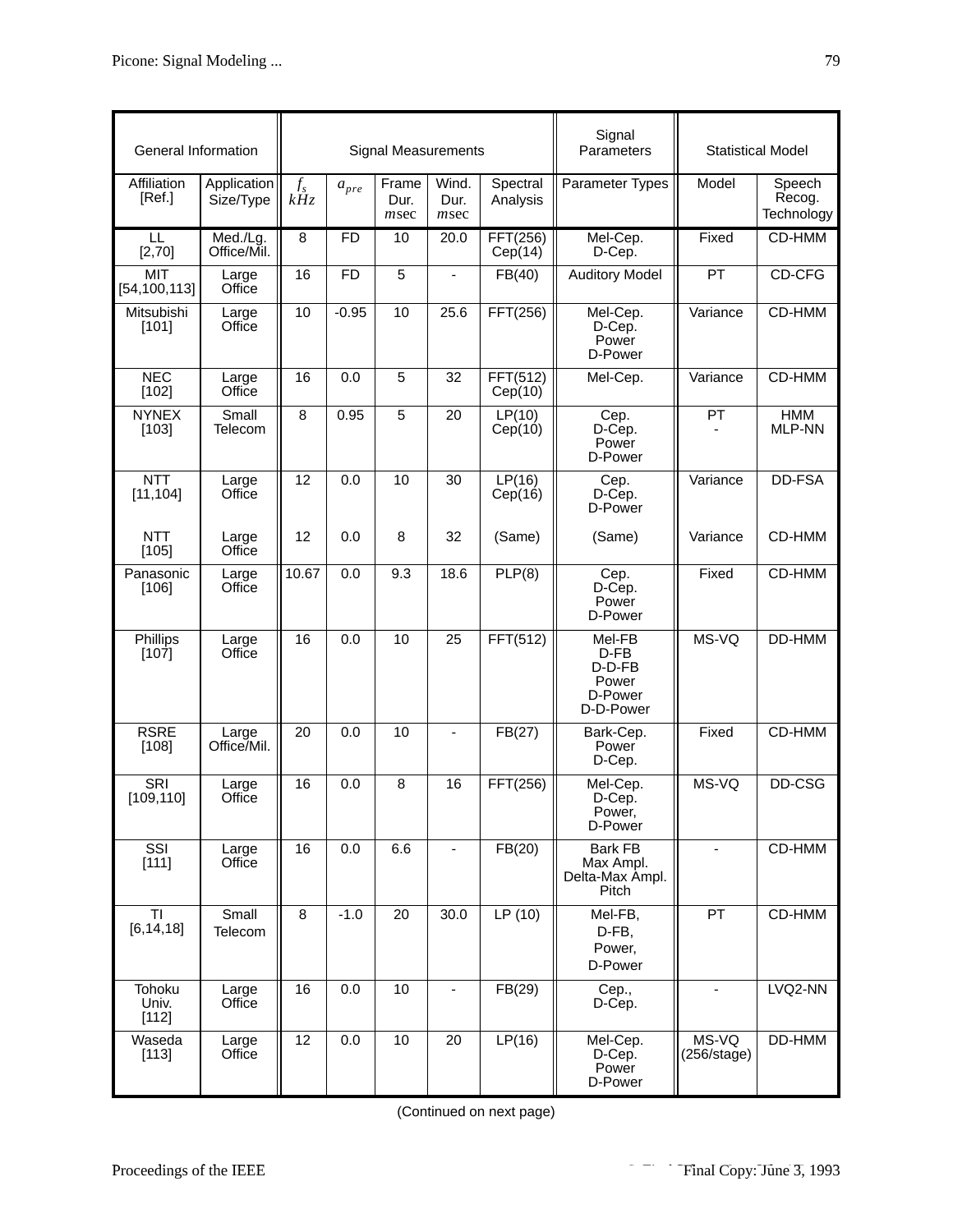| General Information          |                          |                              |           | <b>Signal Measurements</b> |                          |                          | Signal<br>Parameters                                      | <b>Statistical Model</b>      |                                |
|------------------------------|--------------------------|------------------------------|-----------|----------------------------|--------------------------|--------------------------|-----------------------------------------------------------|-------------------------------|--------------------------------|
| Affiliation<br>[Ref.]        | Application<br>Size/Type | $f_{\rm s}$<br>$k\tilde{H}z$ | $a_{pre}$ | Frame<br>Dur.<br>msec      | Wind.<br>Dur.<br>$m$ sec | Spectral<br>Analysis     | Parameter Types                                           | Model                         | Speech<br>Recog.<br>Technology |
| LL<br>[2, 70]                | Med./Lg.<br>Office/Mil.  | 8                            | <b>FD</b> | 10                         | 20.0                     | FFT(256)<br>Cep(14)      | Mel-Cep.<br>D-Cep.                                        | Fixed                         | CD-HMM                         |
| <b>MIT</b><br>[54, 100, 113] | Large<br>Office          | 16                           | <b>FD</b> | 5                          |                          | FB(40)                   | <b>Auditory Model</b>                                     | PT                            | CD-CFG                         |
| Mitsubishi<br>[101]          | Large<br>Office          | 10                           | $-0.95$   | 10                         | 25.6                     | FFT(256)                 | Mel-Cep.<br>D-Cep.<br>Power<br>D-Power                    | Variance                      | CD-HMM                         |
| <b>NEC</b><br>[102]          | Large<br>Office          | 16                           | 0.0       | 5                          | 32                       | FFT(512)<br>Cep(10)      | Mel-Cep.                                                  | Variance                      | CD-HMM                         |
| <b>NYNEX</b><br>[103]        | Small<br>Telecom         | 8                            | 0.95      | 5                          | 20                       | LP(10)<br>Cep(10)        | Cep.<br>D-Cep.<br>Power<br>D-Power                        | PT                            | <b>HMM</b><br>MLP-NN           |
| <b>NTT</b><br>[11, 104]      | Large<br>Office          | 12                           | 0.0       | 10                         | 30                       | LP(16)<br>Cep(16)        | Cep.<br>D-Cep.<br>D-Power                                 | Variance                      | DD-FSA                         |
| <b>NTT</b><br>[105]          | Large<br>Office          | 12                           | 0.0       | 8                          | 32                       | (Same)                   | (Same)                                                    | Variance                      | CD-HMM                         |
| Panasonic<br>[106]           | Large<br>Office          | 10.67                        | 0.0       | 9.3                        | 18.6                     | PLP(8)                   | Cep.<br>D-Cep.<br>Power<br>D-Power                        | Fixed                         | CD-HMM                         |
| Phillips<br>[107]            | Large<br>Office          | 16                           | 0.0       | 10                         | 25                       | FFT(512)                 | Mel-FB<br>D-FB<br>D-D-FB<br>Power<br>D-Power<br>D-D-Power | MS-VQ                         | DD-HMM                         |
| <b>RSRE</b><br>[108]         | Large<br>Office/Mil.     | 20                           | 0.0       | 10                         |                          | FB(27)                   | Bark-Cep.<br>Power<br>D-Cep.                              | Fixed                         | CD-HMM                         |
| SRI<br>[109, 110]            | Large<br>Office          | 16                           | 0.0       | 8                          | 16                       | FFT(256)                 | Mel-Cep.<br>D-Cep.<br>Power,<br>D-Power                   | MS-VQ                         | DD-CSG                         |
| SSI<br>[111]                 | Large<br>Office          | 16                           | 0.0       | 6.6                        | $\overline{\phantom{a}}$ | FB(20)                   | <b>Bark FB</b><br>Max Ampl.<br>Delta-Max Ampl.<br>Pitch   | $\overline{\phantom{a}}$      | CD-HMM                         |
| TI<br>[6, 14, 18]            | Small<br>Telecom         | 8                            | $-1.0$    | 20                         | 30.0                     | LP (10)                  | Mel-FB,<br>D-FB.<br>Power,<br>D-Power                     | PT                            | CD-HMM                         |
| Tohoku<br>Univ.<br>[112]     | Large<br>Office          | 16                           | 0.0       | 10                         | $\overline{a}$           | FB(29)                   | Cep.,<br>D-Cep.                                           | $\overline{a}$                | LVQ2-NN                        |
| Waseda<br>[113]              | Large<br>Office          | 12                           | 0.0       | 10                         | 20                       | LP(16)                   | Mel-Cep.<br>D-Cep.<br>Power<br>D-Power                    | MS-VQ<br>$(256/\text{stage})$ | DD-HMM                         |
| Proceedings of the IEEE      |                          |                              |           |                            |                          | (Continued on next page) |                                                           |                               | Final Copy: June 3, 1993       |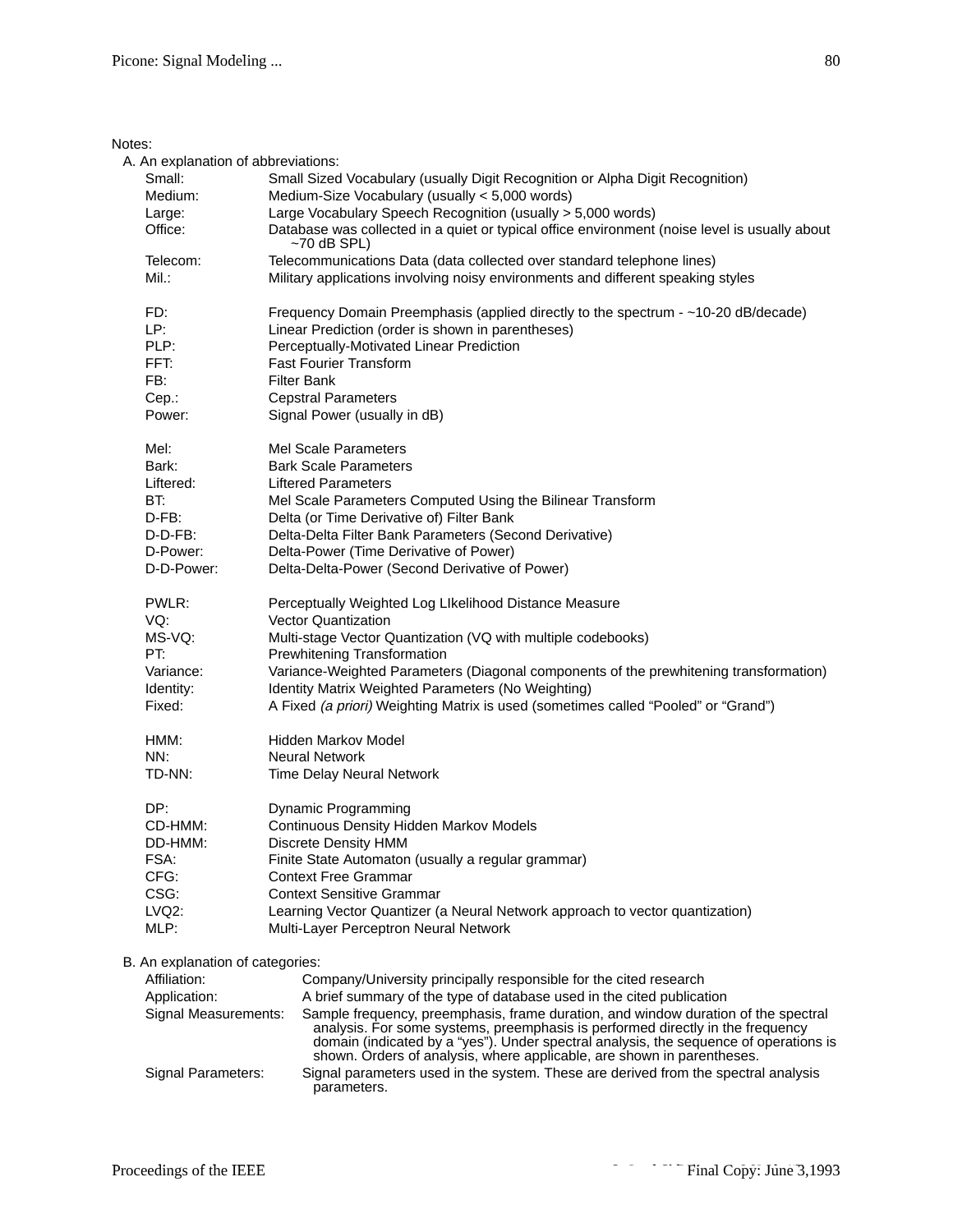|                                                      | otes:                               |                                                                                                                                                                                                                                                                                                                                         |
|------------------------------------------------------|-------------------------------------|-----------------------------------------------------------------------------------------------------------------------------------------------------------------------------------------------------------------------------------------------------------------------------------------------------------------------------------------|
|                                                      | A. An explanation of abbreviations: |                                                                                                                                                                                                                                                                                                                                         |
|                                                      | Small:                              | Small Sized Vocabulary (usually Digit Recognition or Alpha Digit Recognition)                                                                                                                                                                                                                                                           |
|                                                      | Medium:                             | Medium-Size Vocabulary (usually < 5,000 words)                                                                                                                                                                                                                                                                                          |
|                                                      | Large:                              | Large Vocabulary Speech Recognition (usually > 5,000 words)                                                                                                                                                                                                                                                                             |
|                                                      | Office:                             | Database was collected in a quiet or typical office environment (noise level is usually about<br>$~1$ -70 dB SPL)                                                                                                                                                                                                                       |
|                                                      | Telecom:                            | Telecommunications Data (data collected over standard telephone lines)                                                                                                                                                                                                                                                                  |
|                                                      | $Mil.$ :                            | Military applications involving noisy environments and different speaking styles                                                                                                                                                                                                                                                        |
|                                                      | FD:                                 | Frequency Domain Preemphasis (applied directly to the spectrum - ~10-20 dB/decade)                                                                                                                                                                                                                                                      |
|                                                      | LP:                                 | Linear Prediction (order is shown in parentheses)                                                                                                                                                                                                                                                                                       |
|                                                      | PLP:                                | Perceptually-Motivated Linear Prediction                                                                                                                                                                                                                                                                                                |
|                                                      | FFT:                                | <b>Fast Fourier Transform</b>                                                                                                                                                                                                                                                                                                           |
|                                                      | FB:                                 | <b>Filter Bank</b>                                                                                                                                                                                                                                                                                                                      |
|                                                      | Cep.:                               | <b>Cepstral Parameters</b>                                                                                                                                                                                                                                                                                                              |
|                                                      | Power:                              | Signal Power (usually in dB)                                                                                                                                                                                                                                                                                                            |
|                                                      | Mel:                                | <b>Mel Scale Parameters</b>                                                                                                                                                                                                                                                                                                             |
|                                                      | Bark:                               | <b>Bark Scale Parameters</b>                                                                                                                                                                                                                                                                                                            |
|                                                      | Liftered:                           | <b>Liftered Parameters</b>                                                                                                                                                                                                                                                                                                              |
|                                                      | BT.                                 | Mel Scale Parameters Computed Using the Bilinear Transform                                                                                                                                                                                                                                                                              |
|                                                      | D-FB:                               | Delta (or Time Derivative of) Filter Bank                                                                                                                                                                                                                                                                                               |
|                                                      | $D-D-FB$ :                          | Delta-Delta Filter Bank Parameters (Second Derivative)                                                                                                                                                                                                                                                                                  |
|                                                      | D-Power:                            | Delta-Power (Time Derivative of Power)                                                                                                                                                                                                                                                                                                  |
|                                                      | D-D-Power:                          | Delta-Delta-Power (Second Derivative of Power)                                                                                                                                                                                                                                                                                          |
|                                                      | PWLR:                               | Perceptually Weighted Log Likelihood Distance Measure                                                                                                                                                                                                                                                                                   |
|                                                      | VQ:                                 | <b>Vector Quantization</b>                                                                                                                                                                                                                                                                                                              |
|                                                      | MS-VQ:                              | Multi-stage Vector Quantization (VQ with multiple codebooks)                                                                                                                                                                                                                                                                            |
|                                                      | PT:                                 | Prewhitening Transformation                                                                                                                                                                                                                                                                                                             |
|                                                      | Variance:                           | Variance-Weighted Parameters (Diagonal components of the prewhitening transformation)                                                                                                                                                                                                                                                   |
|                                                      | Identity:                           | Identity Matrix Weighted Parameters (No Weighting)                                                                                                                                                                                                                                                                                      |
|                                                      | Fixed:                              | A Fixed (a priori) Weighting Matrix is used (sometimes called "Pooled" or "Grand")                                                                                                                                                                                                                                                      |
|                                                      | HMM:                                | <b>Hidden Markov Model</b>                                                                                                                                                                                                                                                                                                              |
|                                                      | NN:                                 | <b>Neural Network</b>                                                                                                                                                                                                                                                                                                                   |
|                                                      | TD-NN:                              | Time Delay Neural Network                                                                                                                                                                                                                                                                                                               |
|                                                      | DP:                                 | Dynamic Programming                                                                                                                                                                                                                                                                                                                     |
|                                                      | CD-HMM:                             | <b>Continuous Density Hidden Markov Models</b>                                                                                                                                                                                                                                                                                          |
|                                                      | DD-HMM:                             | <b>Discrete Density HMM</b>                                                                                                                                                                                                                                                                                                             |
|                                                      | FSA:                                | Finite State Automaton (usually a regular grammar)                                                                                                                                                                                                                                                                                      |
|                                                      | CFG:                                | <b>Context Free Grammar</b>                                                                                                                                                                                                                                                                                                             |
|                                                      | CSG:                                | <b>Context Sensitive Grammar</b>                                                                                                                                                                                                                                                                                                        |
|                                                      | LVQ2:                               | Learning Vector Quantizer (a Neural Network approach to vector quantization)                                                                                                                                                                                                                                                            |
|                                                      | $MLP$ :                             | Multi-Layer Perceptron Neural Network                                                                                                                                                                                                                                                                                                   |
|                                                      | B. An explanation of categories:    |                                                                                                                                                                                                                                                                                                                                         |
| Affiliation:<br>Application:<br>Signal Measurements: |                                     | Company/University principally responsible for the cited research                                                                                                                                                                                                                                                                       |
|                                                      |                                     | A brief summary of the type of database used in the cited publication                                                                                                                                                                                                                                                                   |
|                                                      |                                     | Sample frequency, preemphasis, frame duration, and window duration of the spectral<br>analysis. For some systems, preemphasis is performed directly in the frequency<br>domain (indicated by a "yes"). Under spectral analysis, the sequence of operations is<br>shown. Orders of analysis, where applicable, are shown in parentheses. |
| Signal Parameters:                                   |                                     | Signal parameters used in the system. These are derived from the spectral analysis<br>parameters.                                                                                                                                                                                                                                       |